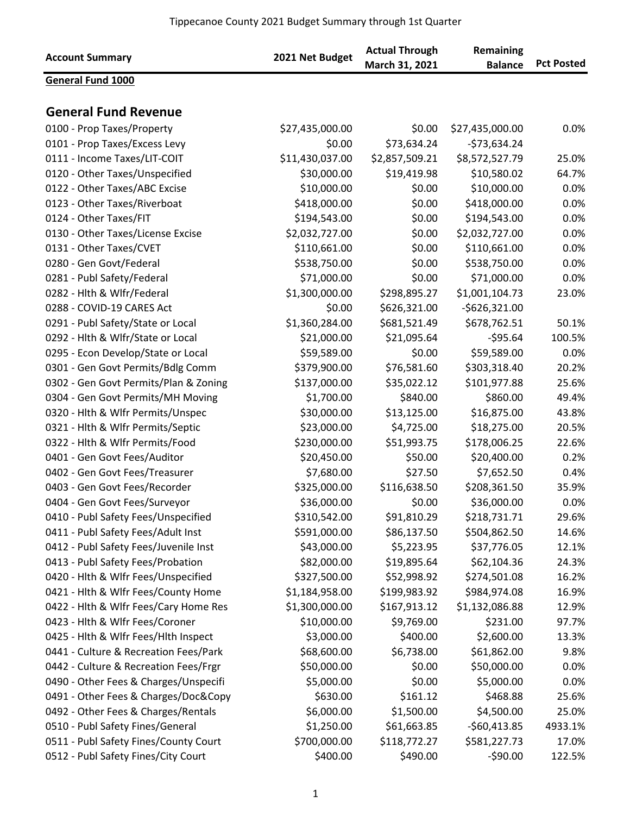|                                       |                 | <b>Actual Through</b> | Remaining       |                   |
|---------------------------------------|-----------------|-----------------------|-----------------|-------------------|
| <b>Account Summary</b>                | 2021 Net Budget | March 31, 2021        | <b>Balance</b>  | <b>Pct Posted</b> |
| <b>General Fund 1000</b>              |                 |                       |                 |                   |
|                                       |                 |                       |                 |                   |
| <b>General Fund Revenue</b>           |                 |                       |                 |                   |
| 0100 - Prop Taxes/Property            | \$27,435,000.00 | \$0.00                | \$27,435,000.00 | 0.0%              |
| 0101 - Prop Taxes/Excess Levy         | \$0.00          | \$73,634.24           | $-573,634.24$   |                   |
| 0111 - Income Taxes/LIT-COIT          | \$11,430,037.00 | \$2,857,509.21        | \$8,572,527.79  | 25.0%             |
| 0120 - Other Taxes/Unspecified        | \$30,000.00     | \$19,419.98           | \$10,580.02     | 64.7%             |
| 0122 - Other Taxes/ABC Excise         | \$10,000.00     | \$0.00                | \$10,000.00     | 0.0%              |
| 0123 - Other Taxes/Riverboat          | \$418,000.00    | \$0.00                | \$418,000.00    | 0.0%              |
| 0124 - Other Taxes/FIT                | \$194,543.00    | \$0.00                | \$194,543.00    | 0.0%              |
| 0130 - Other Taxes/License Excise     | \$2,032,727.00  | \$0.00                | \$2,032,727.00  | 0.0%              |
| 0131 - Other Taxes/CVET               | \$110,661.00    | \$0.00                | \$110,661.00    | 0.0%              |
| 0280 - Gen Govt/Federal               | \$538,750.00    | \$0.00                | \$538,750.00    | 0.0%              |
|                                       | \$71,000.00     | \$0.00                | \$71,000.00     | 0.0%              |
| 0281 - Publ Safety/Federal            | \$1,300,000.00  |                       |                 |                   |
| 0282 - Hlth & Wlfr/Federal            |                 | \$298,895.27          | \$1,001,104.73  | 23.0%             |
| 0288 - COVID-19 CARES Act             | \$0.00          | \$626,321.00          | $-$626,321.00$  |                   |
| 0291 - Publ Safety/State or Local     | \$1,360,284.00  | \$681,521.49          | \$678,762.51    | 50.1%             |
| 0292 - Hlth & Wlfr/State or Local     | \$21,000.00     | \$21,095.64           | $-595.64$       | 100.5%            |
| 0295 - Econ Develop/State or Local    | \$59,589.00     | \$0.00                | \$59,589.00     | 0.0%              |
| 0301 - Gen Govt Permits/Bdlg Comm     | \$379,900.00    | \$76,581.60           | \$303,318.40    | 20.2%             |
| 0302 - Gen Govt Permits/Plan & Zoning | \$137,000.00    | \$35,022.12           | \$101,977.88    | 25.6%             |
| 0304 - Gen Govt Permits/MH Moving     | \$1,700.00      | \$840.00              | \$860.00        | 49.4%             |
| 0320 - Hlth & Wlfr Permits/Unspec     | \$30,000.00     | \$13,125.00           | \$16,875.00     | 43.8%             |
| 0321 - Hlth & Wlfr Permits/Septic     | \$23,000.00     | \$4,725.00            | \$18,275.00     | 20.5%             |
| 0322 - Hlth & Wlfr Permits/Food       | \$230,000.00    | \$51,993.75           | \$178,006.25    | 22.6%             |
| 0401 - Gen Govt Fees/Auditor          | \$20,450.00     | \$50.00               | \$20,400.00     | 0.2%              |
| 0402 - Gen Govt Fees/Treasurer        | \$7,680.00      | \$27.50               | \$7,652.50      | 0.4%              |
| 0403 - Gen Govt Fees/Recorder         | \$325,000.00    | \$116,638.50          | \$208,361.50    | 35.9%             |
| 0404 - Gen Govt Fees/Surveyor         | \$36,000.00     | \$0.00                | \$36,000.00     | $0.0\%$           |
| 0410 - Publ Safety Fees/Unspecified   | \$310,542.00    | \$91,810.29           | \$218,731.71    | 29.6%             |
| 0411 - Publ Safety Fees/Adult Inst    | \$591,000.00    | \$86,137.50           | \$504,862.50    | 14.6%             |
| 0412 - Publ Safety Fees/Juvenile Inst | \$43,000.00     | \$5,223.95            | \$37,776.05     | 12.1%             |
| 0413 - Publ Safety Fees/Probation     | \$82,000.00     | \$19,895.64           | \$62,104.36     | 24.3%             |
| 0420 - Hlth & Wlfr Fees/Unspecified   | \$327,500.00    | \$52,998.92           | \$274,501.08    | 16.2%             |
| 0421 - Hlth & Wlfr Fees/County Home   | \$1,184,958.00  | \$199,983.92          | \$984,974.08    | 16.9%             |
| 0422 - Hith & Wifr Fees/Cary Home Res | \$1,300,000.00  | \$167,913.12          | \$1,132,086.88  | 12.9%             |
| 0423 - Hlth & Wlfr Fees/Coroner       | \$10,000.00     | \$9,769.00            | \$231.00        | 97.7%             |
| 0425 - Hlth & Wlfr Fees/Hlth Inspect  | \$3,000.00      | \$400.00              | \$2,600.00      | 13.3%             |
| 0441 - Culture & Recreation Fees/Park | \$68,600.00     | \$6,738.00            | \$61,862.00     | 9.8%              |
| 0442 - Culture & Recreation Fees/Frgr | \$50,000.00     | \$0.00                | \$50,000.00     | 0.0%              |
| 0490 - Other Fees & Charges/Unspecifi | \$5,000.00      | \$0.00                |                 | 0.0%              |
|                                       |                 |                       | \$5,000.00      |                   |
| 0491 - Other Fees & Charges/Doc&Copy  | \$630.00        | \$161.12              | \$468.88        | 25.6%             |
| 0492 - Other Fees & Charges/Rentals   | \$6,000.00      | \$1,500.00            | \$4,500.00      | 25.0%             |
| 0510 - Publ Safety Fines/General      | \$1,250.00      | \$61,663.85           | $-560,413.85$   | 4933.1%           |
| 0511 - Publ Safety Fines/County Court | \$700,000.00    | \$118,772.27          | \$581,227.73    | 17.0%             |
| 0512 - Publ Safety Fines/City Court   | \$400.00        | \$490.00              | $-590.00$       | 122.5%            |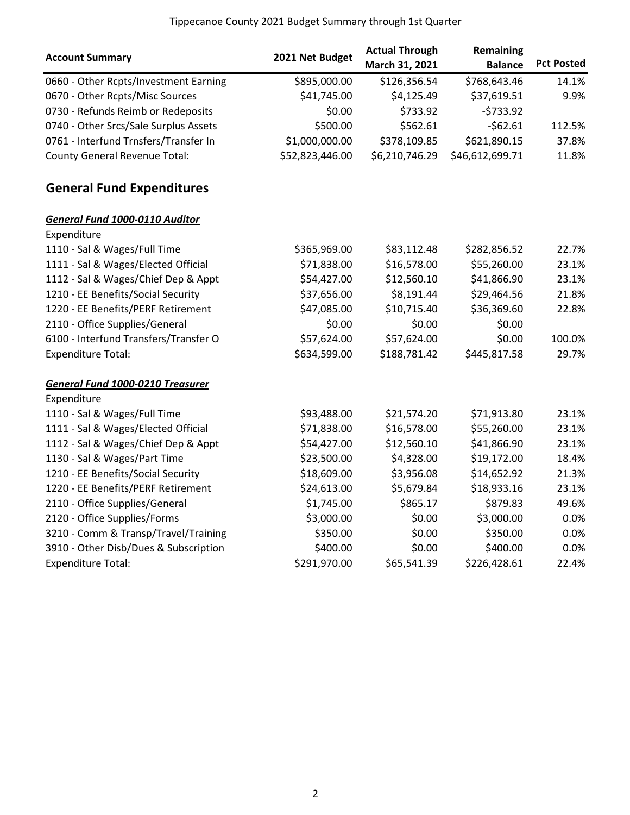|                                         |                 | <b>Actual Through</b> | Remaining       |                   |
|-----------------------------------------|-----------------|-----------------------|-----------------|-------------------|
| <b>Account Summary</b>                  | 2021 Net Budget | March 31, 2021        | <b>Balance</b>  | <b>Pct Posted</b> |
| 0660 - Other Rcpts/Investment Earning   | \$895,000.00    | \$126,356.54          | \$768,643.46    | 14.1%             |
| 0670 - Other Rcpts/Misc Sources         | \$41,745.00     | \$4,125.49            | \$37,619.51     | 9.9%              |
| 0730 - Refunds Reimb or Redeposits      | \$0.00          | \$733.92              | $-5733.92$      |                   |
| 0740 - Other Srcs/Sale Surplus Assets   | \$500.00        | \$562.61              | $-562.61$       | 112.5%            |
| 0761 - Interfund Trnsfers/Transfer In   | \$1,000,000.00  | \$378,109.85          | \$621,890.15    | 37.8%             |
| <b>County General Revenue Total:</b>    | \$52,823,446.00 | \$6,210,746.29        | \$46,612,699.71 | 11.8%             |
| <b>General Fund Expenditures</b>        |                 |                       |                 |                   |
| <b>General Fund 1000-0110 Auditor</b>   |                 |                       |                 |                   |
| Expenditure                             |                 |                       |                 |                   |
| 1110 - Sal & Wages/Full Time            | \$365,969.00    | \$83,112.48           | \$282,856.52    | 22.7%             |
| 1111 - Sal & Wages/Elected Official     | \$71,838.00     | \$16,578.00           | \$55,260.00     | 23.1%             |
| 1112 - Sal & Wages/Chief Dep & Appt     | \$54,427.00     | \$12,560.10           | \$41,866.90     | 23.1%             |
| 1210 - EE Benefits/Social Security      | \$37,656.00     | \$8,191.44            | \$29,464.56     | 21.8%             |
| 1220 - EE Benefits/PERF Retirement      | \$47,085.00     | \$10,715.40           | \$36,369.60     | 22.8%             |
| 2110 - Office Supplies/General          | \$0.00          | \$0.00                | \$0.00          |                   |
| 6100 - Interfund Transfers/Transfer O   | \$57,624.00     | \$57,624.00           | \$0.00          | 100.0%            |
| <b>Expenditure Total:</b>               | \$634,599.00    | \$188,781.42          | \$445,817.58    | 29.7%             |
| <b>General Fund 1000-0210 Treasurer</b> |                 |                       |                 |                   |
| Expenditure                             |                 |                       |                 |                   |
| 1110 - Sal & Wages/Full Time            | \$93,488.00     | \$21,574.20           | \$71,913.80     | 23.1%             |
| 1111 - Sal & Wages/Elected Official     | \$71,838.00     | \$16,578.00           | \$55,260.00     | 23.1%             |
| 1112 - Sal & Wages/Chief Dep & Appt     | \$54,427.00     | \$12,560.10           | \$41,866.90     | 23.1%             |
| 1130 - Sal & Wages/Part Time            | \$23,500.00     | \$4,328.00            | \$19,172.00     | 18.4%             |
| 1210 - EE Benefits/Social Security      | \$18,609.00     | \$3,956.08            | \$14,652.92     | 21.3%             |
| 1220 - EE Benefits/PERF Retirement      | \$24,613.00     | \$5,679.84            | \$18,933.16     | 23.1%             |
| 2110 - Office Supplies/General          | \$1,745.00      | \$865.17              | \$879.83        | 49.6%             |
| 2120 - Office Supplies/Forms            | \$3,000.00      | \$0.00                | \$3,000.00      | 0.0%              |
| 3210 - Comm & Transp/Travel/Training    | \$350.00        | \$0.00                | \$350.00        | 0.0%              |
| 3910 - Other Disb/Dues & Subscription   | \$400.00        | \$0.00                | \$400.00        | 0.0%              |
| <b>Expenditure Total:</b>               | \$291,970.00    | \$65,541.39           | \$226,428.61    | 22.4%             |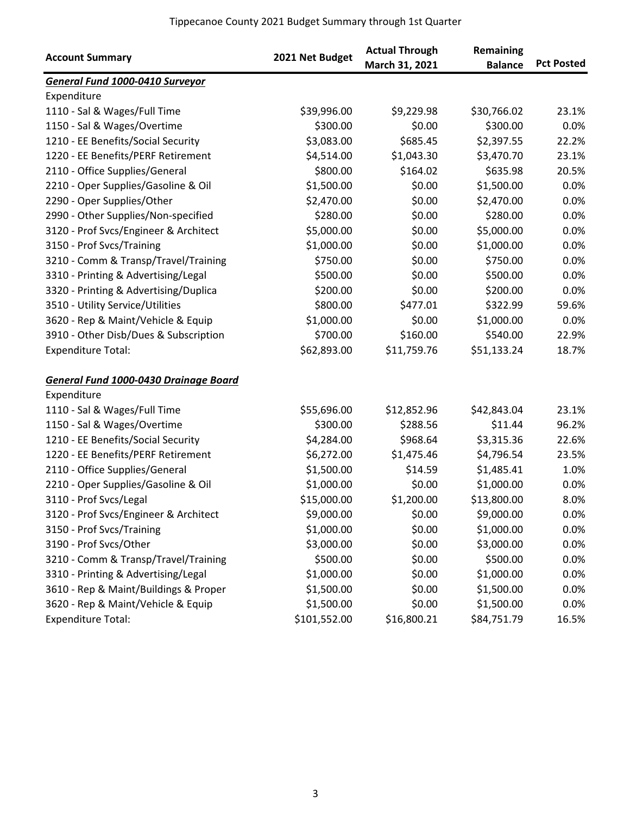| <b>Account Summary</b>                 | 2021 Net Budget | <b>Actual Through</b><br>March 31, 2021 | Remaining<br><b>Balance</b> | <b>Pct Posted</b> |
|----------------------------------------|-----------------|-----------------------------------------|-----------------------------|-------------------|
| <b>General Fund 1000-0410 Surveyor</b> |                 |                                         |                             |                   |
| Expenditure                            |                 |                                         |                             |                   |
| 1110 - Sal & Wages/Full Time           | \$39,996.00     | \$9,229.98                              | \$30,766.02                 | 23.1%             |
| 1150 - Sal & Wages/Overtime            | \$300.00        | \$0.00                                  | \$300.00                    | 0.0%              |
| 1210 - EE Benefits/Social Security     | \$3,083.00      | \$685.45                                | \$2,397.55                  | 22.2%             |
| 1220 - EE Benefits/PERF Retirement     | \$4,514.00      | \$1,043.30                              | \$3,470.70                  | 23.1%             |
| 2110 - Office Supplies/General         | \$800.00        | \$164.02                                | \$635.98                    | 20.5%             |
| 2210 - Oper Supplies/Gasoline & Oil    | \$1,500.00      | \$0.00                                  | \$1,500.00                  | 0.0%              |
| 2290 - Oper Supplies/Other             | \$2,470.00      | \$0.00                                  | \$2,470.00                  | 0.0%              |
| 2990 - Other Supplies/Non-specified    | \$280.00        | \$0.00                                  | \$280.00                    | 0.0%              |
| 3120 - Prof Svcs/Engineer & Architect  | \$5,000.00      | \$0.00                                  | \$5,000.00                  | 0.0%              |
| 3150 - Prof Svcs/Training              | \$1,000.00      | \$0.00                                  | \$1,000.00                  | 0.0%              |
| 3210 - Comm & Transp/Travel/Training   | \$750.00        | \$0.00                                  | \$750.00                    | 0.0%              |
| 3310 - Printing & Advertising/Legal    | \$500.00        | \$0.00                                  | \$500.00                    | 0.0%              |
| 3320 - Printing & Advertising/Duplica  | \$200.00        | \$0.00                                  | \$200.00                    | 0.0%              |
| 3510 - Utility Service/Utilities       | \$800.00        | \$477.01                                | \$322.99                    | 59.6%             |
| 3620 - Rep & Maint/Vehicle & Equip     | \$1,000.00      | \$0.00                                  | \$1,000.00                  | 0.0%              |
| 3910 - Other Disb/Dues & Subscription  | \$700.00        | \$160.00                                | \$540.00                    | 22.9%             |
| <b>Expenditure Total:</b>              | \$62,893.00     | \$11,759.76                             | \$51,133.24                 | 18.7%             |
| General Fund 1000-0430 Drainage Board  |                 |                                         |                             |                   |
| Expenditure                            |                 |                                         |                             |                   |
| 1110 - Sal & Wages/Full Time           | \$55,696.00     | \$12,852.96                             | \$42,843.04                 | 23.1%             |
| 1150 - Sal & Wages/Overtime            | \$300.00        | \$288.56                                | \$11.44                     | 96.2%             |
| 1210 - EE Benefits/Social Security     | \$4,284.00      | \$968.64                                | \$3,315.36                  | 22.6%             |
| 1220 - EE Benefits/PERF Retirement     | \$6,272.00      | \$1,475.46                              | \$4,796.54                  | 23.5%             |
| 2110 - Office Supplies/General         | \$1,500.00      | \$14.59                                 | \$1,485.41                  | 1.0%              |
| 2210 - Oper Supplies/Gasoline & Oil    | \$1,000.00      | \$0.00                                  | \$1,000.00                  | 0.0%              |
| 3110 - Prof Svcs/Legal                 | \$15,000.00     | \$1,200.00                              | \$13,800.00                 | 8.0%              |
| 3120 - Prof Svcs/Engineer & Architect  | \$9,000.00      | \$0.00                                  | \$9,000.00                  | 0.0%              |
| 3150 - Prof Svcs/Training              | \$1,000.00      | \$0.00                                  | \$1,000.00                  | 0.0%              |
| 3190 - Prof Svcs/Other                 | \$3,000.00      | \$0.00                                  | \$3,000.00                  | 0.0%              |
| 3210 - Comm & Transp/Travel/Training   | \$500.00        | \$0.00                                  | \$500.00                    | 0.0%              |
| 3310 - Printing & Advertising/Legal    | \$1,000.00      | \$0.00                                  | \$1,000.00                  | 0.0%              |
| 3610 - Rep & Maint/Buildings & Proper  | \$1,500.00      | \$0.00                                  | \$1,500.00                  | 0.0%              |
| 3620 - Rep & Maint/Vehicle & Equip     | \$1,500.00      | \$0.00                                  | \$1,500.00                  | 0.0%              |
| <b>Expenditure Total:</b>              | \$101,552.00    | \$16,800.21                             | \$84,751.79                 | 16.5%             |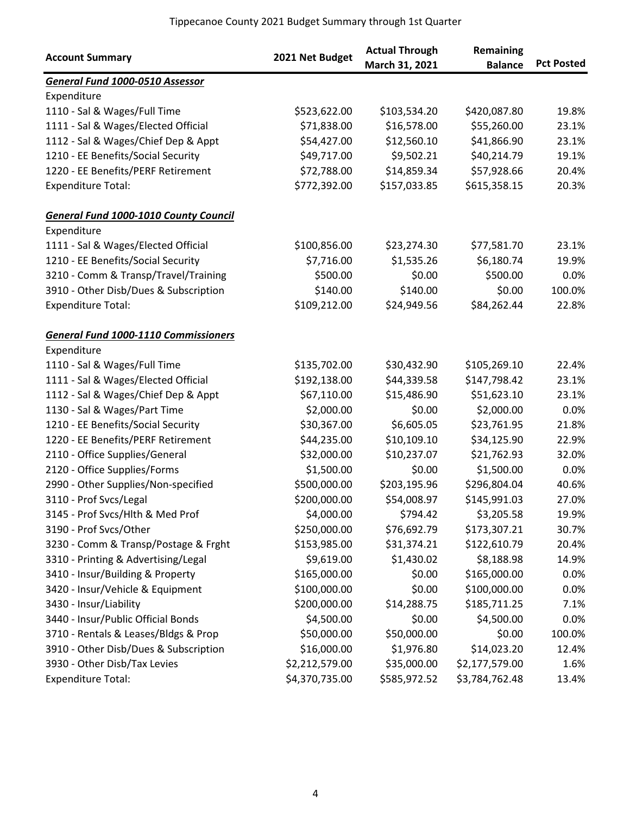| <b>Account Summary</b>                       | 2021 Net Budget | <b>Actual Through</b><br>March 31, 2021 | Remaining<br><b>Balance</b> | <b>Pct Posted</b> |
|----------------------------------------------|-----------------|-----------------------------------------|-----------------------------|-------------------|
| General Fund 1000-0510 Assessor              |                 |                                         |                             |                   |
| Expenditure                                  |                 |                                         |                             |                   |
| 1110 - Sal & Wages/Full Time                 | \$523,622.00    | \$103,534.20                            | \$420,087.80                | 19.8%             |
| 1111 - Sal & Wages/Elected Official          | \$71,838.00     | \$16,578.00                             | \$55,260.00                 | 23.1%             |
| 1112 - Sal & Wages/Chief Dep & Appt          | \$54,427.00     | \$12,560.10                             | \$41,866.90                 | 23.1%             |
| 1210 - EE Benefits/Social Security           | \$49,717.00     | \$9,502.21                              | \$40,214.79                 | 19.1%             |
| 1220 - EE Benefits/PERF Retirement           | \$72,788.00     | \$14,859.34                             | \$57,928.66                 | 20.4%             |
| <b>Expenditure Total:</b>                    | \$772,392.00    | \$157,033.85                            | \$615,358.15                | 20.3%             |
| <b>General Fund 1000-1010 County Council</b> |                 |                                         |                             |                   |
| Expenditure                                  |                 |                                         |                             |                   |
| 1111 - Sal & Wages/Elected Official          | \$100,856.00    | \$23,274.30                             | \$77,581.70                 | 23.1%             |
| 1210 - EE Benefits/Social Security           | \$7,716.00      | \$1,535.26                              | \$6,180.74                  | 19.9%             |
| 3210 - Comm & Transp/Travel/Training         | \$500.00        | \$0.00                                  | \$500.00                    | 0.0%              |
| 3910 - Other Disb/Dues & Subscription        | \$140.00        | \$140.00                                | \$0.00                      | 100.0%            |
| <b>Expenditure Total:</b>                    | \$109,212.00    | \$24,949.56                             | \$84,262.44                 | 22.8%             |
| <b>General Fund 1000-1110 Commissioners</b>  |                 |                                         |                             |                   |
| Expenditure                                  |                 |                                         |                             |                   |
| 1110 - Sal & Wages/Full Time                 | \$135,702.00    | \$30,432.90                             | \$105,269.10                | 22.4%             |
| 1111 - Sal & Wages/Elected Official          | \$192,138.00    | \$44,339.58                             | \$147,798.42                | 23.1%             |
| 1112 - Sal & Wages/Chief Dep & Appt          | \$67,110.00     | \$15,486.90                             | \$51,623.10                 | 23.1%             |
| 1130 - Sal & Wages/Part Time                 | \$2,000.00      | \$0.00                                  | \$2,000.00                  | 0.0%              |
| 1210 - EE Benefits/Social Security           | \$30,367.00     | \$6,605.05                              | \$23,761.95                 | 21.8%             |
| 1220 - EE Benefits/PERF Retirement           | \$44,235.00     | \$10,109.10                             | \$34,125.90                 | 22.9%             |
| 2110 - Office Supplies/General               | \$32,000.00     | \$10,237.07                             | \$21,762.93                 | 32.0%             |
| 2120 - Office Supplies/Forms                 | \$1,500.00      | \$0.00                                  | \$1,500.00                  | 0.0%              |
| 2990 - Other Supplies/Non-specified          | \$500,000.00    | \$203,195.96                            | \$296,804.04                | 40.6%             |
| 3110 - Prof Svcs/Legal                       | \$200,000.00    | \$54,008.97                             | \$145,991.03                | 27.0%             |
| 3145 - Prof Svcs/Hlth & Med Prof             | \$4,000.00      | \$794.42                                | \$3,205.58                  | 19.9%             |
| 3190 - Prof Svcs/Other                       | \$250,000.00    | \$76,692.79                             | \$173,307.21                | 30.7%             |
| 3230 - Comm & Transp/Postage & Frght         | \$153,985.00    | \$31,374.21                             | \$122,610.79                | 20.4%             |
| 3310 - Printing & Advertising/Legal          | \$9,619.00      | \$1,430.02                              | \$8,188.98                  | 14.9%             |
| 3410 - Insur/Building & Property             | \$165,000.00    | \$0.00                                  | \$165,000.00                | 0.0%              |
| 3420 - Insur/Vehicle & Equipment             | \$100,000.00    | \$0.00                                  | \$100,000.00                | 0.0%              |
| 3430 - Insur/Liability                       | \$200,000.00    | \$14,288.75                             | \$185,711.25                | 7.1%              |
| 3440 - Insur/Public Official Bonds           | \$4,500.00      | \$0.00                                  | \$4,500.00                  | 0.0%              |
| 3710 - Rentals & Leases/Bldgs & Prop         | \$50,000.00     | \$50,000.00                             | \$0.00                      | 100.0%            |
| 3910 - Other Disb/Dues & Subscription        | \$16,000.00     | \$1,976.80                              | \$14,023.20                 | 12.4%             |
| 3930 - Other Disb/Tax Levies                 | \$2,212,579.00  | \$35,000.00                             | \$2,177,579.00              | 1.6%              |
| <b>Expenditure Total:</b>                    | \$4,370,735.00  | \$585,972.52                            | \$3,784,762.48              | 13.4%             |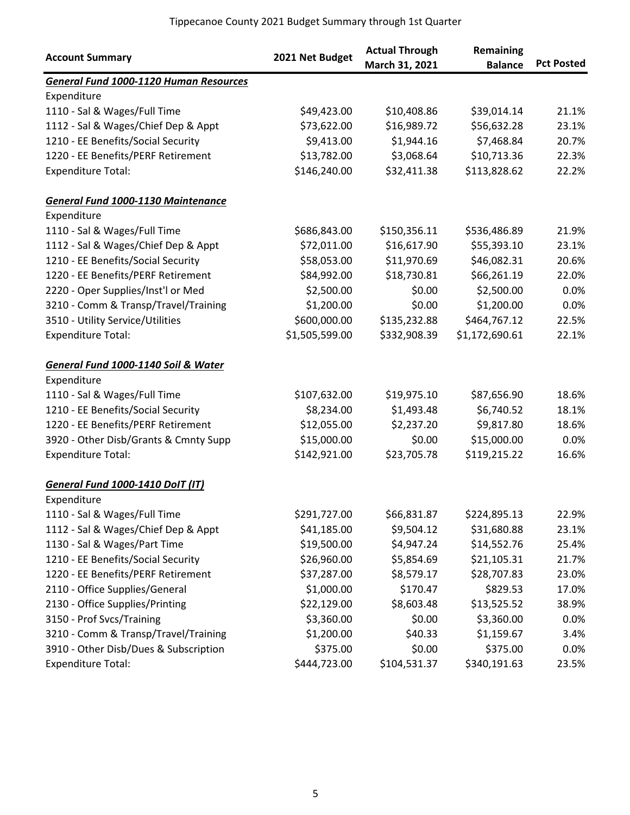| <b>Account Summary</b>                        | 2021 Net Budget | <b>Actual Through</b><br>March 31, 2021 | Remaining<br><b>Balance</b> | <b>Pct Posted</b> |
|-----------------------------------------------|-----------------|-----------------------------------------|-----------------------------|-------------------|
| <b>General Fund 1000-1120 Human Resources</b> |                 |                                         |                             |                   |
| Expenditure                                   |                 |                                         |                             |                   |
| 1110 - Sal & Wages/Full Time                  | \$49,423.00     | \$10,408.86                             | \$39,014.14                 | 21.1%             |
| 1112 - Sal & Wages/Chief Dep & Appt           | \$73,622.00     | \$16,989.72                             | \$56,632.28                 | 23.1%             |
| 1210 - EE Benefits/Social Security            | \$9,413.00      | \$1,944.16                              | \$7,468.84                  | 20.7%             |
| 1220 - EE Benefits/PERF Retirement            | \$13,782.00     | \$3,068.64                              | \$10,713.36                 | 22.3%             |
| <b>Expenditure Total:</b>                     | \$146,240.00    | \$32,411.38                             | \$113,828.62                | 22.2%             |
| <b>General Fund 1000-1130 Maintenance</b>     |                 |                                         |                             |                   |
| Expenditure                                   |                 |                                         |                             |                   |
| 1110 - Sal & Wages/Full Time                  | \$686,843.00    | \$150,356.11                            | \$536,486.89                | 21.9%             |
| 1112 - Sal & Wages/Chief Dep & Appt           | \$72,011.00     | \$16,617.90                             | \$55,393.10                 | 23.1%             |
| 1210 - EE Benefits/Social Security            | \$58,053.00     | \$11,970.69                             | \$46,082.31                 | 20.6%             |
| 1220 - EE Benefits/PERF Retirement            | \$84,992.00     | \$18,730.81                             | \$66,261.19                 | 22.0%             |
| 2220 - Oper Supplies/Inst'l or Med            | \$2,500.00      | \$0.00                                  | \$2,500.00                  | 0.0%              |
| 3210 - Comm & Transp/Travel/Training          | \$1,200.00      | \$0.00                                  | \$1,200.00                  | 0.0%              |
| 3510 - Utility Service/Utilities              | \$600,000.00    | \$135,232.88                            | \$464,767.12                | 22.5%             |
| <b>Expenditure Total:</b>                     | \$1,505,599.00  | \$332,908.39                            | \$1,172,690.61              | 22.1%             |
| General Fund 1000-1140 Soil & Water           |                 |                                         |                             |                   |
| Expenditure                                   |                 |                                         |                             |                   |
| 1110 - Sal & Wages/Full Time                  | \$107,632.00    | \$19,975.10                             | \$87,656.90                 | 18.6%             |
| 1210 - EE Benefits/Social Security            | \$8,234.00      | \$1,493.48                              | \$6,740.52                  | 18.1%             |
| 1220 - EE Benefits/PERF Retirement            | \$12,055.00     | \$2,237.20                              | \$9,817.80                  | 18.6%             |
| 3920 - Other Disb/Grants & Cmnty Supp         | \$15,000.00     | \$0.00                                  | \$15,000.00                 | 0.0%              |
| <b>Expenditure Total:</b>                     | \$142,921.00    | \$23,705.78                             | \$119,215.22                | 16.6%             |
| <b>General Fund 1000-1410 DoIT (IT)</b>       |                 |                                         |                             |                   |
| Expenditure                                   |                 |                                         |                             |                   |
| 1110 - Sal & Wages/Full Time                  | \$291,727.00    | \$66,831.87                             | \$224,895.13                | 22.9%             |
| 1112 - Sal & Wages/Chief Dep & Appt           | \$41,185.00     | \$9,504.12                              | \$31,680.88                 | 23.1%             |
| 1130 - Sal & Wages/Part Time                  | \$19,500.00     | \$4,947.24                              | \$14,552.76                 | 25.4%             |
| 1210 - EE Benefits/Social Security            | \$26,960.00     | \$5,854.69                              | \$21,105.31                 | 21.7%             |
| 1220 - EE Benefits/PERF Retirement            | \$37,287.00     | \$8,579.17                              | \$28,707.83                 | 23.0%             |
| 2110 - Office Supplies/General                | \$1,000.00      | \$170.47                                | \$829.53                    | 17.0%             |
| 2130 - Office Supplies/Printing               | \$22,129.00     | \$8,603.48                              | \$13,525.52                 | 38.9%             |
| 3150 - Prof Svcs/Training                     | \$3,360.00      | \$0.00                                  | \$3,360.00                  | 0.0%              |
| 3210 - Comm & Transp/Travel/Training          | \$1,200.00      | \$40.33                                 | \$1,159.67                  | 3.4%              |
| 3910 - Other Disb/Dues & Subscription         | \$375.00        | \$0.00                                  | \$375.00                    | 0.0%              |
| <b>Expenditure Total:</b>                     | \$444,723.00    | \$104,531.37                            | \$340,191.63                | 23.5%             |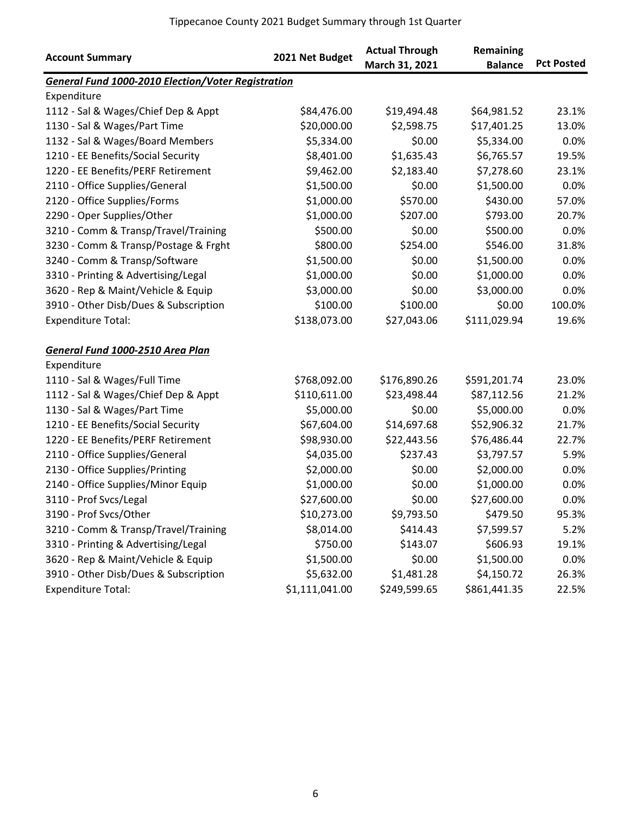| <b>Account Summary</b>                                    | 2021 Net Budget | <b>Actual Through</b><br>March 31, 2021 | Remaining<br><b>Balance</b> | <b>Pct Posted</b> |
|-----------------------------------------------------------|-----------------|-----------------------------------------|-----------------------------|-------------------|
| <b>General Fund 1000-2010 Election/Voter Registration</b> |                 |                                         |                             |                   |
| Expenditure                                               |                 |                                         |                             |                   |
| 1112 - Sal & Wages/Chief Dep & Appt                       | \$84,476.00     | \$19,494.48                             | \$64,981.52                 | 23.1%             |
| 1130 - Sal & Wages/Part Time                              | \$20,000.00     | \$2,598.75                              | \$17,401.25                 | 13.0%             |
| 1132 - Sal & Wages/Board Members                          | \$5,334.00      | \$0.00                                  | \$5,334.00                  | 0.0%              |
| 1210 - EE Benefits/Social Security                        | \$8,401.00      | \$1,635.43                              | \$6,765.57                  | 19.5%             |
| 1220 - EE Benefits/PERF Retirement                        | \$9,462.00      | \$2,183.40                              | \$7,278.60                  | 23.1%             |
| 2110 - Office Supplies/General                            | \$1,500.00      | \$0.00                                  | \$1,500.00                  | 0.0%              |
| 2120 - Office Supplies/Forms                              | \$1,000.00      | \$570.00                                | \$430.00                    | 57.0%             |
| 2290 - Oper Supplies/Other                                | \$1,000.00      | \$207.00                                | \$793.00                    | 20.7%             |
| 3210 - Comm & Transp/Travel/Training                      | \$500.00        | \$0.00                                  | \$500.00                    | 0.0%              |
| 3230 - Comm & Transp/Postage & Frght                      | \$800.00        | \$254.00                                | \$546.00                    | 31.8%             |
| 3240 - Comm & Transp/Software                             | \$1,500.00      | \$0.00                                  | \$1,500.00                  | 0.0%              |
| 3310 - Printing & Advertising/Legal                       | \$1,000.00      | \$0.00                                  | \$1,000.00                  | 0.0%              |
| 3620 - Rep & Maint/Vehicle & Equip                        | \$3,000.00      | \$0.00                                  | \$3,000.00                  | 0.0%              |
| 3910 - Other Disb/Dues & Subscription                     | \$100.00        | \$100.00                                | \$0.00                      | 100.0%            |
| <b>Expenditure Total:</b>                                 | \$138,073.00    | \$27,043.06                             | \$111,029.94                | 19.6%             |
| General Fund 1000-2510 Area Plan                          |                 |                                         |                             |                   |
| Expenditure                                               |                 |                                         |                             |                   |
| 1110 - Sal & Wages/Full Time                              | \$768,092.00    | \$176,890.26                            | \$591,201.74                | 23.0%             |
| 1112 - Sal & Wages/Chief Dep & Appt                       | \$110,611.00    | \$23,498.44                             | \$87,112.56                 | 21.2%             |
| 1130 - Sal & Wages/Part Time                              | \$5,000.00      | \$0.00                                  | \$5,000.00                  | 0.0%              |
| 1210 - EE Benefits/Social Security                        | \$67,604.00     | \$14,697.68                             | \$52,906.32                 | 21.7%             |
| 1220 - EE Benefits/PERF Retirement                        | \$98,930.00     | \$22,443.56                             | \$76,486.44                 | 22.7%             |
| 2110 - Office Supplies/General                            | \$4,035.00      | \$237.43                                | \$3,797.57                  | 5.9%              |
| 2130 - Office Supplies/Printing                           | \$2,000.00      | \$0.00                                  | \$2,000.00                  | 0.0%              |
| 2140 - Office Supplies/Minor Equip                        | \$1,000.00      | \$0.00                                  | \$1,000.00                  | 0.0%              |
| 3110 - Prof Svcs/Legal                                    | \$27,600.00     | \$0.00                                  | \$27,600.00                 | 0.0%              |
| 3190 - Prof Svcs/Other                                    | \$10,273.00     | \$9,793.50                              | \$479.50                    | 95.3%             |
| 3210 - Comm & Transp/Travel/Training                      | \$8,014.00      | \$414.43                                | \$7,599.57                  | 5.2%              |
| 3310 - Printing & Advertising/Legal                       | \$750.00        | \$143.07                                | \$606.93                    | 19.1%             |
| 3620 - Rep & Maint/Vehicle & Equip                        | \$1,500.00      | \$0.00                                  | \$1,500.00                  | 0.0%              |
| 3910 - Other Disb/Dues & Subscription                     | \$5,632.00      | \$1,481.28                              | \$4,150.72                  | 26.3%             |
| <b>Expenditure Total:</b>                                 | \$1,111,041.00  | \$249,599.65                            | \$861,441.35                | 22.5%             |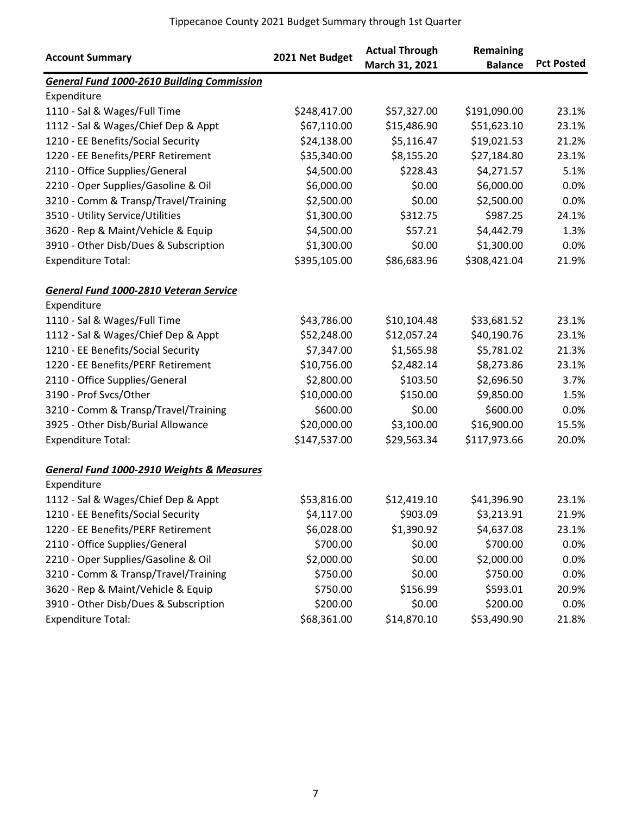| <b>Account Summary</b>                               | 2021 Net Budget | <b>Actual Through</b><br>March 31, 2021 | Remaining<br><b>Balance</b> | <b>Pct Posted</b> |
|------------------------------------------------------|-----------------|-----------------------------------------|-----------------------------|-------------------|
| <b>General Fund 1000-2610 Building Commission</b>    |                 |                                         |                             |                   |
| Expenditure                                          |                 |                                         |                             |                   |
| 1110 - Sal & Wages/Full Time                         | \$248,417.00    | \$57,327.00                             | \$191,090.00                | 23.1%             |
| 1112 - Sal & Wages/Chief Dep & Appt                  | \$67,110.00     | \$15,486.90                             | \$51,623.10                 | 23.1%             |
| 1210 - EE Benefits/Social Security                   | \$24,138.00     | \$5,116.47                              | \$19,021.53                 | 21.2%             |
| 1220 - EE Benefits/PERF Retirement                   | \$35,340.00     | \$8,155.20                              | \$27,184.80                 | 23.1%             |
| 2110 - Office Supplies/General                       | \$4,500.00      | \$228.43                                | \$4,271.57                  | 5.1%              |
| 2210 - Oper Supplies/Gasoline & Oil                  | \$6,000.00      | \$0.00                                  | \$6,000.00                  | 0.0%              |
| 3210 - Comm & Transp/Travel/Training                 | \$2,500.00      | \$0.00                                  | \$2,500.00                  | 0.0%              |
| 3510 - Utility Service/Utilities                     | \$1,300.00      | \$312.75                                | \$987.25                    | 24.1%             |
| 3620 - Rep & Maint/Vehicle & Equip                   | \$4,500.00      | \$57.21                                 | \$4,442.79                  | 1.3%              |
| 3910 - Other Disb/Dues & Subscription                | \$1,300.00      | \$0.00                                  | \$1,300.00                  | 0.0%              |
| <b>Expenditure Total:</b>                            | \$395,105.00    | \$86,683.96                             | \$308,421.04                | 21.9%             |
| General Fund 1000-2810 Veteran Service               |                 |                                         |                             |                   |
| Expenditure                                          |                 |                                         |                             |                   |
| 1110 - Sal & Wages/Full Time                         | \$43,786.00     | \$10,104.48                             | \$33,681.52                 | 23.1%             |
| 1112 - Sal & Wages/Chief Dep & Appt                  | \$52,248.00     | \$12,057.24                             | \$40,190.76                 | 23.1%             |
| 1210 - EE Benefits/Social Security                   | \$7,347.00      | \$1,565.98                              | \$5,781.02                  | 21.3%             |
| 1220 - EE Benefits/PERF Retirement                   | \$10,756.00     | \$2,482.14                              | \$8,273.86                  | 23.1%             |
| 2110 - Office Supplies/General                       | \$2,800.00      | \$103.50                                | \$2,696.50                  | 3.7%              |
| 3190 - Prof Svcs/Other                               | \$10,000.00     | \$150.00                                | \$9,850.00                  | 1.5%              |
| 3210 - Comm & Transp/Travel/Training                 | \$600.00        | \$0.00                                  | \$600.00                    | 0.0%              |
| 3925 - Other Disb/Burial Allowance                   | \$20,000.00     | \$3,100.00                              | \$16,900.00                 | 15.5%             |
| <b>Expenditure Total:</b>                            | \$147,537.00    | \$29,563.34                             | \$117,973.66                | 20.0%             |
| <b>General Fund 1000-2910 Weights &amp; Measures</b> |                 |                                         |                             |                   |
| Expenditure                                          |                 |                                         |                             |                   |
| 1112 - Sal & Wages/Chief Dep & Appt                  | \$53,816.00     | \$12,419.10                             | \$41,396.90                 | 23.1%             |
| 1210 - EE Benefits/Social Security                   | \$4,117.00      | \$903.09                                | \$3,213.91                  | 21.9%             |
| 1220 - EE Benefits/PERF Retirement                   | \$6,028.00      | \$1,390.92                              | \$4,637.08                  | 23.1%             |
| 2110 - Office Supplies/General                       | \$700.00        | \$0.00                                  | \$700.00                    | 0.0%              |
| 2210 - Oper Supplies/Gasoline & Oil                  | \$2,000.00      | \$0.00                                  | \$2,000.00                  | 0.0%              |
| 3210 - Comm & Transp/Travel/Training                 | \$750.00        | \$0.00                                  | \$750.00                    | 0.0%              |
| 3620 - Rep & Maint/Vehicle & Equip                   | \$750.00        | \$156.99                                | \$593.01                    | 20.9%             |
| 3910 - Other Disb/Dues & Subscription                | \$200.00        | \$0.00                                  | \$200.00                    | 0.0%              |
| <b>Expenditure Total:</b>                            | \$68,361.00     | \$14,870.10                             | \$53,490.90                 | 21.8%             |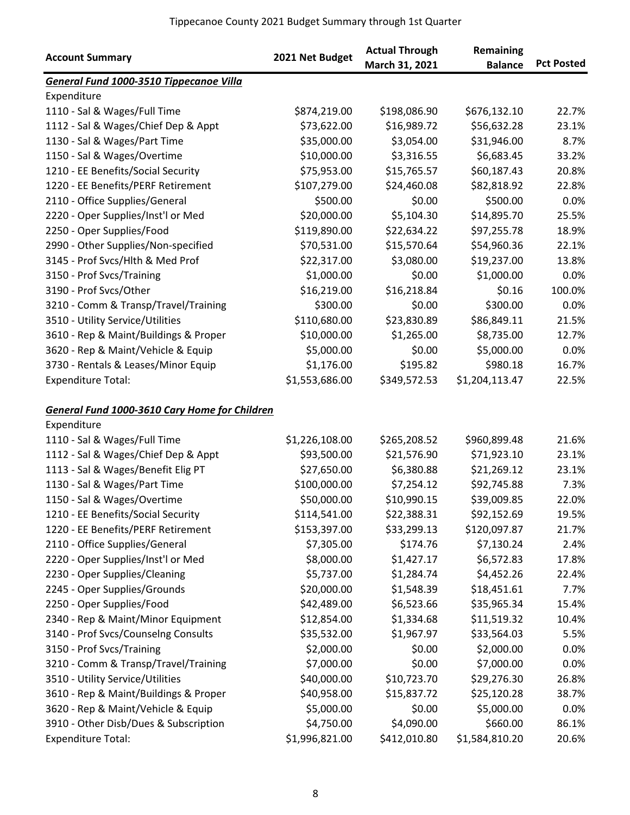|                                                                     |                 | <b>Actual Through</b> | Remaining      |                   |
|---------------------------------------------------------------------|-----------------|-----------------------|----------------|-------------------|
| <b>Account Summary</b>                                              | 2021 Net Budget | March 31, 2021        | <b>Balance</b> | <b>Pct Posted</b> |
| General Fund 1000-3510 Tippecanoe Villa                             |                 |                       |                |                   |
| Expenditure                                                         |                 |                       |                |                   |
| 1110 - Sal & Wages/Full Time                                        | \$874,219.00    | \$198,086.90          | \$676,132.10   | 22.7%             |
| 1112 - Sal & Wages/Chief Dep & Appt                                 | \$73,622.00     | \$16,989.72           | \$56,632.28    | 23.1%             |
| 1130 - Sal & Wages/Part Time                                        | \$35,000.00     | \$3,054.00            | \$31,946.00    | 8.7%              |
| 1150 - Sal & Wages/Overtime                                         | \$10,000.00     | \$3,316.55            | \$6,683.45     | 33.2%             |
| 1210 - EE Benefits/Social Security                                  | \$75,953.00     | \$15,765.57           | \$60,187.43    | 20.8%             |
| 1220 - EE Benefits/PERF Retirement                                  | \$107,279.00    | \$24,460.08           | \$82,818.92    | 22.8%             |
| 2110 - Office Supplies/General                                      | \$500.00        | \$0.00                | \$500.00       | 0.0%              |
| 2220 - Oper Supplies/Inst'l or Med                                  | \$20,000.00     | \$5,104.30            | \$14,895.70    | 25.5%             |
| 2250 - Oper Supplies/Food                                           | \$119,890.00    | \$22,634.22           | \$97,255.78    | 18.9%             |
| 2990 - Other Supplies/Non-specified                                 | \$70,531.00     | \$15,570.64           | \$54,960.36    | 22.1%             |
| 3145 - Prof Svcs/Hlth & Med Prof                                    | \$22,317.00     | \$3,080.00            | \$19,237.00    | 13.8%             |
| 3150 - Prof Svcs/Training                                           | \$1,000.00      | \$0.00                | \$1,000.00     | 0.0%              |
| 3190 - Prof Svcs/Other                                              | \$16,219.00     | \$16,218.84           | \$0.16         | 100.0%            |
| 3210 - Comm & Transp/Travel/Training                                | \$300.00        | \$0.00                | \$300.00       | 0.0%              |
| 3510 - Utility Service/Utilities                                    | \$110,680.00    | \$23,830.89           | \$86,849.11    | 21.5%             |
| 3610 - Rep & Maint/Buildings & Proper                               | \$10,000.00     | \$1,265.00            | \$8,735.00     | 12.7%             |
| 3620 - Rep & Maint/Vehicle & Equip                                  | \$5,000.00      | \$0.00                | \$5,000.00     | 0.0%              |
| 3730 - Rentals & Leases/Minor Equip                                 | \$1,176.00      | \$195.82              | \$980.18       | 16.7%             |
| <b>Expenditure Total:</b>                                           | \$1,553,686.00  | \$349,572.53          | \$1,204,113.47 | 22.5%             |
| <b>General Fund 1000-3610 Cary Home for Children</b><br>Expenditure |                 |                       |                |                   |
| 1110 - Sal & Wages/Full Time                                        | \$1,226,108.00  | \$265,208.52          | \$960,899.48   | 21.6%             |
| 1112 - Sal & Wages/Chief Dep & Appt                                 | \$93,500.00     | \$21,576.90           | \$71,923.10    | 23.1%             |
| 1113 - Sal & Wages/Benefit Elig PT                                  | \$27,650.00     | \$6,380.88            | \$21,269.12    | 23.1%             |
| 1130 - Sal & Wages/Part Time                                        | \$100,000.00    | \$7,254.12            | \$92,745.88    | 7.3%              |
| 1150 - Sal & Wages/Overtime                                         | \$50,000.00     | \$10,990.15           | \$39,009.85    | 22.0%             |
| 1210 - EE Benefits/Social Security                                  | \$114,541.00    | \$22,388.31           | \$92,152.69    | 19.5%             |
| 1220 - EE Benefits/PERF Retirement                                  | \$153,397.00    | \$33,299.13           | \$120,097.87   | 21.7%             |
| 2110 - Office Supplies/General                                      | \$7,305.00      | \$174.76              | \$7,130.24     | 2.4%              |
| 2220 - Oper Supplies/Inst'l or Med                                  | \$8,000.00      | \$1,427.17            | \$6,572.83     | 17.8%             |
| 2230 - Oper Supplies/Cleaning                                       | \$5,737.00      | \$1,284.74            | \$4,452.26     | 22.4%             |
| 2245 - Oper Supplies/Grounds                                        | \$20,000.00     | \$1,548.39            | \$18,451.61    | 7.7%              |
| 2250 - Oper Supplies/Food                                           | \$42,489.00     | \$6,523.66            | \$35,965.34    | 15.4%             |
| 2340 - Rep & Maint/Minor Equipment                                  | \$12,854.00     | \$1,334.68            | \$11,519.32    | 10.4%             |
| 3140 - Prof Svcs/Counselng Consults                                 | \$35,532.00     | \$1,967.97            | \$33,564.03    | 5.5%              |
| 3150 - Prof Svcs/Training                                           | \$2,000.00      | \$0.00                | \$2,000.00     | 0.0%              |
| 3210 - Comm & Transp/Travel/Training                                | \$7,000.00      | \$0.00                | \$7,000.00     | 0.0%              |
| 3510 - Utility Service/Utilities                                    | \$40,000.00     | \$10,723.70           | \$29,276.30    | 26.8%             |
| 3610 - Rep & Maint/Buildings & Proper                               | \$40,958.00     | \$15,837.72           | \$25,120.28    | 38.7%             |
| 3620 - Rep & Maint/Vehicle & Equip                                  | \$5,000.00      | \$0.00                | \$5,000.00     | 0.0%              |
| 3910 - Other Disb/Dues & Subscription                               | \$4,750.00      | \$4,090.00            | \$660.00       | 86.1%             |
| <b>Expenditure Total:</b>                                           | \$1,996,821.00  | \$412,010.80          | \$1,584,810.20 | 20.6%             |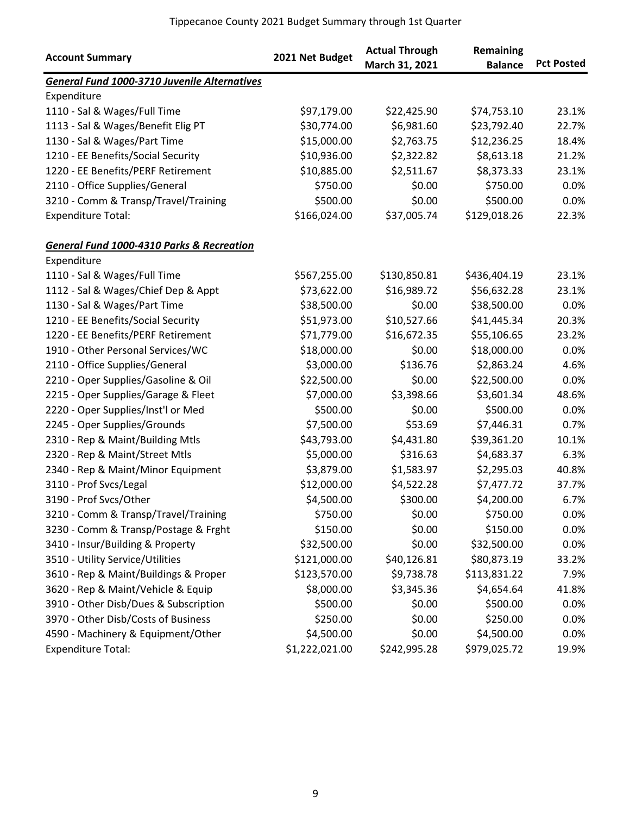| <b>Account Summary</b>                       | 2021 Net Budget | <b>Actual Through</b><br>March 31, 2021 | Remaining<br><b>Balance</b> | <b>Pct Posted</b> |
|----------------------------------------------|-----------------|-----------------------------------------|-----------------------------|-------------------|
| General Fund 1000-3710 Juvenile Alternatives |                 |                                         |                             |                   |
| Expenditure                                  |                 |                                         |                             |                   |
| 1110 - Sal & Wages/Full Time                 | \$97,179.00     | \$22,425.90                             | \$74,753.10                 | 23.1%             |
| 1113 - Sal & Wages/Benefit Elig PT           | \$30,774.00     | \$6,981.60                              | \$23,792.40                 | 22.7%             |
| 1130 - Sal & Wages/Part Time                 | \$15,000.00     | \$2,763.75                              | \$12,236.25                 | 18.4%             |
| 1210 - EE Benefits/Social Security           | \$10,936.00     | \$2,322.82                              | \$8,613.18                  | 21.2%             |
| 1220 - EE Benefits/PERF Retirement           | \$10,885.00     | \$2,511.67                              | \$8,373.33                  | 23.1%             |
| 2110 - Office Supplies/General               | \$750.00        | \$0.00                                  | \$750.00                    | 0.0%              |
| 3210 - Comm & Transp/Travel/Training         | \$500.00        | \$0.00                                  | \$500.00                    | 0.0%              |
| <b>Expenditure Total:</b>                    | \$166,024.00    | \$37,005.74                             | \$129,018.26                | 22.3%             |
| General Fund 1000-4310 Parks & Recreation    |                 |                                         |                             |                   |
| Expenditure                                  |                 |                                         |                             |                   |
| 1110 - Sal & Wages/Full Time                 | \$567,255.00    | \$130,850.81                            | \$436,404.19                | 23.1%             |
| 1112 - Sal & Wages/Chief Dep & Appt          | \$73,622.00     | \$16,989.72                             | \$56,632.28                 | 23.1%             |
| 1130 - Sal & Wages/Part Time                 | \$38,500.00     | \$0.00                                  | \$38,500.00                 | 0.0%              |
| 1210 - EE Benefits/Social Security           | \$51,973.00     | \$10,527.66                             | \$41,445.34                 | 20.3%             |
| 1220 - EE Benefits/PERF Retirement           | \$71,779.00     | \$16,672.35                             | \$55,106.65                 | 23.2%             |
| 1910 - Other Personal Services/WC            | \$18,000.00     | \$0.00                                  | \$18,000.00                 | 0.0%              |
| 2110 - Office Supplies/General               | \$3,000.00      | \$136.76                                | \$2,863.24                  | 4.6%              |
| 2210 - Oper Supplies/Gasoline & Oil          | \$22,500.00     | \$0.00                                  | \$22,500.00                 | 0.0%              |
| 2215 - Oper Supplies/Garage & Fleet          | \$7,000.00      | \$3,398.66                              | \$3,601.34                  | 48.6%             |
| 2220 - Oper Supplies/Inst'l or Med           | \$500.00        | \$0.00                                  | \$500.00                    | 0.0%              |
| 2245 - Oper Supplies/Grounds                 | \$7,500.00      | \$53.69                                 | \$7,446.31                  | 0.7%              |
| 2310 - Rep & Maint/Building Mtls             | \$43,793.00     | \$4,431.80                              | \$39,361.20                 | 10.1%             |
| 2320 - Rep & Maint/Street Mtls               | \$5,000.00      | \$316.63                                | \$4,683.37                  | 6.3%              |
| 2340 - Rep & Maint/Minor Equipment           | \$3,879.00      | \$1,583.97                              | \$2,295.03                  | 40.8%             |
| 3110 - Prof Svcs/Legal                       | \$12,000.00     | \$4,522.28                              | \$7,477.72                  | 37.7%             |
| 3190 - Prof Svcs/Other                       | \$4,500.00      | \$300.00                                | \$4,200.00                  | 6.7%              |
| 3210 - Comm & Transp/Travel/Training         | \$750.00        | \$0.00                                  | \$750.00                    | 0.0%              |
| 3230 - Comm & Transp/Postage & Frght         | \$150.00        | \$0.00                                  | \$150.00                    | 0.0%              |
| 3410 - Insur/Building & Property             | \$32,500.00     | \$0.00                                  | \$32,500.00                 | 0.0%              |
| 3510 - Utility Service/Utilities             | \$121,000.00    | \$40,126.81                             | \$80,873.19                 | 33.2%             |
| 3610 - Rep & Maint/Buildings & Proper        | \$123,570.00    | \$9,738.78                              | \$113,831.22                | 7.9%              |
| 3620 - Rep & Maint/Vehicle & Equip           | \$8,000.00      | \$3,345.36                              | \$4,654.64                  | 41.8%             |
| 3910 - Other Disb/Dues & Subscription        | \$500.00        | \$0.00                                  | \$500.00                    | 0.0%              |
| 3970 - Other Disb/Costs of Business          | \$250.00        | \$0.00                                  | \$250.00                    | 0.0%              |
| 4590 - Machinery & Equipment/Other           | \$4,500.00      | \$0.00                                  | \$4,500.00                  | 0.0%              |
| <b>Expenditure Total:</b>                    | \$1,222,021.00  | \$242,995.28                            | \$979,025.72                | 19.9%             |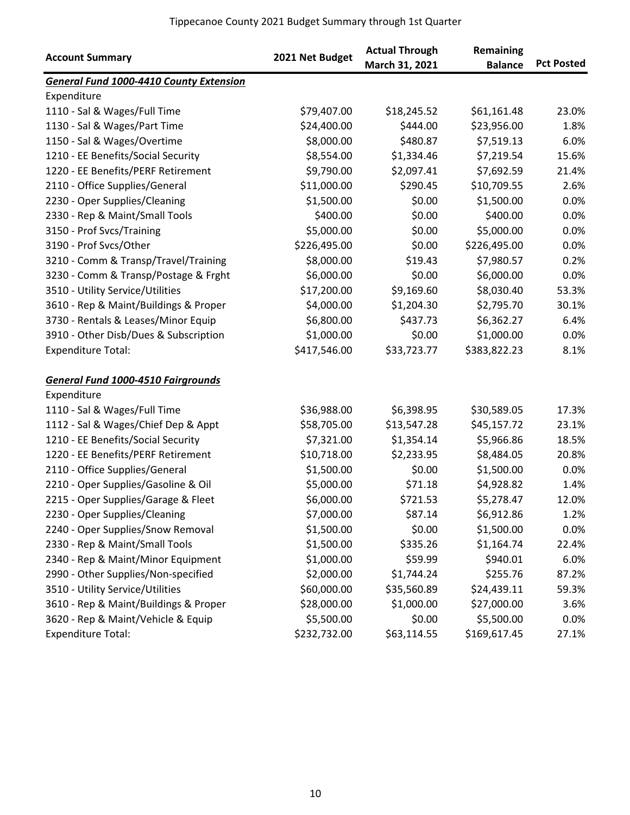| <b>Account Summary</b>                         | 2021 Net Budget | <b>Actual Through</b><br>March 31, 2021 | Remaining<br><b>Balance</b> | <b>Pct Posted</b> |
|------------------------------------------------|-----------------|-----------------------------------------|-----------------------------|-------------------|
| <b>General Fund 1000-4410 County Extension</b> |                 |                                         |                             |                   |
| Expenditure                                    |                 |                                         |                             |                   |
| 1110 - Sal & Wages/Full Time                   | \$79,407.00     | \$18,245.52                             | \$61,161.48                 | 23.0%             |
| 1130 - Sal & Wages/Part Time                   | \$24,400.00     | \$444.00                                | \$23,956.00                 | 1.8%              |
| 1150 - Sal & Wages/Overtime                    | \$8,000.00      | \$480.87                                | \$7,519.13                  | 6.0%              |
| 1210 - EE Benefits/Social Security             | \$8,554.00      | \$1,334.46                              | \$7,219.54                  | 15.6%             |
| 1220 - EE Benefits/PERF Retirement             | \$9,790.00      | \$2,097.41                              | \$7,692.59                  | 21.4%             |
| 2110 - Office Supplies/General                 | \$11,000.00     | \$290.45                                | \$10,709.55                 | 2.6%              |
| 2230 - Oper Supplies/Cleaning                  | \$1,500.00      | \$0.00                                  | \$1,500.00                  | 0.0%              |
| 2330 - Rep & Maint/Small Tools                 | \$400.00        | \$0.00                                  | \$400.00                    | 0.0%              |
| 3150 - Prof Svcs/Training                      | \$5,000.00      | \$0.00                                  | \$5,000.00                  | 0.0%              |
| 3190 - Prof Svcs/Other                         | \$226,495.00    | \$0.00                                  | \$226,495.00                | 0.0%              |
| 3210 - Comm & Transp/Travel/Training           | \$8,000.00      | \$19.43                                 | \$7,980.57                  | 0.2%              |
| 3230 - Comm & Transp/Postage & Frght           | \$6,000.00      | \$0.00                                  | \$6,000.00                  | 0.0%              |
| 3510 - Utility Service/Utilities               | \$17,200.00     | \$9,169.60                              | \$8,030.40                  | 53.3%             |
| 3610 - Rep & Maint/Buildings & Proper          | \$4,000.00      | \$1,204.30                              | \$2,795.70                  | 30.1%             |
| 3730 - Rentals & Leases/Minor Equip            | \$6,800.00      | \$437.73                                | \$6,362.27                  | 6.4%              |
| 3910 - Other Disb/Dues & Subscription          | \$1,000.00      | \$0.00                                  | \$1,000.00                  | 0.0%              |
| <b>Expenditure Total:</b>                      | \$417,546.00    | \$33,723.77                             | \$383,822.23                | 8.1%              |
| <b>General Fund 1000-4510 Fairgrounds</b>      |                 |                                         |                             |                   |
| Expenditure                                    |                 |                                         |                             |                   |
| 1110 - Sal & Wages/Full Time                   | \$36,988.00     | \$6,398.95                              | \$30,589.05                 | 17.3%             |
| 1112 - Sal & Wages/Chief Dep & Appt            | \$58,705.00     | \$13,547.28                             | \$45,157.72                 | 23.1%             |
| 1210 - EE Benefits/Social Security             | \$7,321.00      | \$1,354.14                              | \$5,966.86                  | 18.5%             |
| 1220 - EE Benefits/PERF Retirement             | \$10,718.00     | \$2,233.95                              | \$8,484.05                  | 20.8%             |
| 2110 - Office Supplies/General                 | \$1,500.00      | \$0.00                                  | \$1,500.00                  | 0.0%              |
| 2210 - Oper Supplies/Gasoline & Oil            | \$5,000.00      | \$71.18                                 | \$4,928.82                  | 1.4%              |
| 2215 - Oper Supplies/Garage & Fleet            | \$6,000.00      | \$721.53                                | \$5,278.47                  | 12.0%             |
| 2230 - Oper Supplies/Cleaning                  | \$7,000.00      | \$87.14                                 | \$6,912.86                  | 1.2%              |
| 2240 - Oper Supplies/Snow Removal              | \$1,500.00      | \$0.00                                  | \$1,500.00                  | $0.0\%$           |
| 2330 - Rep & Maint/Small Tools                 | \$1,500.00      | \$335.26                                | \$1,164.74                  | 22.4%             |
| 2340 - Rep & Maint/Minor Equipment             | \$1,000.00      | \$59.99                                 | \$940.01                    | 6.0%              |
| 2990 - Other Supplies/Non-specified            | \$2,000.00      | \$1,744.24                              | \$255.76                    | 87.2%             |
| 3510 - Utility Service/Utilities               | \$60,000.00     | \$35,560.89                             | \$24,439.11                 | 59.3%             |
| 3610 - Rep & Maint/Buildings & Proper          | \$28,000.00     | \$1,000.00                              | \$27,000.00                 | 3.6%              |
| 3620 - Rep & Maint/Vehicle & Equip             | \$5,500.00      | \$0.00                                  | \$5,500.00                  | 0.0%              |
| <b>Expenditure Total:</b>                      | \$232,732.00    | \$63,114.55                             | \$169,617.45                | 27.1%             |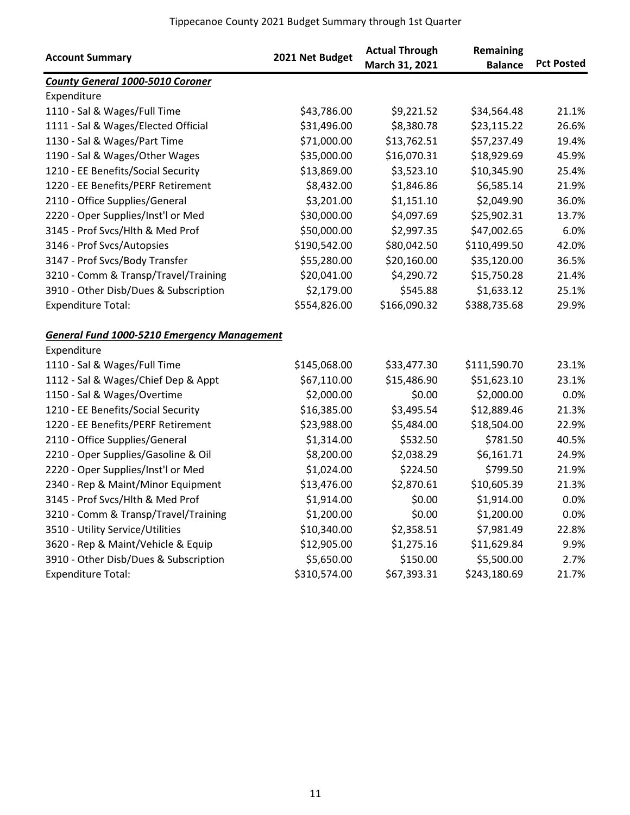| <b>Account Summary</b>                             | 2021 Net Budget | <b>Actual Through</b><br>March 31, 2021 | Remaining<br><b>Balance</b> | <b>Pct Posted</b> |
|----------------------------------------------------|-----------------|-----------------------------------------|-----------------------------|-------------------|
| <b>County General 1000-5010 Coroner</b>            |                 |                                         |                             |                   |
| Expenditure                                        |                 |                                         |                             |                   |
| 1110 - Sal & Wages/Full Time                       | \$43,786.00     | \$9,221.52                              | \$34,564.48                 | 21.1%             |
| 1111 - Sal & Wages/Elected Official                | \$31,496.00     | \$8,380.78                              | \$23,115.22                 | 26.6%             |
| 1130 - Sal & Wages/Part Time                       | \$71,000.00     | \$13,762.51                             | \$57,237.49                 | 19.4%             |
| 1190 - Sal & Wages/Other Wages                     | \$35,000.00     | \$16,070.31                             | \$18,929.69                 | 45.9%             |
| 1210 - EE Benefits/Social Security                 | \$13,869.00     | \$3,523.10                              | \$10,345.90                 | 25.4%             |
| 1220 - EE Benefits/PERF Retirement                 | \$8,432.00      | \$1,846.86                              | \$6,585.14                  | 21.9%             |
| 2110 - Office Supplies/General                     | \$3,201.00      | \$1,151.10                              | \$2,049.90                  | 36.0%             |
| 2220 - Oper Supplies/Inst'l or Med                 | \$30,000.00     | \$4,097.69                              | \$25,902.31                 | 13.7%             |
| 3145 - Prof Svcs/Hlth & Med Prof                   | \$50,000.00     | \$2,997.35                              | \$47,002.65                 | 6.0%              |
| 3146 - Prof Svcs/Autopsies                         | \$190,542.00    | \$80,042.50                             | \$110,499.50                | 42.0%             |
| 3147 - Prof Svcs/Body Transfer                     | \$55,280.00     | \$20,160.00                             | \$35,120.00                 | 36.5%             |
| 3210 - Comm & Transp/Travel/Training               | \$20,041.00     | \$4,290.72                              | \$15,750.28                 | 21.4%             |
| 3910 - Other Disb/Dues & Subscription              | \$2,179.00      | \$545.88                                | \$1,633.12                  | 25.1%             |
| <b>Expenditure Total:</b>                          | \$554,826.00    | \$166,090.32                            | \$388,735.68                | 29.9%             |
| <b>General Fund 1000-5210 Emergency Management</b> |                 |                                         |                             |                   |
| Expenditure                                        |                 |                                         |                             |                   |
| 1110 - Sal & Wages/Full Time                       | \$145,068.00    | \$33,477.30                             | \$111,590.70                | 23.1%             |
| 1112 - Sal & Wages/Chief Dep & Appt                | \$67,110.00     | \$15,486.90                             | \$51,623.10                 | 23.1%             |
| 1150 - Sal & Wages/Overtime                        | \$2,000.00      | \$0.00                                  | \$2,000.00                  | 0.0%              |
| 1210 - EE Benefits/Social Security                 | \$16,385.00     | \$3,495.54                              | \$12,889.46                 | 21.3%             |
| 1220 - EE Benefits/PERF Retirement                 | \$23,988.00     | \$5,484.00                              | \$18,504.00                 | 22.9%             |
| 2110 - Office Supplies/General                     | \$1,314.00      | \$532.50                                | \$781.50                    | 40.5%             |
| 2210 - Oper Supplies/Gasoline & Oil                | \$8,200.00      | \$2,038.29                              | \$6,161.71                  | 24.9%             |
| 2220 - Oper Supplies/Inst'l or Med                 | \$1,024.00      | \$224.50                                | \$799.50                    | 21.9%             |
| 2340 - Rep & Maint/Minor Equipment                 | \$13,476.00     | \$2,870.61                              | \$10,605.39                 | 21.3%             |
| 3145 - Prof Svcs/Hlth & Med Prof                   | \$1,914.00      | \$0.00                                  | \$1,914.00                  | 0.0%              |
| 3210 - Comm & Transp/Travel/Training               | \$1,200.00      | \$0.00                                  | \$1,200.00                  | $0.0\%$           |
| 3510 - Utility Service/Utilities                   | \$10,340.00     | \$2,358.51                              | \$7,981.49                  | 22.8%             |
| 3620 - Rep & Maint/Vehicle & Equip                 | \$12,905.00     | \$1,275.16                              | \$11,629.84                 | 9.9%              |
| 3910 - Other Disb/Dues & Subscription              | \$5,650.00      | \$150.00                                | \$5,500.00                  | 2.7%              |
| <b>Expenditure Total:</b>                          | \$310,574.00    | \$67,393.31                             | \$243,180.69                | 21.7%             |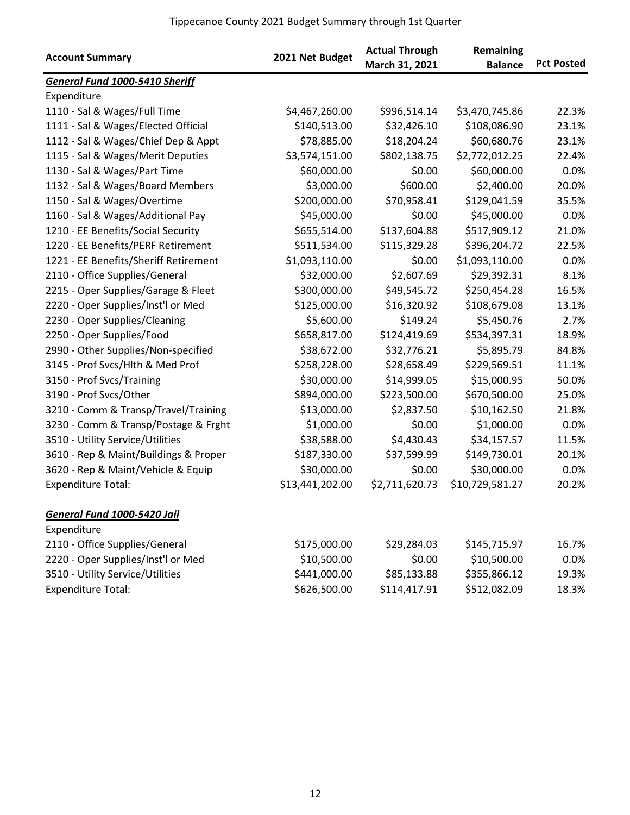| <b>Account Summary</b>                | 2021 Net Budget | <b>Actual Through</b><br>March 31, 2021 | Remaining<br><b>Balance</b> | <b>Pct Posted</b> |
|---------------------------------------|-----------------|-----------------------------------------|-----------------------------|-------------------|
| General Fund 1000-5410 Sheriff        |                 |                                         |                             |                   |
| Expenditure                           |                 |                                         |                             |                   |
| 1110 - Sal & Wages/Full Time          | \$4,467,260.00  | \$996,514.14                            | \$3,470,745.86              | 22.3%             |
| 1111 - Sal & Wages/Elected Official   | \$140,513.00    | \$32,426.10                             | \$108,086.90                | 23.1%             |
| 1112 - Sal & Wages/Chief Dep & Appt   | \$78,885.00     | \$18,204.24                             | \$60,680.76                 | 23.1%             |
| 1115 - Sal & Wages/Merit Deputies     | \$3,574,151.00  | \$802,138.75                            | \$2,772,012.25              | 22.4%             |
| 1130 - Sal & Wages/Part Time          | \$60,000.00     | \$0.00                                  | \$60,000.00                 | 0.0%              |
| 1132 - Sal & Wages/Board Members      | \$3,000.00      | \$600.00                                | \$2,400.00                  | 20.0%             |
| 1150 - Sal & Wages/Overtime           | \$200,000.00    | \$70,958.41                             | \$129,041.59                | 35.5%             |
| 1160 - Sal & Wages/Additional Pay     | \$45,000.00     | \$0.00                                  | \$45,000.00                 | 0.0%              |
| 1210 - EE Benefits/Social Security    | \$655,514.00    | \$137,604.88                            | \$517,909.12                | 21.0%             |
| 1220 - EE Benefits/PERF Retirement    | \$511,534.00    | \$115,329.28                            | \$396,204.72                | 22.5%             |
| 1221 - EE Benefits/Sheriff Retirement | \$1,093,110.00  | \$0.00                                  | \$1,093,110.00              | 0.0%              |
| 2110 - Office Supplies/General        | \$32,000.00     | \$2,607.69                              | \$29,392.31                 | 8.1%              |
| 2215 - Oper Supplies/Garage & Fleet   | \$300,000.00    | \$49,545.72                             | \$250,454.28                | 16.5%             |
| 2220 - Oper Supplies/Inst'l or Med    | \$125,000.00    | \$16,320.92                             | \$108,679.08                | 13.1%             |
| 2230 - Oper Supplies/Cleaning         | \$5,600.00      | \$149.24                                | \$5,450.76                  | 2.7%              |
| 2250 - Oper Supplies/Food             | \$658,817.00    | \$124,419.69                            | \$534,397.31                | 18.9%             |
| 2990 - Other Supplies/Non-specified   | \$38,672.00     | \$32,776.21                             | \$5,895.79                  | 84.8%             |
| 3145 - Prof Svcs/Hlth & Med Prof      | \$258,228.00    | \$28,658.49                             | \$229,569.51                | 11.1%             |
| 3150 - Prof Svcs/Training             | \$30,000.00     | \$14,999.05                             | \$15,000.95                 | 50.0%             |
| 3190 - Prof Svcs/Other                | \$894,000.00    | \$223,500.00                            | \$670,500.00                | 25.0%             |
| 3210 - Comm & Transp/Travel/Training  | \$13,000.00     | \$2,837.50                              | \$10,162.50                 | 21.8%             |
| 3230 - Comm & Transp/Postage & Frght  | \$1,000.00      | \$0.00                                  | \$1,000.00                  | 0.0%              |
| 3510 - Utility Service/Utilities      | \$38,588.00     | \$4,430.43                              | \$34,157.57                 | 11.5%             |
| 3610 - Rep & Maint/Buildings & Proper | \$187,330.00    | \$37,599.99                             | \$149,730.01                | 20.1%             |
| 3620 - Rep & Maint/Vehicle & Equip    | \$30,000.00     | \$0.00                                  | \$30,000.00                 | 0.0%              |
| <b>Expenditure Total:</b>             | \$13,441,202.00 | \$2,711,620.73                          | \$10,729,581.27             | 20.2%             |
| General Fund 1000-5420 Jail           |                 |                                         |                             |                   |
| Expenditure                           |                 |                                         |                             |                   |
| 2110 - Office Supplies/General        | \$175,000.00    | \$29,284.03                             | \$145,715.97                | 16.7%             |
| 2220 - Oper Supplies/Inst'l or Med    | \$10,500.00     | \$0.00                                  | \$10,500.00                 | $0.0\%$           |
| 3510 - Utility Service/Utilities      | \$441,000.00    | \$85,133.88                             | \$355,866.12                | 19.3%             |
| <b>Expenditure Total:</b>             | \$626,500.00    | \$114,417.91                            | \$512,082.09                | 18.3%             |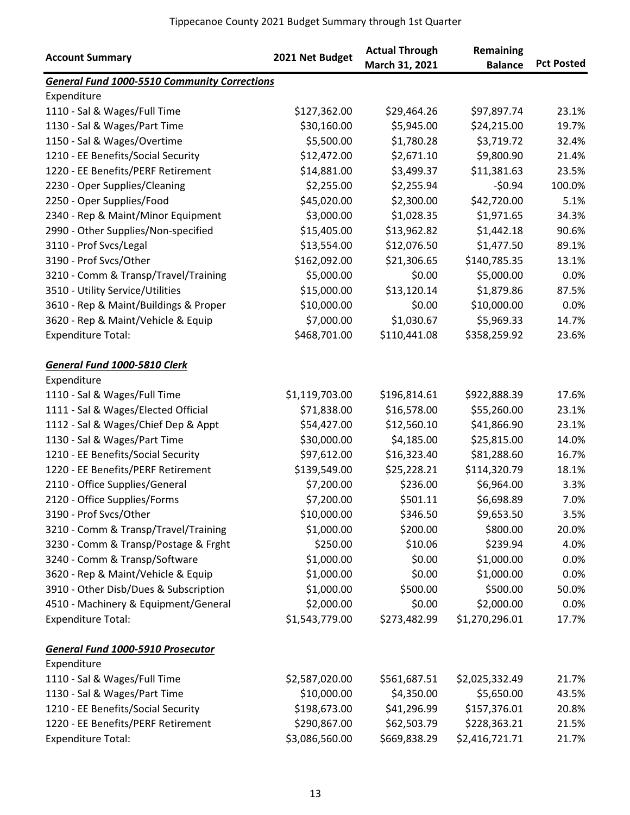|                                                     |                 | <b>Actual Through</b> | Remaining      |                   |
|-----------------------------------------------------|-----------------|-----------------------|----------------|-------------------|
| <b>Account Summary</b>                              | 2021 Net Budget | March 31, 2021        | <b>Balance</b> | <b>Pct Posted</b> |
| <b>General Fund 1000-5510 Community Corrections</b> |                 |                       |                |                   |
| Expenditure                                         |                 |                       |                |                   |
| 1110 - Sal & Wages/Full Time                        | \$127,362.00    | \$29,464.26           | \$97,897.74    | 23.1%             |
| 1130 - Sal & Wages/Part Time                        | \$30,160.00     | \$5,945.00            | \$24,215.00    | 19.7%             |
| 1150 - Sal & Wages/Overtime                         | \$5,500.00      | \$1,780.28            | \$3,719.72     | 32.4%             |
| 1210 - EE Benefits/Social Security                  | \$12,472.00     | \$2,671.10            | \$9,800.90     | 21.4%             |
| 1220 - EE Benefits/PERF Retirement                  | \$14,881.00     | \$3,499.37            | \$11,381.63    | 23.5%             |
| 2230 - Oper Supplies/Cleaning                       | \$2,255.00      | \$2,255.94            | $-50.94$       | 100.0%            |
| 2250 - Oper Supplies/Food                           | \$45,020.00     | \$2,300.00            | \$42,720.00    | 5.1%              |
| 2340 - Rep & Maint/Minor Equipment                  | \$3,000.00      | \$1,028.35            | \$1,971.65     | 34.3%             |
| 2990 - Other Supplies/Non-specified                 | \$15,405.00     | \$13,962.82           | \$1,442.18     | 90.6%             |
| 3110 - Prof Svcs/Legal                              | \$13,554.00     | \$12,076.50           | \$1,477.50     | 89.1%             |
| 3190 - Prof Svcs/Other                              | \$162,092.00    | \$21,306.65           | \$140,785.35   | 13.1%             |
| 3210 - Comm & Transp/Travel/Training                | \$5,000.00      | \$0.00                | \$5,000.00     | 0.0%              |
| 3510 - Utility Service/Utilities                    | \$15,000.00     | \$13,120.14           | \$1,879.86     | 87.5%             |
| 3610 - Rep & Maint/Buildings & Proper               | \$10,000.00     | \$0.00                | \$10,000.00    | 0.0%              |
| 3620 - Rep & Maint/Vehicle & Equip                  | \$7,000.00      | \$1,030.67            | \$5,969.33     | 14.7%             |
| <b>Expenditure Total:</b>                           | \$468,701.00    | \$110,441.08          | \$358,259.92   | 23.6%             |
| General Fund 1000-5810 Clerk                        |                 |                       |                |                   |
| Expenditure                                         |                 |                       |                |                   |
| 1110 - Sal & Wages/Full Time                        | \$1,119,703.00  | \$196,814.61          | \$922,888.39   | 17.6%             |
| 1111 - Sal & Wages/Elected Official                 | \$71,838.00     | \$16,578.00           | \$55,260.00    | 23.1%             |
| 1112 - Sal & Wages/Chief Dep & Appt                 | \$54,427.00     | \$12,560.10           | \$41,866.90    | 23.1%             |
| 1130 - Sal & Wages/Part Time                        | \$30,000.00     | \$4,185.00            | \$25,815.00    | 14.0%             |
| 1210 - EE Benefits/Social Security                  | \$97,612.00     | \$16,323.40           | \$81,288.60    | 16.7%             |
| 1220 - EE Benefits/PERF Retirement                  | \$139,549.00    | \$25,228.21           | \$114,320.79   | 18.1%             |
| 2110 - Office Supplies/General                      | \$7,200.00      | \$236.00              | \$6,964.00     | 3.3%              |
| 2120 - Office Supplies/Forms                        | \$7,200.00      | \$501.11              | \$6,698.89     | 7.0%              |
| 3190 - Prof Svcs/Other                              | \$10,000.00     | \$346.50              | \$9,653.50     | 3.5%              |
| 3210 - Comm & Transp/Travel/Training                | \$1,000.00      | \$200.00              | \$800.00       | 20.0%             |
| 3230 - Comm & Transp/Postage & Frght                | \$250.00        | \$10.06               | \$239.94       | 4.0%              |
| 3240 - Comm & Transp/Software                       | \$1,000.00      | \$0.00                | \$1,000.00     | 0.0%              |
| 3620 - Rep & Maint/Vehicle & Equip                  | \$1,000.00      | \$0.00                | \$1,000.00     | 0.0%              |
| 3910 - Other Disb/Dues & Subscription               | \$1,000.00      | \$500.00              | \$500.00       | 50.0%             |
| 4510 - Machinery & Equipment/General                | \$2,000.00      | \$0.00                | \$2,000.00     | 0.0%              |
| <b>Expenditure Total:</b>                           | \$1,543,779.00  | \$273,482.99          | \$1,270,296.01 | 17.7%             |
| <b>General Fund 1000-5910 Prosecutor</b>            |                 |                       |                |                   |
| Expenditure                                         |                 |                       |                |                   |
| 1110 - Sal & Wages/Full Time                        | \$2,587,020.00  | \$561,687.51          | \$2,025,332.49 | 21.7%             |
| 1130 - Sal & Wages/Part Time                        | \$10,000.00     | \$4,350.00            | \$5,650.00     | 43.5%             |
| 1210 - EE Benefits/Social Security                  | \$198,673.00    | \$41,296.99           | \$157,376.01   | 20.8%             |
| 1220 - EE Benefits/PERF Retirement                  | \$290,867.00    | \$62,503.79           | \$228,363.21   | 21.5%             |
| <b>Expenditure Total:</b>                           | \$3,086,560.00  | \$669,838.29          | \$2,416,721.71 | 21.7%             |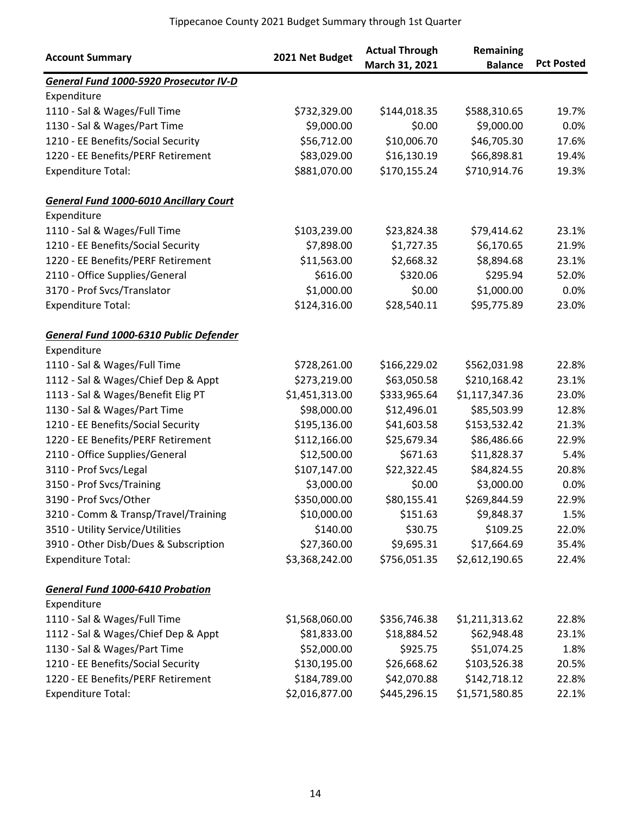| <b>Account Summary</b>                        | 2021 Net Budget | <b>Actual Through</b><br>March 31, 2021 | Remaining<br><b>Balance</b> | <b>Pct Posted</b> |
|-----------------------------------------------|-----------------|-----------------------------------------|-----------------------------|-------------------|
| General Fund 1000-5920 Prosecutor IV-D        |                 |                                         |                             |                   |
| Expenditure                                   |                 |                                         |                             |                   |
| 1110 - Sal & Wages/Full Time                  | \$732,329.00    | \$144,018.35                            | \$588,310.65                | 19.7%             |
| 1130 - Sal & Wages/Part Time                  | \$9,000.00      | \$0.00                                  | \$9,000.00                  | 0.0%              |
| 1210 - EE Benefits/Social Security            | \$56,712.00     | \$10,006.70                             | \$46,705.30                 | 17.6%             |
| 1220 - EE Benefits/PERF Retirement            | \$83,029.00     | \$16,130.19                             | \$66,898.81                 | 19.4%             |
| <b>Expenditure Total:</b>                     | \$881,070.00    | \$170,155.24                            | \$710,914.76                | 19.3%             |
| <b>General Fund 1000-6010 Ancillary Court</b> |                 |                                         |                             |                   |
| Expenditure                                   |                 |                                         |                             |                   |
| 1110 - Sal & Wages/Full Time                  | \$103,239.00    | \$23,824.38                             | \$79,414.62                 | 23.1%             |
| 1210 - EE Benefits/Social Security            | \$7,898.00      | \$1,727.35                              | \$6,170.65                  | 21.9%             |
| 1220 - EE Benefits/PERF Retirement            | \$11,563.00     | \$2,668.32                              | \$8,894.68                  | 23.1%             |
| 2110 - Office Supplies/General                | \$616.00        | \$320.06                                | \$295.94                    | 52.0%             |
| 3170 - Prof Svcs/Translator                   | \$1,000.00      | \$0.00                                  | \$1,000.00                  | 0.0%              |
| <b>Expenditure Total:</b>                     | \$124,316.00    | \$28,540.11                             | \$95,775.89                 | 23.0%             |
| General Fund 1000-6310 Public Defender        |                 |                                         |                             |                   |
| Expenditure                                   |                 |                                         |                             |                   |
| 1110 - Sal & Wages/Full Time                  | \$728,261.00    | \$166,229.02                            | \$562,031.98                | 22.8%             |
| 1112 - Sal & Wages/Chief Dep & Appt           | \$273,219.00    | \$63,050.58                             | \$210,168.42                | 23.1%             |
| 1113 - Sal & Wages/Benefit Elig PT            | \$1,451,313.00  | \$333,965.64                            | \$1,117,347.36              | 23.0%             |
| 1130 - Sal & Wages/Part Time                  | \$98,000.00     | \$12,496.01                             | \$85,503.99                 | 12.8%             |
| 1210 - EE Benefits/Social Security            | \$195,136.00    | \$41,603.58                             | \$153,532.42                | 21.3%             |
| 1220 - EE Benefits/PERF Retirement            | \$112,166.00    | \$25,679.34                             | \$86,486.66                 | 22.9%             |
| 2110 - Office Supplies/General                | \$12,500.00     | \$671.63                                | \$11,828.37                 | 5.4%              |
| 3110 - Prof Svcs/Legal                        | \$107,147.00    | \$22,322.45                             | \$84,824.55                 | 20.8%             |
| 3150 - Prof Svcs/Training                     | \$3,000.00      | \$0.00                                  | \$3,000.00                  | 0.0%              |
| 3190 - Prof Svcs/Other                        | \$350,000.00    | \$80,155.41                             | \$269,844.59                | 22.9%             |
| 3210 - Comm & Transp/Travel/Training          | \$10,000.00     | \$151.63                                | \$9,848.37                  | 1.5%              |
| 3510 - Utility Service/Utilities              | \$140.00        | \$30.75                                 | \$109.25                    | 22.0%             |
| 3910 - Other Disb/Dues & Subscription         | \$27,360.00     | \$9,695.31                              | \$17,664.69                 | 35.4%             |
| <b>Expenditure Total:</b>                     | \$3,368,242.00  | \$756,051.35                            | \$2,612,190.65              | 22.4%             |
| <b>General Fund 1000-6410 Probation</b>       |                 |                                         |                             |                   |
| Expenditure                                   |                 |                                         |                             |                   |
| 1110 - Sal & Wages/Full Time                  | \$1,568,060.00  | \$356,746.38                            | \$1,211,313.62              | 22.8%             |
| 1112 - Sal & Wages/Chief Dep & Appt           | \$81,833.00     | \$18,884.52                             | \$62,948.48                 | 23.1%             |
| 1130 - Sal & Wages/Part Time                  | \$52,000.00     | \$925.75                                | \$51,074.25                 | 1.8%              |
| 1210 - EE Benefits/Social Security            | \$130,195.00    | \$26,668.62                             | \$103,526.38                | 20.5%             |
| 1220 - EE Benefits/PERF Retirement            | \$184,789.00    | \$42,070.88                             | \$142,718.12                | 22.8%             |
| <b>Expenditure Total:</b>                     | \$2,016,877.00  | \$445,296.15                            | \$1,571,580.85              | 22.1%             |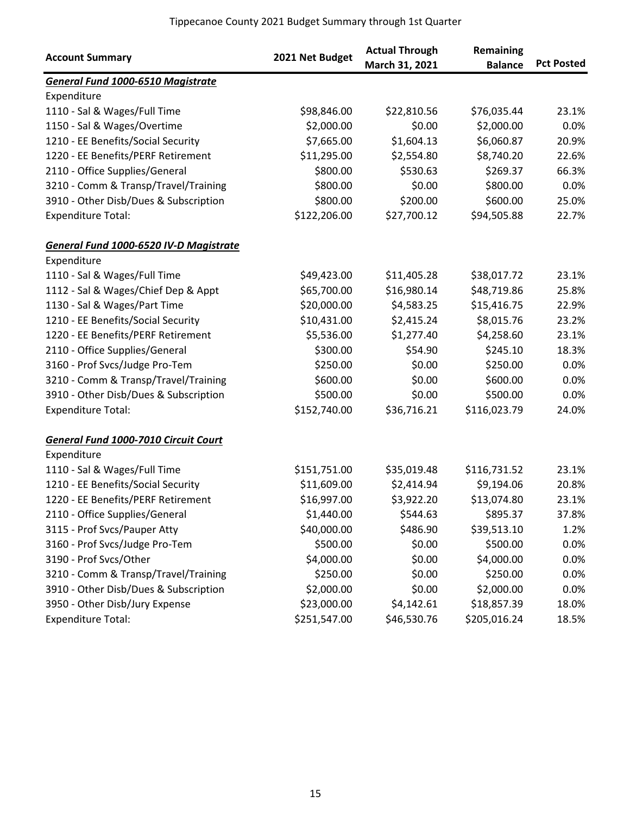| <b>Account Summary</b>                   | 2021 Net Budget | <b>Actual Through</b><br>March 31, 2021 | Remaining<br><b>Balance</b> | <b>Pct Posted</b> |
|------------------------------------------|-----------------|-----------------------------------------|-----------------------------|-------------------|
| <b>General Fund 1000-6510 Magistrate</b> |                 |                                         |                             |                   |
| Expenditure                              |                 |                                         |                             |                   |
| 1110 - Sal & Wages/Full Time             | \$98,846.00     | \$22,810.56                             | \$76,035.44                 | 23.1%             |
| 1150 - Sal & Wages/Overtime              | \$2,000.00      | \$0.00                                  | \$2,000.00                  | 0.0%              |
| 1210 - EE Benefits/Social Security       | \$7,665.00      | \$1,604.13                              | \$6,060.87                  | 20.9%             |
| 1220 - EE Benefits/PERF Retirement       | \$11,295.00     | \$2,554.80                              | \$8,740.20                  | 22.6%             |
| 2110 - Office Supplies/General           | \$800.00        | \$530.63                                | \$269.37                    | 66.3%             |
| 3210 - Comm & Transp/Travel/Training     | \$800.00        | \$0.00                                  | \$800.00                    | 0.0%              |
| 3910 - Other Disb/Dues & Subscription    | \$800.00        | \$200.00                                | \$600.00                    | 25.0%             |
| <b>Expenditure Total:</b>                | \$122,206.00    | \$27,700.12                             | \$94,505.88                 | 22.7%             |
| General Fund 1000-6520 IV-D Magistrate   |                 |                                         |                             |                   |
| Expenditure                              |                 |                                         |                             |                   |
| 1110 - Sal & Wages/Full Time             | \$49,423.00     | \$11,405.28                             | \$38,017.72                 | 23.1%             |
| 1112 - Sal & Wages/Chief Dep & Appt      | \$65,700.00     | \$16,980.14                             | \$48,719.86                 | 25.8%             |
| 1130 - Sal & Wages/Part Time             | \$20,000.00     | \$4,583.25                              | \$15,416.75                 | 22.9%             |
| 1210 - EE Benefits/Social Security       | \$10,431.00     | \$2,415.24                              | \$8,015.76                  | 23.2%             |
| 1220 - EE Benefits/PERF Retirement       | \$5,536.00      | \$1,277.40                              | \$4,258.60                  | 23.1%             |
| 2110 - Office Supplies/General           | \$300.00        | \$54.90                                 | \$245.10                    | 18.3%             |
| 3160 - Prof Svcs/Judge Pro-Tem           | \$250.00        | \$0.00                                  | \$250.00                    | 0.0%              |
| 3210 - Comm & Transp/Travel/Training     | \$600.00        | \$0.00                                  | \$600.00                    | 0.0%              |
| 3910 - Other Disb/Dues & Subscription    | \$500.00        | \$0.00                                  | \$500.00                    | 0.0%              |
| <b>Expenditure Total:</b>                | \$152,740.00    | \$36,716.21                             | \$116,023.79                | 24.0%             |
| General Fund 1000-7010 Circuit Court     |                 |                                         |                             |                   |
| Expenditure                              |                 |                                         |                             |                   |
| 1110 - Sal & Wages/Full Time             | \$151,751.00    | \$35,019.48                             | \$116,731.52                | 23.1%             |
| 1210 - EE Benefits/Social Security       | \$11,609.00     | \$2,414.94                              | \$9,194.06                  | 20.8%             |
| 1220 - EE Benefits/PERF Retirement       | \$16,997.00     | \$3,922.20                              | \$13,074.80                 | 23.1%             |
| 2110 - Office Supplies/General           | \$1,440.00      | \$544.63                                | \$895.37                    | 37.8%             |
| 3115 - Prof Svcs/Pauper Atty             | \$40,000.00     | \$486.90                                | \$39,513.10                 | 1.2%              |
| 3160 - Prof Svcs/Judge Pro-Tem           | \$500.00        | \$0.00                                  | \$500.00                    | 0.0%              |
| 3190 - Prof Svcs/Other                   | \$4,000.00      | \$0.00                                  | \$4,000.00                  | 0.0%              |
| 3210 - Comm & Transp/Travel/Training     | \$250.00        | \$0.00                                  | \$250.00                    | 0.0%              |
| 3910 - Other Disb/Dues & Subscription    | \$2,000.00      | \$0.00                                  | \$2,000.00                  | 0.0%              |
| 3950 - Other Disb/Jury Expense           | \$23,000.00     | \$4,142.61                              | \$18,857.39                 | 18.0%             |
| <b>Expenditure Total:</b>                | \$251,547.00    | \$46,530.76                             | \$205,016.24                | 18.5%             |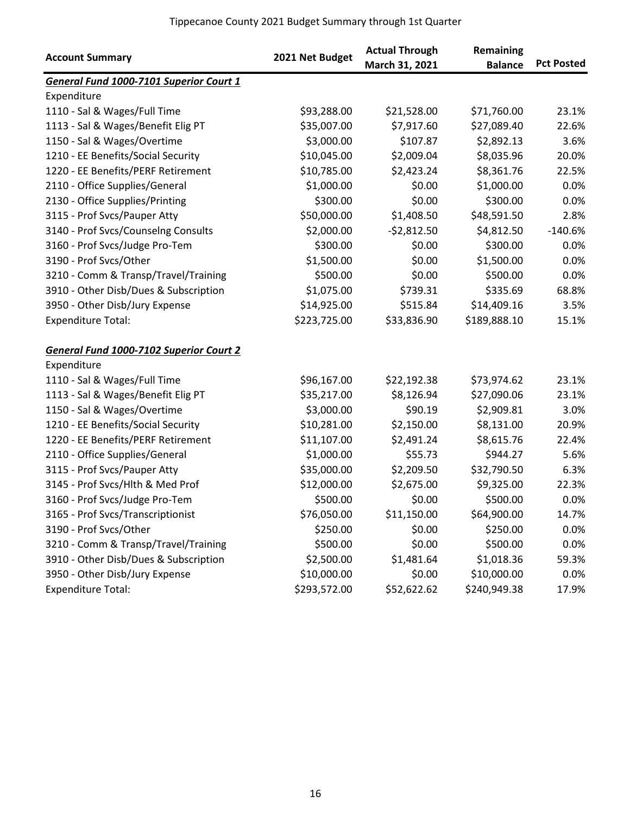| <b>Account Summary</b>                         | 2021 Net Budget | <b>Actual Through</b><br>March 31, 2021 | Remaining<br><b>Balance</b> | <b>Pct Posted</b> |
|------------------------------------------------|-----------------|-----------------------------------------|-----------------------------|-------------------|
| <b>General Fund 1000-7101 Superior Court 1</b> |                 |                                         |                             |                   |
| Expenditure                                    |                 |                                         |                             |                   |
| 1110 - Sal & Wages/Full Time                   | \$93,288.00     | \$21,528.00                             | \$71,760.00                 | 23.1%             |
| 1113 - Sal & Wages/Benefit Elig PT             | \$35,007.00     | \$7,917.60                              | \$27,089.40                 | 22.6%             |
| 1150 - Sal & Wages/Overtime                    | \$3,000.00      | \$107.87                                | \$2,892.13                  | 3.6%              |
| 1210 - EE Benefits/Social Security             | \$10,045.00     | \$2,009.04                              | \$8,035.96                  | 20.0%             |
| 1220 - EE Benefits/PERF Retirement             | \$10,785.00     | \$2,423.24                              | \$8,361.76                  | 22.5%             |
| 2110 - Office Supplies/General                 | \$1,000.00      | \$0.00                                  | \$1,000.00                  | 0.0%              |
| 2130 - Office Supplies/Printing                | \$300.00        | \$0.00                                  | \$300.00                    | 0.0%              |
| 3115 - Prof Svcs/Pauper Atty                   | \$50,000.00     | \$1,408.50                              | \$48,591.50                 | 2.8%              |
| 3140 - Prof Svcs/Counselng Consults            | \$2,000.00      | $-52,812.50$                            | \$4,812.50                  | $-140.6%$         |
| 3160 - Prof Svcs/Judge Pro-Tem                 | \$300.00        | \$0.00                                  | \$300.00                    | 0.0%              |
| 3190 - Prof Svcs/Other                         | \$1,500.00      | \$0.00                                  | \$1,500.00                  | 0.0%              |
| 3210 - Comm & Transp/Travel/Training           | \$500.00        | \$0.00                                  | \$500.00                    | 0.0%              |
| 3910 - Other Disb/Dues & Subscription          | \$1,075.00      | \$739.31                                | \$335.69                    | 68.8%             |
| 3950 - Other Disb/Jury Expense                 | \$14,925.00     | \$515.84                                | \$14,409.16                 | 3.5%              |
| <b>Expenditure Total:</b>                      | \$223,725.00    | \$33,836.90                             | \$189,888.10                | 15.1%             |
| <b>General Fund 1000-7102 Superior Court 2</b> |                 |                                         |                             |                   |
| Expenditure                                    |                 |                                         |                             |                   |
| 1110 - Sal & Wages/Full Time                   | \$96,167.00     | \$22,192.38                             | \$73,974.62                 | 23.1%             |
| 1113 - Sal & Wages/Benefit Elig PT             | \$35,217.00     | \$8,126.94                              | \$27,090.06                 | 23.1%             |
| 1150 - Sal & Wages/Overtime                    | \$3,000.00      | \$90.19                                 | \$2,909.81                  | 3.0%              |
| 1210 - EE Benefits/Social Security             | \$10,281.00     | \$2,150.00                              | \$8,131.00                  | 20.9%             |
| 1220 - EE Benefits/PERF Retirement             | \$11,107.00     | \$2,491.24                              | \$8,615.76                  | 22.4%             |
| 2110 - Office Supplies/General                 | \$1,000.00      | \$55.73                                 | \$944.27                    | 5.6%              |
| 3115 - Prof Svcs/Pauper Atty                   | \$35,000.00     | \$2,209.50                              | \$32,790.50                 | 6.3%              |
| 3145 - Prof Svcs/Hlth & Med Prof               | \$12,000.00     | \$2,675.00                              | \$9,325.00                  | 22.3%             |
| 3160 - Prof Svcs/Judge Pro-Tem                 | \$500.00        | \$0.00                                  | \$500.00                    | 0.0%              |
| 3165 - Prof Svcs/Transcriptionist              | \$76,050.00     | \$11,150.00                             | \$64,900.00                 | 14.7%             |
| 3190 - Prof Svcs/Other                         | \$250.00        | \$0.00                                  | \$250.00                    | 0.0%              |
| 3210 - Comm & Transp/Travel/Training           | \$500.00        | \$0.00                                  | \$500.00                    | 0.0%              |
| 3910 - Other Disb/Dues & Subscription          | \$2,500.00      | \$1,481.64                              | \$1,018.36                  | 59.3%             |
| 3950 - Other Disb/Jury Expense                 | \$10,000.00     | \$0.00                                  | \$10,000.00                 | 0.0%              |
| <b>Expenditure Total:</b>                      | \$293,572.00    | \$52,622.62                             | \$240,949.38                | 17.9%             |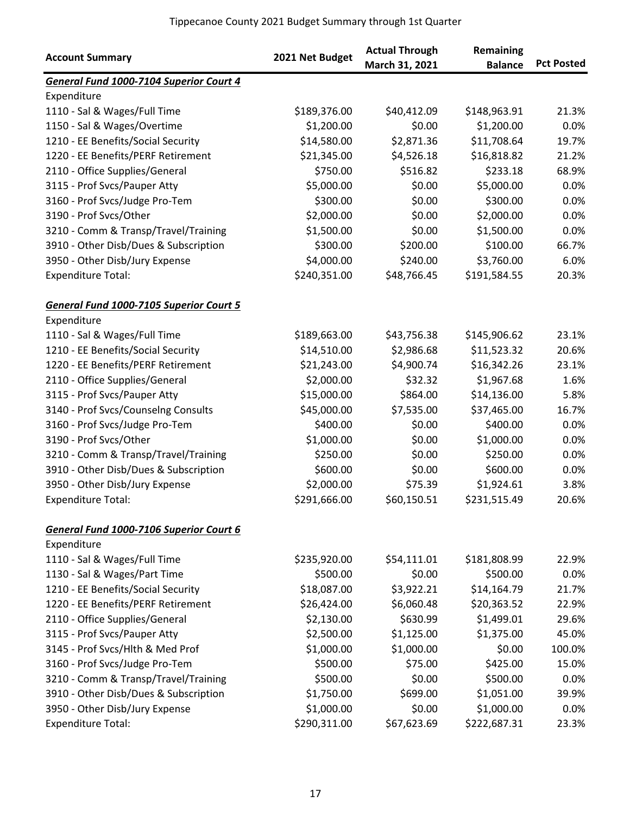|                                         |                 | <b>Actual Through</b> | Remaining      |                   |
|-----------------------------------------|-----------------|-----------------------|----------------|-------------------|
| <b>Account Summary</b>                  | 2021 Net Budget | March 31, 2021        | <b>Balance</b> | <b>Pct Posted</b> |
| General Fund 1000-7104 Superior Court 4 |                 |                       |                |                   |
| Expenditure                             |                 |                       |                |                   |
| 1110 - Sal & Wages/Full Time            | \$189,376.00    | \$40,412.09           | \$148,963.91   | 21.3%             |
| 1150 - Sal & Wages/Overtime             | \$1,200.00      | \$0.00                | \$1,200.00     | 0.0%              |
| 1210 - EE Benefits/Social Security      | \$14,580.00     | \$2,871.36            | \$11,708.64    | 19.7%             |
| 1220 - EE Benefits/PERF Retirement      | \$21,345.00     | \$4,526.18            | \$16,818.82    | 21.2%             |
| 2110 - Office Supplies/General          | \$750.00        | \$516.82              | \$233.18       | 68.9%             |
| 3115 - Prof Svcs/Pauper Atty            | \$5,000.00      | \$0.00                | \$5,000.00     | 0.0%              |
| 3160 - Prof Svcs/Judge Pro-Tem          | \$300.00        | \$0.00                | \$300.00       | 0.0%              |
| 3190 - Prof Svcs/Other                  | \$2,000.00      | \$0.00                | \$2,000.00     | 0.0%              |
| 3210 - Comm & Transp/Travel/Training    | \$1,500.00      | \$0.00                | \$1,500.00     | 0.0%              |
| 3910 - Other Disb/Dues & Subscription   | \$300.00        | \$200.00              | \$100.00       | 66.7%             |
| 3950 - Other Disb/Jury Expense          | \$4,000.00      | \$240.00              | \$3,760.00     | 6.0%              |
| <b>Expenditure Total:</b>               | \$240,351.00    | \$48,766.45           | \$191,584.55   | 20.3%             |
| General Fund 1000-7105 Superior Court 5 |                 |                       |                |                   |
| Expenditure                             |                 |                       |                |                   |
| 1110 - Sal & Wages/Full Time            | \$189,663.00    | \$43,756.38           | \$145,906.62   | 23.1%             |
| 1210 - EE Benefits/Social Security      | \$14,510.00     | \$2,986.68            | \$11,523.32    | 20.6%             |
| 1220 - EE Benefits/PERF Retirement      | \$21,243.00     | \$4,900.74            | \$16,342.26    | 23.1%             |
| 2110 - Office Supplies/General          | \$2,000.00      | \$32.32               | \$1,967.68     | 1.6%              |
| 3115 - Prof Svcs/Pauper Atty            | \$15,000.00     | \$864.00              | \$14,136.00    | 5.8%              |
| 3140 - Prof Svcs/Counselng Consults     | \$45,000.00     | \$7,535.00            | \$37,465.00    | 16.7%             |
| 3160 - Prof Svcs/Judge Pro-Tem          | \$400.00        | \$0.00                | \$400.00       | 0.0%              |
| 3190 - Prof Svcs/Other                  | \$1,000.00      | \$0.00                | \$1,000.00     | 0.0%              |
| 3210 - Comm & Transp/Travel/Training    | \$250.00        | \$0.00                | \$250.00       | 0.0%              |
| 3910 - Other Disb/Dues & Subscription   | \$600.00        | \$0.00                | \$600.00       | 0.0%              |
| 3950 - Other Disb/Jury Expense          | \$2,000.00      | \$75.39               | \$1,924.61     | 3.8%              |
| <b>Expenditure Total:</b>               | \$291,666.00    | \$60,150.51           | \$231,515.49   | 20.6%             |
| General Fund 1000-7106 Superior Court 6 |                 |                       |                |                   |
| Expenditure                             |                 |                       |                |                   |
| 1110 - Sal & Wages/Full Time            | \$235,920.00    | \$54,111.01           | \$181,808.99   | 22.9%             |
| 1130 - Sal & Wages/Part Time            | \$500.00        | \$0.00                | \$500.00       | 0.0%              |
| 1210 - EE Benefits/Social Security      | \$18,087.00     | \$3,922.21            | \$14,164.79    | 21.7%             |
| 1220 - EE Benefits/PERF Retirement      | \$26,424.00     | \$6,060.48            | \$20,363.52    | 22.9%             |
| 2110 - Office Supplies/General          | \$2,130.00      | \$630.99              | \$1,499.01     | 29.6%             |
| 3115 - Prof Svcs/Pauper Atty            | \$2,500.00      | \$1,125.00            | \$1,375.00     | 45.0%             |
| 3145 - Prof Svcs/Hlth & Med Prof        | \$1,000.00      | \$1,000.00            | \$0.00         | 100.0%            |
| 3160 - Prof Svcs/Judge Pro-Tem          | \$500.00        | \$75.00               | \$425.00       | 15.0%             |
| 3210 - Comm & Transp/Travel/Training    | \$500.00        | \$0.00                | \$500.00       | 0.0%              |
| 3910 - Other Disb/Dues & Subscription   | \$1,750.00      | \$699.00              | \$1,051.00     | 39.9%             |
| 3950 - Other Disb/Jury Expense          | \$1,000.00      | \$0.00                | \$1,000.00     | 0.0%              |
| <b>Expenditure Total:</b>               | \$290,311.00    | \$67,623.69           | \$222,687.31   | 23.3%             |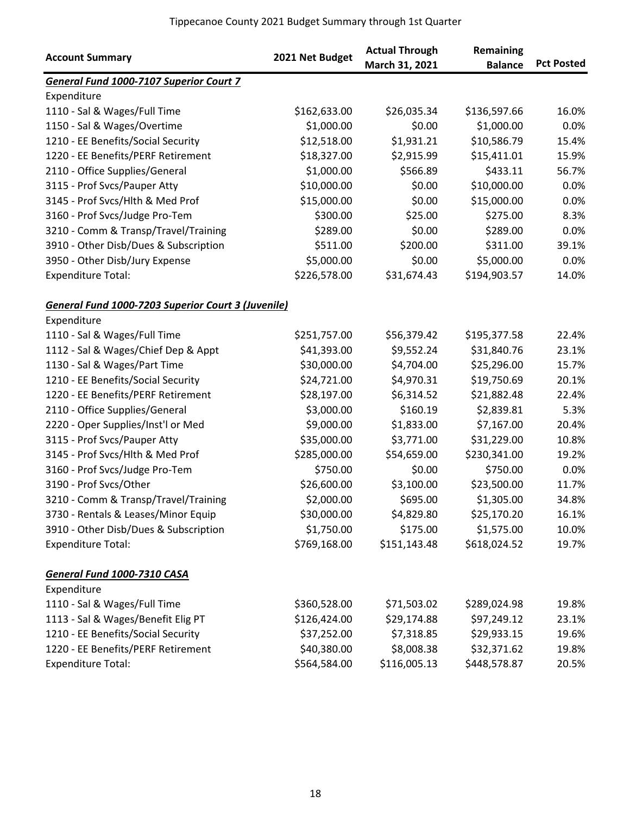| <b>Account Summary</b>                             | 2021 Net Budget | <b>Actual Through</b><br>March 31, 2021 | Remaining<br><b>Balance</b> | <b>Pct Posted</b> |
|----------------------------------------------------|-----------------|-----------------------------------------|-----------------------------|-------------------|
| General Fund 1000-7107 Superior Court 7            |                 |                                         |                             |                   |
| Expenditure                                        |                 |                                         |                             |                   |
| 1110 - Sal & Wages/Full Time                       | \$162,633.00    | \$26,035.34                             | \$136,597.66                | 16.0%             |
| 1150 - Sal & Wages/Overtime                        | \$1,000.00      | \$0.00                                  | \$1,000.00                  | 0.0%              |
| 1210 - EE Benefits/Social Security                 | \$12,518.00     | \$1,931.21                              | \$10,586.79                 | 15.4%             |
| 1220 - EE Benefits/PERF Retirement                 | \$18,327.00     | \$2,915.99                              | \$15,411.01                 | 15.9%             |
| 2110 - Office Supplies/General                     | \$1,000.00      | \$566.89                                | \$433.11                    | 56.7%             |
| 3115 - Prof Svcs/Pauper Atty                       | \$10,000.00     | \$0.00                                  | \$10,000.00                 | 0.0%              |
| 3145 - Prof Svcs/Hlth & Med Prof                   | \$15,000.00     | \$0.00                                  | \$15,000.00                 | 0.0%              |
| 3160 - Prof Svcs/Judge Pro-Tem                     | \$300.00        | \$25.00                                 | \$275.00                    | 8.3%              |
| 3210 - Comm & Transp/Travel/Training               | \$289.00        | \$0.00                                  | \$289.00                    | 0.0%              |
| 3910 - Other Disb/Dues & Subscription              | \$511.00        | \$200.00                                | \$311.00                    | 39.1%             |
| 3950 - Other Disb/Jury Expense                     | \$5,000.00      | \$0.00                                  | \$5,000.00                  | 0.0%              |
| <b>Expenditure Total:</b>                          | \$226,578.00    | \$31,674.43                             | \$194,903.57                | 14.0%             |
| General Fund 1000-7203 Superior Court 3 (Juvenile) |                 |                                         |                             |                   |
| Expenditure                                        |                 |                                         |                             |                   |
| 1110 - Sal & Wages/Full Time                       | \$251,757.00    | \$56,379.42                             | \$195,377.58                | 22.4%             |
| 1112 - Sal & Wages/Chief Dep & Appt                | \$41,393.00     | \$9,552.24                              | \$31,840.76                 | 23.1%             |
| 1130 - Sal & Wages/Part Time                       | \$30,000.00     | \$4,704.00                              | \$25,296.00                 | 15.7%             |
| 1210 - EE Benefits/Social Security                 | \$24,721.00     | \$4,970.31                              | \$19,750.69                 | 20.1%             |
| 1220 - EE Benefits/PERF Retirement                 | \$28,197.00     | \$6,314.52                              | \$21,882.48                 | 22.4%             |
| 2110 - Office Supplies/General                     | \$3,000.00      | \$160.19                                | \$2,839.81                  | 5.3%              |
| 2220 - Oper Supplies/Inst'l or Med                 | \$9,000.00      | \$1,833.00                              | \$7,167.00                  | 20.4%             |
| 3115 - Prof Svcs/Pauper Atty                       | \$35,000.00     | \$3,771.00                              | \$31,229.00                 | 10.8%             |
| 3145 - Prof Svcs/Hlth & Med Prof                   | \$285,000.00    | \$54,659.00                             | \$230,341.00                | 19.2%             |
| 3160 - Prof Svcs/Judge Pro-Tem                     | \$750.00        | \$0.00                                  | \$750.00                    | 0.0%              |
| 3190 - Prof Svcs/Other                             | \$26,600.00     | \$3,100.00                              | \$23,500.00                 | 11.7%             |
| 3210 - Comm & Transp/Travel/Training               | \$2,000.00      | \$695.00                                | \$1,305.00                  | 34.8%             |
| 3730 - Rentals & Leases/Minor Equip                | \$30,000.00     | \$4,829.80                              | \$25,170.20                 | 16.1%             |
| 3910 - Other Disb/Dues & Subscription              | \$1,750.00      | \$175.00                                | \$1,575.00                  | 10.0%             |
| <b>Expenditure Total:</b>                          | \$769,168.00    | \$151,143.48                            | \$618,024.52                | 19.7%             |
| General Fund 1000-7310 CASA                        |                 |                                         |                             |                   |
| Expenditure                                        |                 |                                         |                             |                   |
| 1110 - Sal & Wages/Full Time                       | \$360,528.00    | \$71,503.02                             | \$289,024.98                | 19.8%             |
| 1113 - Sal & Wages/Benefit Elig PT                 | \$126,424.00    | \$29,174.88                             | \$97,249.12                 | 23.1%             |
| 1210 - EE Benefits/Social Security                 | \$37,252.00     | \$7,318.85                              | \$29,933.15                 | 19.6%             |
| 1220 - EE Benefits/PERF Retirement                 | \$40,380.00     | \$8,008.38                              | \$32,371.62                 | 19.8%             |
| <b>Expenditure Total:</b>                          | \$564,584.00    | \$116,005.13                            | \$448,578.87                | 20.5%             |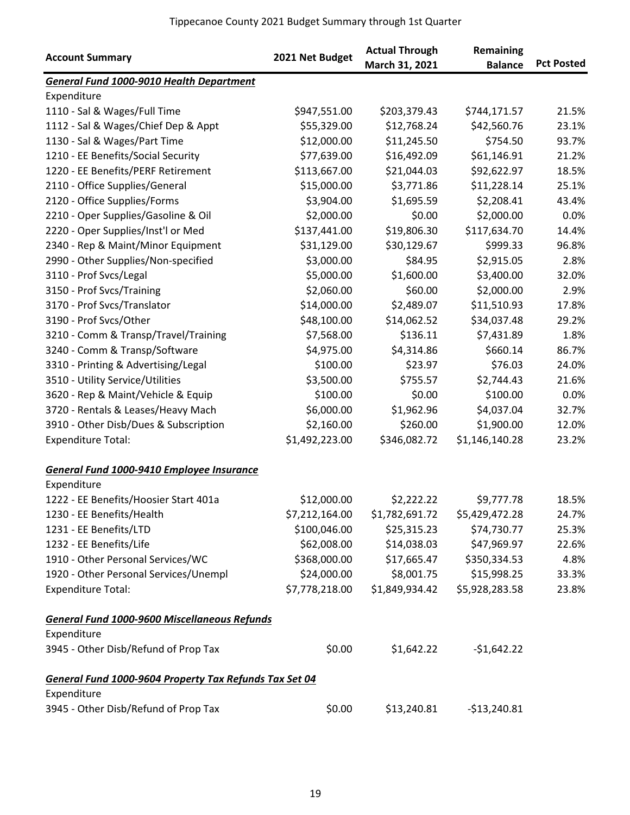|                                                        | 2021 Net Budget | <b>Actual Through</b> | Remaining      |                   |
|--------------------------------------------------------|-----------------|-----------------------|----------------|-------------------|
| <b>Account Summary</b>                                 |                 | March 31, 2021        | <b>Balance</b> | <b>Pct Posted</b> |
| General Fund 1000-9010 Health Department               |                 |                       |                |                   |
| Expenditure                                            |                 |                       |                |                   |
| 1110 - Sal & Wages/Full Time                           | \$947,551.00    | \$203,379.43          | \$744,171.57   | 21.5%             |
| 1112 - Sal & Wages/Chief Dep & Appt                    | \$55,329.00     | \$12,768.24           | \$42,560.76    | 23.1%             |
| 1130 - Sal & Wages/Part Time                           | \$12,000.00     | \$11,245.50           | \$754.50       | 93.7%             |
| 1210 - EE Benefits/Social Security                     | \$77,639.00     | \$16,492.09           | \$61,146.91    | 21.2%             |
| 1220 - EE Benefits/PERF Retirement                     | \$113,667.00    | \$21,044.03           | \$92,622.97    | 18.5%             |
| 2110 - Office Supplies/General                         | \$15,000.00     | \$3,771.86            | \$11,228.14    | 25.1%             |
| 2120 - Office Supplies/Forms                           | \$3,904.00      | \$1,695.59            | \$2,208.41     | 43.4%             |
| 2210 - Oper Supplies/Gasoline & Oil                    | \$2,000.00      | \$0.00                | \$2,000.00     | 0.0%              |
| 2220 - Oper Supplies/Inst'l or Med                     | \$137,441.00    | \$19,806.30           | \$117,634.70   | 14.4%             |
| 2340 - Rep & Maint/Minor Equipment                     | \$31,129.00     | \$30,129.67           | \$999.33       | 96.8%             |
| 2990 - Other Supplies/Non-specified                    | \$3,000.00      | \$84.95               | \$2,915.05     | 2.8%              |
| 3110 - Prof Svcs/Legal                                 | \$5,000.00      | \$1,600.00            | \$3,400.00     | 32.0%             |
| 3150 - Prof Svcs/Training                              | \$2,060.00      | \$60.00               | \$2,000.00     | 2.9%              |
| 3170 - Prof Svcs/Translator                            | \$14,000.00     | \$2,489.07            | \$11,510.93    | 17.8%             |
| 3190 - Prof Svcs/Other                                 | \$48,100.00     | \$14,062.52           | \$34,037.48    | 29.2%             |
| 3210 - Comm & Transp/Travel/Training                   | \$7,568.00      | \$136.11              | \$7,431.89     | 1.8%              |
| 3240 - Comm & Transp/Software                          | \$4,975.00      | \$4,314.86            | \$660.14       | 86.7%             |
| 3310 - Printing & Advertising/Legal                    | \$100.00        | \$23.97               | \$76.03        | 24.0%             |
| 3510 - Utility Service/Utilities                       | \$3,500.00      | \$755.57              | \$2,744.43     | 21.6%             |
| 3620 - Rep & Maint/Vehicle & Equip                     | \$100.00        | \$0.00                | \$100.00       | 0.0%              |
| 3720 - Rentals & Leases/Heavy Mach                     | \$6,000.00      | \$1,962.96            | \$4,037.04     | 32.7%             |
| 3910 - Other Disb/Dues & Subscription                  | \$2,160.00      | \$260.00              | \$1,900.00     | 12.0%             |
| <b>Expenditure Total:</b>                              | \$1,492,223.00  | \$346,082.72          | \$1,146,140.28 | 23.2%             |
| General Fund 1000-9410 Employee Insurance              |                 |                       |                |                   |
| Expenditure                                            |                 |                       |                |                   |
| 1222 - EE Benefits/Hoosier Start 401a                  | \$12,000.00     | \$2,222.22            | \$9,777.78     | 18.5%             |
| 1230 - EE Benefits/Health                              | \$7,212,164.00  | \$1,782,691.72        | \$5,429,472.28 | 24.7%             |
| 1231 - EE Benefits/LTD                                 | \$100,046.00    | \$25,315.23           | \$74,730.77    | 25.3%             |
| 1232 - EE Benefits/Life                                | \$62,008.00     | \$14,038.03           | \$47,969.97    | 22.6%             |
| 1910 - Other Personal Services/WC                      | \$368,000.00    | \$17,665.47           | \$350,334.53   | 4.8%              |
| 1920 - Other Personal Services/Unempl                  | \$24,000.00     | \$8,001.75            | \$15,998.25    | 33.3%             |
| <b>Expenditure Total:</b>                              | \$7,778,218.00  | \$1,849,934.42        | \$5,928,283.58 | 23.8%             |
| General Fund 1000-9600 Miscellaneous Refunds           |                 |                       |                |                   |
| Expenditure                                            |                 |                       |                |                   |
| 3945 - Other Disb/Refund of Prop Tax                   | \$0.00          | \$1,642.22            | $-$1,642.22$   |                   |
| General Fund 1000-9604 Property Tax Refunds Tax Set 04 |                 |                       |                |                   |
| Expenditure                                            |                 |                       |                |                   |
| 3945 - Other Disb/Refund of Prop Tax                   | \$0.00          | \$13,240.81           | $-$13,240.81$  |                   |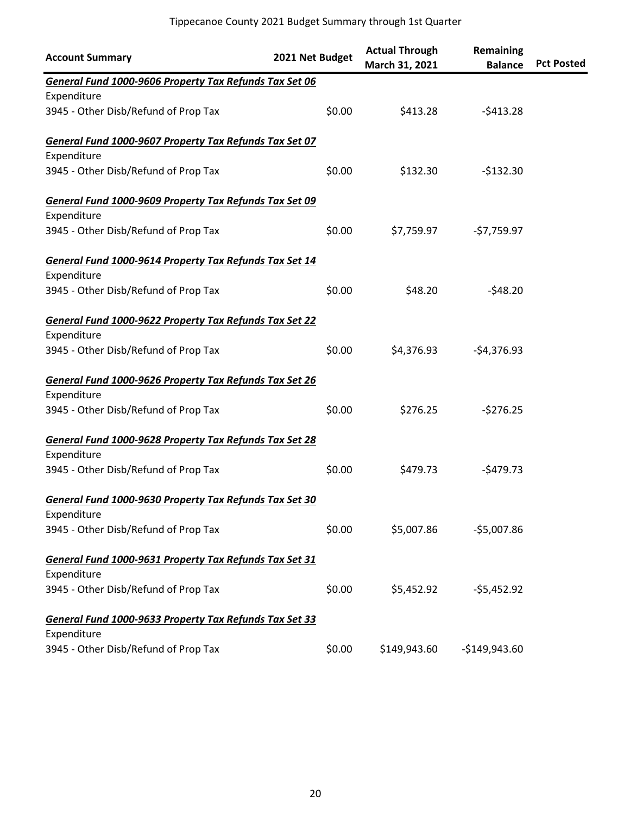| <b>Account Summary</b>                                 | 2021 Net Budget | <b>Actual Through</b><br>March 31, 2021 | Remaining<br><b>Balance</b> | <b>Pct Posted</b> |
|--------------------------------------------------------|-----------------|-----------------------------------------|-----------------------------|-------------------|
| General Fund 1000-9606 Property Tax Refunds Tax Set 06 |                 |                                         |                             |                   |
| Expenditure                                            |                 |                                         |                             |                   |
| 3945 - Other Disb/Refund of Prop Tax                   | \$0.00          | \$413.28                                | $-5413.28$                  |                   |
| General Fund 1000-9607 Property Tax Refunds Tax Set 07 |                 |                                         |                             |                   |
| Expenditure                                            |                 |                                         |                             |                   |
| 3945 - Other Disb/Refund of Prop Tax                   | \$0.00          | \$132.30                                | $-5132.30$                  |                   |
| General Fund 1000-9609 Property Tax Refunds Tax Set 09 |                 |                                         |                             |                   |
| Expenditure                                            |                 |                                         |                             |                   |
| 3945 - Other Disb/Refund of Prop Tax                   | \$0.00          | \$7,759.97                              | $-57,759.97$                |                   |
| General Fund 1000-9614 Property Tax Refunds Tax Set 14 |                 |                                         |                             |                   |
| Expenditure                                            |                 |                                         |                             |                   |
| 3945 - Other Disb/Refund of Prop Tax                   | \$0.00          | \$48.20                                 | $-548.20$                   |                   |
| General Fund 1000-9622 Property Tax Refunds Tax Set 22 |                 |                                         |                             |                   |
| Expenditure                                            |                 |                                         |                             |                   |
| 3945 - Other Disb/Refund of Prop Tax                   | \$0.00          | \$4,376.93                              | $-54,376.93$                |                   |
| General Fund 1000-9626 Property Tax Refunds Tax Set 26 |                 |                                         |                             |                   |
| Expenditure                                            |                 |                                         |                             |                   |
| 3945 - Other Disb/Refund of Prop Tax                   | \$0.00          | \$276.25                                | $-5276.25$                  |                   |
| General Fund 1000-9628 Property Tax Refunds Tax Set 28 |                 |                                         |                             |                   |
| Expenditure                                            |                 |                                         |                             |                   |
| 3945 - Other Disb/Refund of Prop Tax                   | \$0.00          | \$479.73                                | $-5479.73$                  |                   |
| General Fund 1000-9630 Property Tax Refunds Tax Set 30 |                 |                                         |                             |                   |
| Expenditure                                            |                 |                                         |                             |                   |
| 3945 - Other Disb/Refund of Prop Tax                   | \$0.00          | \$5,007.86                              | $-$5,007.86$                |                   |
| General Fund 1000-9631 Property Tax Refunds Tax Set 31 |                 |                                         |                             |                   |
| Expenditure                                            |                 |                                         |                             |                   |
| 3945 - Other Disb/Refund of Prop Tax                   | \$0.00          | \$5,452.92                              | $-55,452.92$                |                   |
| General Fund 1000-9633 Property Tax Refunds Tax Set 33 |                 |                                         |                             |                   |
| Expenditure                                            |                 |                                         |                             |                   |
| 3945 - Other Disb/Refund of Prop Tax                   | \$0.00          | \$149,943.60                            | $-$149,943.60$              |                   |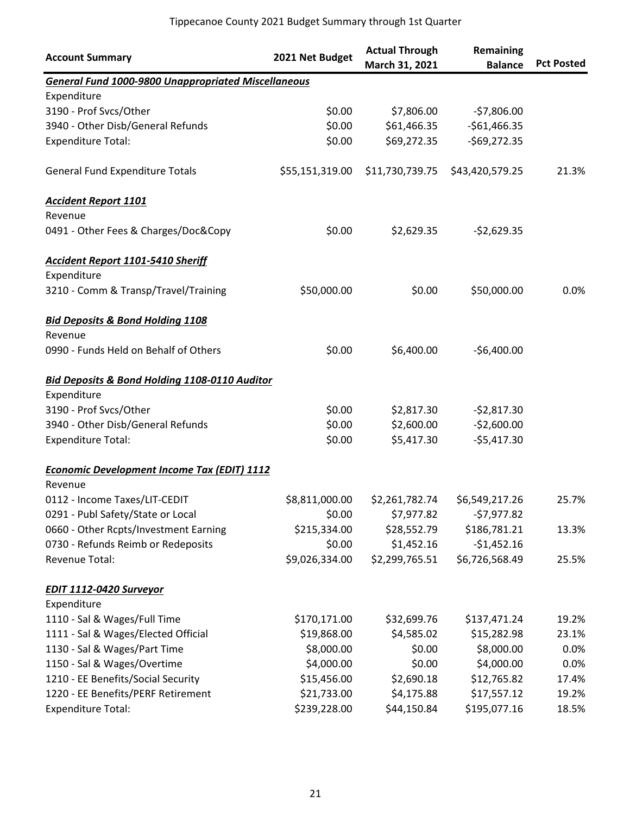| <b>Account Summary</b>                                        | 2021 Net Budget | <b>Actual Through</b><br>March 31, 2021 | Remaining<br><b>Balance</b> | <b>Pct Posted</b> |
|---------------------------------------------------------------|-----------------|-----------------------------------------|-----------------------------|-------------------|
| <b>General Fund 1000-9800 Unappropriated Miscellaneous</b>    |                 |                                         |                             |                   |
| Expenditure                                                   |                 |                                         |                             |                   |
| 3190 - Prof Svcs/Other                                        | \$0.00          | \$7,806.00                              | $-57,806.00$                |                   |
| 3940 - Other Disb/General Refunds                             | \$0.00          | \$61,466.35                             | $-$61,466.35$               |                   |
| <b>Expenditure Total:</b>                                     | \$0.00          | \$69,272.35                             | $-$69,272.35$               |                   |
| <b>General Fund Expenditure Totals</b>                        | \$55,151,319.00 | \$11,730,739.75                         | \$43,420,579.25             | 21.3%             |
| <b>Accident Report 1101</b>                                   |                 |                                         |                             |                   |
| Revenue                                                       |                 |                                         |                             |                   |
| 0491 - Other Fees & Charges/Doc&Copy                          | \$0.00          | \$2,629.35                              | $-52,629.35$                |                   |
| <b>Accident Report 1101-5410 Sheriff</b><br>Expenditure       |                 |                                         |                             |                   |
| 3210 - Comm & Transp/Travel/Training                          | \$50,000.00     | \$0.00                                  | \$50,000.00                 | 0.0%              |
| <b>Bid Deposits &amp; Bond Holding 1108</b>                   |                 |                                         |                             |                   |
| Revenue<br>0990 - Funds Held on Behalf of Others              | \$0.00          | \$6,400.00                              | $-$6,400.00$                |                   |
| Bid Deposits & Bond Holding 1108-0110 Auditor<br>Expenditure  |                 |                                         |                             |                   |
| 3190 - Prof Svcs/Other                                        | \$0.00          | \$2,817.30                              | $-52,817.30$                |                   |
| 3940 - Other Disb/General Refunds                             | \$0.00          | \$2,600.00                              | $-52,600.00$                |                   |
| <b>Expenditure Total:</b>                                     | \$0.00          | \$5,417.30                              | $-55,417.30$                |                   |
| <b>Economic Development Income Tax (EDIT) 1112</b><br>Revenue |                 |                                         |                             |                   |
| 0112 - Income Taxes/LIT-CEDIT                                 | \$8,811,000.00  | \$2,261,782.74                          | \$6,549,217.26              | 25.7%             |
| 0291 - Publ Safety/State or Local                             | \$0.00          | \$7,977.82                              | $-57,977.82$                |                   |
| 0660 - Other Rcpts/Investment Earning                         | \$215,334.00    | \$28,552.79                             | \$186,781.21                | 13.3%             |
| 0730 - Refunds Reimb or Redeposits                            | \$0.00          | \$1,452.16                              | $-$1,452.16$                |                   |
| Revenue Total:                                                | \$9,026,334.00  | \$2,299,765.51                          | \$6,726,568.49              | 25.5%             |
| <b>EDIT 1112-0420 Surveyor</b>                                |                 |                                         |                             |                   |
| Expenditure                                                   |                 |                                         |                             |                   |
| 1110 - Sal & Wages/Full Time                                  | \$170,171.00    | \$32,699.76                             | \$137,471.24                | 19.2%             |
| 1111 - Sal & Wages/Elected Official                           | \$19,868.00     | \$4,585.02                              | \$15,282.98                 | 23.1%             |
| 1130 - Sal & Wages/Part Time                                  | \$8,000.00      | \$0.00                                  | \$8,000.00                  | 0.0%              |
| 1150 - Sal & Wages/Overtime                                   | \$4,000.00      | \$0.00                                  | \$4,000.00                  | 0.0%              |
| 1210 - EE Benefits/Social Security                            | \$15,456.00     | \$2,690.18                              | \$12,765.82                 | 17.4%             |
| 1220 - EE Benefits/PERF Retirement                            | \$21,733.00     | \$4,175.88                              | \$17,557.12                 | 19.2%             |
| <b>Expenditure Total:</b>                                     | \$239,228.00    | \$44,150.84                             | \$195,077.16                | 18.5%             |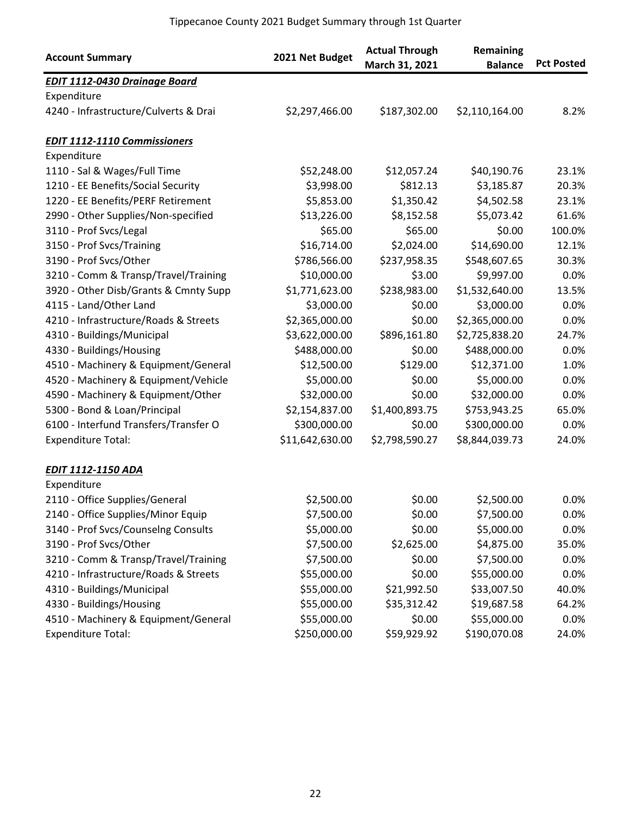| <b>Account Summary</b>                | 2021 Net Budget | <b>Actual Through</b><br>March 31, 2021 | Remaining<br><b>Balance</b> | <b>Pct Posted</b> |
|---------------------------------------|-----------------|-----------------------------------------|-----------------------------|-------------------|
| <b>EDIT 1112-0430 Drainage Board</b>  |                 |                                         |                             |                   |
| Expenditure                           |                 |                                         |                             |                   |
| 4240 - Infrastructure/Culverts & Drai | \$2,297,466.00  | \$187,302.00                            | \$2,110,164.00              | 8.2%              |
| <b>EDIT 1112-1110 Commissioners</b>   |                 |                                         |                             |                   |
| Expenditure                           |                 |                                         |                             |                   |
| 1110 - Sal & Wages/Full Time          | \$52,248.00     | \$12,057.24                             | \$40,190.76                 | 23.1%             |
| 1210 - EE Benefits/Social Security    | \$3,998.00      | \$812.13                                | \$3,185.87                  | 20.3%             |
| 1220 - EE Benefits/PERF Retirement    | \$5,853.00      | \$1,350.42                              | \$4,502.58                  | 23.1%             |
| 2990 - Other Supplies/Non-specified   | \$13,226.00     | \$8,152.58                              | \$5,073.42                  | 61.6%             |
| 3110 - Prof Svcs/Legal                | \$65.00         | \$65.00                                 | \$0.00                      | 100.0%            |
| 3150 - Prof Svcs/Training             | \$16,714.00     | \$2,024.00                              | \$14,690.00                 | 12.1%             |
| 3190 - Prof Svcs/Other                | \$786,566.00    | \$237,958.35                            | \$548,607.65                | 30.3%             |
| 3210 - Comm & Transp/Travel/Training  | \$10,000.00     | \$3.00                                  | \$9,997.00                  | 0.0%              |
| 3920 - Other Disb/Grants & Cmnty Supp | \$1,771,623.00  | \$238,983.00                            | \$1,532,640.00              | 13.5%             |
| 4115 - Land/Other Land                | \$3,000.00      | \$0.00                                  | \$3,000.00                  | 0.0%              |
| 4210 - Infrastructure/Roads & Streets | \$2,365,000.00  | \$0.00                                  | \$2,365,000.00              | 0.0%              |
| 4310 - Buildings/Municipal            | \$3,622,000.00  | \$896,161.80                            | \$2,725,838.20              | 24.7%             |
| 4330 - Buildings/Housing              | \$488,000.00    | \$0.00                                  | \$488,000.00                | 0.0%              |
| 4510 - Machinery & Equipment/General  | \$12,500.00     | \$129.00                                | \$12,371.00                 | 1.0%              |
| 4520 - Machinery & Equipment/Vehicle  | \$5,000.00      | \$0.00                                  | \$5,000.00                  | 0.0%              |
| 4590 - Machinery & Equipment/Other    | \$32,000.00     | \$0.00                                  | \$32,000.00                 | 0.0%              |
| 5300 - Bond & Loan/Principal          | \$2,154,837.00  | \$1,400,893.75                          | \$753,943.25                | 65.0%             |
| 6100 - Interfund Transfers/Transfer O | \$300,000.00    | \$0.00                                  | \$300,000.00                | 0.0%              |
| <b>Expenditure Total:</b>             | \$11,642,630.00 | \$2,798,590.27                          | \$8,844,039.73              | 24.0%             |
| <b>EDIT 1112-1150 ADA</b>             |                 |                                         |                             |                   |
| Expenditure                           |                 |                                         |                             |                   |
| 2110 - Office Supplies/General        | \$2,500.00      | \$0.00                                  | \$2,500.00                  | $0.0\%$           |
| 2140 - Office Supplies/Minor Equip    | \$7,500.00      | \$0.00                                  | \$7,500.00                  | $0.0\%$           |
| 3140 - Prof Svcs/Counselng Consults   | \$5,000.00      | \$0.00                                  | \$5,000.00                  | 0.0%              |
| 3190 - Prof Svcs/Other                | \$7,500.00      | \$2,625.00                              | \$4,875.00                  | 35.0%             |
| 3210 - Comm & Transp/Travel/Training  | \$7,500.00      | \$0.00                                  | \$7,500.00                  | 0.0%              |
| 4210 - Infrastructure/Roads & Streets | \$55,000.00     | \$0.00                                  | \$55,000.00                 | 0.0%              |
| 4310 - Buildings/Municipal            | \$55,000.00     | \$21,992.50                             | \$33,007.50                 | 40.0%             |
| 4330 - Buildings/Housing              | \$55,000.00     | \$35,312.42                             | \$19,687.58                 | 64.2%             |
| 4510 - Machinery & Equipment/General  | \$55,000.00     | \$0.00                                  | \$55,000.00                 | 0.0%              |
| <b>Expenditure Total:</b>             | \$250,000.00    | \$59,929.92                             | \$190,070.08                | 24.0%             |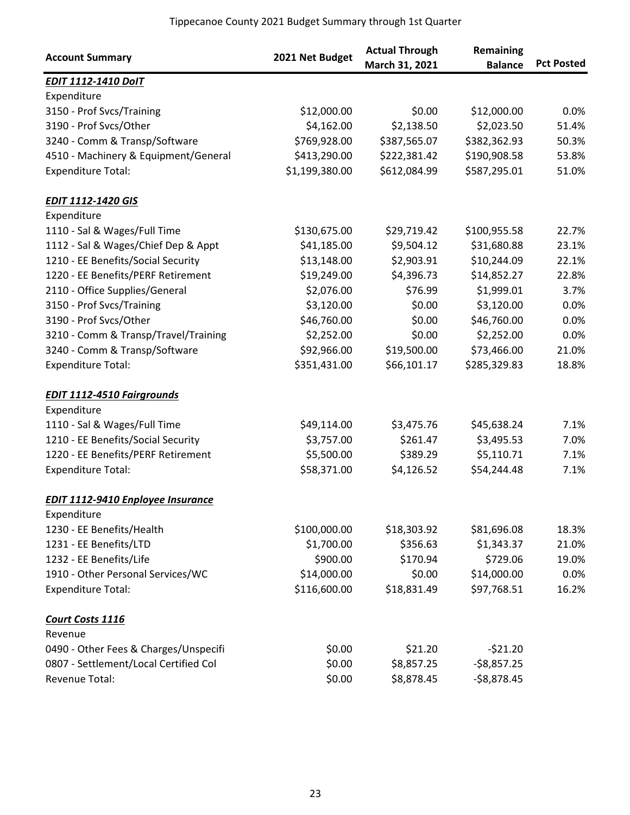| <b>Account Summary</b>                   | 2021 Net Budget | <b>Actual Through</b><br>March 31, 2021 | Remaining<br><b>Balance</b> | <b>Pct Posted</b> |
|------------------------------------------|-----------------|-----------------------------------------|-----------------------------|-------------------|
| <b>EDIT 1112-1410 DoIT</b>               |                 |                                         |                             |                   |
| Expenditure                              |                 |                                         |                             |                   |
| 3150 - Prof Svcs/Training                | \$12,000.00     | \$0.00                                  | \$12,000.00                 | 0.0%              |
| 3190 - Prof Svcs/Other                   | \$4,162.00      | \$2,138.50                              | \$2,023.50                  | 51.4%             |
| 3240 - Comm & Transp/Software            | \$769,928.00    | \$387,565.07                            | \$382,362.93                | 50.3%             |
| 4510 - Machinery & Equipment/General     | \$413,290.00    | \$222,381.42                            | \$190,908.58                | 53.8%             |
| <b>Expenditure Total:</b>                | \$1,199,380.00  | \$612,084.99                            | \$587,295.01                | 51.0%             |
| <b>EDIT 1112-1420 GIS</b>                |                 |                                         |                             |                   |
| Expenditure                              |                 |                                         |                             |                   |
| 1110 - Sal & Wages/Full Time             | \$130,675.00    | \$29,719.42                             | \$100,955.58                | 22.7%             |
| 1112 - Sal & Wages/Chief Dep & Appt      | \$41,185.00     | \$9,504.12                              | \$31,680.88                 | 23.1%             |
| 1210 - EE Benefits/Social Security       | \$13,148.00     | \$2,903.91                              | \$10,244.09                 | 22.1%             |
| 1220 - EE Benefits/PERF Retirement       | \$19,249.00     | \$4,396.73                              | \$14,852.27                 | 22.8%             |
| 2110 - Office Supplies/General           | \$2,076.00      | \$76.99                                 | \$1,999.01                  | 3.7%              |
| 3150 - Prof Svcs/Training                | \$3,120.00      | \$0.00                                  | \$3,120.00                  | 0.0%              |
| 3190 - Prof Svcs/Other                   | \$46,760.00     | \$0.00                                  | \$46,760.00                 | 0.0%              |
| 3210 - Comm & Transp/Travel/Training     | \$2,252.00      | \$0.00                                  | \$2,252.00                  | 0.0%              |
| 3240 - Comm & Transp/Software            | \$92,966.00     | \$19,500.00                             | \$73,466.00                 | 21.0%             |
| <b>Expenditure Total:</b>                | \$351,431.00    | \$66,101.17                             | \$285,329.83                | 18.8%             |
| <b>EDIT 1112-4510 Fairgrounds</b>        |                 |                                         |                             |                   |
| Expenditure                              |                 |                                         |                             |                   |
| 1110 - Sal & Wages/Full Time             | \$49,114.00     | \$3,475.76                              | \$45,638.24                 | 7.1%              |
| 1210 - EE Benefits/Social Security       | \$3,757.00      | \$261.47                                | \$3,495.53                  | 7.0%              |
| 1220 - EE Benefits/PERF Retirement       | \$5,500.00      | \$389.29                                | \$5,110.71                  | 7.1%              |
| <b>Expenditure Total:</b>                | \$58,371.00     | \$4,126.52                              | \$54,244.48                 | 7.1%              |
| <b>EDIT 1112-9410 Enployee Insurance</b> |                 |                                         |                             |                   |
| Expenditure                              |                 |                                         |                             |                   |
| 1230 - EE Benefits/Health                | \$100,000.00    | \$18,303.92                             | \$81,696.08                 | 18.3%             |
| 1231 - EE Benefits/LTD                   | \$1,700.00      | \$356.63                                | \$1,343.37                  | 21.0%             |
| 1232 - EE Benefits/Life                  | \$900.00        | \$170.94                                | \$729.06                    | 19.0%             |
| 1910 - Other Personal Services/WC        | \$14,000.00     | \$0.00                                  | \$14,000.00                 | 0.0%              |
| <b>Expenditure Total:</b>                | \$116,600.00    | \$18,831.49                             | \$97,768.51                 | 16.2%             |
| Court Costs 1116                         |                 |                                         |                             |                   |
| Revenue                                  |                 |                                         |                             |                   |
| 0490 - Other Fees & Charges/Unspecifi    | \$0.00          | \$21.20                                 | $-521.20$                   |                   |
| 0807 - Settlement/Local Certified Col    | \$0.00          | \$8,857.25                              | $-58,857.25$                |                   |
| Revenue Total:                           | \$0.00          | \$8,878.45                              | $-$8,878.45$                |                   |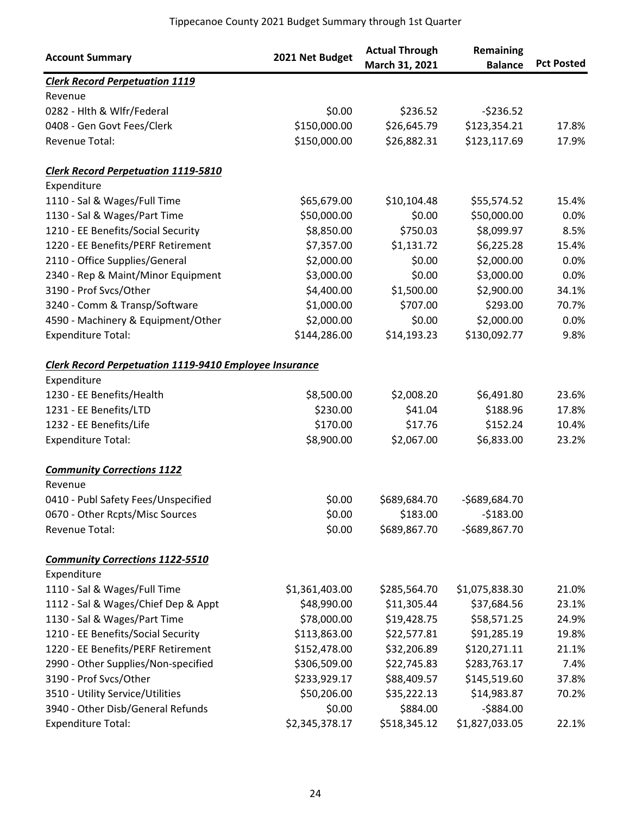| <b>Account Summary</b>                                        | 2021 Net Budget | <b>Actual Through</b><br>March 31, 2021 | Remaining<br><b>Balance</b> | <b>Pct Posted</b> |
|---------------------------------------------------------------|-----------------|-----------------------------------------|-----------------------------|-------------------|
| <b>Clerk Record Perpetuation 1119</b>                         |                 |                                         |                             |                   |
| Revenue                                                       |                 |                                         |                             |                   |
| 0282 - Hlth & Wlfr/Federal                                    | \$0.00          | \$236.52                                | $-5236.52$                  |                   |
| 0408 - Gen Govt Fees/Clerk                                    | \$150,000.00    | \$26,645.79                             | \$123,354.21                | 17.8%             |
| Revenue Total:                                                | \$150,000.00    | \$26,882.31                             | \$123,117.69                | 17.9%             |
| <b>Clerk Record Perpetuation 1119-5810</b>                    |                 |                                         |                             |                   |
| Expenditure                                                   |                 |                                         |                             |                   |
| 1110 - Sal & Wages/Full Time                                  | \$65,679.00     | \$10,104.48                             | \$55,574.52                 | 15.4%             |
| 1130 - Sal & Wages/Part Time                                  | \$50,000.00     | \$0.00                                  | \$50,000.00                 | 0.0%              |
| 1210 - EE Benefits/Social Security                            | \$8,850.00      | \$750.03                                | \$8,099.97                  | 8.5%              |
| 1220 - EE Benefits/PERF Retirement                            | \$7,357.00      | \$1,131.72                              | \$6,225.28                  | 15.4%             |
| 2110 - Office Supplies/General                                | \$2,000.00      | \$0.00                                  | \$2,000.00                  | 0.0%              |
| 2340 - Rep & Maint/Minor Equipment                            | \$3,000.00      | \$0.00                                  | \$3,000.00                  | 0.0%              |
| 3190 - Prof Svcs/Other                                        | \$4,400.00      | \$1,500.00                              | \$2,900.00                  | 34.1%             |
| 3240 - Comm & Transp/Software                                 | \$1,000.00      | \$707.00                                | \$293.00                    | 70.7%             |
| 4590 - Machinery & Equipment/Other                            | \$2,000.00      | \$0.00                                  | \$2,000.00                  | 0.0%              |
| <b>Expenditure Total:</b>                                     | \$144,286.00    | \$14,193.23                             | \$130,092.77                | 9.8%              |
| <b>Clerk Record Perpetuation 1119-9410 Employee Insurance</b> |                 |                                         |                             |                   |
| Expenditure                                                   |                 |                                         |                             |                   |
| 1230 - EE Benefits/Health                                     | \$8,500.00      | \$2,008.20                              | \$6,491.80                  | 23.6%             |
| 1231 - EE Benefits/LTD                                        | \$230.00        | \$41.04                                 | \$188.96                    | 17.8%             |
| 1232 - EE Benefits/Life                                       | \$170.00        | \$17.76                                 | \$152.24                    | 10.4%             |
| <b>Expenditure Total:</b>                                     | \$8,900.00      | \$2,067.00                              | \$6,833.00                  | 23.2%             |
| <b>Community Corrections 1122</b>                             |                 |                                         |                             |                   |
| Revenue                                                       |                 |                                         |                             |                   |
| 0410 - Publ Safety Fees/Unspecified                           | \$0.00          | \$689,684.70                            | -\$689,684.70               |                   |
| 0670 - Other Rcpts/Misc Sources                               | \$0.00          | \$183.00                                | $-5183.00$                  |                   |
| Revenue Total:                                                | \$0.00          | \$689,867.70                            | -\$689,867.70               |                   |
| <b>Community Corrections 1122-5510</b>                        |                 |                                         |                             |                   |
| Expenditure                                                   |                 |                                         |                             |                   |
| 1110 - Sal & Wages/Full Time                                  | \$1,361,403.00  | \$285,564.70                            | \$1,075,838.30              | 21.0%             |
| 1112 - Sal & Wages/Chief Dep & Appt                           | \$48,990.00     | \$11,305.44                             | \$37,684.56                 | 23.1%             |
| 1130 - Sal & Wages/Part Time                                  | \$78,000.00     | \$19,428.75                             | \$58,571.25                 | 24.9%             |
| 1210 - EE Benefits/Social Security                            | \$113,863.00    | \$22,577.81                             | \$91,285.19                 | 19.8%             |
| 1220 - EE Benefits/PERF Retirement                            | \$152,478.00    | \$32,206.89                             | \$120,271.11                | 21.1%             |
| 2990 - Other Supplies/Non-specified                           | \$306,509.00    | \$22,745.83                             | \$283,763.17                | 7.4%              |
| 3190 - Prof Svcs/Other                                        | \$233,929.17    | \$88,409.57                             | \$145,519.60                | 37.8%             |
| 3510 - Utility Service/Utilities                              | \$50,206.00     | \$35,222.13                             | \$14,983.87                 | 70.2%             |
| 3940 - Other Disb/General Refunds                             | \$0.00          | \$884.00                                | $-5884.00$                  |                   |
| <b>Expenditure Total:</b>                                     | \$2,345,378.17  | \$518,345.12                            | \$1,827,033.05              | 22.1%             |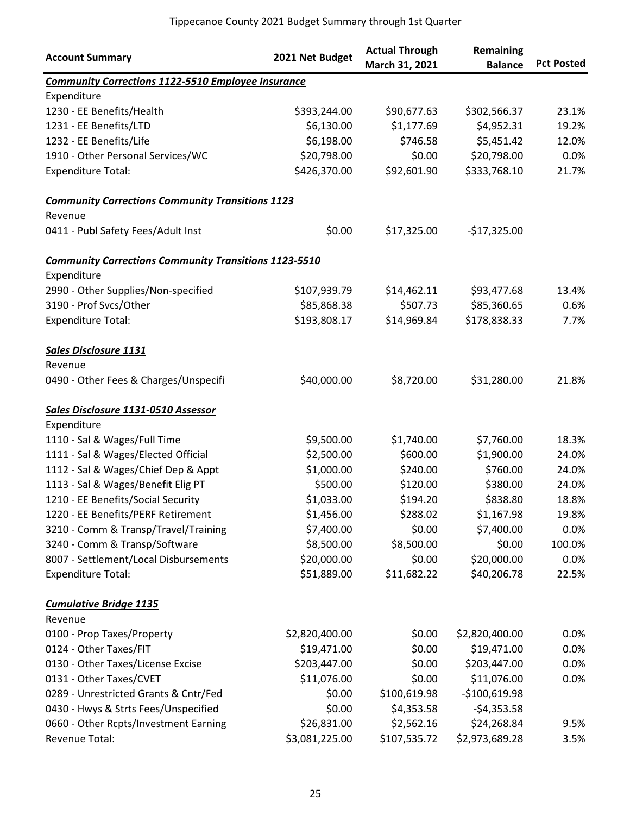| <b>Account Summary</b>                                       | 2021 Net Budget | <b>Actual Through</b><br>March 31, 2021 | Remaining<br><b>Balance</b> | <b>Pct Posted</b> |
|--------------------------------------------------------------|-----------------|-----------------------------------------|-----------------------------|-------------------|
| <b>Community Corrections 1122-5510 Employee Insurance</b>    |                 |                                         |                             |                   |
| Expenditure                                                  |                 |                                         |                             |                   |
| 1230 - EE Benefits/Health                                    | \$393,244.00    | \$90,677.63                             | \$302,566.37                | 23.1%             |
| 1231 - EE Benefits/LTD                                       | \$6,130.00      | \$1,177.69                              | \$4,952.31                  | 19.2%             |
| 1232 - EE Benefits/Life                                      | \$6,198.00      | \$746.58                                | \$5,451.42                  | 12.0%             |
| 1910 - Other Personal Services/WC                            | \$20,798.00     | \$0.00                                  | \$20,798.00                 | 0.0%              |
| <b>Expenditure Total:</b>                                    | \$426,370.00    | \$92,601.90                             | \$333,768.10                | 21.7%             |
| <b>Community Corrections Community Transitions 1123</b>      |                 |                                         |                             |                   |
| Revenue                                                      |                 |                                         |                             |                   |
| 0411 - Publ Safety Fees/Adult Inst                           | \$0.00          | \$17,325.00                             | $-$17,325.00$               |                   |
| <b>Community Corrections Community Transitions 1123-5510</b> |                 |                                         |                             |                   |
| Expenditure                                                  |                 |                                         |                             |                   |
| 2990 - Other Supplies/Non-specified                          | \$107,939.79    | \$14,462.11                             | \$93,477.68                 | 13.4%             |
| 3190 - Prof Svcs/Other                                       | \$85,868.38     | \$507.73                                | \$85,360.65                 | 0.6%              |
| <b>Expenditure Total:</b>                                    | \$193,808.17    | \$14,969.84                             | \$178,838.33                | 7.7%              |
| <b>Sales Disclosure 1131</b>                                 |                 |                                         |                             |                   |
| Revenue                                                      |                 |                                         |                             |                   |
| 0490 - Other Fees & Charges/Unspecifi                        | \$40,000.00     | \$8,720.00                              | \$31,280.00                 | 21.8%             |
| Sales Disclosure 1131-0510 Assessor                          |                 |                                         |                             |                   |
| Expenditure                                                  |                 |                                         |                             |                   |
| 1110 - Sal & Wages/Full Time                                 | \$9,500.00      | \$1,740.00                              | \$7,760.00                  | 18.3%             |
| 1111 - Sal & Wages/Elected Official                          | \$2,500.00      | \$600.00                                | \$1,900.00                  | 24.0%             |
| 1112 - Sal & Wages/Chief Dep & Appt                          | \$1,000.00      | \$240.00                                | \$760.00                    | 24.0%             |
| 1113 - Sal & Wages/Benefit Elig PT                           | \$500.00        | \$120.00                                | \$380.00                    | 24.0%             |
| 1210 - EE Benefits/Social Security                           | \$1,033.00      | \$194.20                                | \$838.80                    | 18.8%             |
| 1220 - EE Benefits/PERF Retirement                           | \$1,456.00      | \$288.02                                | \$1,167.98                  | 19.8%             |
| 3210 - Comm & Transp/Travel/Training                         | \$7,400.00      | \$0.00                                  | \$7,400.00                  | 0.0%              |
| 3240 - Comm & Transp/Software                                | \$8,500.00      | \$8,500.00                              | \$0.00                      | 100.0%            |
| 8007 - Settlement/Local Disbursements                        | \$20,000.00     | \$0.00                                  | \$20,000.00                 | 0.0%              |
| <b>Expenditure Total:</b>                                    | \$51,889.00     | \$11,682.22                             | \$40,206.78                 | 22.5%             |
| <b>Cumulative Bridge 1135</b>                                |                 |                                         |                             |                   |
| Revenue                                                      |                 |                                         |                             |                   |
| 0100 - Prop Taxes/Property                                   | \$2,820,400.00  | \$0.00                                  | \$2,820,400.00              | 0.0%              |
| 0124 - Other Taxes/FIT                                       | \$19,471.00     | \$0.00                                  | \$19,471.00                 | 0.0%              |
| 0130 - Other Taxes/License Excise                            | \$203,447.00    | \$0.00                                  | \$203,447.00                | 0.0%              |
| 0131 - Other Taxes/CVET                                      | \$11,076.00     | \$0.00                                  | \$11,076.00                 | 0.0%              |
| 0289 - Unrestricted Grants & Cntr/Fed                        | \$0.00          | \$100,619.98                            | $-$100,619.98$              |                   |
| 0430 - Hwys & Strts Fees/Unspecified                         | \$0.00          | \$4,353.58                              | $-54,353.58$                |                   |
| 0660 - Other Rcpts/Investment Earning                        | \$26,831.00     | \$2,562.16                              | \$24,268.84                 | 9.5%              |
| Revenue Total:                                               | \$3,081,225.00  | \$107,535.72                            | \$2,973,689.28              | 3.5%              |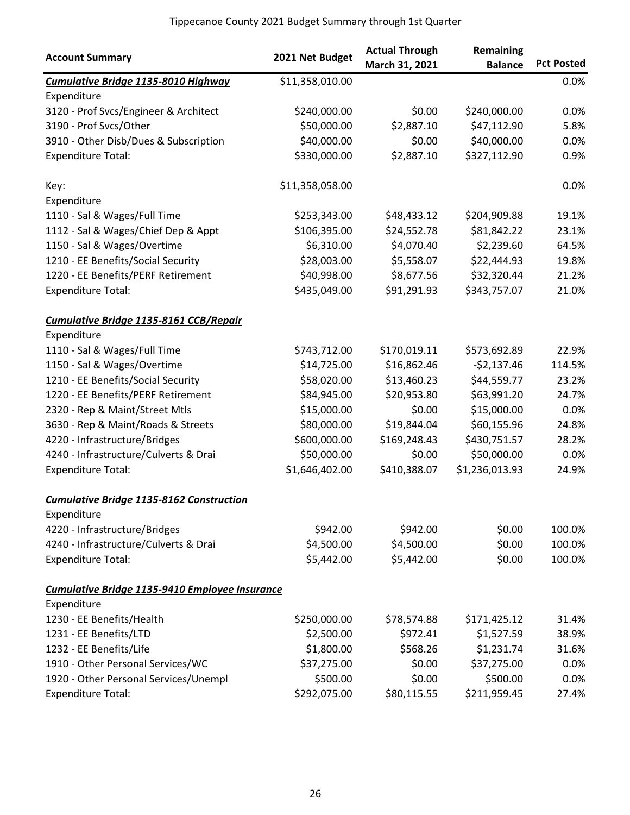|                                                 | 2021 Net Budget | <b>Actual Through</b> | Remaining      |                   |
|-------------------------------------------------|-----------------|-----------------------|----------------|-------------------|
| <b>Account Summary</b>                          |                 | March 31, 2021        | <b>Balance</b> | <b>Pct Posted</b> |
| Cumulative Bridge 1135-8010 Highway             | \$11,358,010.00 |                       |                | 0.0%              |
| Expenditure                                     |                 |                       |                |                   |
| 3120 - Prof Svcs/Engineer & Architect           | \$240,000.00    | \$0.00                | \$240,000.00   | 0.0%              |
| 3190 - Prof Svcs/Other                          | \$50,000.00     | \$2,887.10            | \$47,112.90    | 5.8%              |
| 3910 - Other Disb/Dues & Subscription           | \$40,000.00     | \$0.00                | \$40,000.00    | 0.0%              |
| <b>Expenditure Total:</b>                       | \$330,000.00    | \$2,887.10            | \$327,112.90   | 0.9%              |
| Key:                                            | \$11,358,058.00 |                       |                | 0.0%              |
| Expenditure                                     |                 |                       |                |                   |
| 1110 - Sal & Wages/Full Time                    | \$253,343.00    | \$48,433.12           | \$204,909.88   | 19.1%             |
| 1112 - Sal & Wages/Chief Dep & Appt             | \$106,395.00    | \$24,552.78           | \$81,842.22    | 23.1%             |
| 1150 - Sal & Wages/Overtime                     | \$6,310.00      | \$4,070.40            | \$2,239.60     | 64.5%             |
| 1210 - EE Benefits/Social Security              | \$28,003.00     | \$5,558.07            | \$22,444.93    | 19.8%             |
| 1220 - EE Benefits/PERF Retirement              | \$40,998.00     | \$8,677.56            | \$32,320.44    | 21.2%             |
| <b>Expenditure Total:</b>                       | \$435,049.00    | \$91,291.93           | \$343,757.07   | 21.0%             |
| Cumulative Bridge 1135-8161 CCB/Repair          |                 |                       |                |                   |
| Expenditure                                     |                 |                       |                |                   |
| 1110 - Sal & Wages/Full Time                    | \$743,712.00    | \$170,019.11          | \$573,692.89   | 22.9%             |
| 1150 - Sal & Wages/Overtime                     | \$14,725.00     | \$16,862.46           | $-52,137.46$   | 114.5%            |
| 1210 - EE Benefits/Social Security              | \$58,020.00     | \$13,460.23           | \$44,559.77    | 23.2%             |
| 1220 - EE Benefits/PERF Retirement              | \$84,945.00     | \$20,953.80           | \$63,991.20    | 24.7%             |
| 2320 - Rep & Maint/Street Mtls                  | \$15,000.00     | \$0.00                | \$15,000.00    | 0.0%              |
| 3630 - Rep & Maint/Roads & Streets              | \$80,000.00     | \$19,844.04           | \$60,155.96    | 24.8%             |
| 4220 - Infrastructure/Bridges                   | \$600,000.00    | \$169,248.43          | \$430,751.57   | 28.2%             |
| 4240 - Infrastructure/Culverts & Drai           | \$50,000.00     | \$0.00                | \$50,000.00    | 0.0%              |
| <b>Expenditure Total:</b>                       | \$1,646,402.00  | \$410,388.07          | \$1,236,013.93 | 24.9%             |
| <b>Cumulative Bridge 1135-8162 Construction</b> |                 |                       |                |                   |
| Expenditure                                     |                 |                       |                |                   |
| 4220 - Infrastructure/Bridges                   | \$942.00        | \$942.00              | \$0.00         | 100.0%            |
| 4240 - Infrastructure/Culverts & Drai           | \$4,500.00      | \$4,500.00            | \$0.00         | 100.0%            |
| <b>Expenditure Total:</b>                       | \$5,442.00      | \$5,442.00            | \$0.00         | 100.0%            |
| Cumulative Bridge 1135-9410 Employee Insurance  |                 |                       |                |                   |
| Expenditure                                     |                 |                       |                |                   |
| 1230 - EE Benefits/Health                       | \$250,000.00    | \$78,574.88           | \$171,425.12   | 31.4%             |
| 1231 - EE Benefits/LTD                          | \$2,500.00      | \$972.41              | \$1,527.59     | 38.9%             |
| 1232 - EE Benefits/Life                         | \$1,800.00      | \$568.26              | \$1,231.74     | 31.6%             |
| 1910 - Other Personal Services/WC               | \$37,275.00     | \$0.00                | \$37,275.00    | 0.0%              |
| 1920 - Other Personal Services/Unempl           | \$500.00        | \$0.00                | \$500.00       | 0.0%              |
| <b>Expenditure Total:</b>                       | \$292,075.00    | \$80,115.55           | \$211,959.45   | 27.4%             |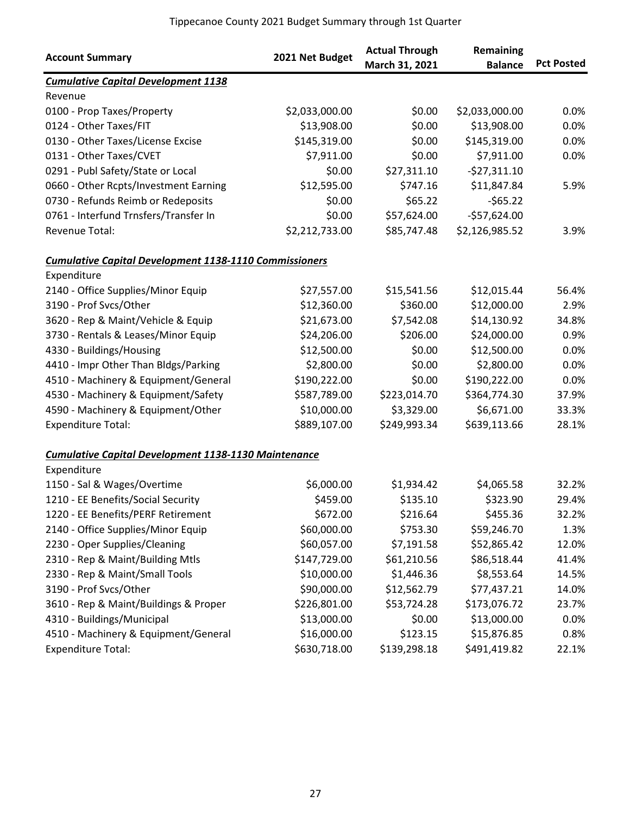| <b>Account Summary</b>                                        | 2021 Net Budget | <b>Actual Through</b><br>March 31, 2021 | Remaining<br><b>Balance</b> | <b>Pct Posted</b> |
|---------------------------------------------------------------|-----------------|-----------------------------------------|-----------------------------|-------------------|
| <b>Cumulative Capital Development 1138</b>                    |                 |                                         |                             |                   |
| Revenue                                                       |                 |                                         |                             |                   |
| 0100 - Prop Taxes/Property                                    | \$2,033,000.00  | \$0.00                                  | \$2,033,000.00              | 0.0%              |
| 0124 - Other Taxes/FIT                                        | \$13,908.00     | \$0.00                                  | \$13,908.00                 | 0.0%              |
| 0130 - Other Taxes/License Excise                             | \$145,319.00    | \$0.00                                  | \$145,319.00                | 0.0%              |
| 0131 - Other Taxes/CVET                                       | \$7,911.00      | \$0.00                                  | \$7,911.00                  | 0.0%              |
| 0291 - Publ Safety/State or Local                             | \$0.00          | \$27,311.10                             | $-$27,311.10$               |                   |
| 0660 - Other Rcpts/Investment Earning                         | \$12,595.00     | \$747.16                                | \$11,847.84                 | 5.9%              |
| 0730 - Refunds Reimb or Redeposits                            | \$0.00          | \$65.22                                 | $-565.22$                   |                   |
| 0761 - Interfund Trnsfers/Transfer In                         | \$0.00          | \$57,624.00                             | $-$57,624.00$               |                   |
| Revenue Total:                                                | \$2,212,733.00  | \$85,747.48                             | \$2,126,985.52              | 3.9%              |
| <b>Cumulative Capital Development 1138-1110 Commissioners</b> |                 |                                         |                             |                   |
| Expenditure                                                   |                 |                                         |                             |                   |
| 2140 - Office Supplies/Minor Equip                            | \$27,557.00     | \$15,541.56                             | \$12,015.44                 | 56.4%             |
| 3190 - Prof Svcs/Other                                        | \$12,360.00     | \$360.00                                | \$12,000.00                 | 2.9%              |
| 3620 - Rep & Maint/Vehicle & Equip                            | \$21,673.00     | \$7,542.08                              | \$14,130.92                 | 34.8%             |
| 3730 - Rentals & Leases/Minor Equip                           | \$24,206.00     | \$206.00                                | \$24,000.00                 | 0.9%              |
| 4330 - Buildings/Housing                                      | \$12,500.00     | \$0.00                                  | \$12,500.00                 | 0.0%              |
| 4410 - Impr Other Than Bldgs/Parking                          | \$2,800.00      | \$0.00                                  | \$2,800.00                  | 0.0%              |
| 4510 - Machinery & Equipment/General                          | \$190,222.00    | \$0.00                                  | \$190,222.00                | 0.0%              |
| 4530 - Machinery & Equipment/Safety                           | \$587,789.00    | \$223,014.70                            | \$364,774.30                | 37.9%             |
| 4590 - Machinery & Equipment/Other                            | \$10,000.00     | \$3,329.00                              | \$6,671.00                  | 33.3%             |
| <b>Expenditure Total:</b>                                     | \$889,107.00    | \$249,993.34                            | \$639,113.66                | 28.1%             |
| <b>Cumulative Capital Development 1138-1130 Maintenance</b>   |                 |                                         |                             |                   |
| Expenditure                                                   |                 |                                         |                             |                   |
| 1150 - Sal & Wages/Overtime                                   | \$6,000.00      | \$1,934.42                              | \$4,065.58                  | 32.2%             |
| 1210 - EE Benefits/Social Security                            | \$459.00        | \$135.10                                | \$323.90                    | 29.4%             |
| 1220 - EE Benefits/PERF Retirement                            | \$672.00        | \$216.64                                | \$455.36                    | 32.2%             |
| 2140 - Office Supplies/Minor Equip                            | \$60,000.00     | \$753.30                                | \$59,246.70                 | 1.3%              |
| 2230 - Oper Supplies/Cleaning                                 | \$60,057.00     | \$7,191.58                              | \$52,865.42                 | 12.0%             |
| 2310 - Rep & Maint/Building Mtls                              | \$147,729.00    | \$61,210.56                             | \$86,518.44                 | 41.4%             |
| 2330 - Rep & Maint/Small Tools                                | \$10,000.00     | \$1,446.36                              | \$8,553.64                  | 14.5%             |
| 3190 - Prof Svcs/Other                                        | \$90,000.00     | \$12,562.79                             | \$77,437.21                 | 14.0%             |
| 3610 - Rep & Maint/Buildings & Proper                         | \$226,801.00    | \$53,724.28                             | \$173,076.72                | 23.7%             |
| 4310 - Buildings/Municipal                                    | \$13,000.00     | \$0.00                                  | \$13,000.00                 | 0.0%              |
| 4510 - Machinery & Equipment/General                          | \$16,000.00     | \$123.15                                | \$15,876.85                 | 0.8%              |
| <b>Expenditure Total:</b>                                     | \$630,718.00    | \$139,298.18                            | \$491,419.82                | 22.1%             |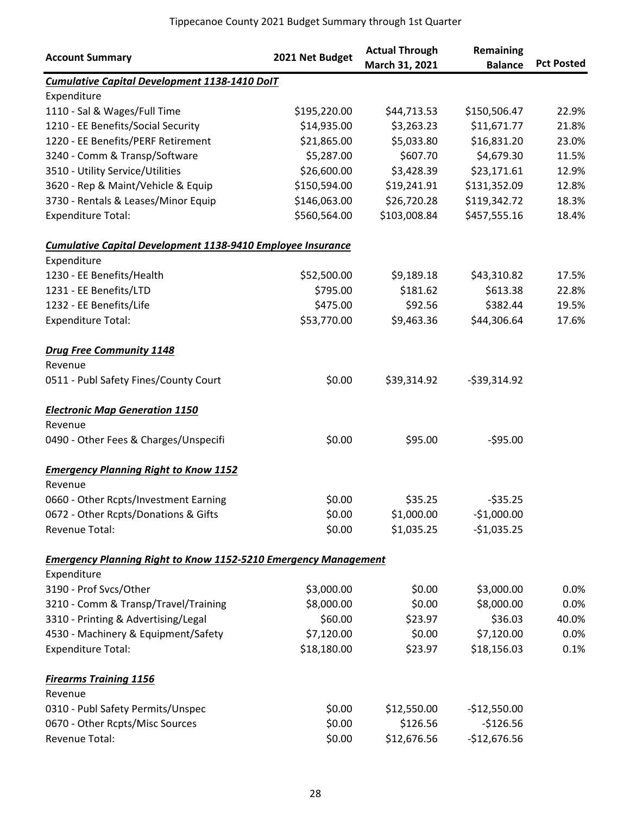|                                                                        |                 | <b>Actual Through</b> | Remaining      |                   |
|------------------------------------------------------------------------|-----------------|-----------------------|----------------|-------------------|
| <b>Account Summary</b>                                                 | 2021 Net Budget | March 31, 2021        | <b>Balance</b> | <b>Pct Posted</b> |
| <b>Cumulative Capital Development 1138-1410 DoIT</b>                   |                 |                       |                |                   |
| Expenditure                                                            |                 |                       |                |                   |
| 1110 - Sal & Wages/Full Time                                           | \$195,220.00    | \$44,713.53           | \$150,506.47   | 22.9%             |
| 1210 - EE Benefits/Social Security                                     | \$14,935.00     | \$3,263.23            | \$11,671.77    | 21.8%             |
| 1220 - EE Benefits/PERF Retirement                                     | \$21,865.00     | \$5,033.80            | \$16,831.20    | 23.0%             |
| 3240 - Comm & Transp/Software                                          | \$5,287.00      | \$607.70              | \$4,679.30     | 11.5%             |
| 3510 - Utility Service/Utilities                                       | \$26,600.00     | \$3,428.39            | \$23,171.61    | 12.9%             |
| 3620 - Rep & Maint/Vehicle & Equip                                     | \$150,594.00    | \$19,241.91           | \$131,352.09   | 12.8%             |
| 3730 - Rentals & Leases/Minor Equip                                    | \$146,063.00    | \$26,720.28           | \$119,342.72   | 18.3%             |
| <b>Expenditure Total:</b>                                              | \$560,564.00    | \$103,008.84          | \$457,555.16   | 18.4%             |
| <b>Cumulative Capital Development 1138-9410 Employee Insurance</b>     |                 |                       |                |                   |
| Expenditure                                                            |                 |                       |                |                   |
| 1230 - EE Benefits/Health                                              | \$52,500.00     | \$9,189.18            | \$43,310.82    | 17.5%             |
| 1231 - EE Benefits/LTD                                                 | \$795.00        | \$181.62              | \$613.38       | 22.8%             |
| 1232 - EE Benefits/Life                                                | \$475.00        | \$92.56               | \$382.44       | 19.5%             |
| <b>Expenditure Total:</b>                                              | \$53,770.00     | \$9,463.36            | \$44,306.64    | 17.6%             |
| <b>Drug Free Community 1148</b>                                        |                 |                       |                |                   |
| Revenue                                                                |                 |                       |                |                   |
| 0511 - Publ Safety Fines/County Court                                  | \$0.00          | \$39,314.92           | $-539,314.92$  |                   |
| <b>Electronic Map Generation 1150</b>                                  |                 |                       |                |                   |
| Revenue                                                                |                 |                       |                |                   |
| 0490 - Other Fees & Charges/Unspecifi                                  | \$0.00          | \$95.00               | $-595.00$      |                   |
| <b>Emergency Planning Right to Know 1152</b>                           |                 |                       |                |                   |
| Revenue                                                                |                 |                       |                |                   |
| 0660 - Other Rcpts/Investment Earning                                  | \$0.00          | \$35.25               | $-535.25$      |                   |
| 0672 - Other Rcpts/Donations & Gifts                                   | \$0.00          | \$1,000.00            | $-$1,000.00$   |                   |
| Revenue Total:                                                         | \$0.00          | \$1,035.25            | $-$1,035.25$   |                   |
| <b>Emergency Planning Right to Know 1152-5210 Emergency Management</b> |                 |                       |                |                   |
| Expenditure                                                            |                 |                       |                |                   |
| 3190 - Prof Svcs/Other                                                 | \$3,000.00      | \$0.00                | \$3,000.00     | 0.0%              |
| 3210 - Comm & Transp/Travel/Training                                   | \$8,000.00      | \$0.00                | \$8,000.00     | 0.0%              |
| 3310 - Printing & Advertising/Legal                                    | \$60.00         | \$23.97               | \$36.03        | 40.0%             |
| 4530 - Machinery & Equipment/Safety                                    | \$7,120.00      | \$0.00                | \$7,120.00     | 0.0%              |
| <b>Expenditure Total:</b>                                              | \$18,180.00     | \$23.97               | \$18,156.03    | 0.1%              |
| <b>Firearms Training 1156</b>                                          |                 |                       |                |                   |
| Revenue                                                                |                 |                       |                |                   |
| 0310 - Publ Safety Permits/Unspec                                      | \$0.00          | \$12,550.00           | $-$12,550.00$  |                   |
| 0670 - Other Rcpts/Misc Sources                                        | \$0.00          | \$126.56              | $-$126.56$     |                   |
| Revenue Total:                                                         | \$0.00          | \$12,676.56           | $-$12,676.56$  |                   |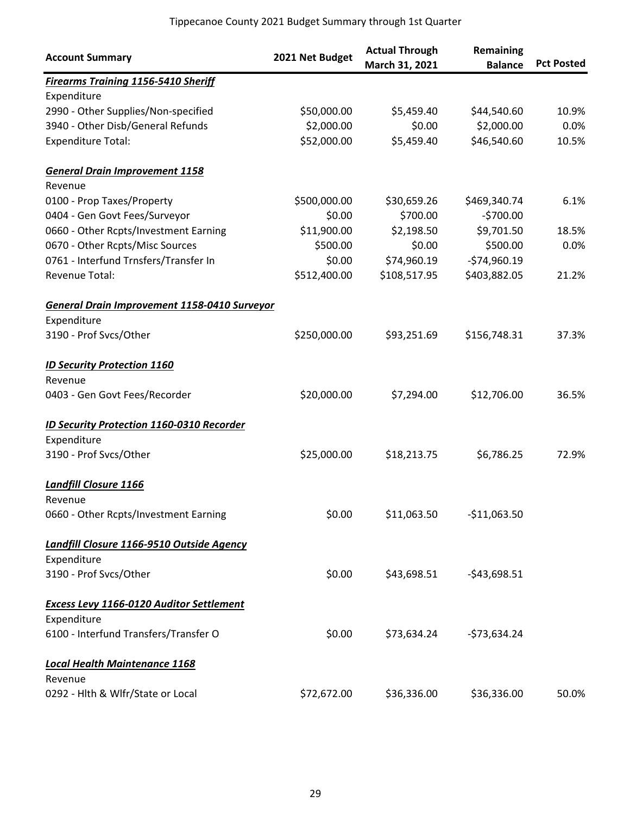| <b>Account Summary</b>                           | 2021 Net Budget | <b>Actual Through</b><br>March 31, 2021 | Remaining<br><b>Balance</b> | <b>Pct Posted</b> |
|--------------------------------------------------|-----------------|-----------------------------------------|-----------------------------|-------------------|
| <b>Firearms Training 1156-5410 Sheriff</b>       |                 |                                         |                             |                   |
| Expenditure                                      |                 |                                         |                             |                   |
| 2990 - Other Supplies/Non-specified              | \$50,000.00     | \$5,459.40                              | \$44,540.60                 | 10.9%             |
| 3940 - Other Disb/General Refunds                | \$2,000.00      | \$0.00                                  | \$2,000.00                  | 0.0%              |
| <b>Expenditure Total:</b>                        | \$52,000.00     | \$5,459.40                              | \$46,540.60                 | 10.5%             |
| <b>General Drain Improvement 1158</b>            |                 |                                         |                             |                   |
| Revenue                                          |                 |                                         |                             |                   |
| 0100 - Prop Taxes/Property                       | \$500,000.00    | \$30,659.26                             | \$469,340.74                | 6.1%              |
| 0404 - Gen Govt Fees/Surveyor                    | \$0.00          | \$700.00                                | $-5700.00$                  |                   |
| 0660 - Other Rcpts/Investment Earning            | \$11,900.00     | \$2,198.50                              | \$9,701.50                  | 18.5%             |
| 0670 - Other Rcpts/Misc Sources                  | \$500.00        | \$0.00                                  | \$500.00                    | 0.0%              |
| 0761 - Interfund Trnsfers/Transfer In            | \$0.00          | \$74,960.19                             | $-$74,960.19$               |                   |
| Revenue Total:                                   | \$512,400.00    | \$108,517.95                            | \$403,882.05                | 21.2%             |
| General Drain Improvement 1158-0410 Surveyor     |                 |                                         |                             |                   |
| Expenditure                                      |                 |                                         |                             |                   |
| 3190 - Prof Svcs/Other                           | \$250,000.00    | \$93,251.69                             | \$156,748.31                | 37.3%             |
| <b>ID Security Protection 1160</b>               |                 |                                         |                             |                   |
| Revenue                                          |                 |                                         |                             |                   |
| 0403 - Gen Govt Fees/Recorder                    | \$20,000.00     | \$7,294.00                              | \$12,706.00                 | 36.5%             |
| <b>ID Security Protection 1160-0310 Recorder</b> |                 |                                         |                             |                   |
| Expenditure                                      |                 |                                         |                             |                   |
| 3190 - Prof Svcs/Other                           | \$25,000.00     | \$18,213.75                             | \$6,786.25                  | 72.9%             |
| <b>Landfill Closure 1166</b>                     |                 |                                         |                             |                   |
| Revenue                                          |                 |                                         |                             |                   |
| 0660 - Other Rcpts/Investment Earning            | \$0.00          | \$11,063.50                             | $-$11,063.50$               |                   |
| Landfill Closure 1166-9510 Outside Agency        |                 |                                         |                             |                   |
| Expenditure                                      |                 |                                         |                             |                   |
| 3190 - Prof Svcs/Other                           | \$0.00          | \$43,698.51                             | $-$43,698.51$               |                   |
| <b>Excess Levy 1166-0120 Auditor Settlement</b>  |                 |                                         |                             |                   |
| Expenditure                                      |                 |                                         |                             |                   |
| 6100 - Interfund Transfers/Transfer O            | \$0.00          | \$73,634.24                             | $-573,634.24$               |                   |
| <b>Local Health Maintenance 1168</b>             |                 |                                         |                             |                   |
| Revenue                                          |                 |                                         |                             |                   |
| 0292 - Hlth & Wlfr/State or Local                | \$72,672.00     | \$36,336.00                             | \$36,336.00                 | 50.0%             |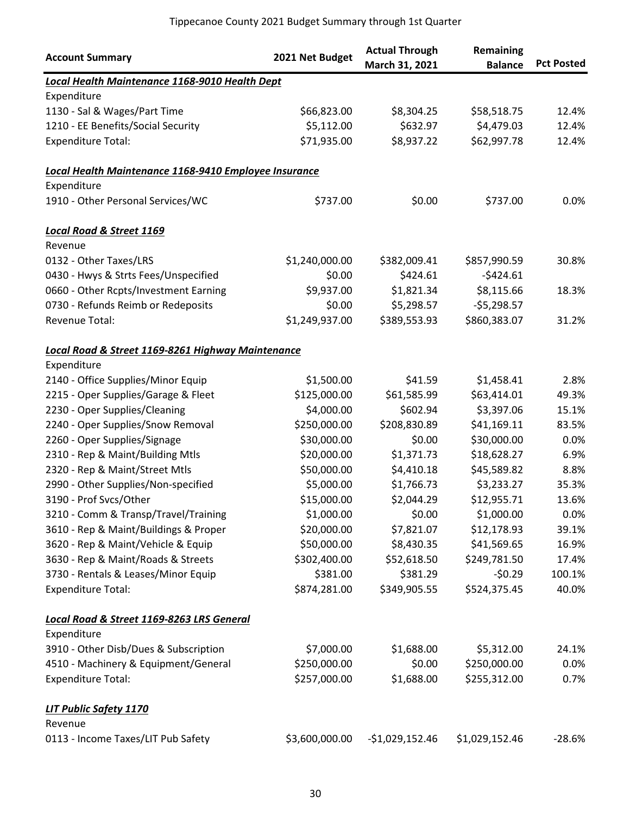|                                                       |                 | <b>Actual Through</b> | Remaining      |                   |
|-------------------------------------------------------|-----------------|-----------------------|----------------|-------------------|
| <b>Account Summary</b>                                | 2021 Net Budget | March 31, 2021        | <b>Balance</b> | <b>Pct Posted</b> |
| Local Health Maintenance 1168-9010 Health Dept        |                 |                       |                |                   |
| Expenditure                                           |                 |                       |                |                   |
| 1130 - Sal & Wages/Part Time                          | \$66,823.00     | \$8,304.25            | \$58,518.75    | 12.4%             |
| 1210 - EE Benefits/Social Security                    | \$5,112.00      | \$632.97              | \$4,479.03     | 12.4%             |
| <b>Expenditure Total:</b>                             | \$71,935.00     | \$8,937.22            | \$62,997.78    | 12.4%             |
| Local Health Maintenance 1168-9410 Employee Insurance |                 |                       |                |                   |
| Expenditure                                           |                 |                       |                |                   |
| 1910 - Other Personal Services/WC                     | \$737.00        | \$0.00                | \$737.00       | 0.0%              |
| <b>Local Road &amp; Street 1169</b>                   |                 |                       |                |                   |
| Revenue                                               |                 |                       |                |                   |
| 0132 - Other Taxes/LRS                                | \$1,240,000.00  | \$382,009.41          | \$857,990.59   | 30.8%             |
| 0430 - Hwys & Strts Fees/Unspecified                  | \$0.00          | \$424.61              | $-5424.61$     |                   |
| 0660 - Other Rcpts/Investment Earning                 | \$9,937.00      | \$1,821.34            | \$8,115.66     | 18.3%             |
| 0730 - Refunds Reimb or Redeposits                    | \$0.00          | \$5,298.57            | $-55,298.57$   |                   |
| Revenue Total:                                        | \$1,249,937.00  | \$389,553.93          | \$860,383.07   | 31.2%             |
| Local Road & Street 1169-8261 Highway Maintenance     |                 |                       |                |                   |
| Expenditure                                           |                 |                       |                |                   |
| 2140 - Office Supplies/Minor Equip                    | \$1,500.00      | \$41.59               | \$1,458.41     | 2.8%              |
| 2215 - Oper Supplies/Garage & Fleet                   | \$125,000.00    | \$61,585.99           | \$63,414.01    | 49.3%             |
| 2230 - Oper Supplies/Cleaning                         | \$4,000.00      | \$602.94              | \$3,397.06     | 15.1%             |
| 2240 - Oper Supplies/Snow Removal                     | \$250,000.00    | \$208,830.89          | \$41,169.11    | 83.5%             |
| 2260 - Oper Supplies/Signage                          | \$30,000.00     | \$0.00                | \$30,000.00    | 0.0%              |
| 2310 - Rep & Maint/Building Mtls                      | \$20,000.00     | \$1,371.73            | \$18,628.27    | 6.9%              |
| 2320 - Rep & Maint/Street Mtls                        | \$50,000.00     | \$4,410.18            | \$45,589.82    | 8.8%              |
| 2990 - Other Supplies/Non-specified                   | \$5,000.00      | \$1,766.73            | \$3,233.27     | 35.3%             |
| 3190 - Prof Svcs/Other                                | \$15,000.00     | \$2,044.29            | \$12,955.71    | 13.6%             |
| 3210 - Comm & Transp/Travel/Training                  | \$1,000.00      | \$0.00                | \$1,000.00     | 0.0%              |
| 3610 - Rep & Maint/Buildings & Proper                 | \$20,000.00     | \$7,821.07            | \$12,178.93    | 39.1%             |
| 3620 - Rep & Maint/Vehicle & Equip                    | \$50,000.00     | \$8,430.35            | \$41,569.65    | 16.9%             |
| 3630 - Rep & Maint/Roads & Streets                    | \$302,400.00    | \$52,618.50           | \$249,781.50   | 17.4%             |
| 3730 - Rentals & Leases/Minor Equip                   | \$381.00        | \$381.29              | $-50.29$       | 100.1%            |
| <b>Expenditure Total:</b>                             | \$874,281.00    | \$349,905.55          | \$524,375.45   | 40.0%             |
| Local Road & Street 1169-8263 LRS General             |                 |                       |                |                   |
| Expenditure                                           |                 |                       |                |                   |
| 3910 - Other Disb/Dues & Subscription                 | \$7,000.00      | \$1,688.00            | \$5,312.00     | 24.1%             |
| 4510 - Machinery & Equipment/General                  | \$250,000.00    | \$0.00                | \$250,000.00   | 0.0%              |
| <b>Expenditure Total:</b>                             | \$257,000.00    | \$1,688.00            | \$255,312.00   | 0.7%              |
| LIT Public Safety 1170                                |                 |                       |                |                   |
| Revenue                                               |                 |                       |                |                   |
| 0113 - Income Taxes/LIT Pub Safety                    | \$3,600,000.00  | $-$1,029,152.46$      | \$1,029,152.46 | $-28.6%$          |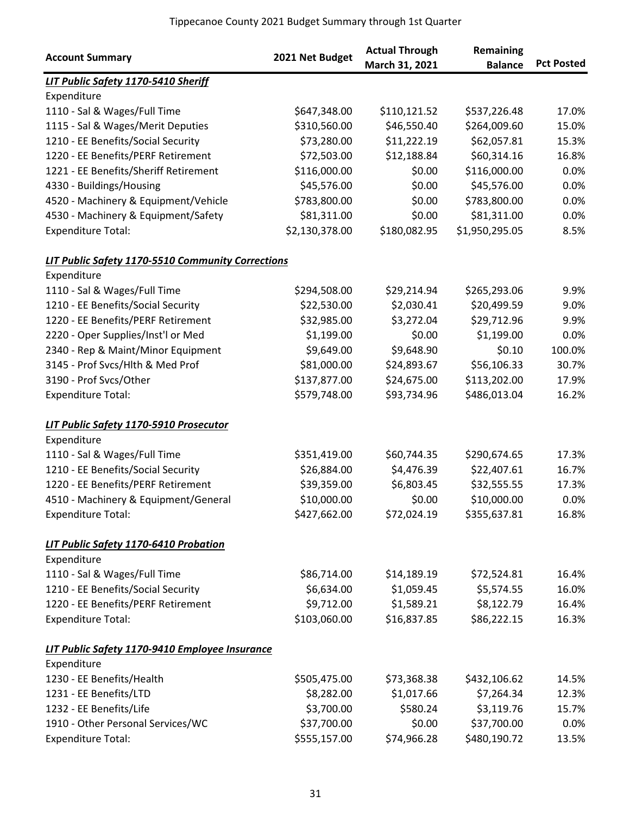| <b>Account Summary</b>                            | 2021 Net Budget | <b>Actual Through</b><br>March 31, 2021 | Remaining<br><b>Balance</b> | <b>Pct Posted</b> |
|---------------------------------------------------|-----------------|-----------------------------------------|-----------------------------|-------------------|
| LIT Public Safety 1170-5410 Sheriff               |                 |                                         |                             |                   |
| Expenditure                                       |                 |                                         |                             |                   |
| 1110 - Sal & Wages/Full Time                      | \$647,348.00    | \$110,121.52                            | \$537,226.48                | 17.0%             |
| 1115 - Sal & Wages/Merit Deputies                 | \$310,560.00    | \$46,550.40                             | \$264,009.60                | 15.0%             |
| 1210 - EE Benefits/Social Security                | \$73,280.00     | \$11,222.19                             | \$62,057.81                 | 15.3%             |
| 1220 - EE Benefits/PERF Retirement                | \$72,503.00     | \$12,188.84                             | \$60,314.16                 | 16.8%             |
| 1221 - EE Benefits/Sheriff Retirement             | \$116,000.00    | \$0.00                                  | \$116,000.00                | 0.0%              |
| 4330 - Buildings/Housing                          | \$45,576.00     | \$0.00                                  | \$45,576.00                 | 0.0%              |
| 4520 - Machinery & Equipment/Vehicle              | \$783,800.00    | \$0.00                                  | \$783,800.00                | 0.0%              |
| 4530 - Machinery & Equipment/Safety               | \$81,311.00     | \$0.00                                  | \$81,311.00                 | 0.0%              |
| <b>Expenditure Total:</b>                         | \$2,130,378.00  | \$180,082.95                            | \$1,950,295.05              | 8.5%              |
| LIT Public Safety 1170-5510 Community Corrections |                 |                                         |                             |                   |
| Expenditure                                       |                 |                                         |                             |                   |
| 1110 - Sal & Wages/Full Time                      | \$294,508.00    | \$29,214.94                             | \$265,293.06                | 9.9%              |
| 1210 - EE Benefits/Social Security                | \$22,530.00     | \$2,030.41                              | \$20,499.59                 | 9.0%              |
| 1220 - EE Benefits/PERF Retirement                | \$32,985.00     | \$3,272.04                              | \$29,712.96                 | 9.9%              |
| 2220 - Oper Supplies/Inst'l or Med                | \$1,199.00      | \$0.00                                  | \$1,199.00                  | 0.0%              |
| 2340 - Rep & Maint/Minor Equipment                | \$9,649.00      | \$9,648.90                              | \$0.10                      | 100.0%            |
| 3145 - Prof Svcs/Hlth & Med Prof                  | \$81,000.00     | \$24,893.67                             | \$56,106.33                 | 30.7%             |
| 3190 - Prof Svcs/Other                            | \$137,877.00    | \$24,675.00                             | \$113,202.00                | 17.9%             |
| <b>Expenditure Total:</b>                         | \$579,748.00    | \$93,734.96                             | \$486,013.04                | 16.2%             |
| LIT Public Safety 1170-5910 Prosecutor            |                 |                                         |                             |                   |
| Expenditure                                       |                 |                                         |                             |                   |
| 1110 - Sal & Wages/Full Time                      | \$351,419.00    | \$60,744.35                             | \$290,674.65                | 17.3%             |
| 1210 - EE Benefits/Social Security                | \$26,884.00     | \$4,476.39                              | \$22,407.61                 | 16.7%             |
| 1220 - EE Benefits/PERF Retirement                | \$39,359.00     | \$6,803.45                              | \$32,555.55                 | 17.3%             |
| 4510 - Machinery & Equipment/General              | \$10,000.00     | \$0.00                                  | \$10,000.00                 | 0.0%              |
| <b>Expenditure Total:</b>                         | \$427,662.00    | \$72,024.19                             | \$355,637.81                | 16.8%             |
| LIT Public Safety 1170-6410 Probation             |                 |                                         |                             |                   |
| Expenditure                                       |                 |                                         |                             |                   |
| 1110 - Sal & Wages/Full Time                      | \$86,714.00     | \$14,189.19                             | \$72,524.81                 | 16.4%             |
| 1210 - EE Benefits/Social Security                | \$6,634.00      | \$1,059.45                              | \$5,574.55                  | 16.0%             |
| 1220 - EE Benefits/PERF Retirement                | \$9,712.00      | \$1,589.21                              | \$8,122.79                  | 16.4%             |
| <b>Expenditure Total:</b>                         | \$103,060.00    | \$16,837.85                             | \$86,222.15                 | 16.3%             |
| LIT Public Safety 1170-9410 Employee Insurance    |                 |                                         |                             |                   |
| Expenditure                                       |                 |                                         |                             |                   |
| 1230 - EE Benefits/Health                         | \$505,475.00    | \$73,368.38                             | \$432,106.62                | 14.5%             |
| 1231 - EE Benefits/LTD                            | \$8,282.00      | \$1,017.66                              | \$7,264.34                  | 12.3%             |
| 1232 - EE Benefits/Life                           | \$3,700.00      | \$580.24                                | \$3,119.76                  | 15.7%             |
| 1910 - Other Personal Services/WC                 | \$37,700.00     | \$0.00                                  | \$37,700.00                 | 0.0%              |
| <b>Expenditure Total:</b>                         | \$555,157.00    | \$74,966.28                             | \$480,190.72                | 13.5%             |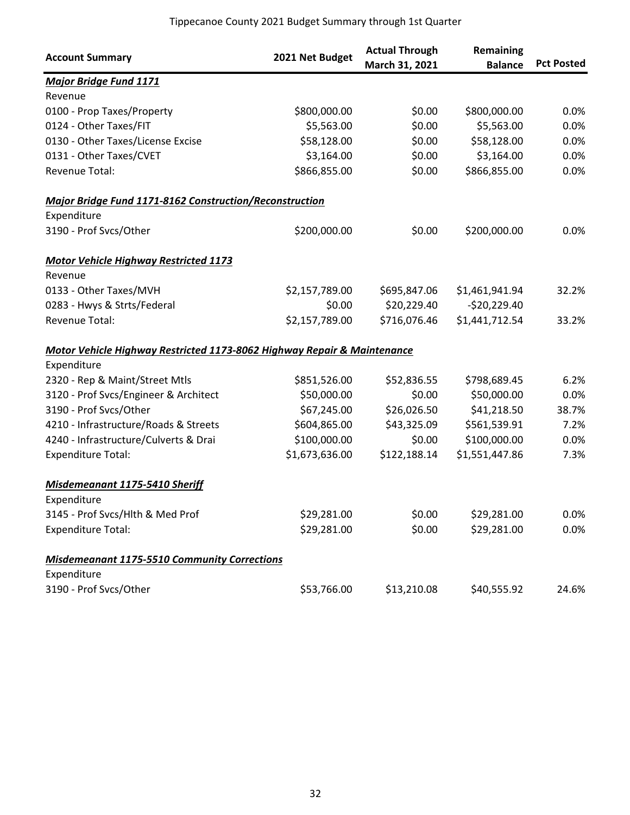| <b>Account Summary</b>                                                             | 2021 Net Budget | <b>Actual Through</b><br>March 31, 2021 | Remaining<br><b>Balance</b> | <b>Pct Posted</b> |
|------------------------------------------------------------------------------------|-----------------|-----------------------------------------|-----------------------------|-------------------|
| <b>Major Bridge Fund 1171</b>                                                      |                 |                                         |                             |                   |
| Revenue                                                                            |                 |                                         |                             |                   |
| 0100 - Prop Taxes/Property                                                         | \$800,000.00    | \$0.00                                  | \$800,000.00                | 0.0%              |
| 0124 - Other Taxes/FIT                                                             | \$5,563.00      | \$0.00                                  | \$5,563.00                  | 0.0%              |
| 0130 - Other Taxes/License Excise                                                  | \$58,128.00     | \$0.00                                  | \$58,128.00                 | 0.0%              |
| 0131 - Other Taxes/CVET                                                            | \$3,164.00      | \$0.00                                  | \$3,164.00                  | 0.0%              |
| Revenue Total:                                                                     | \$866,855.00    | \$0.00                                  | \$866,855.00                | 0.0%              |
| Major Bridge Fund 1171-8162 Construction/Reconstruction                            |                 |                                         |                             |                   |
| Expenditure                                                                        |                 |                                         |                             |                   |
| 3190 - Prof Svcs/Other                                                             | \$200,000.00    | \$0.00                                  | \$200,000.00                | 0.0%              |
| <b>Motor Vehicle Highway Restricted 1173</b>                                       |                 |                                         |                             |                   |
| Revenue                                                                            |                 |                                         |                             |                   |
| 0133 - Other Taxes/MVH                                                             | \$2,157,789.00  | \$695,847.06                            | \$1,461,941.94              | 32.2%             |
| 0283 - Hwys & Strts/Federal                                                        | \$0.00          | \$20,229.40                             | $-$20,229.40$               |                   |
| Revenue Total:                                                                     | \$2,157,789.00  | \$716,076.46                            | \$1,441,712.54              | 33.2%             |
| <b>Motor Vehicle Highway Restricted 1173-8062 Highway Repair &amp; Maintenance</b> |                 |                                         |                             |                   |
| Expenditure                                                                        |                 |                                         |                             |                   |
| 2320 - Rep & Maint/Street Mtls                                                     | \$851,526.00    | \$52,836.55                             | \$798,689.45                | 6.2%              |
| 3120 - Prof Svcs/Engineer & Architect                                              | \$50,000.00     | \$0.00                                  | \$50,000.00                 | 0.0%              |
| 3190 - Prof Svcs/Other                                                             | \$67,245.00     | \$26,026.50                             | \$41,218.50                 | 38.7%             |
| 4210 - Infrastructure/Roads & Streets                                              | \$604,865.00    | \$43,325.09                             | \$561,539.91                | 7.2%              |
| 4240 - Infrastructure/Culverts & Drai                                              | \$100,000.00    | \$0.00                                  | \$100,000.00                | 0.0%              |
| <b>Expenditure Total:</b>                                                          | \$1,673,636.00  | \$122,188.14                            | \$1,551,447.86              | 7.3%              |
| Misdemeanant 1175-5410 Sheriff                                                     |                 |                                         |                             |                   |
| Expenditure                                                                        |                 |                                         |                             |                   |
| 3145 - Prof Svcs/Hlth & Med Prof                                                   | \$29,281.00     | \$0.00                                  | \$29,281.00                 | 0.0%              |
| <b>Expenditure Total:</b>                                                          | \$29,281.00     | \$0.00                                  | \$29,281.00                 | 0.0%              |
| <b>Misdemeanant 1175-5510 Community Corrections</b>                                |                 |                                         |                             |                   |
| Expenditure                                                                        |                 |                                         |                             |                   |
| 3190 - Prof Svcs/Other                                                             | \$53,766.00     | \$13,210.08                             | \$40,555.92                 | 24.6%             |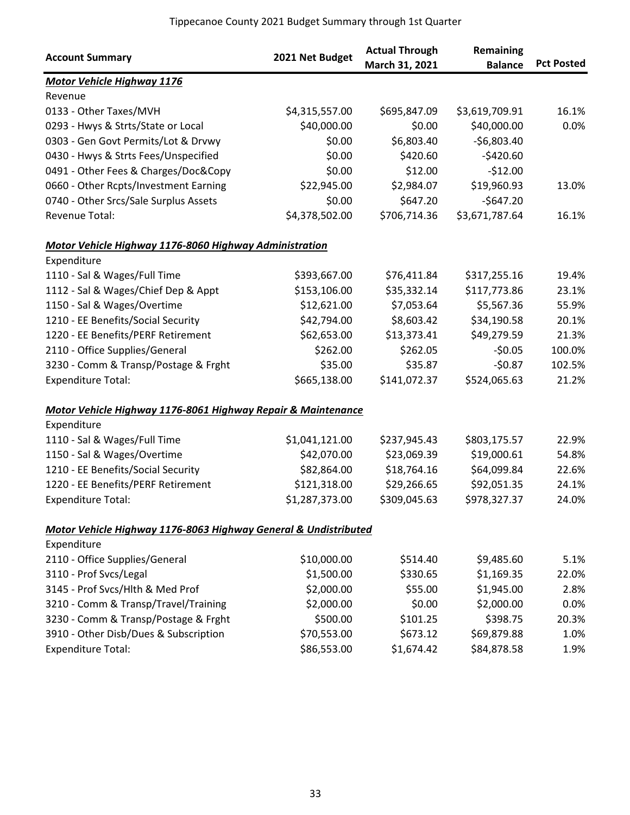| <b>Account Summary</b>                                          | 2021 Net Budget | <b>Actual Through</b><br>March 31, 2021 | Remaining<br><b>Balance</b> | <b>Pct Posted</b> |
|-----------------------------------------------------------------|-----------------|-----------------------------------------|-----------------------------|-------------------|
| <b>Motor Vehicle Highway 1176</b>                               |                 |                                         |                             |                   |
| Revenue                                                         |                 |                                         |                             |                   |
| 0133 - Other Taxes/MVH                                          | \$4,315,557.00  | \$695,847.09                            | \$3,619,709.91              | 16.1%             |
| 0293 - Hwys & Strts/State or Local                              | \$40,000.00     | \$0.00                                  | \$40,000.00                 | 0.0%              |
| 0303 - Gen Govt Permits/Lot & Drvwy                             | \$0.00          | \$6,803.40                              | $-$6,803.40$                |                   |
| 0430 - Hwys & Strts Fees/Unspecified                            | \$0.00          | \$420.60                                | $-$420.60$                  |                   |
| 0491 - Other Fees & Charges/Doc&Copy                            | \$0.00          | \$12.00                                 | $-512.00$                   |                   |
| 0660 - Other Rcpts/Investment Earning                           | \$22,945.00     | \$2,984.07                              | \$19,960.93                 | 13.0%             |
| 0740 - Other Srcs/Sale Surplus Assets                           | \$0.00          | \$647.20                                | $-$647.20$                  |                   |
| Revenue Total:                                                  | \$4,378,502.00  | \$706,714.36                            | \$3,671,787.64              | 16.1%             |
| Motor Vehicle Highway 1176-8060 Highway Administration          |                 |                                         |                             |                   |
| Expenditure                                                     |                 |                                         |                             |                   |
| 1110 - Sal & Wages/Full Time                                    | \$393,667.00    | \$76,411.84                             | \$317,255.16                | 19.4%             |
| 1112 - Sal & Wages/Chief Dep & Appt                             | \$153,106.00    | \$35,332.14                             | \$117,773.86                | 23.1%             |
| 1150 - Sal & Wages/Overtime                                     | \$12,621.00     | \$7,053.64                              | \$5,567.36                  | 55.9%             |
| 1210 - EE Benefits/Social Security                              | \$42,794.00     | \$8,603.42                              | \$34,190.58                 | 20.1%             |
| 1220 - EE Benefits/PERF Retirement                              | \$62,653.00     | \$13,373.41                             | \$49,279.59                 | 21.3%             |
| 2110 - Office Supplies/General                                  | \$262.00        | \$262.05                                | $-50.05$                    | 100.0%            |
| 3230 - Comm & Transp/Postage & Frght                            | \$35.00         | \$35.87                                 | $-50.87$                    | 102.5%            |
| <b>Expenditure Total:</b>                                       | \$665,138.00    | \$141,072.37                            | \$524,065.63                | 21.2%             |
| Motor Vehicle Highway 1176-8061 Highway Repair & Maintenance    |                 |                                         |                             |                   |
| Expenditure                                                     |                 |                                         |                             |                   |
| 1110 - Sal & Wages/Full Time                                    | \$1,041,121.00  | \$237,945.43                            | \$803,175.57                | 22.9%             |
| 1150 - Sal & Wages/Overtime                                     | \$42,070.00     | \$23,069.39                             | \$19,000.61                 | 54.8%             |
| 1210 - EE Benefits/Social Security                              | \$82,864.00     | \$18,764.16                             | \$64,099.84                 | 22.6%             |
| 1220 - EE Benefits/PERF Retirement                              | \$121,318.00    | \$29,266.65                             | \$92,051.35                 | 24.1%             |
| <b>Expenditure Total:</b>                                       | \$1,287,373.00  | \$309,045.63                            | \$978,327.37                | 24.0%             |
| Motor Vehicle Highway 1176-8063 Highway General & Undistributed |                 |                                         |                             |                   |
| Expenditure                                                     |                 |                                         |                             |                   |
| 2110 - Office Supplies/General                                  | \$10,000.00     | \$514.40                                | \$9,485.60                  | 5.1%              |
| 3110 - Prof Svcs/Legal                                          | \$1,500.00      | \$330.65                                | \$1,169.35                  | 22.0%             |
| 3145 - Prof Svcs/Hlth & Med Prof                                | \$2,000.00      | \$55.00                                 | \$1,945.00                  | 2.8%              |
| 3210 - Comm & Transp/Travel/Training                            | \$2,000.00      | \$0.00                                  | \$2,000.00                  | 0.0%              |
| 3230 - Comm & Transp/Postage & Frght                            | \$500.00        | \$101.25                                | \$398.75                    | 20.3%             |
| 3910 - Other Disb/Dues & Subscription                           | \$70,553.00     | \$673.12                                | \$69,879.88                 | 1.0%              |
| <b>Expenditure Total:</b>                                       | \$86,553.00     | \$1,674.42                              | \$84,878.58                 | 1.9%              |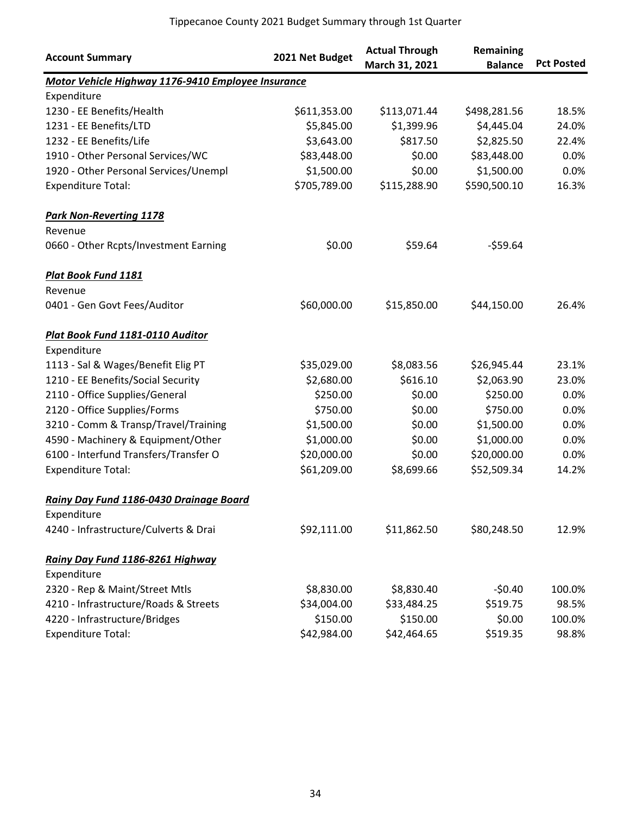| <b>Account Summary</b>                             | 2021 Net Budget | <b>Actual Through</b><br>March 31, 2021 | Remaining<br><b>Balance</b> | <b>Pct Posted</b> |
|----------------------------------------------------|-----------------|-----------------------------------------|-----------------------------|-------------------|
| Motor Vehicle Highway 1176-9410 Employee Insurance |                 |                                         |                             |                   |
| Expenditure                                        |                 |                                         |                             |                   |
| 1230 - EE Benefits/Health                          | \$611,353.00    | \$113,071.44                            | \$498,281.56                | 18.5%             |
| 1231 - EE Benefits/LTD                             | \$5,845.00      | \$1,399.96                              | \$4,445.04                  | 24.0%             |
| 1232 - EE Benefits/Life                            | \$3,643.00      | \$817.50                                | \$2,825.50                  | 22.4%             |
| 1910 - Other Personal Services/WC                  | \$83,448.00     | \$0.00                                  | \$83,448.00                 | 0.0%              |
| 1920 - Other Personal Services/Unempl              | \$1,500.00      | \$0.00                                  | \$1,500.00                  | 0.0%              |
| <b>Expenditure Total:</b>                          | \$705,789.00    | \$115,288.90                            | \$590,500.10                | 16.3%             |
| <b>Park Non-Reverting 1178</b><br>Revenue          |                 |                                         |                             |                   |
| 0660 - Other Rcpts/Investment Earning              | \$0.00          | \$59.64                                 | $-559.64$                   |                   |
| <b>Plat Book Fund 1181</b>                         |                 |                                         |                             |                   |
| Revenue                                            |                 |                                         |                             |                   |
| 0401 - Gen Govt Fees/Auditor                       | \$60,000.00     | \$15,850.00                             | \$44,150.00                 | 26.4%             |
| Plat Book Fund 1181-0110 Auditor                   |                 |                                         |                             |                   |
| Expenditure                                        |                 |                                         |                             |                   |
| 1113 - Sal & Wages/Benefit Elig PT                 | \$35,029.00     | \$8,083.56                              | \$26,945.44                 | 23.1%             |
| 1210 - EE Benefits/Social Security                 | \$2,680.00      | \$616.10                                | \$2,063.90                  | 23.0%             |
| 2110 - Office Supplies/General                     | \$250.00        | \$0.00                                  | \$250.00                    | 0.0%              |
| 2120 - Office Supplies/Forms                       | \$750.00        | \$0.00                                  | \$750.00                    | 0.0%              |
| 3210 - Comm & Transp/Travel/Training               | \$1,500.00      | \$0.00                                  | \$1,500.00                  | 0.0%              |
| 4590 - Machinery & Equipment/Other                 | \$1,000.00      | \$0.00                                  | \$1,000.00                  | 0.0%              |
| 6100 - Interfund Transfers/Transfer O              | \$20,000.00     | \$0.00                                  | \$20,000.00                 | 0.0%              |
| <b>Expenditure Total:</b>                          | \$61,209.00     | \$8,699.66                              | \$52,509.34                 | 14.2%             |
| Rainv Dav Fund 1186-0430 Drainage Board            |                 |                                         |                             |                   |
| Expenditure                                        |                 |                                         |                             |                   |
| 4240 - Infrastructure/Culverts & Drai              | \$92,111.00     | \$11,862.50                             | \$80,248.50                 | 12.9%             |
| Rainy Day Fund 1186-8261 Highway                   |                 |                                         |                             |                   |
| Expenditure                                        |                 |                                         |                             |                   |
| 2320 - Rep & Maint/Street Mtls                     | \$8,830.00      | \$8,830.40                              | $-50.40$                    | 100.0%            |
| 4210 - Infrastructure/Roads & Streets              | \$34,004.00     | \$33,484.25                             | \$519.75                    | 98.5%             |
| 4220 - Infrastructure/Bridges                      | \$150.00        | \$150.00                                | \$0.00                      | 100.0%            |
| <b>Expenditure Total:</b>                          | \$42,984.00     | \$42,464.65                             | \$519.35                    | 98.8%             |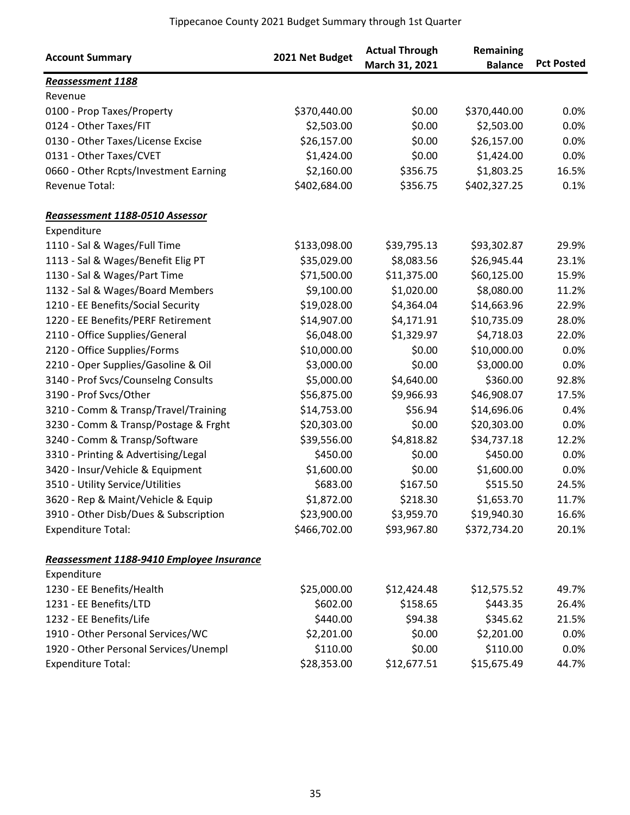| <b>Account Summary</b>                    | 2021 Net Budget | <b>Actual Through</b><br>March 31, 2021 | Remaining<br><b>Balance</b> | <b>Pct Posted</b> |
|-------------------------------------------|-----------------|-----------------------------------------|-----------------------------|-------------------|
| <b>Reassessment 1188</b>                  |                 |                                         |                             |                   |
| Revenue                                   |                 |                                         |                             |                   |
| 0100 - Prop Taxes/Property                | \$370,440.00    | \$0.00                                  | \$370,440.00                | 0.0%              |
| 0124 - Other Taxes/FIT                    | \$2,503.00      | \$0.00                                  | \$2,503.00                  | 0.0%              |
| 0130 - Other Taxes/License Excise         | \$26,157.00     | \$0.00                                  | \$26,157.00                 | 0.0%              |
| 0131 - Other Taxes/CVET                   | \$1,424.00      | \$0.00                                  | \$1,424.00                  | 0.0%              |
| 0660 - Other Rcpts/Investment Earning     | \$2,160.00      | \$356.75                                | \$1,803.25                  | 16.5%             |
| Revenue Total:                            | \$402,684.00    | \$356.75                                | \$402,327.25                | 0.1%              |
| Reassessment 1188-0510 Assessor           |                 |                                         |                             |                   |
| Expenditure                               |                 |                                         |                             |                   |
| 1110 - Sal & Wages/Full Time              | \$133,098.00    | \$39,795.13                             | \$93,302.87                 | 29.9%             |
| 1113 - Sal & Wages/Benefit Elig PT        | \$35,029.00     | \$8,083.56                              | \$26,945.44                 | 23.1%             |
| 1130 - Sal & Wages/Part Time              | \$71,500.00     | \$11,375.00                             | \$60,125.00                 | 15.9%             |
| 1132 - Sal & Wages/Board Members          | \$9,100.00      | \$1,020.00                              | \$8,080.00                  | 11.2%             |
| 1210 - EE Benefits/Social Security        | \$19,028.00     | \$4,364.04                              | \$14,663.96                 | 22.9%             |
| 1220 - EE Benefits/PERF Retirement        | \$14,907.00     | \$4,171.91                              | \$10,735.09                 | 28.0%             |
| 2110 - Office Supplies/General            | \$6,048.00      | \$1,329.97                              | \$4,718.03                  | 22.0%             |
| 2120 - Office Supplies/Forms              | \$10,000.00     | \$0.00                                  | \$10,000.00                 | 0.0%              |
| 2210 - Oper Supplies/Gasoline & Oil       | \$3,000.00      | \$0.00                                  | \$3,000.00                  | 0.0%              |
| 3140 - Prof Svcs/Counselng Consults       | \$5,000.00      | \$4,640.00                              | \$360.00                    | 92.8%             |
| 3190 - Prof Svcs/Other                    | \$56,875.00     | \$9,966.93                              | \$46,908.07                 | 17.5%             |
| 3210 - Comm & Transp/Travel/Training      | \$14,753.00     | \$56.94                                 | \$14,696.06                 | 0.4%              |
| 3230 - Comm & Transp/Postage & Frght      | \$20,303.00     | \$0.00                                  | \$20,303.00                 | 0.0%              |
| 3240 - Comm & Transp/Software             | \$39,556.00     | \$4,818.82                              | \$34,737.18                 | 12.2%             |
| 3310 - Printing & Advertising/Legal       | \$450.00        | \$0.00                                  | \$450.00                    | 0.0%              |
| 3420 - Insur/Vehicle & Equipment          | \$1,600.00      | \$0.00                                  | \$1,600.00                  | 0.0%              |
| 3510 - Utility Service/Utilities          | \$683.00        | \$167.50                                | \$515.50                    | 24.5%             |
| 3620 - Rep & Maint/Vehicle & Equip        | \$1,872.00      | \$218.30                                | \$1,653.70                  | 11.7%             |
| 3910 - Other Disb/Dues & Subscription     | \$23,900.00     | \$3,959.70                              | \$19,940.30                 | 16.6%             |
| <b>Expenditure Total:</b>                 | \$466,702.00    | \$93,967.80                             | \$372,734.20                | 20.1%             |
| Reassessment 1188-9410 Employee Insurance |                 |                                         |                             |                   |
| Expenditure                               |                 |                                         |                             |                   |
| 1230 - EE Benefits/Health                 | \$25,000.00     | \$12,424.48                             | \$12,575.52                 | 49.7%             |
| 1231 - EE Benefits/LTD                    | \$602.00        | \$158.65                                | \$443.35                    | 26.4%             |
| 1232 - EE Benefits/Life                   | \$440.00        | \$94.38                                 | \$345.62                    | 21.5%             |
| 1910 - Other Personal Services/WC         | \$2,201.00      | \$0.00                                  | \$2,201.00                  | 0.0%              |
| 1920 - Other Personal Services/Unempl     | \$110.00        | \$0.00                                  | \$110.00                    | 0.0%              |
| <b>Expenditure Total:</b>                 | \$28,353.00     | \$12,677.51                             | \$15,675.49                 | 44.7%             |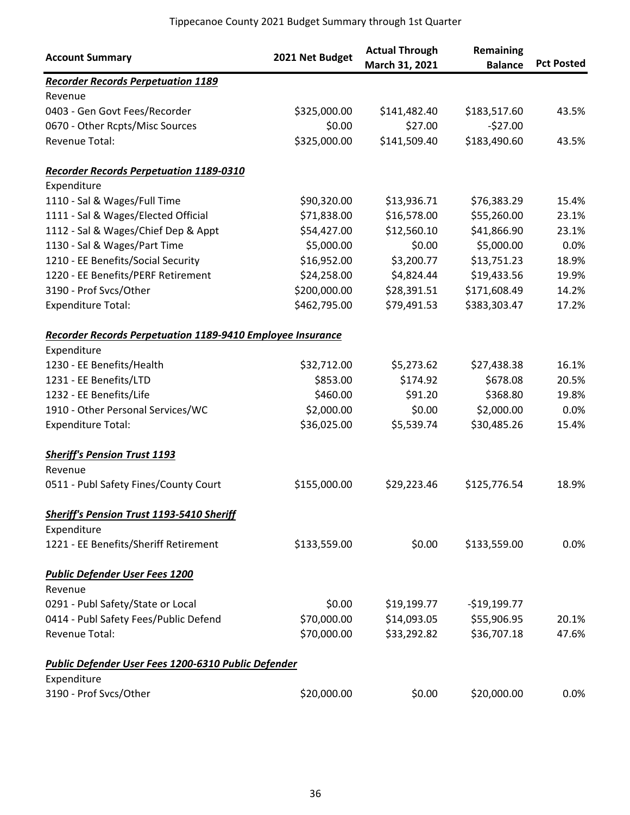| <b>Account Summary</b>                                     | 2021 Net Budget | <b>Actual Through</b><br>March 31, 2021 | Remaining<br><b>Balance</b> | <b>Pct Posted</b> |
|------------------------------------------------------------|-----------------|-----------------------------------------|-----------------------------|-------------------|
| <b>Recorder Records Perpetuation 1189</b>                  |                 |                                         |                             |                   |
| Revenue                                                    |                 |                                         |                             |                   |
| 0403 - Gen Govt Fees/Recorder                              | \$325,000.00    | \$141,482.40                            | \$183,517.60                | 43.5%             |
| 0670 - Other Rcpts/Misc Sources                            | \$0.00          | \$27.00                                 | $-527.00$                   |                   |
| <b>Revenue Total:</b>                                      | \$325,000.00    | \$141,509.40                            | \$183,490.60                | 43.5%             |
| <b>Recorder Records Perpetuation 1189-0310</b>             |                 |                                         |                             |                   |
| Expenditure                                                |                 |                                         |                             |                   |
| 1110 - Sal & Wages/Full Time                               | \$90,320.00     | \$13,936.71                             | \$76,383.29                 | 15.4%             |
| 1111 - Sal & Wages/Elected Official                        | \$71,838.00     | \$16,578.00                             | \$55,260.00                 | 23.1%             |
| 1112 - Sal & Wages/Chief Dep & Appt                        | \$54,427.00     | \$12,560.10                             | \$41,866.90                 | 23.1%             |
| 1130 - Sal & Wages/Part Time                               | \$5,000.00      | \$0.00                                  | \$5,000.00                  | 0.0%              |
| 1210 - EE Benefits/Social Security                         | \$16,952.00     | \$3,200.77                              | \$13,751.23                 | 18.9%             |
| 1220 - EE Benefits/PERF Retirement                         | \$24,258.00     | \$4,824.44                              | \$19,433.56                 | 19.9%             |
| 3190 - Prof Svcs/Other                                     | \$200,000.00    | \$28,391.51                             | \$171,608.49                | 14.2%             |
| <b>Expenditure Total:</b>                                  | \$462,795.00    | \$79,491.53                             | \$383,303.47                | 17.2%             |
| Recorder Records Perpetuation 1189-9410 Employee Insurance |                 |                                         |                             |                   |
| Expenditure                                                |                 |                                         |                             |                   |
| 1230 - EE Benefits/Health                                  | \$32,712.00     | \$5,273.62                              | \$27,438.38                 | 16.1%             |
| 1231 - EE Benefits/LTD                                     | \$853.00        | \$174.92                                | \$678.08                    | 20.5%             |
| 1232 - EE Benefits/Life                                    | \$460.00        | \$91.20                                 | \$368.80                    | 19.8%             |
| 1910 - Other Personal Services/WC                          | \$2,000.00      | \$0.00                                  | \$2,000.00                  | 0.0%              |
| <b>Expenditure Total:</b>                                  | \$36,025.00     | \$5,539.74                              | \$30,485.26                 | 15.4%             |
| <b>Sheriff's Pension Trust 1193</b>                        |                 |                                         |                             |                   |
| Revenue                                                    |                 |                                         |                             |                   |
| 0511 - Publ Safety Fines/County Court                      | \$155,000.00    | \$29,223.46                             | \$125,776.54                | 18.9%             |
| <b>Sheriff's Pension Trust 1193-5410 Sheriff</b>           |                 |                                         |                             |                   |
| Expenditure                                                |                 |                                         |                             |                   |
| 1221 - EE Benefits/Sheriff Retirement                      | \$133,559.00    | \$0.00                                  | \$133,559.00                | 0.0%              |
| <b>Public Defender User Fees 1200</b>                      |                 |                                         |                             |                   |
| Revenue                                                    |                 |                                         |                             |                   |
| 0291 - Publ Safety/State or Local                          | \$0.00          | \$19,199.77                             | $-$19,199.77$               |                   |
| 0414 - Publ Safety Fees/Public Defend                      | \$70,000.00     | \$14,093.05                             | \$55,906.95                 | 20.1%             |
| Revenue Total:                                             | \$70,000.00     | \$33,292.82                             | \$36,707.18                 | 47.6%             |
| Public Defender User Fees 1200-6310 Public Defender        |                 |                                         |                             |                   |
| Expenditure                                                |                 |                                         |                             |                   |
| 3190 - Prof Svcs/Other                                     | \$20,000.00     | \$0.00                                  | \$20,000.00                 | 0.0%              |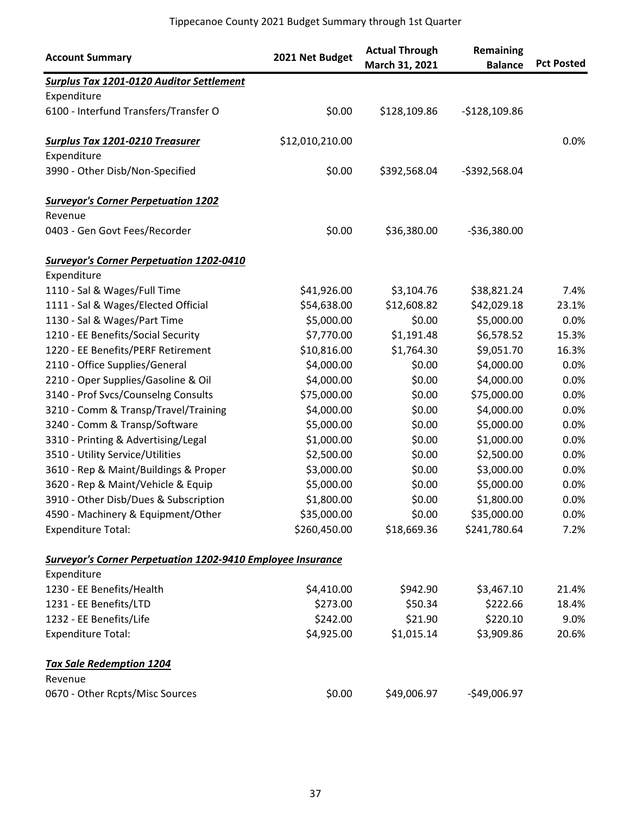| <b>Account Summary</b>                                             | 2021 Net Budget | <b>Actual Through</b><br>March 31, 2021 | Remaining<br><b>Balance</b> | <b>Pct Posted</b> |
|--------------------------------------------------------------------|-----------------|-----------------------------------------|-----------------------------|-------------------|
| <b>Surplus Tax 1201-0120 Auditor Settlement</b>                    |                 |                                         |                             |                   |
| Expenditure                                                        |                 |                                         |                             |                   |
| 6100 - Interfund Transfers/Transfer O                              | \$0.00          | \$128,109.86                            | $-$128,109.86$              |                   |
| <b>Surplus Tax 1201-0210 Treasurer</b>                             | \$12,010,210.00 |                                         |                             | 0.0%              |
| Expenditure                                                        |                 |                                         |                             |                   |
| 3990 - Other Disb/Non-Specified                                    | \$0.00          | \$392,568.04                            | -\$392,568.04               |                   |
| <b>Surveyor's Corner Perpetuation 1202</b>                         |                 |                                         |                             |                   |
| Revenue                                                            |                 |                                         |                             |                   |
| 0403 - Gen Govt Fees/Recorder                                      | \$0.00          | \$36,380.00                             | $-536,380.00$               |                   |
| <b>Surveyor's Corner Perpetuation 1202-0410</b>                    |                 |                                         |                             |                   |
| Expenditure                                                        |                 |                                         |                             |                   |
| 1110 - Sal & Wages/Full Time                                       | \$41,926.00     | \$3,104.76                              | \$38,821.24                 | 7.4%              |
| 1111 - Sal & Wages/Elected Official                                | \$54,638.00     | \$12,608.82                             | \$42,029.18                 | 23.1%             |
| 1130 - Sal & Wages/Part Time                                       | \$5,000.00      | \$0.00                                  | \$5,000.00                  | 0.0%              |
| 1210 - EE Benefits/Social Security                                 | \$7,770.00      | \$1,191.48                              | \$6,578.52                  | 15.3%             |
| 1220 - EE Benefits/PERF Retirement                                 | \$10,816.00     | \$1,764.30                              | \$9,051.70                  | 16.3%             |
| 2110 - Office Supplies/General                                     | \$4,000.00      | \$0.00                                  | \$4,000.00                  | 0.0%              |
| 2210 - Oper Supplies/Gasoline & Oil                                | \$4,000.00      | \$0.00                                  | \$4,000.00                  | 0.0%              |
| 3140 - Prof Svcs/Counselng Consults                                | \$75,000.00     | \$0.00                                  | \$75,000.00                 | 0.0%              |
| 3210 - Comm & Transp/Travel/Training                               | \$4,000.00      | \$0.00                                  | \$4,000.00                  | 0.0%              |
| 3240 - Comm & Transp/Software                                      | \$5,000.00      | \$0.00                                  | \$5,000.00                  | 0.0%              |
| 3310 - Printing & Advertising/Legal                                | \$1,000.00      | \$0.00                                  | \$1,000.00                  | 0.0%              |
| 3510 - Utility Service/Utilities                                   | \$2,500.00      | \$0.00                                  | \$2,500.00                  | 0.0%              |
| 3610 - Rep & Maint/Buildings & Proper                              | \$3,000.00      | \$0.00                                  | \$3,000.00                  | 0.0%              |
| 3620 - Rep & Maint/Vehicle & Equip                                 | \$5,000.00      | \$0.00                                  | \$5,000.00                  | 0.0%              |
| 3910 - Other Disb/Dues & Subscription                              | \$1,800.00      | \$0.00                                  | \$1,800.00                  | 0.0%              |
| 4590 - Machinery & Equipment/Other                                 | \$35,000.00     | \$0.00                                  | \$35,000.00                 | $0.0\%$           |
| <b>Expenditure Total:</b>                                          | \$260,450.00    | \$18,669.36                             | \$241,780.64                | 7.2%              |
| <b>Surveyor's Corner Perpetuation 1202-9410 Employee Insurance</b> |                 |                                         |                             |                   |
| Expenditure                                                        |                 |                                         |                             |                   |
| 1230 - EE Benefits/Health                                          | \$4,410.00      | \$942.90                                | \$3,467.10                  | 21.4%             |
| 1231 - EE Benefits/LTD                                             | \$273.00        | \$50.34                                 | \$222.66                    | 18.4%             |
| 1232 - EE Benefits/Life                                            | \$242.00        | \$21.90                                 | \$220.10                    | 9.0%              |
| <b>Expenditure Total:</b>                                          | \$4,925.00      | \$1,015.14                              | \$3,909.86                  | 20.6%             |
| <b>Tax Sale Redemption 1204</b>                                    |                 |                                         |                             |                   |
| Revenue                                                            |                 |                                         |                             |                   |
| 0670 - Other Rcpts/Misc Sources                                    | \$0.00          | \$49,006.97                             | -\$49,006.97                |                   |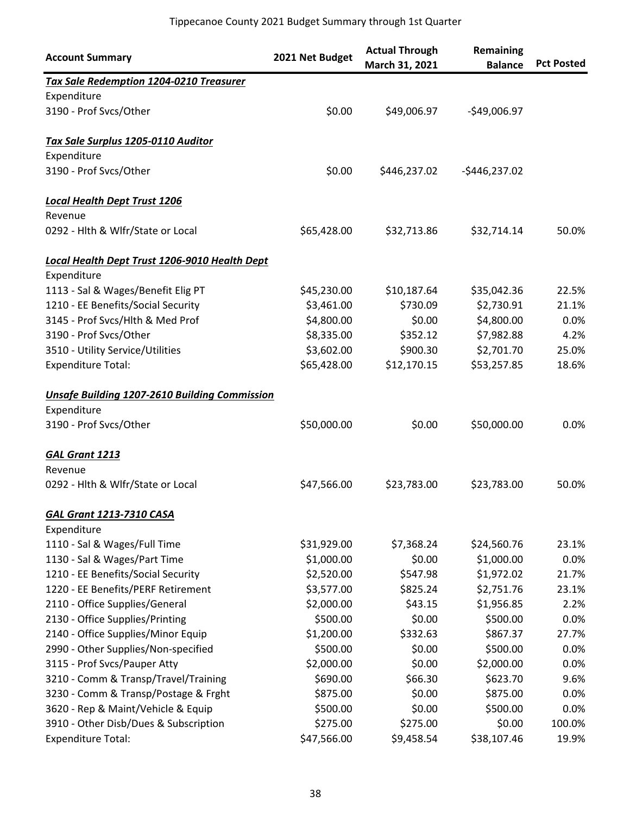| <b>Account Summary</b>                               | 2021 Net Budget | <b>Actual Through</b><br>March 31, 2021 | Remaining<br><b>Balance</b> | <b>Pct Posted</b> |
|------------------------------------------------------|-----------------|-----------------------------------------|-----------------------------|-------------------|
| Tax Sale Redemption 1204-0210 Treasurer              |                 |                                         |                             |                   |
| Expenditure                                          |                 |                                         |                             |                   |
| 3190 - Prof Svcs/Other                               | \$0.00          | \$49,006.97                             | $-$49,006.97$               |                   |
| Tax Sale Surplus 1205-0110 Auditor                   |                 |                                         |                             |                   |
| Expenditure                                          |                 |                                         |                             |                   |
| 3190 - Prof Svcs/Other                               | \$0.00          | \$446,237.02                            | $-$446,237.02$              |                   |
| <b>Local Health Dept Trust 1206</b>                  |                 |                                         |                             |                   |
| Revenue                                              |                 |                                         |                             |                   |
| 0292 - Hlth & Wlfr/State or Local                    | \$65,428.00     | \$32,713.86                             | \$32,714.14                 | 50.0%             |
| Local Health Dept Trust 1206-9010 Health Dept        |                 |                                         |                             |                   |
| Expenditure                                          |                 |                                         |                             |                   |
| 1113 - Sal & Wages/Benefit Elig PT                   | \$45,230.00     | \$10,187.64                             | \$35,042.36                 | 22.5%             |
| 1210 - EE Benefits/Social Security                   | \$3,461.00      | \$730.09                                | \$2,730.91                  | 21.1%             |
| 3145 - Prof Svcs/Hlth & Med Prof                     | \$4,800.00      | \$0.00                                  | \$4,800.00                  | 0.0%              |
| 3190 - Prof Svcs/Other                               | \$8,335.00      | \$352.12                                | \$7,982.88                  | 4.2%              |
| 3510 - Utility Service/Utilities                     | \$3,602.00      | \$900.30                                | \$2,701.70                  | 25.0%             |
| <b>Expenditure Total:</b>                            | \$65,428.00     | \$12,170.15                             | \$53,257.85                 | 18.6%             |
| <b>Unsafe Building 1207-2610 Building Commission</b> |                 |                                         |                             |                   |
| Expenditure                                          |                 |                                         |                             |                   |
| 3190 - Prof Svcs/Other                               | \$50,000.00     | \$0.00                                  | \$50,000.00                 | 0.0%              |
| <b>GAL Grant 1213</b>                                |                 |                                         |                             |                   |
| Revenue                                              |                 |                                         |                             |                   |
| 0292 - Hlth & Wlfr/State or Local                    | \$47,566.00     | \$23,783.00                             | \$23,783.00                 | 50.0%             |
| <b>GAL Grant 1213-7310 CASA</b>                      |                 |                                         |                             |                   |
| Expenditure                                          |                 |                                         |                             |                   |
| 1110 - Sal & Wages/Full Time                         | \$31,929.00     | \$7,368.24                              | \$24,560.76                 | 23.1%             |
| 1130 - Sal & Wages/Part Time                         | \$1,000.00      | \$0.00                                  | \$1,000.00                  | 0.0%              |
| 1210 - EE Benefits/Social Security                   | \$2,520.00      | \$547.98                                | \$1,972.02                  | 21.7%             |
| 1220 - EE Benefits/PERF Retirement                   | \$3,577.00      | \$825.24                                | \$2,751.76                  | 23.1%             |
| 2110 - Office Supplies/General                       | \$2,000.00      | \$43.15                                 | \$1,956.85                  | 2.2%              |
| 2130 - Office Supplies/Printing                      | \$500.00        | \$0.00                                  | \$500.00                    | 0.0%              |
| 2140 - Office Supplies/Minor Equip                   | \$1,200.00      | \$332.63                                | \$867.37                    | 27.7%             |
| 2990 - Other Supplies/Non-specified                  | \$500.00        | \$0.00                                  | \$500.00                    | 0.0%              |
| 3115 - Prof Svcs/Pauper Atty                         | \$2,000.00      | \$0.00                                  | \$2,000.00                  | 0.0%              |
| 3210 - Comm & Transp/Travel/Training                 | \$690.00        | \$66.30                                 | \$623.70                    | 9.6%              |
| 3230 - Comm & Transp/Postage & Frght                 | \$875.00        | \$0.00                                  | \$875.00                    | 0.0%              |
| 3620 - Rep & Maint/Vehicle & Equip                   | \$500.00        | \$0.00                                  | \$500.00                    | 0.0%              |
| 3910 - Other Disb/Dues & Subscription                | \$275.00        | \$275.00                                | \$0.00                      | 100.0%            |
| <b>Expenditure Total:</b>                            | \$47,566.00     | \$9,458.54                              | \$38,107.46                 | 19.9%             |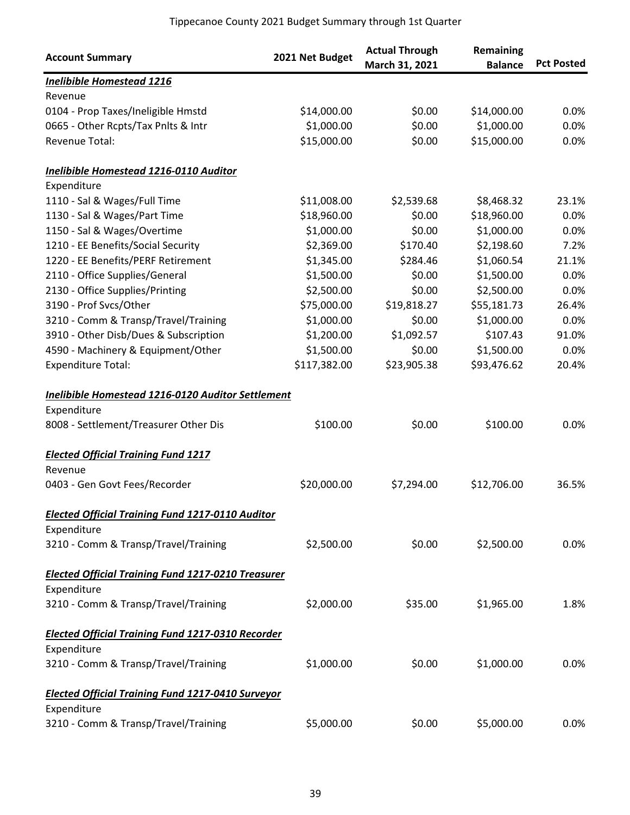| <b>Account Summary</b>                                    | 2021 Net Budget | <b>Actual Through</b><br>March 31, 2021 | Remaining<br><b>Balance</b> | <b>Pct Posted</b> |
|-----------------------------------------------------------|-----------------|-----------------------------------------|-----------------------------|-------------------|
| <b>Inelibible Homestead 1216</b>                          |                 |                                         |                             |                   |
| Revenue                                                   |                 |                                         |                             |                   |
| 0104 - Prop Taxes/Ineligible Hmstd                        | \$14,000.00     | \$0.00                                  | \$14,000.00                 | 0.0%              |
| 0665 - Other Rcpts/Tax Pnlts & Intr                       | \$1,000.00      | \$0.00                                  | \$1,000.00                  | 0.0%              |
| Revenue Total:                                            | \$15,000.00     | \$0.00                                  | \$15,000.00                 | 0.0%              |
| Inelibible Homestead 1216-0110 Auditor                    |                 |                                         |                             |                   |
| Expenditure                                               |                 |                                         |                             |                   |
| 1110 - Sal & Wages/Full Time                              | \$11,008.00     | \$2,539.68                              | \$8,468.32                  | 23.1%             |
| 1130 - Sal & Wages/Part Time                              | \$18,960.00     | \$0.00                                  | \$18,960.00                 | 0.0%              |
| 1150 - Sal & Wages/Overtime                               | \$1,000.00      | \$0.00                                  | \$1,000.00                  | 0.0%              |
| 1210 - EE Benefits/Social Security                        | \$2,369.00      | \$170.40                                | \$2,198.60                  | 7.2%              |
| 1220 - EE Benefits/PERF Retirement                        | \$1,345.00      | \$284.46                                | \$1,060.54                  | 21.1%             |
| 2110 - Office Supplies/General                            | \$1,500.00      | \$0.00                                  | \$1,500.00                  | 0.0%              |
| 2130 - Office Supplies/Printing                           | \$2,500.00      | \$0.00                                  | \$2,500.00                  | 0.0%              |
| 3190 - Prof Svcs/Other                                    | \$75,000.00     | \$19,818.27                             | \$55,181.73                 | 26.4%             |
| 3210 - Comm & Transp/Travel/Training                      | \$1,000.00      | \$0.00                                  | \$1,000.00                  | 0.0%              |
| 3910 - Other Disb/Dues & Subscription                     | \$1,200.00      | \$1,092.57                              | \$107.43                    | 91.0%             |
| 4590 - Machinery & Equipment/Other                        | \$1,500.00      | \$0.00                                  | \$1,500.00                  | 0.0%              |
| <b>Expenditure Total:</b>                                 | \$117,382.00    | \$23,905.38                             | \$93,476.62                 | 20.4%             |
| Inelibible Homestead 1216-0120 Auditor Settlement         |                 |                                         |                             |                   |
| Expenditure                                               |                 |                                         |                             |                   |
| 8008 - Settlement/Treasurer Other Dis                     | \$100.00        | \$0.00                                  | \$100.00                    | 0.0%              |
| <b>Elected Official Training Fund 1217</b>                |                 |                                         |                             |                   |
| Revenue                                                   |                 |                                         |                             |                   |
| 0403 - Gen Govt Fees/Recorder                             | \$20,000.00     | \$7,294.00                              | \$12,706.00                 | 36.5%             |
| <b>Elected Official Training Fund 1217-0110 Auditor</b>   |                 |                                         |                             |                   |
| Expenditure                                               |                 |                                         |                             |                   |
| 3210 - Comm & Transp/Travel/Training                      | \$2,500.00      | \$0.00                                  | \$2,500.00                  | 0.0%              |
| <b>Elected Official Training Fund 1217-0210 Treasurer</b> |                 |                                         |                             |                   |
| Expenditure                                               |                 |                                         |                             |                   |
| 3210 - Comm & Transp/Travel/Training                      | \$2,000.00      | \$35.00                                 | \$1,965.00                  | 1.8%              |
| <b>Elected Official Training Fund 1217-0310 Recorder</b>  |                 |                                         |                             |                   |
| Expenditure                                               |                 |                                         |                             |                   |
| 3210 - Comm & Transp/Travel/Training                      | \$1,000.00      | \$0.00                                  | \$1,000.00                  | 0.0%              |
| <b>Elected Official Training Fund 1217-0410 Surveyor</b>  |                 |                                         |                             |                   |
| Expenditure                                               |                 |                                         |                             |                   |
| 3210 - Comm & Transp/Travel/Training                      | \$5,000.00      | \$0.00                                  | \$5,000.00                  | 0.0%              |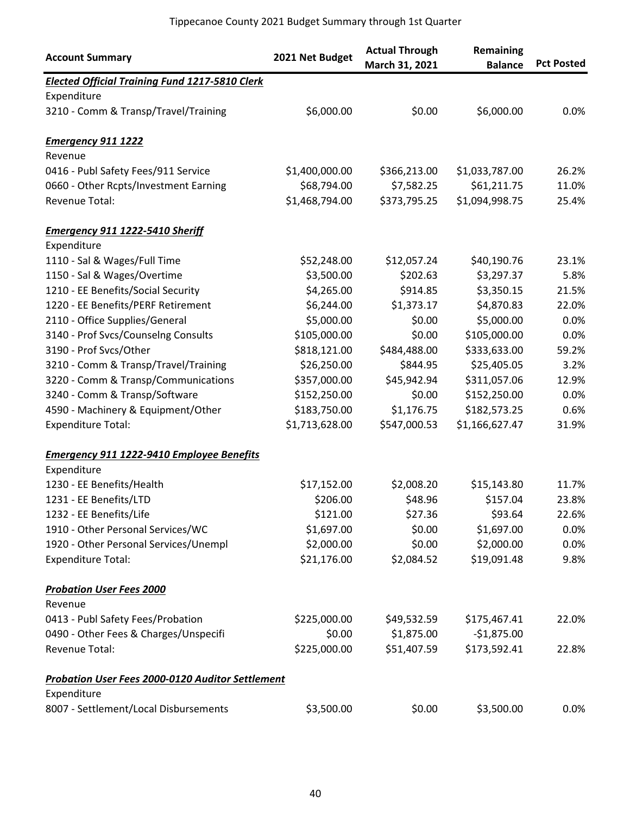| <b>Account Summary</b>                                  | 2021 Net Budget | <b>Actual Through</b><br>March 31, 2021 | Remaining<br><b>Balance</b> | <b>Pct Posted</b> |
|---------------------------------------------------------|-----------------|-----------------------------------------|-----------------------------|-------------------|
| <b>Elected Official Training Fund 1217-5810 Clerk</b>   |                 |                                         |                             |                   |
| Expenditure                                             |                 |                                         |                             |                   |
| 3210 - Comm & Transp/Travel/Training                    | \$6,000.00      | \$0.00                                  | \$6,000.00                  | 0.0%              |
| <b>Emergency 911 1222</b>                               |                 |                                         |                             |                   |
| Revenue                                                 |                 |                                         |                             |                   |
| 0416 - Publ Safety Fees/911 Service                     | \$1,400,000.00  | \$366,213.00                            | \$1,033,787.00              | 26.2%             |
| 0660 - Other Rcpts/Investment Earning                   | \$68,794.00     | \$7,582.25                              | \$61,211.75                 | 11.0%             |
| Revenue Total:                                          | \$1,468,794.00  | \$373,795.25                            | \$1,094,998.75              | 25.4%             |
| <b>Emergency 911 1222-5410 Sheriff</b>                  |                 |                                         |                             |                   |
| Expenditure                                             |                 |                                         |                             |                   |
| 1110 - Sal & Wages/Full Time                            | \$52,248.00     | \$12,057.24                             | \$40,190.76                 | 23.1%             |
| 1150 - Sal & Wages/Overtime                             | \$3,500.00      | \$202.63                                | \$3,297.37                  | 5.8%              |
| 1210 - EE Benefits/Social Security                      | \$4,265.00      | \$914.85                                | \$3,350.15                  | 21.5%             |
| 1220 - EE Benefits/PERF Retirement                      | \$6,244.00      | \$1,373.17                              | \$4,870.83                  | 22.0%             |
| 2110 - Office Supplies/General                          | \$5,000.00      | \$0.00                                  | \$5,000.00                  | 0.0%              |
| 3140 - Prof Svcs/Counselng Consults                     | \$105,000.00    | \$0.00                                  | \$105,000.00                | 0.0%              |
| 3190 - Prof Svcs/Other                                  | \$818,121.00    | \$484,488.00                            | \$333,633.00                | 59.2%             |
| 3210 - Comm & Transp/Travel/Training                    | \$26,250.00     | \$844.95                                | \$25,405.05                 | 3.2%              |
| 3220 - Comm & Transp/Communications                     | \$357,000.00    | \$45,942.94                             | \$311,057.06                | 12.9%             |
| 3240 - Comm & Transp/Software                           | \$152,250.00    | \$0.00                                  | \$152,250.00                | 0.0%              |
| 4590 - Machinery & Equipment/Other                      | \$183,750.00    | \$1,176.75                              | \$182,573.25                | 0.6%              |
| <b>Expenditure Total:</b>                               | \$1,713,628.00  | \$547,000.53                            | \$1,166,627.47              | 31.9%             |
| <b>Emergency 911 1222-9410 Employee Benefits</b>        |                 |                                         |                             |                   |
| Expenditure                                             |                 |                                         |                             |                   |
| 1230 - EE Benefits/Health                               | \$17,152.00     | \$2,008.20                              | \$15,143.80                 | 11.7%             |
| 1231 - EE Benefits/LTD                                  | \$206.00        | \$48.96                                 | \$157.04                    | 23.8%             |
| 1232 - EE Benefits/Life                                 | \$121.00        | \$27.36                                 | \$93.64                     | 22.6%             |
| 1910 - Other Personal Services/WC                       | \$1,697.00      | \$0.00                                  | \$1,697.00                  | 0.0%              |
| 1920 - Other Personal Services/Unempl                   | \$2,000.00      | \$0.00                                  | \$2,000.00                  | 0.0%              |
| <b>Expenditure Total:</b>                               | \$21,176.00     | \$2,084.52                              | \$19,091.48                 | 9.8%              |
| <b>Probation User Fees 2000</b>                         |                 |                                         |                             |                   |
| Revenue                                                 |                 |                                         |                             |                   |
| 0413 - Publ Safety Fees/Probation                       | \$225,000.00    | \$49,532.59                             | \$175,467.41                | 22.0%             |
| 0490 - Other Fees & Charges/Unspecifi                   | \$0.00          | \$1,875.00                              | $-$1,875.00$                |                   |
| Revenue Total:                                          | \$225,000.00    | \$51,407.59                             | \$173,592.41                | 22.8%             |
| <b>Probation User Fees 2000-0120 Auditor Settlement</b> |                 |                                         |                             |                   |
| Expenditure                                             |                 |                                         |                             |                   |
| 8007 - Settlement/Local Disbursements                   | \$3,500.00      | \$0.00                                  | \$3,500.00                  | 0.0%              |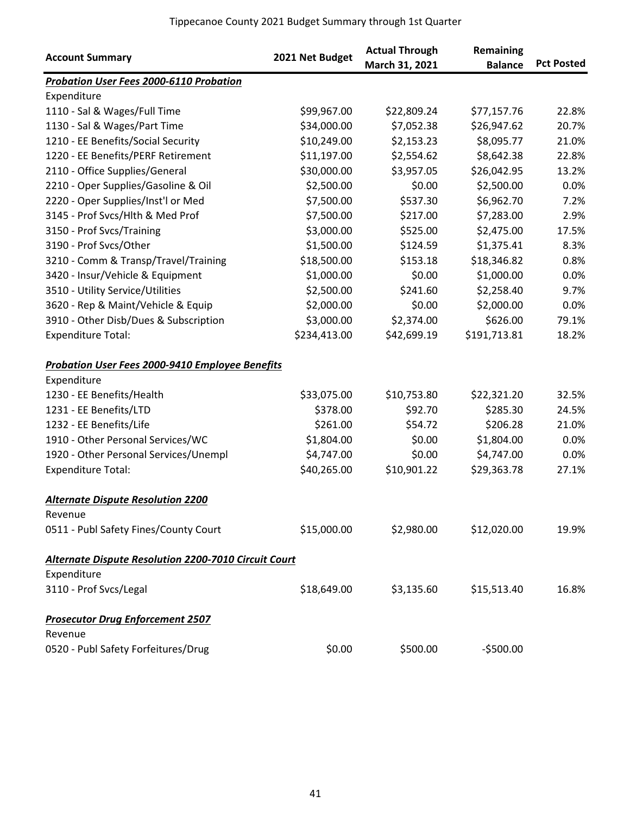| <b>Account Summary</b>                                      | 2021 Net Budget | <b>Actual Through</b><br>March 31, 2021 | Remaining<br><b>Balance</b> | <b>Pct Posted</b> |
|-------------------------------------------------------------|-----------------|-----------------------------------------|-----------------------------|-------------------|
| <b>Probation User Fees 2000-6110 Probation</b>              |                 |                                         |                             |                   |
| Expenditure                                                 |                 |                                         |                             |                   |
| 1110 - Sal & Wages/Full Time                                | \$99,967.00     | \$22,809.24                             | \$77,157.76                 | 22.8%             |
| 1130 - Sal & Wages/Part Time                                | \$34,000.00     | \$7,052.38                              | \$26,947.62                 | 20.7%             |
| 1210 - EE Benefits/Social Security                          | \$10,249.00     | \$2,153.23                              | \$8,095.77                  | 21.0%             |
| 1220 - EE Benefits/PERF Retirement                          | \$11,197.00     | \$2,554.62                              | \$8,642.38                  | 22.8%             |
| 2110 - Office Supplies/General                              | \$30,000.00     | \$3,957.05                              | \$26,042.95                 | 13.2%             |
| 2210 - Oper Supplies/Gasoline & Oil                         | \$2,500.00      | \$0.00                                  | \$2,500.00                  | 0.0%              |
| 2220 - Oper Supplies/Inst'l or Med                          | \$7,500.00      | \$537.30                                | \$6,962.70                  | 7.2%              |
| 3145 - Prof Svcs/Hlth & Med Prof                            | \$7,500.00      | \$217.00                                | \$7,283.00                  | 2.9%              |
| 3150 - Prof Svcs/Training                                   | \$3,000.00      | \$525.00                                | \$2,475.00                  | 17.5%             |
| 3190 - Prof Svcs/Other                                      | \$1,500.00      | \$124.59                                | \$1,375.41                  | 8.3%              |
| 3210 - Comm & Transp/Travel/Training                        | \$18,500.00     | \$153.18                                | \$18,346.82                 | 0.8%              |
| 3420 - Insur/Vehicle & Equipment                            | \$1,000.00      | \$0.00                                  | \$1,000.00                  | 0.0%              |
| 3510 - Utility Service/Utilities                            | \$2,500.00      | \$241.60                                | \$2,258.40                  | 9.7%              |
| 3620 - Rep & Maint/Vehicle & Equip                          | \$2,000.00      | \$0.00                                  | \$2,000.00                  | 0.0%              |
| 3910 - Other Disb/Dues & Subscription                       | \$3,000.00      | \$2,374.00                              | \$626.00                    | 79.1%             |
| <b>Expenditure Total:</b>                                   | \$234,413.00    | \$42,699.19                             | \$191,713.81                | 18.2%             |
| <b>Probation User Fees 2000-9410 Employee Benefits</b>      |                 |                                         |                             |                   |
| Expenditure                                                 |                 |                                         |                             |                   |
| 1230 - EE Benefits/Health                                   | \$33,075.00     | \$10,753.80                             | \$22,321.20                 | 32.5%             |
| 1231 - EE Benefits/LTD                                      | \$378.00        | \$92.70                                 | \$285.30                    | 24.5%             |
| 1232 - EE Benefits/Life                                     | \$261.00        | \$54.72                                 | \$206.28                    | 21.0%             |
| 1910 - Other Personal Services/WC                           | \$1,804.00      | \$0.00                                  | \$1,804.00                  | 0.0%              |
| 1920 - Other Personal Services/Unempl                       | \$4,747.00      | \$0.00                                  | \$4,747.00                  | 0.0%              |
| <b>Expenditure Total:</b>                                   | \$40,265.00     | \$10,901.22                             | \$29,363.78                 | 27.1%             |
| <b>Alternate Dispute Resolution 2200</b>                    |                 |                                         |                             |                   |
| Revenue                                                     |                 |                                         |                             |                   |
| 0511 - Publ Safety Fines/County Court                       | \$15,000.00     | \$2,980.00                              | \$12,020.00                 | 19.9%             |
| <b>Alternate Dispute Resolution 2200-7010 Circuit Court</b> |                 |                                         |                             |                   |
| Expenditure                                                 |                 |                                         |                             |                   |
| 3110 - Prof Svcs/Legal                                      | \$18,649.00     | \$3,135.60                              | \$15,513.40                 | 16.8%             |
| <b>Prosecutor Drug Enforcement 2507</b>                     |                 |                                         |                             |                   |
| Revenue                                                     |                 |                                         |                             |                   |
| 0520 - Publ Safety Forfeitures/Drug                         | \$0.00          | \$500.00                                | $-$500.00$                  |                   |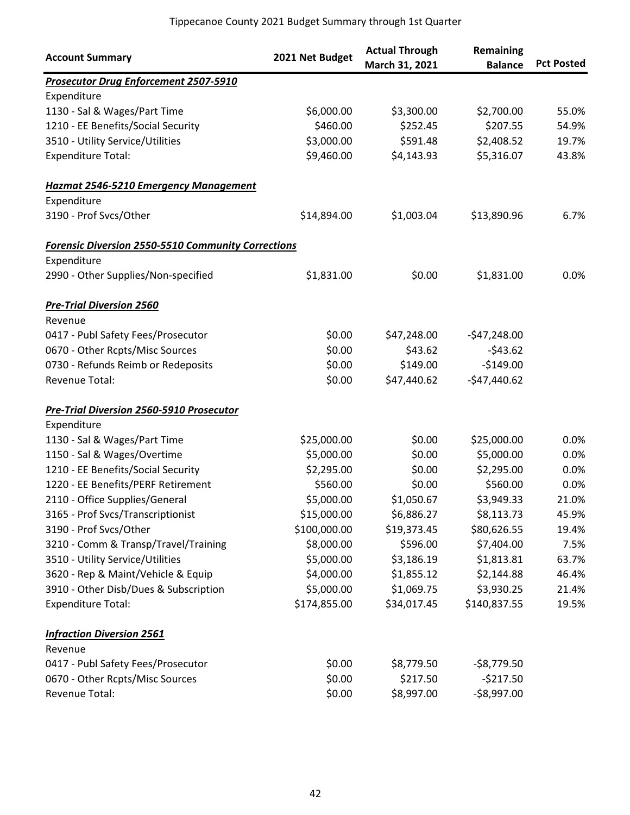| <b>Account Summary</b>                                    | 2021 Net Budget | <b>Actual Through</b><br>March 31, 2021 | Remaining<br><b>Balance</b> | <b>Pct Posted</b> |
|-----------------------------------------------------------|-----------------|-----------------------------------------|-----------------------------|-------------------|
| <b>Prosecutor Drug Enforcement 2507-5910</b>              |                 |                                         |                             |                   |
| Expenditure                                               |                 |                                         |                             |                   |
| 1130 - Sal & Wages/Part Time                              | \$6,000.00      | \$3,300.00                              | \$2,700.00                  | 55.0%             |
| 1210 - EE Benefits/Social Security                        | \$460.00        | \$252.45                                | \$207.55                    | 54.9%             |
| 3510 - Utility Service/Utilities                          | \$3,000.00      | \$591.48                                | \$2,408.52                  | 19.7%             |
| <b>Expenditure Total:</b>                                 | \$9,460.00      | \$4,143.93                              | \$5,316.07                  | 43.8%             |
| <b>Hazmat 2546-5210 Emergency Management</b>              |                 |                                         |                             |                   |
| Expenditure                                               |                 |                                         |                             |                   |
| 3190 - Prof Svcs/Other                                    | \$14,894.00     | \$1,003.04                              | \$13,890.96                 | 6.7%              |
| <b>Forensic Diversion 2550-5510 Community Corrections</b> |                 |                                         |                             |                   |
| Expenditure                                               |                 |                                         |                             |                   |
| 2990 - Other Supplies/Non-specified                       | \$1,831.00      | \$0.00                                  | \$1,831.00                  | 0.0%              |
| <b>Pre-Trial Diversion 2560</b>                           |                 |                                         |                             |                   |
| Revenue                                                   |                 |                                         |                             |                   |
| 0417 - Publ Safety Fees/Prosecutor                        | \$0.00          | \$47,248.00                             | $-547,248.00$               |                   |
| 0670 - Other Rcpts/Misc Sources                           | \$0.00          | \$43.62                                 | $-543.62$                   |                   |
| 0730 - Refunds Reimb or Redeposits                        | \$0.00          | \$149.00                                | $-$149.00$                  |                   |
| Revenue Total:                                            | \$0.00          | \$47,440.62                             | $-$47,440.62$               |                   |
| <b>Pre-Trial Diversion 2560-5910 Prosecutor</b>           |                 |                                         |                             |                   |
| Expenditure                                               |                 |                                         |                             |                   |
| 1130 - Sal & Wages/Part Time                              | \$25,000.00     | \$0.00                                  | \$25,000.00                 | 0.0%              |
| 1150 - Sal & Wages/Overtime                               | \$5,000.00      | \$0.00                                  | \$5,000.00                  | 0.0%              |
| 1210 - EE Benefits/Social Security                        | \$2,295.00      | \$0.00                                  | \$2,295.00                  | 0.0%              |
| 1220 - EE Benefits/PERF Retirement                        | \$560.00        | \$0.00                                  | \$560.00                    | 0.0%              |
| 2110 - Office Supplies/General                            | \$5,000.00      | \$1,050.67                              | \$3,949.33                  | 21.0%             |
| 3165 - Prof Svcs/Transcriptionist                         | \$15,000.00     | \$6,886.27                              | \$8,113.73                  | 45.9%             |
| 3190 - Prof Svcs/Other                                    | \$100,000.00    | \$19,373.45                             | \$80,626.55                 | 19.4%             |
| 3210 - Comm & Transp/Travel/Training                      | \$8,000.00      | \$596.00                                | \$7,404.00                  | 7.5%              |
| 3510 - Utility Service/Utilities                          | \$5,000.00      | \$3,186.19                              | \$1,813.81                  | 63.7%             |
| 3620 - Rep & Maint/Vehicle & Equip                        | \$4,000.00      | \$1,855.12                              | \$2,144.88                  | 46.4%             |
| 3910 - Other Disb/Dues & Subscription                     | \$5,000.00      | \$1,069.75                              | \$3,930.25                  | 21.4%             |
| <b>Expenditure Total:</b>                                 | \$174,855.00    | \$34,017.45                             | \$140,837.55                | 19.5%             |
| <b>Infraction Diversion 2561</b>                          |                 |                                         |                             |                   |
| Revenue                                                   |                 |                                         |                             |                   |
| 0417 - Publ Safety Fees/Prosecutor                        | \$0.00          | \$8,779.50                              | $-58,779.50$                |                   |
| 0670 - Other Rcpts/Misc Sources                           | \$0.00          | \$217.50                                | $-5217.50$                  |                   |
| Revenue Total:                                            | \$0.00          | \$8,997.00                              | $-58,997.00$                |                   |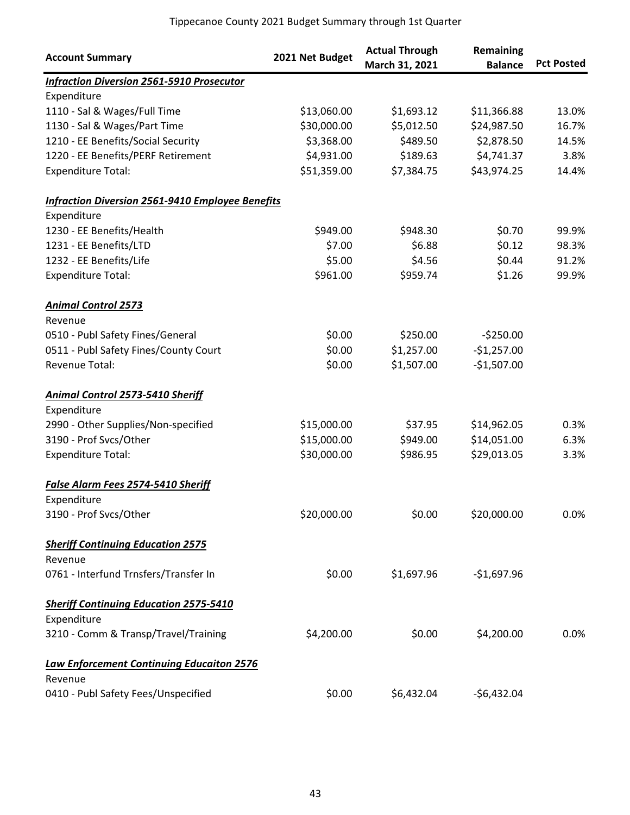| <b>Account Summary</b>                                  | 2021 Net Budget | <b>Actual Through</b><br>March 31, 2021 | Remaining<br><b>Balance</b> | <b>Pct Posted</b> |
|---------------------------------------------------------|-----------------|-----------------------------------------|-----------------------------|-------------------|
| <b>Infraction Diversion 2561-5910 Prosecutor</b>        |                 |                                         |                             |                   |
| Expenditure                                             |                 |                                         |                             |                   |
| 1110 - Sal & Wages/Full Time                            | \$13,060.00     | \$1,693.12                              | \$11,366.88                 | 13.0%             |
| 1130 - Sal & Wages/Part Time                            | \$30,000.00     | \$5,012.50                              | \$24,987.50                 | 16.7%             |
| 1210 - EE Benefits/Social Security                      | \$3,368.00      | \$489.50                                | \$2,878.50                  | 14.5%             |
| 1220 - EE Benefits/PERF Retirement                      | \$4,931.00      | \$189.63                                | \$4,741.37                  | 3.8%              |
| <b>Expenditure Total:</b>                               | \$51,359.00     | \$7,384.75                              | \$43,974.25                 | 14.4%             |
| <b>Infraction Diversion 2561-9410 Employee Benefits</b> |                 |                                         |                             |                   |
| Expenditure                                             |                 |                                         |                             |                   |
| 1230 - EE Benefits/Health                               | \$949.00        | \$948.30                                | \$0.70                      | 99.9%             |
| 1231 - EE Benefits/LTD                                  | \$7.00          | \$6.88                                  | \$0.12                      | 98.3%             |
| 1232 - EE Benefits/Life                                 | \$5.00          | \$4.56                                  | \$0.44                      | 91.2%             |
| <b>Expenditure Total:</b>                               | \$961.00        | \$959.74                                | \$1.26                      | 99.9%             |
| <b>Animal Control 2573</b>                              |                 |                                         |                             |                   |
| Revenue                                                 |                 |                                         |                             |                   |
| 0510 - Publ Safety Fines/General                        | \$0.00          | \$250.00                                | $-5250.00$                  |                   |
| 0511 - Publ Safety Fines/County Court                   | \$0.00          | \$1,257.00                              | $-$1,257.00$                |                   |
| Revenue Total:                                          | \$0.00          | \$1,507.00                              | $-$1,507.00$                |                   |
| <b>Animal Control 2573-5410 Sheriff</b>                 |                 |                                         |                             |                   |
| Expenditure                                             |                 |                                         |                             |                   |
| 2990 - Other Supplies/Non-specified                     | \$15,000.00     | \$37.95                                 | \$14,962.05                 | 0.3%              |
| 3190 - Prof Svcs/Other                                  | \$15,000.00     | \$949.00                                | \$14,051.00                 | 6.3%              |
| <b>Expenditure Total:</b>                               | \$30,000.00     | \$986.95                                | \$29,013.05                 | 3.3%              |
| <b>False Alarm Fees 2574-5410 Sheriff</b>               |                 |                                         |                             |                   |
| Expenditure                                             |                 |                                         |                             |                   |
| 3190 - Prof Svcs/Other                                  | \$20,000.00     | \$0.00                                  | \$20,000.00                 | 0.0%              |
| <b>Sheriff Continuing Education 2575</b>                |                 |                                         |                             |                   |
| Revenue                                                 |                 |                                         |                             |                   |
| 0761 - Interfund Trnsfers/Transfer In                   | \$0.00          | \$1,697.96                              | $-$1,697.96$                |                   |
| <b>Sheriff Continuing Education 2575-5410</b>           |                 |                                         |                             |                   |
| Expenditure                                             |                 |                                         |                             |                   |
| 3210 - Comm & Transp/Travel/Training                    | \$4,200.00      | \$0.00                                  | \$4,200.00                  | 0.0%              |
| <b>Law Enforcement Continuing Educaiton 2576</b>        |                 |                                         |                             |                   |
| Revenue                                                 |                 |                                         |                             |                   |
| 0410 - Publ Safety Fees/Unspecified                     | \$0.00          | \$6,432.04                              | $-$6,432.04$                |                   |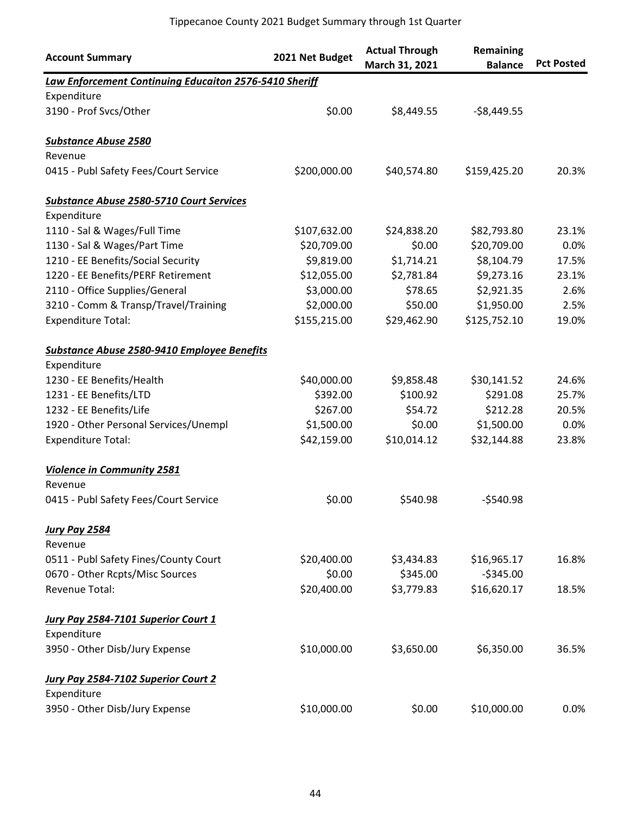| <b>Account Summary</b>                                 | 2021 Net Budget | <b>Actual Through</b><br>March 31, 2021 | Remaining<br><b>Balance</b> | <b>Pct Posted</b> |
|--------------------------------------------------------|-----------------|-----------------------------------------|-----------------------------|-------------------|
| Law Enforcement Continuing Educaiton 2576-5410 Sheriff |                 |                                         |                             |                   |
| Expenditure                                            |                 |                                         |                             |                   |
| 3190 - Prof Svcs/Other                                 | \$0.00          | \$8,449.55                              | $-58,449.55$                |                   |
| <b>Substance Abuse 2580</b>                            |                 |                                         |                             |                   |
| Revenue                                                |                 |                                         |                             |                   |
| 0415 - Publ Safety Fees/Court Service                  | \$200,000.00    | \$40,574.80                             | \$159,425.20                | 20.3%             |
| <b>Substance Abuse 2580-5710 Court Services</b>        |                 |                                         |                             |                   |
| Expenditure                                            |                 |                                         |                             |                   |
| 1110 - Sal & Wages/Full Time                           | \$107,632.00    | \$24,838.20                             | \$82,793.80                 | 23.1%             |
| 1130 - Sal & Wages/Part Time                           | \$20,709.00     | \$0.00                                  | \$20,709.00                 | 0.0%              |
| 1210 - EE Benefits/Social Security                     | \$9,819.00      | \$1,714.21                              | \$8,104.79                  | 17.5%             |
| 1220 - EE Benefits/PERF Retirement                     | \$12,055.00     | \$2,781.84                              | \$9,273.16                  | 23.1%             |
| 2110 - Office Supplies/General                         | \$3,000.00      | \$78.65                                 | \$2,921.35                  | 2.6%              |
| 3210 - Comm & Transp/Travel/Training                   | \$2,000.00      | \$50.00                                 | \$1,950.00                  | 2.5%              |
| <b>Expenditure Total:</b>                              | \$155,215.00    | \$29,462.90                             | \$125,752.10                | 19.0%             |
| Substance Abuse 2580-9410 Employee Benefits            |                 |                                         |                             |                   |
| Expenditure                                            |                 |                                         |                             |                   |
| 1230 - EE Benefits/Health                              | \$40,000.00     | \$9,858.48                              | \$30,141.52                 | 24.6%             |
| 1231 - EE Benefits/LTD                                 | \$392.00        | \$100.92                                | \$291.08                    | 25.7%             |
| 1232 - EE Benefits/Life                                | \$267.00        | \$54.72                                 | \$212.28                    | 20.5%             |
| 1920 - Other Personal Services/Unempl                  | \$1,500.00      | \$0.00                                  | \$1,500.00                  | 0.0%              |
| <b>Expenditure Total:</b>                              | \$42,159.00     | \$10,014.12                             | \$32,144.88                 | 23.8%             |
| <b>Violence in Community 2581</b>                      |                 |                                         |                             |                   |
| Revenue                                                |                 |                                         |                             |                   |
| 0415 - Publ Safety Fees/Court Service                  | \$0.00          | \$540.98                                | $-$540.98$                  |                   |
| <b>Jury Pay 2584</b>                                   |                 |                                         |                             |                   |
| Revenue                                                |                 |                                         |                             |                   |
| 0511 - Publ Safety Fines/County Court                  | \$20,400.00     | \$3,434.83                              | \$16,965.17                 | 16.8%             |
| 0670 - Other Rcpts/Misc Sources                        | \$0.00          | \$345.00                                | $-5345.00$                  |                   |
| Revenue Total:                                         | \$20,400.00     | \$3,779.83                              | \$16,620.17                 | 18.5%             |
| Jury Pay 2584-7101 Superior Court 1                    |                 |                                         |                             |                   |
| Expenditure                                            |                 |                                         |                             |                   |
| 3950 - Other Disb/Jury Expense                         | \$10,000.00     | \$3,650.00                              | \$6,350.00                  | 36.5%             |
| <b>Jury Pay 2584-7102 Superior Court 2</b>             |                 |                                         |                             |                   |
| Expenditure                                            |                 |                                         |                             |                   |
| 3950 - Other Disb/Jury Expense                         | \$10,000.00     | \$0.00                                  | \$10,000.00                 | 0.0%              |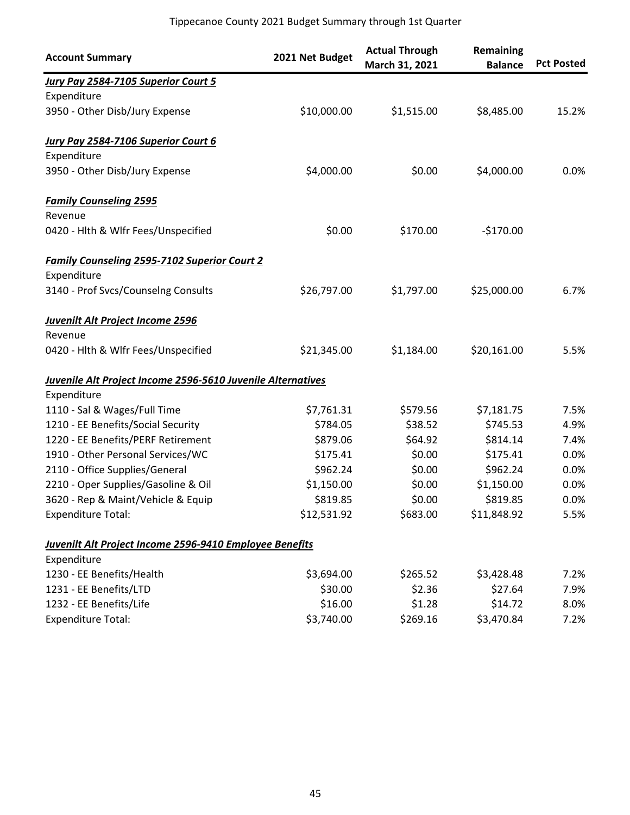| <b>Account Summary</b>                                             | 2021 Net Budget | <b>Actual Through</b><br>March 31, 2021 | Remaining<br><b>Balance</b> | <b>Pct Posted</b> |
|--------------------------------------------------------------------|-----------------|-----------------------------------------|-----------------------------|-------------------|
| Jury Pay 2584-7105 Superior Court 5                                |                 |                                         |                             |                   |
| Expenditure                                                        |                 |                                         |                             |                   |
| 3950 - Other Disb/Jury Expense                                     | \$10,000.00     | \$1,515.00                              | \$8,485.00                  | 15.2%             |
| Jury Pay 2584-7106 Superior Court 6                                |                 |                                         |                             |                   |
| Expenditure                                                        |                 |                                         |                             |                   |
| 3950 - Other Disb/Jury Expense                                     | \$4,000.00      | \$0.00                                  | \$4,000.00                  | 0.0%              |
| <b>Family Counseling 2595</b><br>Revenue                           |                 |                                         |                             |                   |
| 0420 - Hlth & Wlfr Fees/Unspecified                                | \$0.00          | \$170.00                                | $-$170.00$                  |                   |
| <b>Family Counseling 2595-7102 Superior Court 2</b><br>Expenditure |                 |                                         |                             |                   |
| 3140 - Prof Svcs/Counselng Consults                                | \$26,797.00     | \$1,797.00                              | \$25,000.00                 | 6.7%              |
| <b>Juvenilt Alt Project Income 2596</b>                            |                 |                                         |                             |                   |
| Revenue                                                            |                 |                                         |                             |                   |
| 0420 - Hlth & Wlfr Fees/Unspecified                                | \$21,345.00     | \$1,184.00                              | \$20,161.00                 | 5.5%              |
| Juvenile Alt Project Income 2596-5610 Juvenile Alternatives        |                 |                                         |                             |                   |
| Expenditure                                                        |                 |                                         |                             |                   |
| 1110 - Sal & Wages/Full Time                                       | \$7,761.31      | \$579.56                                | \$7,181.75                  | 7.5%              |
| 1210 - EE Benefits/Social Security                                 | \$784.05        | \$38.52                                 | \$745.53                    | 4.9%              |
| 1220 - EE Benefits/PERF Retirement                                 | \$879.06        | \$64.92                                 | \$814.14                    | 7.4%              |
| 1910 - Other Personal Services/WC                                  | \$175.41        | \$0.00                                  | \$175.41                    | 0.0%              |
| 2110 - Office Supplies/General                                     | \$962.24        | \$0.00                                  | \$962.24                    | 0.0%              |
| 2210 - Oper Supplies/Gasoline & Oil                                | \$1,150.00      | \$0.00                                  | \$1,150.00                  | 0.0%              |
| 3620 - Rep & Maint/Vehicle & Equip                                 | \$819.85        | \$0.00                                  | \$819.85                    | 0.0%              |
| <b>Expenditure Total:</b>                                          | \$12,531.92     | \$683.00                                | \$11,848.92                 | 5.5%              |
| Juvenilt Alt Project Income 2596-9410 Employee Benefits            |                 |                                         |                             |                   |
| Expenditure                                                        |                 |                                         |                             |                   |
| 1230 - EE Benefits/Health                                          | \$3,694.00      | \$265.52                                | \$3,428.48                  | 7.2%              |
| 1231 - EE Benefits/LTD                                             | \$30.00         | \$2.36                                  | \$27.64                     | 7.9%              |
| 1232 - EE Benefits/Life                                            | \$16.00         | \$1.28                                  | \$14.72                     | 8.0%              |
| <b>Expenditure Total:</b>                                          | \$3,740.00      | \$269.16                                | \$3,470.84                  | 7.2%              |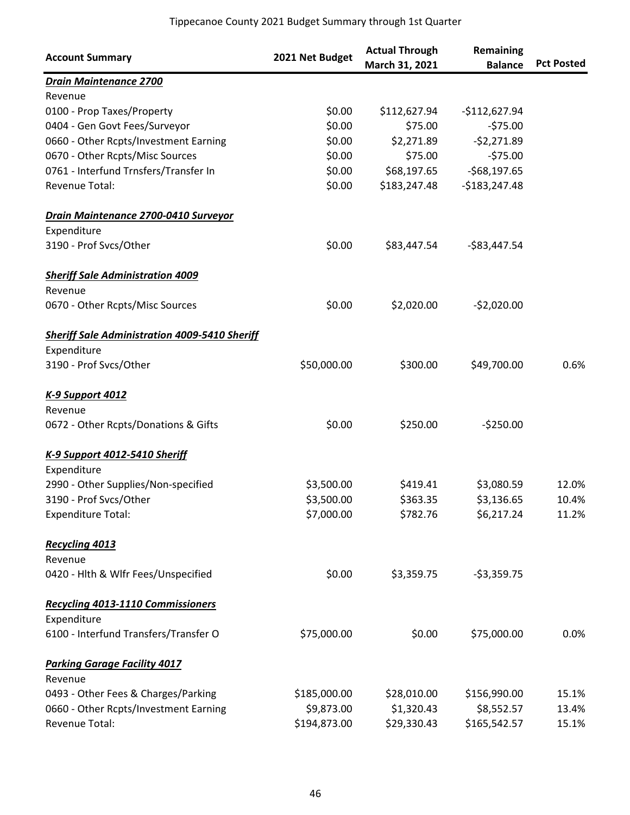| <b>Account Summary</b>                               | 2021 Net Budget | <b>Actual Through</b><br>March 31, 2021 | Remaining<br><b>Balance</b> | <b>Pct Posted</b> |
|------------------------------------------------------|-----------------|-----------------------------------------|-----------------------------|-------------------|
| <b>Drain Maintenance 2700</b>                        |                 |                                         |                             |                   |
| Revenue                                              |                 |                                         |                             |                   |
| 0100 - Prop Taxes/Property                           | \$0.00          | \$112,627.94                            | $-$112,627.94$              |                   |
| 0404 - Gen Govt Fees/Surveyor                        | \$0.00          | \$75.00                                 | $-575.00$                   |                   |
| 0660 - Other Rcpts/Investment Earning                | \$0.00          | \$2,271.89                              | $-52,271.89$                |                   |
| 0670 - Other Rcpts/Misc Sources                      | \$0.00          | \$75.00                                 | $-575.00$                   |                   |
| 0761 - Interfund Trnsfers/Transfer In                | \$0.00          | \$68,197.65                             | $-568,197.65$               |                   |
| <b>Revenue Total:</b>                                | \$0.00          | \$183,247.48                            | $-$183,247.48$              |                   |
| Drain Maintenance 2700-0410 Surveyor                 |                 |                                         |                             |                   |
| Expenditure                                          |                 |                                         |                             |                   |
| 3190 - Prof Svcs/Other                               | \$0.00          | \$83,447.54                             | $-$ \$83,447.54             |                   |
| <b>Sheriff Sale Administration 4009</b>              |                 |                                         |                             |                   |
| Revenue                                              |                 |                                         |                             |                   |
| 0670 - Other Rcpts/Misc Sources                      | \$0.00          | \$2,020.00                              | $-52,020.00$                |                   |
| <b>Sheriff Sale Administration 4009-5410 Sheriff</b> |                 |                                         |                             |                   |
| Expenditure                                          |                 |                                         |                             |                   |
| 3190 - Prof Svcs/Other                               | \$50,000.00     | \$300.00                                | \$49,700.00                 | 0.6%              |
| <b>K-9 Support 4012</b>                              |                 |                                         |                             |                   |
| Revenue                                              |                 |                                         |                             |                   |
| 0672 - Other Rcpts/Donations & Gifts                 | \$0.00          | \$250.00                                | $-5250.00$                  |                   |
| K-9 Support 4012-5410 Sheriff                        |                 |                                         |                             |                   |
| Expenditure                                          |                 |                                         |                             |                   |
| 2990 - Other Supplies/Non-specified                  | \$3,500.00      | \$419.41                                | \$3,080.59                  | 12.0%             |
| 3190 - Prof Svcs/Other                               | \$3,500.00      | \$363.35                                | \$3,136.65                  | 10.4%             |
| <b>Expenditure Total:</b>                            | \$7,000.00      | \$782.76                                | \$6,217.24                  | 11.2%             |
| <b>Recycling 4013</b>                                |                 |                                         |                             |                   |
| Revenue                                              |                 |                                         |                             |                   |
| 0420 - Hlth & Wlfr Fees/Unspecified                  | \$0.00          | \$3,359.75                              | $-53,359.75$                |                   |
| <b>Recycling 4013-1110 Commissioners</b>             |                 |                                         |                             |                   |
| Expenditure                                          |                 |                                         |                             |                   |
| 6100 - Interfund Transfers/Transfer O                | \$75,000.00     | \$0.00                                  | \$75,000.00                 | $0.0\%$           |
| <b>Parking Garage Facility 4017</b>                  |                 |                                         |                             |                   |
| Revenue                                              |                 |                                         |                             |                   |
| 0493 - Other Fees & Charges/Parking                  | \$185,000.00    | \$28,010.00                             | \$156,990.00                | 15.1%             |
| 0660 - Other Rcpts/Investment Earning                | \$9,873.00      | \$1,320.43                              | \$8,552.57                  | 13.4%             |
| Revenue Total:                                       | \$194,873.00    | \$29,330.43                             | \$165,542.57                | 15.1%             |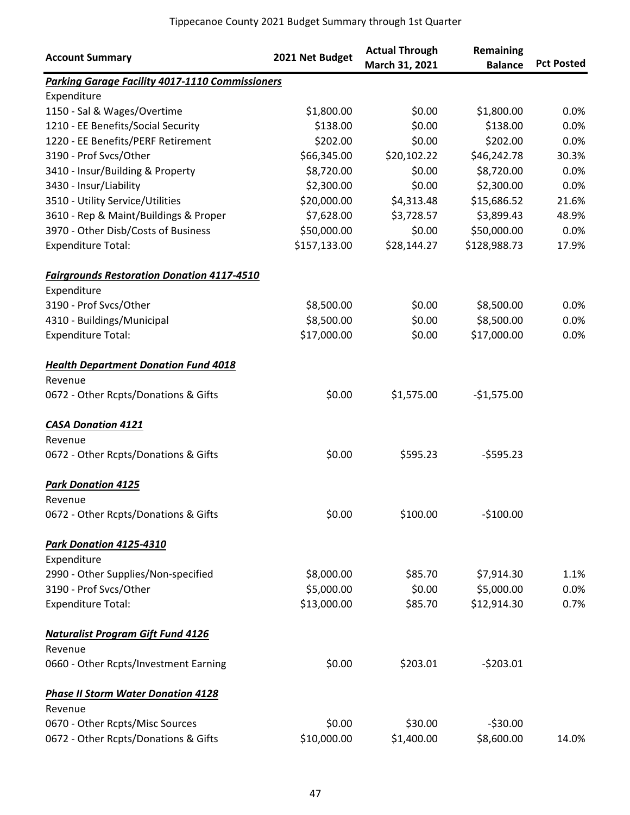| <b>Account Summary</b>                                 | 2021 Net Budget | <b>Actual Through</b><br>March 31, 2021 | Remaining<br><b>Balance</b> | <b>Pct Posted</b> |
|--------------------------------------------------------|-----------------|-----------------------------------------|-----------------------------|-------------------|
| <b>Parking Garage Facility 4017-1110 Commissioners</b> |                 |                                         |                             |                   |
| Expenditure                                            |                 |                                         |                             |                   |
| 1150 - Sal & Wages/Overtime                            | \$1,800.00      | \$0.00                                  | \$1,800.00                  | 0.0%              |
| 1210 - EE Benefits/Social Security                     | \$138.00        | \$0.00                                  | \$138.00                    | 0.0%              |
| 1220 - EE Benefits/PERF Retirement                     | \$202.00        | \$0.00                                  | \$202.00                    | 0.0%              |
| 3190 - Prof Svcs/Other                                 | \$66,345.00     | \$20,102.22                             | \$46,242.78                 | 30.3%             |
| 3410 - Insur/Building & Property                       | \$8,720.00      | \$0.00                                  | \$8,720.00                  | 0.0%              |
| 3430 - Insur/Liability                                 | \$2,300.00      | \$0.00                                  | \$2,300.00                  | 0.0%              |
| 3510 - Utility Service/Utilities                       | \$20,000.00     | \$4,313.48                              | \$15,686.52                 | 21.6%             |
| 3610 - Rep & Maint/Buildings & Proper                  | \$7,628.00      | \$3,728.57                              | \$3,899.43                  | 48.9%             |
| 3970 - Other Disb/Costs of Business                    | \$50,000.00     | \$0.00                                  | \$50,000.00                 | 0.0%              |
| <b>Expenditure Total:</b>                              | \$157,133.00    | \$28,144.27                             | \$128,988.73                | 17.9%             |
| <b>Fairgrounds Restoration Donation 4117-4510</b>      |                 |                                         |                             |                   |
| Expenditure                                            |                 |                                         |                             |                   |
| 3190 - Prof Svcs/Other                                 | \$8,500.00      | \$0.00                                  | \$8,500.00                  | 0.0%              |
| 4310 - Buildings/Municipal                             | \$8,500.00      | \$0.00                                  | \$8,500.00                  | 0.0%              |
| <b>Expenditure Total:</b>                              | \$17,000.00     | \$0.00                                  | \$17,000.00                 | 0.0%              |
| <b>Health Department Donation Fund 4018</b>            |                 |                                         |                             |                   |
| Revenue                                                |                 |                                         |                             |                   |
| 0672 - Other Rcpts/Donations & Gifts                   | \$0.00          | \$1,575.00                              | $-$1,575.00$                |                   |
| <b>CASA Donation 4121</b>                              |                 |                                         |                             |                   |
| Revenue                                                |                 |                                         |                             |                   |
| 0672 - Other Rcpts/Donations & Gifts                   | \$0.00          | \$595.23                                | $-5595.23$                  |                   |
| <b>Park Donation 4125</b>                              |                 |                                         |                             |                   |
| Revenue                                                |                 |                                         |                             |                   |
| 0672 - Other Rcpts/Donations & Gifts                   | \$0.00          | \$100.00                                | $-$100.00$                  |                   |
| Park Donation 4125-4310                                |                 |                                         |                             |                   |
| Expenditure                                            |                 |                                         |                             |                   |
| 2990 - Other Supplies/Non-specified                    | \$8,000.00      | \$85.70                                 | \$7,914.30                  | 1.1%              |
| 3190 - Prof Svcs/Other                                 | \$5,000.00      | \$0.00                                  | \$5,000.00                  | 0.0%              |
| <b>Expenditure Total:</b>                              | \$13,000.00     | \$85.70                                 | \$12,914.30                 | 0.7%              |
| <b>Naturalist Program Gift Fund 4126</b>               |                 |                                         |                             |                   |
| Revenue                                                |                 |                                         |                             |                   |
| 0660 - Other Rcpts/Investment Earning                  | \$0.00          | \$203.01                                | $-5203.01$                  |                   |
| <b>Phase II Storm Water Donation 4128</b>              |                 |                                         |                             |                   |
| Revenue                                                |                 |                                         |                             |                   |
| 0670 - Other Rcpts/Misc Sources                        | \$0.00          | \$30.00                                 | $-530.00$                   |                   |
| 0672 - Other Rcpts/Donations & Gifts                   | \$10,000.00     | \$1,400.00                              | \$8,600.00                  | 14.0%             |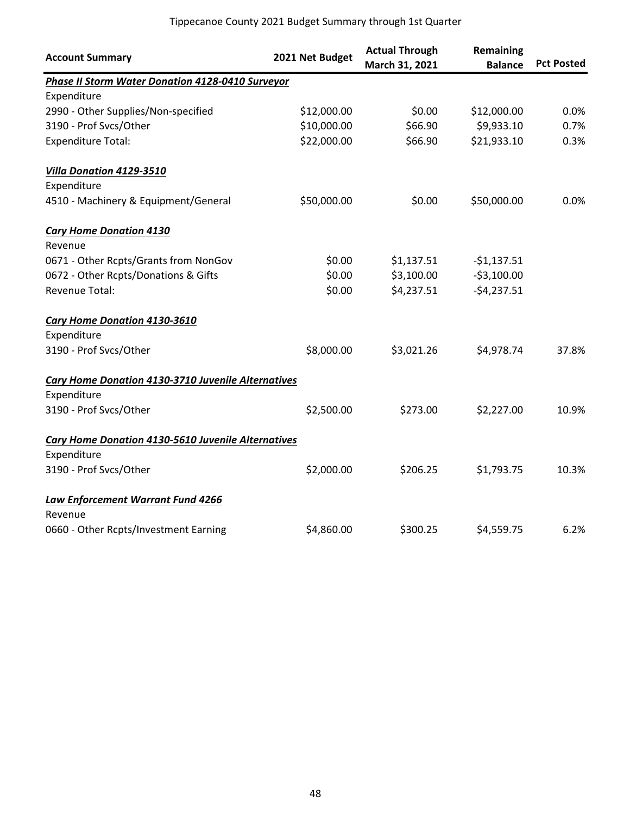| <b>Account Summary</b>                             | 2021 Net Budget | <b>Actual Through</b><br>March 31, 2021 | Remaining<br><b>Balance</b> | <b>Pct Posted</b> |
|----------------------------------------------------|-----------------|-----------------------------------------|-----------------------------|-------------------|
| Phase II Storm Water Donation 4128-0410 Surveyor   |                 |                                         |                             |                   |
| Expenditure                                        |                 |                                         |                             |                   |
| 2990 - Other Supplies/Non-specified                | \$12,000.00     | \$0.00                                  | \$12,000.00                 | 0.0%              |
| 3190 - Prof Svcs/Other                             | \$10,000.00     | \$66.90                                 | \$9,933.10                  | 0.7%              |
| <b>Expenditure Total:</b>                          | \$22,000.00     | \$66.90                                 | \$21,933.10                 | 0.3%              |
| Villa Donation 4129-3510                           |                 |                                         |                             |                   |
| Expenditure                                        |                 |                                         |                             |                   |
| 4510 - Machinery & Equipment/General               | \$50,000.00     | \$0.00                                  | \$50,000.00                 | 0.0%              |
| <b>Cary Home Donation 4130</b>                     |                 |                                         |                             |                   |
| Revenue                                            |                 |                                         |                             |                   |
| 0671 - Other Rcpts/Grants from NonGov              | \$0.00          | \$1,137.51                              | $-51,137.51$                |                   |
| 0672 - Other Rcpts/Donations & Gifts               | \$0.00          | \$3,100.00                              | $-53,100.00$                |                   |
| Revenue Total:                                     | \$0.00          | \$4,237.51                              | $-$4,237.51$                |                   |
| Cary Home Donation 4130-3610                       |                 |                                         |                             |                   |
| Expenditure                                        |                 |                                         |                             |                   |
| 3190 - Prof Svcs/Other                             | \$8,000.00      | \$3,021.26                              | \$4,978.74                  | 37.8%             |
| Cary Home Donation 4130-3710 Juvenile Alternatives |                 |                                         |                             |                   |
| Expenditure                                        |                 |                                         |                             |                   |
| 3190 - Prof Svcs/Other                             | \$2,500.00      | \$273.00                                | \$2,227.00                  | 10.9%             |
| Cary Home Donation 4130-5610 Juvenile Alternatives |                 |                                         |                             |                   |
| Expenditure                                        |                 |                                         |                             |                   |
| 3190 - Prof Svcs/Other                             | \$2,000.00      | \$206.25                                | \$1,793.75                  | 10.3%             |
| Law Enforcement Warrant Fund 4266                  |                 |                                         |                             |                   |
| Revenue                                            |                 |                                         |                             |                   |
| 0660 - Other Rcpts/Investment Earning              | \$4,860.00      | \$300.25                                | \$4,559.75                  | 6.2%              |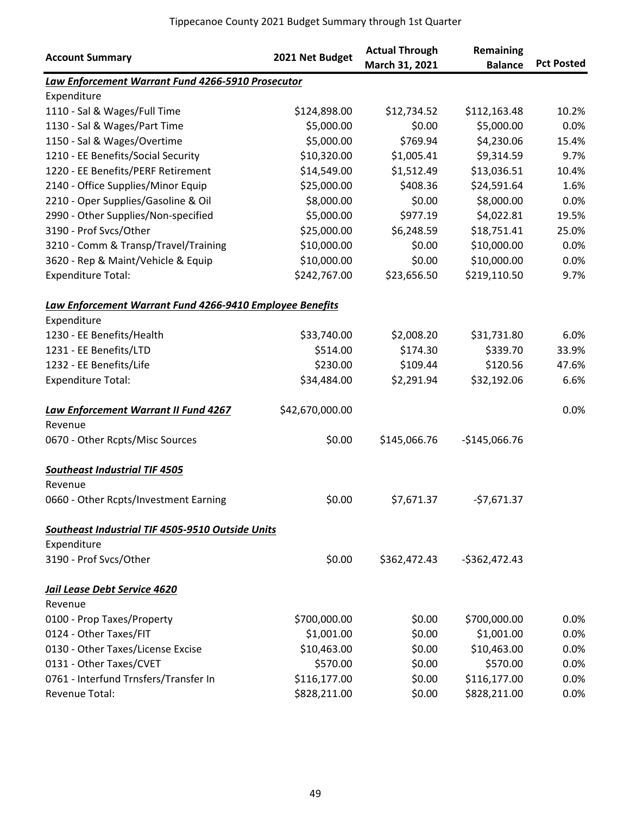| <b>Account Summary</b>                                   | 2021 Net Budget | <b>Actual Through</b><br>March 31, 2021 | Remaining<br><b>Balance</b> | <b>Pct Posted</b> |
|----------------------------------------------------------|-----------------|-----------------------------------------|-----------------------------|-------------------|
| Law Enforcement Warrant Fund 4266-5910 Prosecutor        |                 |                                         |                             |                   |
| Expenditure                                              |                 |                                         |                             |                   |
| 1110 - Sal & Wages/Full Time                             | \$124,898.00    | \$12,734.52                             | \$112,163.48                | 10.2%             |
| 1130 - Sal & Wages/Part Time                             | \$5,000.00      | \$0.00                                  | \$5,000.00                  | 0.0%              |
| 1150 - Sal & Wages/Overtime                              | \$5,000.00      | \$769.94                                | \$4,230.06                  | 15.4%             |
| 1210 - EE Benefits/Social Security                       | \$10,320.00     | \$1,005.41                              | \$9,314.59                  | 9.7%              |
| 1220 - EE Benefits/PERF Retirement                       | \$14,549.00     | \$1,512.49                              | \$13,036.51                 | 10.4%             |
| 2140 - Office Supplies/Minor Equip                       | \$25,000.00     | \$408.36                                | \$24,591.64                 | 1.6%              |
| 2210 - Oper Supplies/Gasoline & Oil                      | \$8,000.00      | \$0.00                                  | \$8,000.00                  | 0.0%              |
| 2990 - Other Supplies/Non-specified                      | \$5,000.00      | \$977.19                                | \$4,022.81                  | 19.5%             |
| 3190 - Prof Svcs/Other                                   | \$25,000.00     | \$6,248.59                              | \$18,751.41                 | 25.0%             |
| 3210 - Comm & Transp/Travel/Training                     | \$10,000.00     | \$0.00                                  | \$10,000.00                 | 0.0%              |
| 3620 - Rep & Maint/Vehicle & Equip                       | \$10,000.00     | \$0.00                                  | \$10,000.00                 | 0.0%              |
| <b>Expenditure Total:</b>                                | \$242,767.00    | \$23,656.50                             | \$219,110.50                | 9.7%              |
| Law Enforcement Warrant Fund 4266-9410 Employee Benefits |                 |                                         |                             |                   |
| Expenditure                                              |                 |                                         |                             |                   |
| 1230 - EE Benefits/Health                                | \$33,740.00     | \$2,008.20                              | \$31,731.80                 | 6.0%              |
| 1231 - EE Benefits/LTD                                   | \$514.00        | \$174.30                                | \$339.70                    | 33.9%             |
| 1232 - EE Benefits/Life                                  | \$230.00        | \$109.44                                | \$120.56                    | 47.6%             |
| <b>Expenditure Total:</b>                                | \$34,484.00     | \$2,291.94                              | \$32,192.06                 | 6.6%              |
| Law Enforcement Warrant II Fund 4267                     | \$42,670,000.00 |                                         |                             | 0.0%              |
| Revenue                                                  |                 |                                         |                             |                   |
| 0670 - Other Rcpts/Misc Sources                          | \$0.00          | \$145,066.76                            | $-$145,066.76$              |                   |
| <b>Southeast Industrial TIF 4505</b>                     |                 |                                         |                             |                   |
| Revenue                                                  |                 |                                         |                             |                   |
| 0660 - Other Rcpts/Investment Earning                    | \$0.00          | \$7,671.37                              | $-57,671.37$                |                   |
| Southeast Industrial TIF 4505-9510 Outside Units         |                 |                                         |                             |                   |
| Expenditure                                              |                 |                                         |                             |                   |
| 3190 - Prof Svcs/Other                                   | \$0.00          | \$362,472.43                            | $-$362,472.43$              |                   |
| Jail Lease Debt Service 4620                             |                 |                                         |                             |                   |
| Revenue                                                  |                 |                                         |                             |                   |
| 0100 - Prop Taxes/Property                               | \$700,000.00    | \$0.00                                  | \$700,000.00                | 0.0%              |
| 0124 - Other Taxes/FIT                                   | \$1,001.00      | \$0.00                                  | \$1,001.00                  | 0.0%              |
| 0130 - Other Taxes/License Excise                        | \$10,463.00     | \$0.00                                  | \$10,463.00                 | 0.0%              |
| 0131 - Other Taxes/CVET                                  | \$570.00        | \$0.00                                  | \$570.00                    | 0.0%              |
| 0761 - Interfund Trnsfers/Transfer In                    | \$116,177.00    | \$0.00                                  | \$116,177.00                | 0.0%              |
| Revenue Total:                                           | \$828,211.00    | \$0.00                                  | \$828,211.00                | 0.0%              |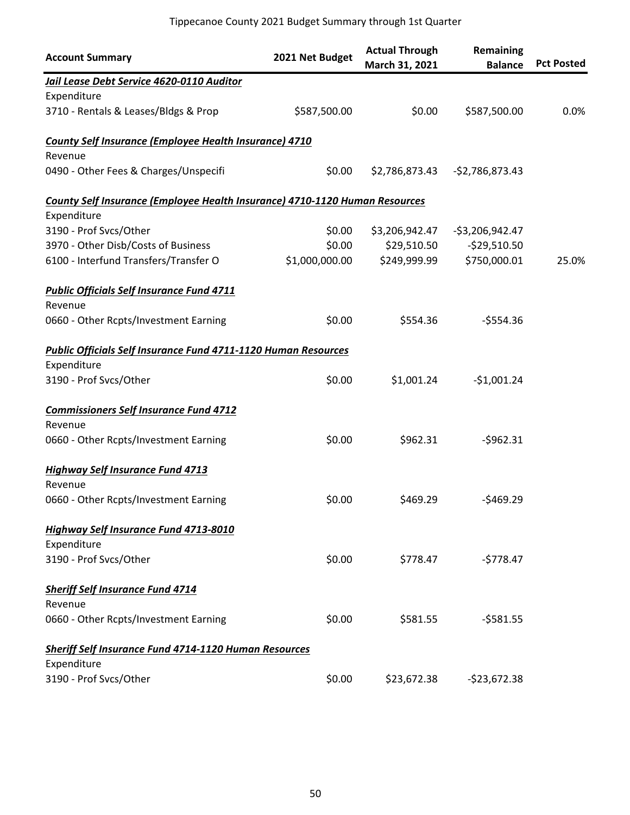| <b>Account Summary</b>                                                             | 2021 Net Budget | <b>Actual Through</b><br>March 31, 2021 | Remaining<br><b>Balance</b> | <b>Pct Posted</b> |
|------------------------------------------------------------------------------------|-----------------|-----------------------------------------|-----------------------------|-------------------|
| Jail Lease Debt Service 4620-0110 Auditor                                          |                 |                                         |                             |                   |
| Expenditure                                                                        |                 |                                         |                             |                   |
| 3710 - Rentals & Leases/Bldgs & Prop                                               | \$587,500.00    | \$0.00                                  | \$587,500.00                | 0.0%              |
| <b>County Self Insurance (Employee Health Insurance) 4710</b>                      |                 |                                         |                             |                   |
| Revenue                                                                            |                 |                                         |                             |                   |
| 0490 - Other Fees & Charges/Unspecifi                                              | \$0.00          | \$2,786,873.43                          | $-$2,786,873.43$            |                   |
| <b>County Self Insurance (Employee Health Insurance) 4710-1120 Human Resources</b> |                 |                                         |                             |                   |
| Expenditure                                                                        |                 |                                         |                             |                   |
| 3190 - Prof Svcs/Other                                                             | \$0.00          | \$3,206,942.47                          | $-53,206,942.47$            |                   |
| 3970 - Other Disb/Costs of Business                                                | \$0.00          | \$29,510.50                             | $-$29,510.50$               |                   |
| 6100 - Interfund Transfers/Transfer O                                              | \$1,000,000.00  | \$249,999.99                            | \$750,000.01                | 25.0%             |
| <b>Public Officials Self Insurance Fund 4711</b>                                   |                 |                                         |                             |                   |
| Revenue                                                                            |                 |                                         |                             |                   |
| 0660 - Other Rcpts/Investment Earning                                              | \$0.00          | \$554.36                                | $-$554.36$                  |                   |
| <b>Public Officials Self Insurance Fund 4711-1120 Human Resources</b>              |                 |                                         |                             |                   |
| Expenditure                                                                        |                 |                                         |                             |                   |
| 3190 - Prof Svcs/Other                                                             | \$0.00          | \$1,001.24                              | $-$1,001.24$                |                   |
| <b>Commissioners Self Insurance Fund 4712</b>                                      |                 |                                         |                             |                   |
| Revenue                                                                            |                 |                                         |                             |                   |
| 0660 - Other Rcpts/Investment Earning                                              | \$0.00          | \$962.31                                | $-5962.31$                  |                   |
| <b>Highway Self Insurance Fund 4713</b>                                            |                 |                                         |                             |                   |
| Revenue                                                                            |                 |                                         |                             |                   |
| 0660 - Other Rcpts/Investment Earning                                              | \$0.00          | \$469.29                                | $-5469.29$                  |                   |
| <b>Highway Self Insurance Fund 4713-8010</b>                                       |                 |                                         |                             |                   |
| Expenditure                                                                        |                 |                                         |                             |                   |
| 3190 - Prof Svcs/Other                                                             | \$0.00          | \$778.47                                | $-5778.47$                  |                   |
| <b>Sheriff Self Insurance Fund 4714</b>                                            |                 |                                         |                             |                   |
| Revenue                                                                            |                 |                                         |                             |                   |
| 0660 - Other Rcpts/Investment Earning                                              | \$0.00          | \$581.55                                | $-5581.55$                  |                   |
| <b>Sheriff Self Insurance Fund 4714-1120 Human Resources</b>                       |                 |                                         |                             |                   |
| Expenditure                                                                        |                 |                                         |                             |                   |
| 3190 - Prof Svcs/Other                                                             | \$0.00          | \$23,672.38                             | $-523,672.38$               |                   |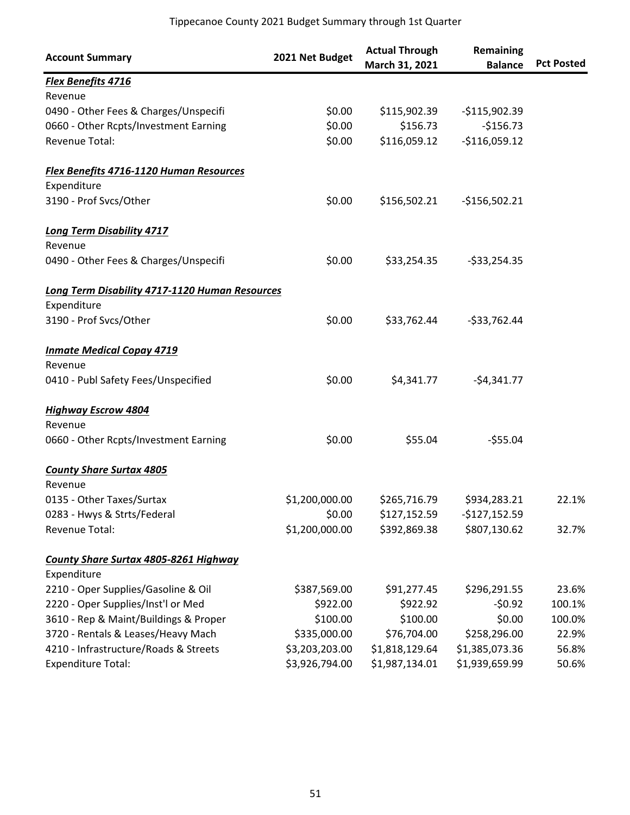| <b>Account Summary</b>                                | 2021 Net Budget | <b>Actual Through</b><br>March 31, 2021 | Remaining<br><b>Balance</b> | <b>Pct Posted</b> |
|-------------------------------------------------------|-----------------|-----------------------------------------|-----------------------------|-------------------|
| <b>Flex Benefits 4716</b>                             |                 |                                         |                             |                   |
| Revenue                                               |                 |                                         |                             |                   |
| 0490 - Other Fees & Charges/Unspecifi                 | \$0.00          | \$115,902.39                            | $-$115,902.39$              |                   |
| 0660 - Other Rcpts/Investment Earning                 | \$0.00          | \$156.73                                | $-$156.73$                  |                   |
| Revenue Total:                                        | \$0.00          | \$116,059.12                            | $-$116,059.12$              |                   |
| Flex Benefits 4716-1120 Human Resources               |                 |                                         |                             |                   |
| Expenditure                                           |                 |                                         |                             |                   |
| 3190 - Prof Svcs/Other                                | \$0.00          | \$156,502.21                            | $-$156,502.21$              |                   |
| <b>Long Term Disability 4717</b>                      |                 |                                         |                             |                   |
| Revenue                                               |                 |                                         |                             |                   |
| 0490 - Other Fees & Charges/Unspecifi                 | \$0.00          | \$33,254.35                             | $-533,254.35$               |                   |
| <b>Long Term Disability 4717-1120 Human Resources</b> |                 |                                         |                             |                   |
| Expenditure                                           |                 |                                         |                             |                   |
| 3190 - Prof Svcs/Other                                | \$0.00          | \$33,762.44                             | $-533,762.44$               |                   |
| <b>Inmate Medical Copay 4719</b>                      |                 |                                         |                             |                   |
| Revenue                                               |                 |                                         |                             |                   |
| 0410 - Publ Safety Fees/Unspecified                   | \$0.00          | \$4,341.77                              | $-54,341.77$                |                   |
| <b>Highway Escrow 4804</b>                            |                 |                                         |                             |                   |
| Revenue                                               |                 |                                         |                             |                   |
| 0660 - Other Rcpts/Investment Earning                 | \$0.00          | \$55.04                                 | $-555.04$                   |                   |
| <b>County Share Surtax 4805</b>                       |                 |                                         |                             |                   |
| Revenue                                               |                 |                                         |                             |                   |
| 0135 - Other Taxes/Surtax                             | \$1,200,000.00  | \$265,716.79                            | \$934,283.21                | 22.1%             |
| 0283 - Hwys & Strts/Federal                           | \$0.00          | \$127,152.59                            | $-$127,152.59$              |                   |
| Revenue Total:                                        | \$1,200,000.00  | \$392,869.38                            | \$807,130.62                | 32.7%             |
| <b>County Share Surtax 4805-8261 Highway</b>          |                 |                                         |                             |                   |
| Expenditure                                           |                 |                                         |                             |                   |
| 2210 - Oper Supplies/Gasoline & Oil                   | \$387,569.00    | \$91,277.45                             | \$296,291.55                | 23.6%             |
| 2220 - Oper Supplies/Inst'l or Med                    | \$922.00        | \$922.92                                | $-50.92$                    | 100.1%            |
| 3610 - Rep & Maint/Buildings & Proper                 | \$100.00        | \$100.00                                | \$0.00                      | 100.0%            |
| 3720 - Rentals & Leases/Heavy Mach                    | \$335,000.00    | \$76,704.00                             | \$258,296.00                | 22.9%             |
| 4210 - Infrastructure/Roads & Streets                 | \$3,203,203.00  | \$1,818,129.64                          | \$1,385,073.36              | 56.8%             |
| <b>Expenditure Total:</b>                             | \$3,926,794.00  | \$1,987,134.01                          | \$1,939,659.99              | 50.6%             |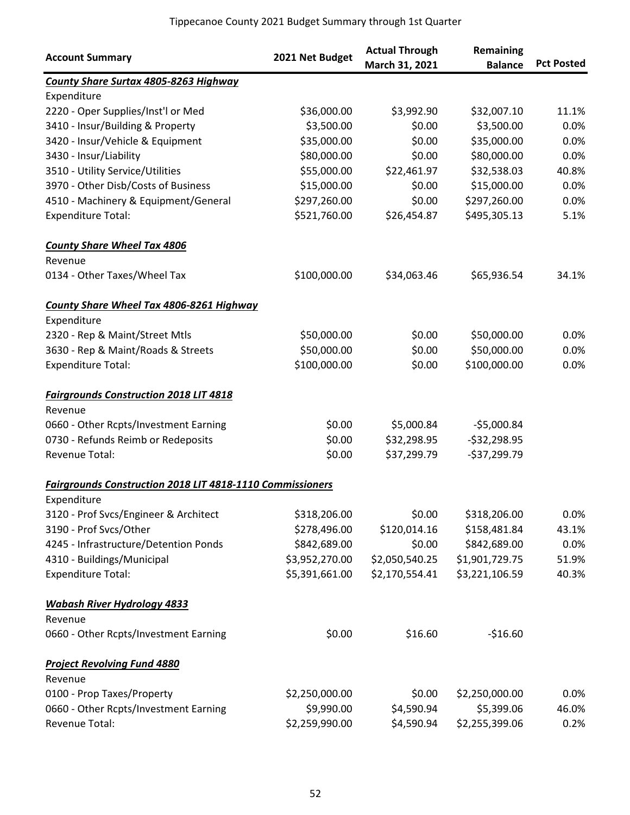| <b>Account Summary</b>                                           | 2021 Net Budget | <b>Actual Through</b><br>March 31, 2021 | Remaining<br><b>Balance</b> | <b>Pct Posted</b> |
|------------------------------------------------------------------|-----------------|-----------------------------------------|-----------------------------|-------------------|
| <b>County Share Surtax 4805-8263 Highway</b>                     |                 |                                         |                             |                   |
| Expenditure                                                      |                 |                                         |                             |                   |
| 2220 - Oper Supplies/Inst'l or Med                               | \$36,000.00     | \$3,992.90                              | \$32,007.10                 | 11.1%             |
| 3410 - Insur/Building & Property                                 | \$3,500.00      | \$0.00                                  | \$3,500.00                  | 0.0%              |
| 3420 - Insur/Vehicle & Equipment                                 | \$35,000.00     | \$0.00                                  | \$35,000.00                 | 0.0%              |
| 3430 - Insur/Liability                                           | \$80,000.00     | \$0.00                                  | \$80,000.00                 | 0.0%              |
| 3510 - Utility Service/Utilities                                 | \$55,000.00     | \$22,461.97                             | \$32,538.03                 | 40.8%             |
| 3970 - Other Disb/Costs of Business                              | \$15,000.00     | \$0.00                                  | \$15,000.00                 | 0.0%              |
| 4510 - Machinery & Equipment/General                             | \$297,260.00    | \$0.00                                  | \$297,260.00                | 0.0%              |
| <b>Expenditure Total:</b>                                        | \$521,760.00    | \$26,454.87                             | \$495,305.13                | 5.1%              |
| <b>County Share Wheel Tax 4806</b>                               |                 |                                         |                             |                   |
| Revenue                                                          |                 |                                         |                             |                   |
| 0134 - Other Taxes/Wheel Tax                                     | \$100,000.00    | \$34,063.46                             | \$65,936.54                 | 34.1%             |
| <b>County Share Wheel Tax 4806-8261 Highway</b>                  |                 |                                         |                             |                   |
| Expenditure                                                      |                 |                                         |                             |                   |
| 2320 - Rep & Maint/Street Mtls                                   | \$50,000.00     | \$0.00                                  | \$50,000.00                 | 0.0%              |
| 3630 - Rep & Maint/Roads & Streets                               | \$50,000.00     | \$0.00                                  | \$50,000.00                 | 0.0%              |
| <b>Expenditure Total:</b>                                        | \$100,000.00    | \$0.00                                  | \$100,000.00                | 0.0%              |
| <b>Fairgrounds Construction 2018 LIT 4818</b>                    |                 |                                         |                             |                   |
| Revenue                                                          |                 |                                         |                             |                   |
| 0660 - Other Rcpts/Investment Earning                            | \$0.00          | \$5,000.84                              | $-55,000.84$                |                   |
| 0730 - Refunds Reimb or Redeposits                               | \$0.00          | \$32,298.95                             | $-532,298.95$               |                   |
| Revenue Total:                                                   | \$0.00          | \$37,299.79                             | $-$37,299.79$               |                   |
| <b>Fairgrounds Construction 2018 LIT 4818-1110 Commissioners</b> |                 |                                         |                             |                   |
| Expenditure                                                      |                 |                                         |                             |                   |
| 3120 - Prof Svcs/Engineer & Architect                            | \$318,206.00    | \$0.00                                  | \$318,206.00                | 0.0%              |
| 3190 - Prof Svcs/Other                                           | \$278,496.00    | \$120,014.16                            | \$158,481.84                | 43.1%             |
| 4245 - Infrastructure/Detention Ponds                            | \$842,689.00    | \$0.00                                  | \$842,689.00                | 0.0%              |
| 4310 - Buildings/Municipal                                       | \$3,952,270.00  | \$2,050,540.25                          | \$1,901,729.75              | 51.9%             |
| <b>Expenditure Total:</b>                                        | \$5,391,661.00  | \$2,170,554.41                          | \$3,221,106.59              | 40.3%             |
| <b>Wabash River Hydrology 4833</b>                               |                 |                                         |                             |                   |
| Revenue                                                          |                 |                                         |                             |                   |
| 0660 - Other Rcpts/Investment Earning                            | \$0.00          | \$16.60                                 | $-$16.60$                   |                   |
| <b>Project Revolving Fund 4880</b>                               |                 |                                         |                             |                   |
| Revenue                                                          |                 |                                         |                             |                   |
| 0100 - Prop Taxes/Property                                       | \$2,250,000.00  | \$0.00                                  | \$2,250,000.00              | 0.0%              |
| 0660 - Other Rcpts/Investment Earning                            | \$9,990.00      | \$4,590.94                              | \$5,399.06                  | 46.0%             |
| Revenue Total:                                                   | \$2,259,990.00  | \$4,590.94                              | \$2,255,399.06              | 0.2%              |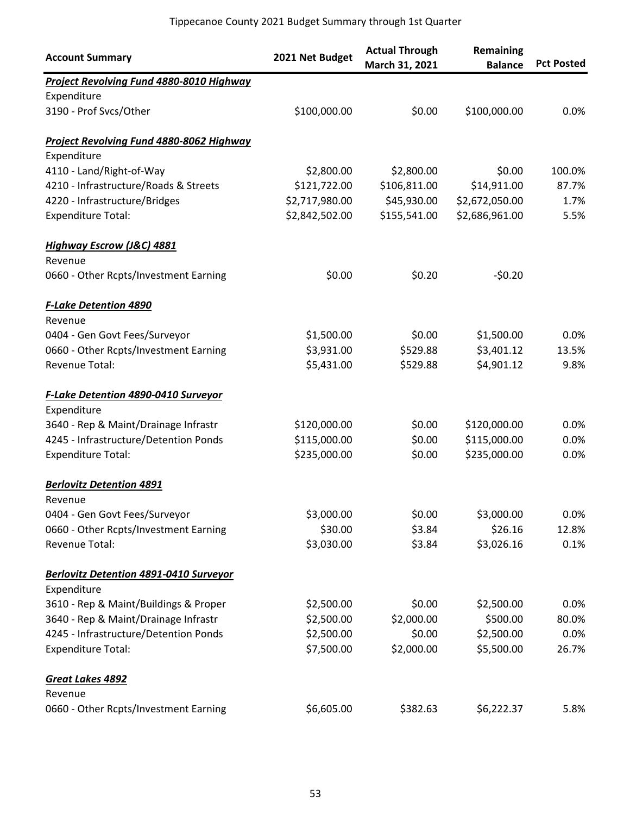| <b>Account Summary</b>                           | 2021 Net Budget | <b>Actual Through</b><br>March 31, 2021 | Remaining<br><b>Balance</b> | <b>Pct Posted</b> |
|--------------------------------------------------|-----------------|-----------------------------------------|-----------------------------|-------------------|
| <b>Project Revolving Fund 4880-8010 Highway</b>  |                 |                                         |                             |                   |
| Expenditure                                      |                 |                                         |                             |                   |
| 3190 - Prof Svcs/Other                           | \$100,000.00    | \$0.00                                  | \$100,000.00                | 0.0%              |
| <b>Project Revolving Fund 4880-8062 Highway</b>  |                 |                                         |                             |                   |
| Expenditure                                      |                 |                                         |                             |                   |
| 4110 - Land/Right-of-Way                         | \$2,800.00      | \$2,800.00                              | \$0.00                      | 100.0%            |
| 4210 - Infrastructure/Roads & Streets            | \$121,722.00    | \$106,811.00                            | \$14,911.00                 | 87.7%             |
| 4220 - Infrastructure/Bridges                    | \$2,717,980.00  | \$45,930.00                             | \$2,672,050.00              | 1.7%              |
| <b>Expenditure Total:</b>                        | \$2,842,502.00  | \$155,541.00                            | \$2,686,961.00              | 5.5%              |
| <b>Highway Escrow (J&amp;C) 4881</b>             |                 |                                         |                             |                   |
| Revenue<br>0660 - Other Rcpts/Investment Earning | \$0.00          | \$0.20                                  | $-50.20$                    |                   |
| <b>F-Lake Detention 4890</b>                     |                 |                                         |                             |                   |
| Revenue                                          |                 |                                         |                             |                   |
| 0404 - Gen Govt Fees/Surveyor                    | \$1,500.00      | \$0.00                                  | \$1,500.00                  | 0.0%              |
| 0660 - Other Rcpts/Investment Earning            | \$3,931.00      | \$529.88                                | \$3,401.12                  | 13.5%             |
| Revenue Total:                                   | \$5,431.00      | \$529.88                                | \$4,901.12                  | 9.8%              |
| <b>F-Lake Detention 4890-0410 Surveyor</b>       |                 |                                         |                             |                   |
| Expenditure                                      |                 |                                         |                             |                   |
| 3640 - Rep & Maint/Drainage Infrastr             | \$120,000.00    | \$0.00                                  | \$120,000.00                | 0.0%              |
| 4245 - Infrastructure/Detention Ponds            | \$115,000.00    | \$0.00                                  | \$115,000.00                | 0.0%              |
| <b>Expenditure Total:</b>                        | \$235,000.00    | \$0.00                                  | \$235,000.00                | 0.0%              |
| <b>Berlovitz Detention 4891</b>                  |                 |                                         |                             |                   |
| Revenue                                          |                 |                                         |                             |                   |
| 0404 - Gen Govt Fees/Surveyor                    | \$3,000.00      | \$0.00                                  | \$3,000.00                  | 0.0%              |
| 0660 - Other Rcpts/Investment Earning            | \$30.00         | \$3.84                                  | \$26.16                     | 12.8%             |
| Revenue Total:                                   | \$3,030.00      | \$3.84                                  | \$3,026.16                  | 0.1%              |
| <b>Berlovitz Detention 4891-0410 Surveyor</b>    |                 |                                         |                             |                   |
| Expenditure                                      |                 |                                         |                             |                   |
| 3610 - Rep & Maint/Buildings & Proper            | \$2,500.00      | \$0.00                                  | \$2,500.00                  | 0.0%              |
| 3640 - Rep & Maint/Drainage Infrastr             | \$2,500.00      | \$2,000.00                              | \$500.00                    | 80.0%             |
| 4245 - Infrastructure/Detention Ponds            | \$2,500.00      | \$0.00                                  | \$2,500.00                  | 0.0%              |
| <b>Expenditure Total:</b>                        | \$7,500.00      | \$2,000.00                              | \$5,500.00                  | 26.7%             |
| Great Lakes 4892                                 |                 |                                         |                             |                   |
| Revenue                                          |                 |                                         |                             |                   |
| 0660 - Other Rcpts/Investment Earning            | \$6,605.00      | \$382.63                                | \$6,222.37                  | 5.8%              |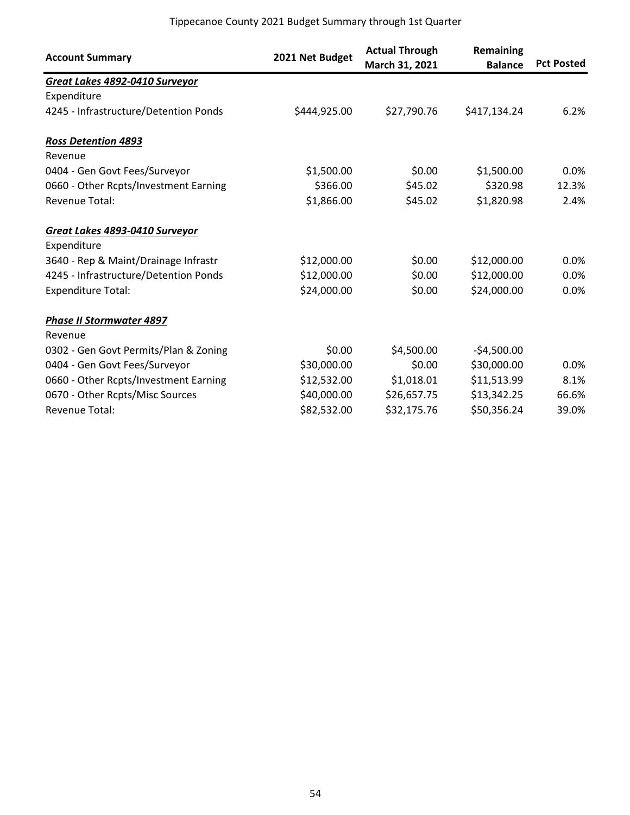| <b>Account Summary</b>                | 2021 Net Budget | <b>Actual Through</b><br>March 31, 2021 | Remaining<br><b>Balance</b> | <b>Pct Posted</b> |
|---------------------------------------|-----------------|-----------------------------------------|-----------------------------|-------------------|
| Great Lakes 4892-0410 Surveyor        |                 |                                         |                             |                   |
| Expenditure                           |                 |                                         |                             |                   |
| 4245 - Infrastructure/Detention Ponds | \$444,925.00    | \$27,790.76                             | \$417,134.24                | 6.2%              |
| <b>Ross Detention 4893</b>            |                 |                                         |                             |                   |
| Revenue                               |                 |                                         |                             |                   |
| 0404 - Gen Govt Fees/Surveyor         | \$1,500.00      | \$0.00                                  | \$1,500.00                  | $0.0\%$           |
| 0660 - Other Rcpts/Investment Earning | \$366.00        | \$45.02                                 | \$320.98                    | 12.3%             |
| <b>Revenue Total:</b>                 | \$1,866.00      | \$45.02                                 | \$1,820.98                  | 2.4%              |
| Great Lakes 4893-0410 Surveyor        |                 |                                         |                             |                   |
| Expenditure                           |                 |                                         |                             |                   |
| 3640 - Rep & Maint/Drainage Infrastr  | \$12,000.00     | \$0.00                                  | \$12,000.00                 | $0.0\%$           |
| 4245 - Infrastructure/Detention Ponds | \$12,000.00     | \$0.00                                  | \$12,000.00                 | 0.0%              |
| <b>Expenditure Total:</b>             | \$24,000.00     | \$0.00                                  | \$24,000.00                 | 0.0%              |
| <b>Phase II Stormwater 4897</b>       |                 |                                         |                             |                   |
| Revenue                               |                 |                                         |                             |                   |
| 0302 - Gen Govt Permits/Plan & Zoning | \$0.00          | \$4,500.00                              | $-$4,500.00$                |                   |
| 0404 - Gen Govt Fees/Surveyor         | \$30,000.00     | \$0.00                                  | \$30,000.00                 | 0.0%              |
| 0660 - Other Rcpts/Investment Earning | \$12,532.00     | \$1,018.01                              | \$11,513.99                 | 8.1%              |
| 0670 - Other Rcpts/Misc Sources       | \$40,000.00     | \$26,657.75                             | \$13,342.25                 | 66.6%             |
| <b>Revenue Total:</b>                 | \$82,532.00     | \$32,175.76                             | \$50,356.24                 | 39.0%             |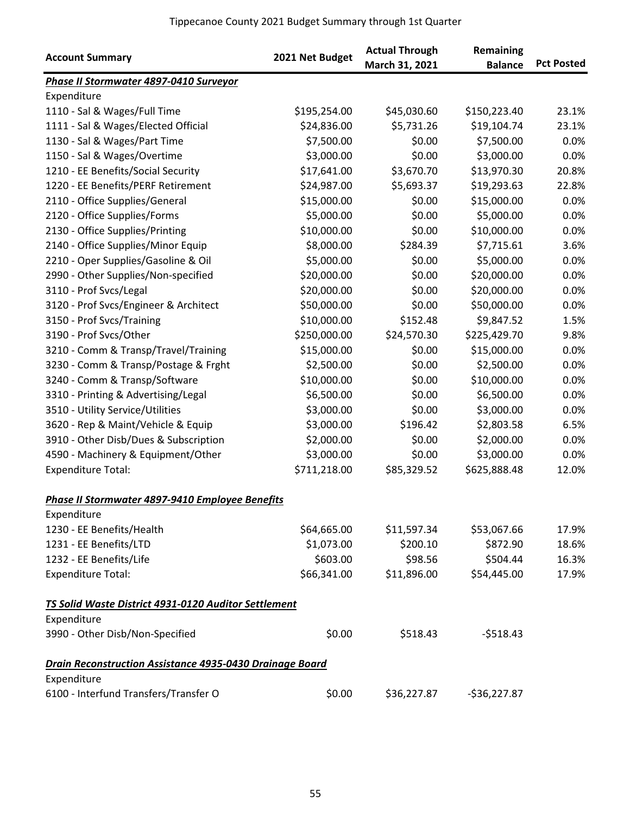| <b>Account Summary</b>                                          | 2021 Net Budget | <b>Actual Through</b> | <b>Remaining</b> |                   |
|-----------------------------------------------------------------|-----------------|-----------------------|------------------|-------------------|
|                                                                 |                 | March 31, 2021        | <b>Balance</b>   | <b>Pct Posted</b> |
| Phase II Stormwater 4897-0410 Surveyor                          |                 |                       |                  |                   |
| Expenditure                                                     |                 |                       |                  |                   |
| 1110 - Sal & Wages/Full Time                                    | \$195,254.00    | \$45,030.60           | \$150,223.40     | 23.1%             |
| 1111 - Sal & Wages/Elected Official                             | \$24,836.00     | \$5,731.26            | \$19,104.74      | 23.1%             |
| 1130 - Sal & Wages/Part Time                                    | \$7,500.00      | \$0.00                | \$7,500.00       | 0.0%              |
| 1150 - Sal & Wages/Overtime                                     | \$3,000.00      | \$0.00                | \$3,000.00       | 0.0%              |
| 1210 - EE Benefits/Social Security                              | \$17,641.00     | \$3,670.70            | \$13,970.30      | 20.8%             |
| 1220 - EE Benefits/PERF Retirement                              | \$24,987.00     | \$5,693.37            | \$19,293.63      | 22.8%             |
| 2110 - Office Supplies/General                                  | \$15,000.00     | \$0.00                | \$15,000.00      | 0.0%              |
| 2120 - Office Supplies/Forms                                    | \$5,000.00      | \$0.00                | \$5,000.00       | 0.0%              |
| 2130 - Office Supplies/Printing                                 | \$10,000.00     | \$0.00                | \$10,000.00      | 0.0%              |
| 2140 - Office Supplies/Minor Equip                              | \$8,000.00      | \$284.39              | \$7,715.61       | 3.6%              |
| 2210 - Oper Supplies/Gasoline & Oil                             | \$5,000.00      | \$0.00                | \$5,000.00       | 0.0%              |
| 2990 - Other Supplies/Non-specified                             | \$20,000.00     | \$0.00                | \$20,000.00      | 0.0%              |
| 3110 - Prof Svcs/Legal                                          | \$20,000.00     | \$0.00                | \$20,000.00      | 0.0%              |
| 3120 - Prof Svcs/Engineer & Architect                           | \$50,000.00     | \$0.00                | \$50,000.00      | 0.0%              |
| 3150 - Prof Svcs/Training                                       | \$10,000.00     | \$152.48              | \$9,847.52       | 1.5%              |
| 3190 - Prof Svcs/Other                                          | \$250,000.00    | \$24,570.30           | \$225,429.70     | 9.8%              |
| 3210 - Comm & Transp/Travel/Training                            | \$15,000.00     | \$0.00                | \$15,000.00      | 0.0%              |
| 3230 - Comm & Transp/Postage & Frght                            | \$2,500.00      | \$0.00                | \$2,500.00       | 0.0%              |
| 3240 - Comm & Transp/Software                                   | \$10,000.00     | \$0.00                | \$10,000.00      | 0.0%              |
| 3310 - Printing & Advertising/Legal                             | \$6,500.00      | \$0.00                | \$6,500.00       | 0.0%              |
| 3510 - Utility Service/Utilities                                | \$3,000.00      | \$0.00                | \$3,000.00       | 0.0%              |
| 3620 - Rep & Maint/Vehicle & Equip                              | \$3,000.00      | \$196.42              | \$2,803.58       | 6.5%              |
| 3910 - Other Disb/Dues & Subscription                           | \$2,000.00      | \$0.00                | \$2,000.00       | 0.0%              |
| 4590 - Machinery & Equipment/Other                              | \$3,000.00      | \$0.00                | \$3,000.00       | 0.0%              |
| <b>Expenditure Total:</b>                                       | \$711,218.00    | \$85,329.52           | \$625,888.48     | 12.0%             |
| Phase II Stormwater 4897-9410 Employee Benefits                 |                 |                       |                  |                   |
| Expenditure                                                     |                 |                       |                  |                   |
| 1230 - EE Benefits/Health                                       | \$64,665.00     | \$11,597.34           | \$53,067.66      | 17.9%             |
| 1231 - EE Benefits/LTD                                          | \$1,073.00      | \$200.10              | \$872.90         | 18.6%             |
| 1232 - EE Benefits/Life                                         | \$603.00        | \$98.56               | \$504.44         | 16.3%             |
| <b>Expenditure Total:</b>                                       | \$66,341.00     | \$11,896.00           | \$54,445.00      | 17.9%             |
| TS Solid Waste District 4931-0120 Auditor Settlement            |                 |                       |                  |                   |
| Expenditure                                                     |                 |                       |                  |                   |
| 3990 - Other Disb/Non-Specified                                 | \$0.00          | \$518.43              | $-5518.43$       |                   |
| <b>Drain Reconstruction Assistance 4935-0430 Drainage Board</b> |                 |                       |                  |                   |
| Expenditure                                                     |                 |                       |                  |                   |
| 6100 - Interfund Transfers/Transfer O                           | \$0.00          | \$36,227.87           | $-536,227.87$    |                   |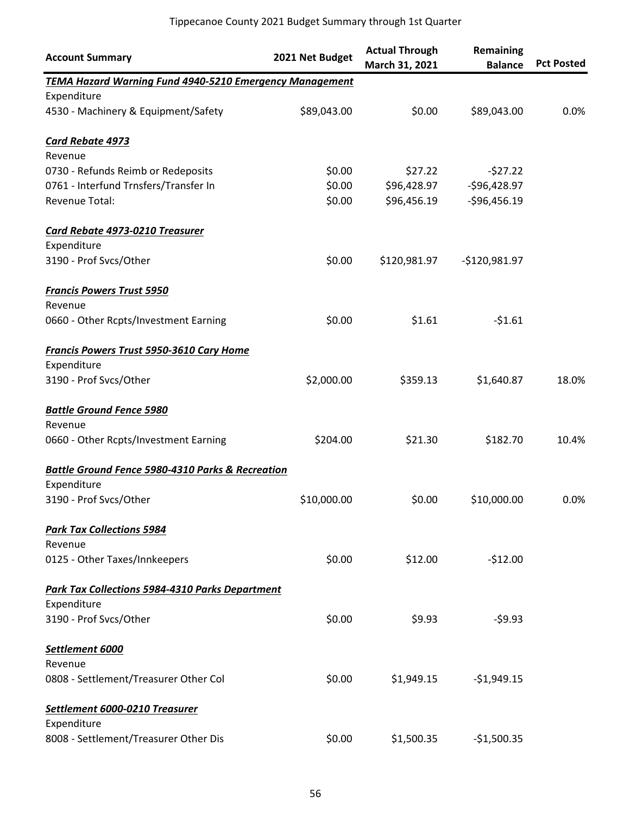| <b>Account Summary</b>                                         | 2021 Net Budget | <b>Actual Through</b><br>March 31, 2021 | Remaining<br><b>Balance</b> | <b>Pct Posted</b> |
|----------------------------------------------------------------|-----------------|-----------------------------------------|-----------------------------|-------------------|
| <b>TEMA Hazard Warning Fund 4940-5210 Emergency Management</b> |                 |                                         |                             |                   |
| Expenditure                                                    |                 |                                         |                             |                   |
| 4530 - Machinery & Equipment/Safety                            | \$89,043.00     | \$0.00                                  | \$89,043.00                 | 0.0%              |
| <b>Card Rebate 4973</b>                                        |                 |                                         |                             |                   |
| Revenue                                                        |                 |                                         |                             |                   |
| 0730 - Refunds Reimb or Redeposits                             | \$0.00          | \$27.22                                 | $-527.22$                   |                   |
| 0761 - Interfund Trnsfers/Transfer In                          | \$0.00          | \$96,428.97                             | $-$96,428.97$               |                   |
| Revenue Total:                                                 | \$0.00          | \$96,456.19                             | $-$96,456.19$               |                   |
| Card Rebate 4973-0210 Treasurer                                |                 |                                         |                             |                   |
| Expenditure                                                    |                 |                                         |                             |                   |
| 3190 - Prof Svcs/Other                                         | \$0.00          | \$120,981.97                            | $-$120,981.97$              |                   |
| <b>Francis Powers Trust 5950</b>                               |                 |                                         |                             |                   |
| Revenue                                                        |                 |                                         |                             |                   |
| 0660 - Other Rcpts/Investment Earning                          | \$0.00          | \$1.61                                  | $-51.61$                    |                   |
| <b>Francis Powers Trust 5950-3610 Cary Home</b>                |                 |                                         |                             |                   |
| Expenditure                                                    |                 |                                         |                             |                   |
| 3190 - Prof Svcs/Other                                         | \$2,000.00      | \$359.13                                | \$1,640.87                  | 18.0%             |
| <b>Battle Ground Fence 5980</b>                                |                 |                                         |                             |                   |
| Revenue                                                        |                 |                                         |                             |                   |
| 0660 - Other Rcpts/Investment Earning                          | \$204.00        | \$21.30                                 | \$182.70                    | 10.4%             |
| <b>Battle Ground Fence 5980-4310 Parks &amp; Recreation</b>    |                 |                                         |                             |                   |
| Expenditure                                                    |                 |                                         |                             |                   |
| 3190 - Prof Svcs/Other                                         | \$10,000.00     | \$0.00                                  | \$10,000.00                 | 0.0%              |
| <b>Park Tax Collections 5984</b>                               |                 |                                         |                             |                   |
| Revenue                                                        |                 |                                         |                             |                   |
| 0125 - Other Taxes/Innkeepers                                  | \$0.00          | \$12.00                                 | $-512.00$                   |                   |
| Park Tax Collections 5984-4310 Parks Department                |                 |                                         |                             |                   |
| Expenditure                                                    |                 |                                         |                             |                   |
| 3190 - Prof Svcs/Other                                         | \$0.00          | \$9.93                                  | $-59.93$                    |                   |
| Settlement 6000                                                |                 |                                         |                             |                   |
| Revenue                                                        |                 |                                         |                             |                   |
| 0808 - Settlement/Treasurer Other Col                          | \$0.00          | \$1,949.15                              | $-$1,949.15$                |                   |
| Settlement 6000-0210 Treasurer                                 |                 |                                         |                             |                   |
| Expenditure                                                    |                 |                                         |                             |                   |
| 8008 - Settlement/Treasurer Other Dis                          | \$0.00          | \$1,500.35                              | $-$1,500.35$                |                   |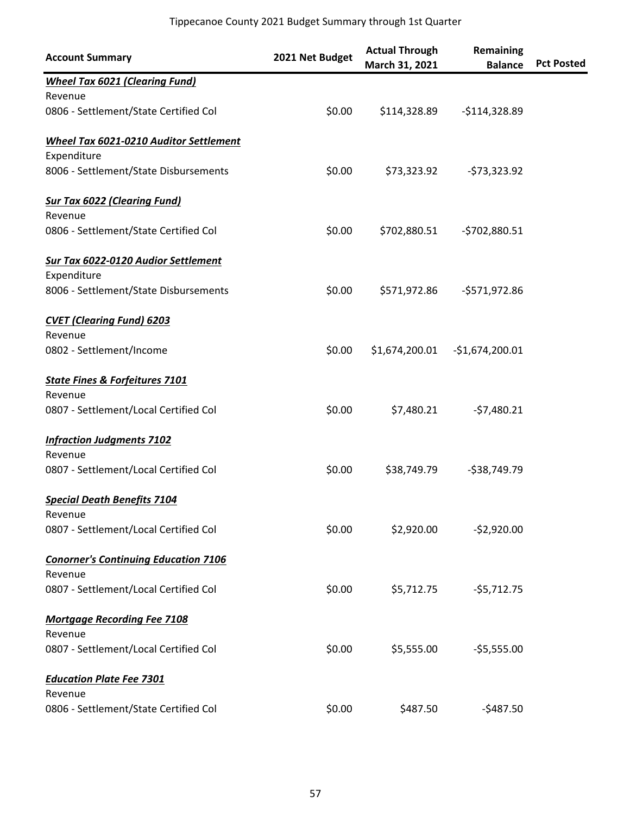| <b>Account Summary</b>                        | 2021 Net Budget | <b>Actual Through</b><br>March 31, 2021 | Remaining<br><b>Balance</b> | <b>Pct Posted</b> |
|-----------------------------------------------|-----------------|-----------------------------------------|-----------------------------|-------------------|
| <b>Wheel Tax 6021 (Clearing Fund)</b>         |                 |                                         |                             |                   |
| Revenue                                       |                 |                                         |                             |                   |
| 0806 - Settlement/State Certified Col         | \$0.00          | \$114,328.89                            | $-$114,328.89$              |                   |
| <b>Wheel Tax 6021-0210 Auditor Settlement</b> |                 |                                         |                             |                   |
| Expenditure                                   |                 |                                         |                             |                   |
| 8006 - Settlement/State Disbursements         | \$0.00          | \$73,323.92                             | $-573,323.92$               |                   |
| <b>Sur Tax 6022 (Clearing Fund)</b>           |                 |                                         |                             |                   |
| Revenue                                       |                 |                                         |                             |                   |
| 0806 - Settlement/State Certified Col         | \$0.00          | \$702,880.51                            | -\$702,880.51               |                   |
| <b>Sur Tax 6022-0120 Audior Settlement</b>    |                 |                                         |                             |                   |
| Expenditure                                   |                 |                                         |                             |                   |
| 8006 - Settlement/State Disbursements         | \$0.00          | \$571,972.86                            | -\$571,972.86               |                   |
| <b>CVET (Clearing Fund) 6203</b>              |                 |                                         |                             |                   |
| Revenue                                       |                 |                                         |                             |                   |
| 0802 - Settlement/Income                      | \$0.00          | \$1,674,200.01                          | $-$1,674,200.01$            |                   |
| <b>State Fines &amp; Forfeitures 7101</b>     |                 |                                         |                             |                   |
| Revenue                                       |                 |                                         |                             |                   |
| 0807 - Settlement/Local Certified Col         | \$0.00          | \$7,480.21                              | $-57,480.21$                |                   |
| <b>Infraction Judgments 7102</b>              |                 |                                         |                             |                   |
| Revenue                                       |                 |                                         |                             |                   |
| 0807 - Settlement/Local Certified Col         | \$0.00          | \$38,749.79                             | $-538,749.79$               |                   |
| <b>Special Death Benefits 7104</b>            |                 |                                         |                             |                   |
| Revenue                                       |                 |                                         |                             |                   |
| 0807 - Settlement/Local Certified Col         | \$0.00          | \$2,920.00                              | $-52,920.00$                |                   |
| <b>Conorner's Continuing Education 7106</b>   |                 |                                         |                             |                   |
| Revenue                                       |                 |                                         |                             |                   |
| 0807 - Settlement/Local Certified Col         | \$0.00          | \$5,712.75                              | $-55,712.75$                |                   |
| <b>Mortgage Recording Fee 7108</b>            |                 |                                         |                             |                   |
| Revenue                                       |                 |                                         |                             |                   |
| 0807 - Settlement/Local Certified Col         | \$0.00          | \$5,555.00                              | $-55,555.00$                |                   |
| <b>Education Plate Fee 7301</b>               |                 |                                         |                             |                   |
| Revenue                                       |                 |                                         |                             |                   |
| 0806 - Settlement/State Certified Col         | \$0.00          | \$487.50                                | $-5487.50$                  |                   |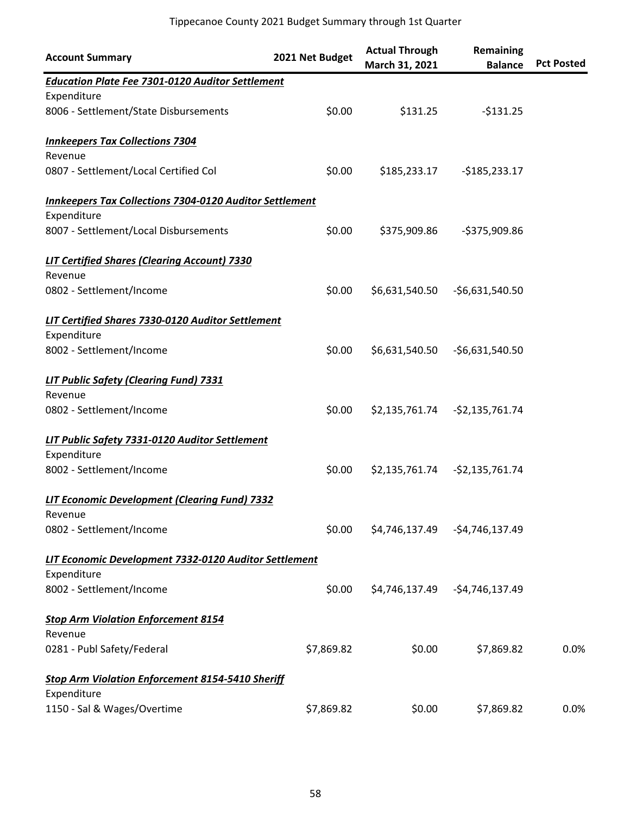| <b>Account Summary</b>                                         | 2021 Net Budget | <b>Actual Through</b><br>March 31, 2021 | Remaining<br><b>Balance</b>     | <b>Pct Posted</b> |
|----------------------------------------------------------------|-----------------|-----------------------------------------|---------------------------------|-------------------|
| <b>Education Plate Fee 7301-0120 Auditor Settlement</b>        |                 |                                         |                                 |                   |
| Expenditure                                                    |                 |                                         |                                 |                   |
| 8006 - Settlement/State Disbursements                          | \$0.00          | \$131.25                                | $-5131.25$                      |                   |
| <b>Innkeepers Tax Collections 7304</b>                         |                 |                                         |                                 |                   |
| Revenue                                                        |                 |                                         |                                 |                   |
| 0807 - Settlement/Local Certified Col                          | \$0.00          | \$185,233.17                            | $-$185,233.17$                  |                   |
| <b>Innkeepers Tax Collections 7304-0120 Auditor Settlement</b> |                 |                                         |                                 |                   |
| Expenditure                                                    |                 |                                         |                                 |                   |
| 8007 - Settlement/Local Disbursements                          | \$0.00          | \$375,909.86                            | -\$375,909.86                   |                   |
| <b>LIT Certified Shares (Clearing Account) 7330</b>            |                 |                                         |                                 |                   |
| Revenue                                                        |                 |                                         |                                 |                   |
| 0802 - Settlement/Income                                       | \$0.00          | \$6,631,540.50                          | -\$6,631,540.50                 |                   |
| LIT Certified Shares 7330-0120 Auditor Settlement              |                 |                                         |                                 |                   |
| Expenditure                                                    |                 |                                         |                                 |                   |
| 8002 - Settlement/Income                                       | \$0.00          | \$6,631,540.50                          | -\$6,631,540.50                 |                   |
| <b>LIT Public Safety (Clearing Fund) 7331</b>                  |                 |                                         |                                 |                   |
| Revenue                                                        |                 |                                         |                                 |                   |
| 0802 - Settlement/Income                                       | \$0.00          |                                         | \$2,135,761.74 - \$2,135,761.74 |                   |
| LIT Public Safety 7331-0120 Auditor Settlement                 |                 |                                         |                                 |                   |
| Expenditure                                                    |                 |                                         |                                 |                   |
| 8002 - Settlement/Income                                       | \$0.00          | \$2,135,761.74                          | -\$2,135,761.74                 |                   |
| LIT Economic Development (Clearing Fund) 7332                  |                 |                                         |                                 |                   |
| Revenue                                                        |                 |                                         |                                 |                   |
| 0802 - Settlement/Income                                       | \$0.00          | \$4,746,137.49                          | -\$4,746,137.49                 |                   |
| LIT Economic Development 7332-0120 Auditor Settlement          |                 |                                         |                                 |                   |
| Expenditure                                                    |                 |                                         |                                 |                   |
| 8002 - Settlement/Income                                       | \$0.00          |                                         | \$4,746,137.49 - \$4,746,137.49 |                   |
| <b>Stop Arm Violation Enforcement 8154</b>                     |                 |                                         |                                 |                   |
| Revenue                                                        |                 |                                         |                                 |                   |
| 0281 - Publ Safety/Federal                                     | \$7,869.82      | \$0.00                                  | \$7,869.82                      | 0.0%              |
| <b>Stop Arm Violation Enforcement 8154-5410 Sheriff</b>        |                 |                                         |                                 |                   |
| Expenditure                                                    |                 |                                         |                                 |                   |
| 1150 - Sal & Wages/Overtime                                    | \$7,869.82      | \$0.00                                  | \$7,869.82                      | 0.0%              |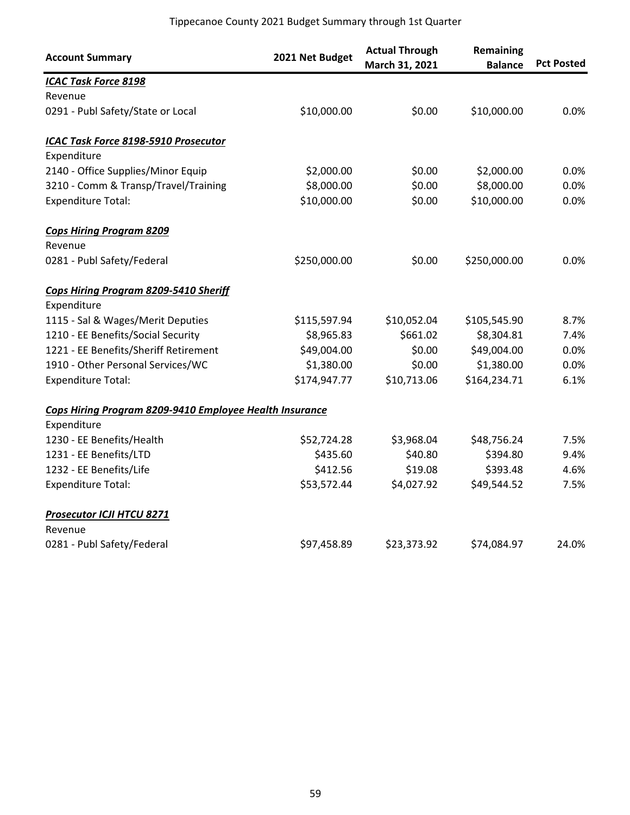| <b>Account Summary</b>                                  | 2021 Net Budget | <b>Actual Through</b><br>March 31, 2021 | <b>Remaining</b><br><b>Balance</b> | <b>Pct Posted</b> |
|---------------------------------------------------------|-----------------|-----------------------------------------|------------------------------------|-------------------|
| <b>ICAC Task Force 8198</b>                             |                 |                                         |                                    |                   |
| Revenue                                                 |                 |                                         |                                    |                   |
| 0291 - Publ Safety/State or Local                       | \$10,000.00     | \$0.00                                  | \$10,000.00                        | 0.0%              |
| ICAC Task Force 8198-5910 Prosecutor                    |                 |                                         |                                    |                   |
| Expenditure                                             |                 |                                         |                                    |                   |
| 2140 - Office Supplies/Minor Equip                      | \$2,000.00      | \$0.00                                  | \$2,000.00                         | 0.0%              |
| 3210 - Comm & Transp/Travel/Training                    | \$8,000.00      | \$0.00                                  | \$8,000.00                         | 0.0%              |
| <b>Expenditure Total:</b>                               | \$10,000.00     | \$0.00                                  | \$10,000.00                        | 0.0%              |
| <b>Cops Hiring Program 8209</b>                         |                 |                                         |                                    |                   |
| Revenue                                                 |                 |                                         |                                    |                   |
| 0281 - Publ Safety/Federal                              | \$250,000.00    | \$0.00                                  | \$250,000.00                       | 0.0%              |
| <b>Cops Hiring Program 8209-5410 Sheriff</b>            |                 |                                         |                                    |                   |
| Expenditure                                             |                 |                                         |                                    |                   |
| 1115 - Sal & Wages/Merit Deputies                       | \$115,597.94    | \$10,052.04                             | \$105,545.90                       | 8.7%              |
| 1210 - EE Benefits/Social Security                      | \$8,965.83      | \$661.02                                | \$8,304.81                         | 7.4%              |
| 1221 - EE Benefits/Sheriff Retirement                   | \$49,004.00     | \$0.00                                  | \$49,004.00                        | 0.0%              |
| 1910 - Other Personal Services/WC                       | \$1,380.00      | \$0.00                                  | \$1,380.00                         | 0.0%              |
| <b>Expenditure Total:</b>                               | \$174,947.77    | \$10,713.06                             | \$164,234.71                       | 6.1%              |
| Cops Hiring Program 8209-9410 Employee Health Insurance |                 |                                         |                                    |                   |
| Expenditure                                             |                 |                                         |                                    |                   |
| 1230 - EE Benefits/Health                               | \$52,724.28     | \$3,968.04                              | \$48,756.24                        | 7.5%              |
| 1231 - EE Benefits/LTD                                  | \$435.60        | \$40.80                                 | \$394.80                           | 9.4%              |
| 1232 - EE Benefits/Life                                 | \$412.56        | \$19.08                                 | \$393.48                           | 4.6%              |
| <b>Expenditure Total:</b>                               | \$53,572.44     | \$4,027.92                              | \$49,544.52                        | 7.5%              |
| <b>Prosecutor ICJI HTCU 8271</b>                        |                 |                                         |                                    |                   |
| Revenue                                                 |                 |                                         |                                    |                   |
| 0281 - Publ Safety/Federal                              | \$97,458.89     | \$23,373.92                             | \$74,084.97                        | 24.0%             |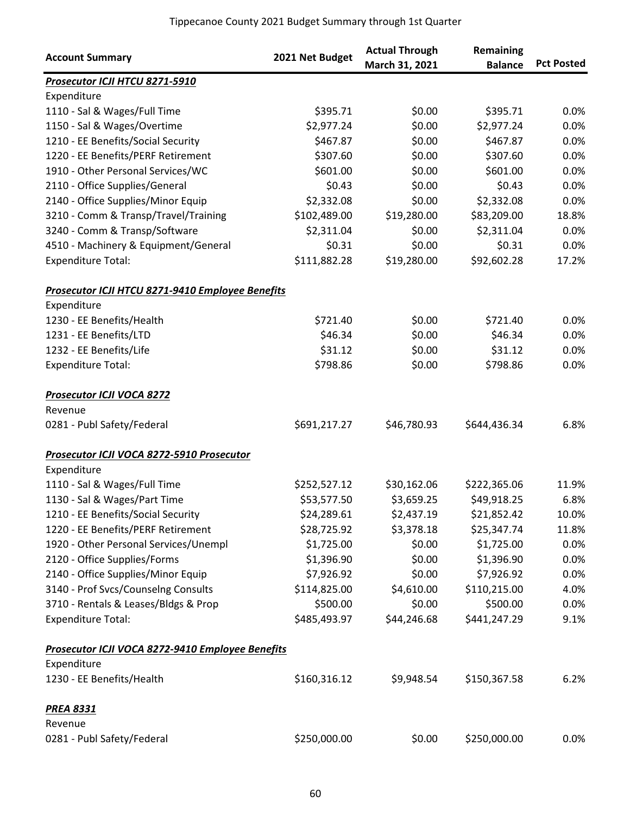| <b>Account Summary</b>                           | 2021 Net Budget | <b>Actual Through</b> | Remaining      |                   |
|--------------------------------------------------|-----------------|-----------------------|----------------|-------------------|
|                                                  |                 | March 31, 2021        | <b>Balance</b> | <b>Pct Posted</b> |
| Prosecutor ICJI HTCU 8271-5910<br>Expenditure    |                 |                       |                |                   |
|                                                  |                 |                       |                |                   |
| 1110 - Sal & Wages/Full Time                     | \$395.71        | \$0.00<br>\$0.00      | \$395.71       | 0.0%<br>0.0%      |
| 1150 - Sal & Wages/Overtime                      | \$2,977.24      |                       | \$2,977.24     |                   |
| 1210 - EE Benefits/Social Security               | \$467.87        | \$0.00                | \$467.87       | 0.0%              |
| 1220 - EE Benefits/PERF Retirement               | \$307.60        | \$0.00                | \$307.60       | 0.0%              |
| 1910 - Other Personal Services/WC                | \$601.00        | \$0.00                | \$601.00       | 0.0%              |
| 2110 - Office Supplies/General                   | \$0.43          | \$0.00                | \$0.43         | 0.0%              |
| 2140 - Office Supplies/Minor Equip               | \$2,332.08      | \$0.00                | \$2,332.08     | 0.0%              |
| 3210 - Comm & Transp/Travel/Training             | \$102,489.00    | \$19,280.00           | \$83,209.00    | 18.8%             |
| 3240 - Comm & Transp/Software                    | \$2,311.04      | \$0.00                | \$2,311.04     | 0.0%              |
| 4510 - Machinery & Equipment/General             | \$0.31          | \$0.00                | \$0.31         | 0.0%              |
| <b>Expenditure Total:</b>                        | \$111,882.28    | \$19,280.00           | \$92,602.28    | 17.2%             |
| Prosecutor ICJI HTCU 8271-9410 Employee Benefits |                 |                       |                |                   |
| Expenditure                                      |                 |                       |                |                   |
| 1230 - EE Benefits/Health                        | \$721.40        | \$0.00                | \$721.40       | 0.0%              |
| 1231 - EE Benefits/LTD                           | \$46.34         | \$0.00                | \$46.34        | 0.0%              |
| 1232 - EE Benefits/Life                          | \$31.12         | \$0.00                | \$31.12        | 0.0%              |
| <b>Expenditure Total:</b>                        | \$798.86        | \$0.00                | \$798.86       | 0.0%              |
| <b>Prosecutor ICJI VOCA 8272</b>                 |                 |                       |                |                   |
| Revenue                                          |                 |                       |                |                   |
| 0281 - Publ Safety/Federal                       | \$691,217.27    | \$46,780.93           | \$644,436.34   | 6.8%              |
| Prosecutor ICJI VOCA 8272-5910 Prosecutor        |                 |                       |                |                   |
| Expenditure                                      |                 |                       |                |                   |
| 1110 - Sal & Wages/Full Time                     | \$252,527.12    | \$30,162.06           | \$222,365.06   | 11.9%             |
| 1130 - Sal & Wages/Part Time                     | \$53,577.50     | \$3,659.25            | \$49,918.25    | 6.8%              |
| 1210 - EE Benefits/Social Security               | \$24,289.61     | \$2,437.19            | \$21,852.42    | 10.0%             |
| 1220 - EE Benefits/PERF Retirement               | \$28,725.92     | \$3,378.18            | \$25,347.74    | 11.8%             |
| 1920 - Other Personal Services/Unempl            | \$1,725.00      | \$0.00                | \$1,725.00     | 0.0%              |
| 2120 - Office Supplies/Forms                     | \$1,396.90      | \$0.00                | \$1,396.90     | 0.0%              |
| 2140 - Office Supplies/Minor Equip               | \$7,926.92      | \$0.00                | \$7,926.92     | 0.0%              |
|                                                  |                 | \$4,610.00            |                |                   |
| 3140 - Prof Svcs/Counselng Consults              | \$114,825.00    |                       | \$110,215.00   | 4.0%              |
| 3710 - Rentals & Leases/Bldgs & Prop             | \$500.00        | \$0.00                | \$500.00       | 0.0%              |
| <b>Expenditure Total:</b>                        | \$485,493.97    | \$44,246.68           | \$441,247.29   | 9.1%              |
| Prosecutor ICJI VOCA 8272-9410 Employee Benefits |                 |                       |                |                   |
| Expenditure                                      |                 |                       |                |                   |
| 1230 - EE Benefits/Health                        | \$160,316.12    | \$9,948.54            | \$150,367.58   | 6.2%              |
| <b>PREA 8331</b>                                 |                 |                       |                |                   |
| Revenue                                          |                 |                       |                |                   |
| 0281 - Publ Safety/Federal                       | \$250,000.00    | \$0.00                | \$250,000.00   | 0.0%              |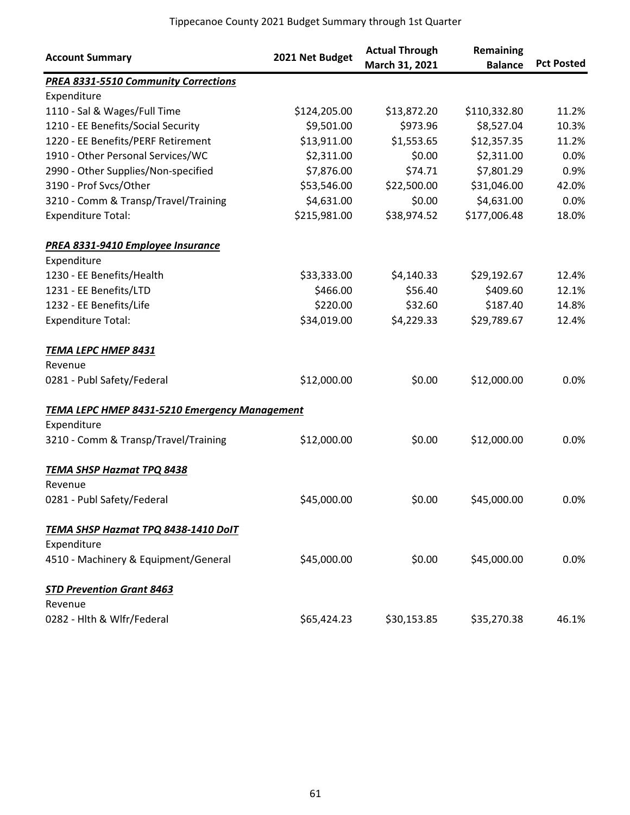| <b>Account Summary</b>                        | 2021 Net Budget | <b>Actual Through</b><br>March 31, 2021 | Remaining<br><b>Balance</b> | <b>Pct Posted</b> |
|-----------------------------------------------|-----------------|-----------------------------------------|-----------------------------|-------------------|
| <b>PREA 8331-5510 Community Corrections</b>   |                 |                                         |                             |                   |
| Expenditure                                   |                 |                                         |                             |                   |
| 1110 - Sal & Wages/Full Time                  | \$124,205.00    | \$13,872.20                             | \$110,332.80                | 11.2%             |
| 1210 - EE Benefits/Social Security            | \$9,501.00      | \$973.96                                | \$8,527.04                  | 10.3%             |
| 1220 - EE Benefits/PERF Retirement            | \$13,911.00     | \$1,553.65                              | \$12,357.35                 | 11.2%             |
| 1910 - Other Personal Services/WC             | \$2,311.00      | \$0.00                                  | \$2,311.00                  | 0.0%              |
| 2990 - Other Supplies/Non-specified           | \$7,876.00      | \$74.71                                 | \$7,801.29                  | 0.9%              |
| 3190 - Prof Svcs/Other                        | \$53,546.00     | \$22,500.00                             | \$31,046.00                 | 42.0%             |
| 3210 - Comm & Transp/Travel/Training          | \$4,631.00      | \$0.00                                  | \$4,631.00                  | 0.0%              |
| <b>Expenditure Total:</b>                     | \$215,981.00    | \$38,974.52                             | \$177,006.48                | 18.0%             |
| PREA 8331-9410 Employee Insurance             |                 |                                         |                             |                   |
| Expenditure                                   |                 |                                         |                             |                   |
| 1230 - EE Benefits/Health                     | \$33,333.00     | \$4,140.33                              | \$29,192.67                 | 12.4%             |
| 1231 - EE Benefits/LTD                        | \$466.00        | \$56.40                                 | \$409.60                    | 12.1%             |
| 1232 - EE Benefits/Life                       | \$220.00        | \$32.60                                 | \$187.40                    | 14.8%             |
| <b>Expenditure Total:</b>                     | \$34,019.00     | \$4,229.33                              | \$29,789.67                 | 12.4%             |
| <b>TEMA LEPC HMEP 8431</b>                    |                 |                                         |                             |                   |
| Revenue                                       |                 |                                         |                             |                   |
| 0281 - Publ Safety/Federal                    | \$12,000.00     | \$0.00                                  | \$12,000.00                 | 0.0%              |
| TEMA LEPC HMEP 8431-5210 Emergency Management |                 |                                         |                             |                   |
| Expenditure                                   |                 |                                         |                             |                   |
| 3210 - Comm & Transp/Travel/Training          | \$12,000.00     | \$0.00                                  | \$12,000.00                 | 0.0%              |
| <b>TEMA SHSP Hazmat TPQ 8438</b>              |                 |                                         |                             |                   |
| Revenue                                       |                 |                                         |                             |                   |
| 0281 - Publ Safety/Federal                    | \$45,000.00     | \$0.00                                  | \$45,000.00                 | 0.0%              |
| TEMA SHSP Hazmat TPQ 8438-1410 DolT           |                 |                                         |                             |                   |
| Expenditure                                   |                 |                                         |                             |                   |
| 4510 - Machinery & Equipment/General          | \$45,000.00     | \$0.00                                  | \$45,000.00                 | 0.0%              |
| <b>STD Prevention Grant 8463</b>              |                 |                                         |                             |                   |
| Revenue                                       |                 |                                         |                             |                   |
| 0282 - Hlth & Wlfr/Federal                    | \$65,424.23     | \$30,153.85                             | \$35,270.38                 | 46.1%             |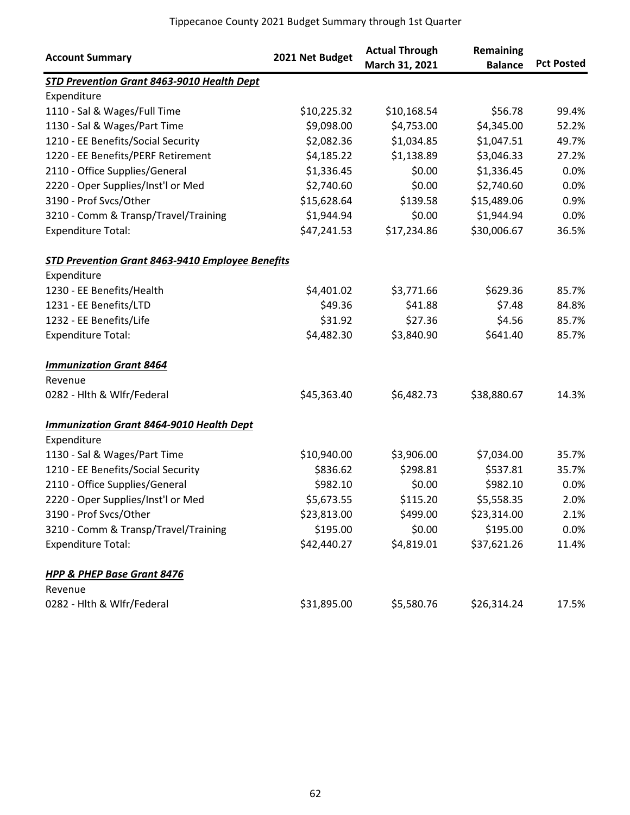| <b>Account Summary</b>                           | 2021 Net Budget | <b>Actual Through</b><br>March 31, 2021 | Remaining<br><b>Balance</b> | <b>Pct Posted</b> |
|--------------------------------------------------|-----------------|-----------------------------------------|-----------------------------|-------------------|
| STD Prevention Grant 8463-9010 Health Dept       |                 |                                         |                             |                   |
| Expenditure                                      |                 |                                         |                             |                   |
| 1110 - Sal & Wages/Full Time                     | \$10,225.32     | \$10,168.54                             | \$56.78                     | 99.4%             |
| 1130 - Sal & Wages/Part Time                     | \$9,098.00      | \$4,753.00                              | \$4,345.00                  | 52.2%             |
| 1210 - EE Benefits/Social Security               | \$2,082.36      | \$1,034.85                              | \$1,047.51                  | 49.7%             |
| 1220 - EE Benefits/PERF Retirement               | \$4,185.22      | \$1,138.89                              | \$3,046.33                  | 27.2%             |
| 2110 - Office Supplies/General                   | \$1,336.45      | \$0.00                                  | \$1,336.45                  | 0.0%              |
| 2220 - Oper Supplies/Inst'l or Med               | \$2,740.60      | \$0.00                                  | \$2,740.60                  | 0.0%              |
| 3190 - Prof Svcs/Other                           | \$15,628.64     | \$139.58                                | \$15,489.06                 | 0.9%              |
| 3210 - Comm & Transp/Travel/Training             | \$1,944.94      | \$0.00                                  | \$1,944.94                  | 0.0%              |
| <b>Expenditure Total:</b>                        | \$47,241.53     | \$17,234.86                             | \$30,006.67                 | 36.5%             |
| STD Prevention Grant 8463-9410 Employee Benefits |                 |                                         |                             |                   |
| Expenditure                                      |                 |                                         |                             |                   |
| 1230 - EE Benefits/Health                        | \$4,401.02      | \$3,771.66                              | \$629.36                    | 85.7%             |
| 1231 - EE Benefits/LTD                           | \$49.36         | \$41.88                                 | \$7.48                      | 84.8%             |
| 1232 - EE Benefits/Life                          | \$31.92         | \$27.36                                 | \$4.56                      | 85.7%             |
| <b>Expenditure Total:</b>                        | \$4,482.30      | \$3,840.90                              | \$641.40                    | 85.7%             |
| <b>Immunization Grant 8464</b>                   |                 |                                         |                             |                   |
| Revenue                                          |                 |                                         |                             |                   |
| 0282 - Hlth & Wlfr/Federal                       | \$45,363.40     | \$6,482.73                              | \$38,880.67                 | 14.3%             |
| <b>Immunization Grant 8464-9010 Health Dept</b>  |                 |                                         |                             |                   |
| Expenditure                                      |                 |                                         |                             |                   |
| 1130 - Sal & Wages/Part Time                     | \$10,940.00     | \$3,906.00                              | \$7,034.00                  | 35.7%             |
| 1210 - EE Benefits/Social Security               | \$836.62        | \$298.81                                | \$537.81                    | 35.7%             |
| 2110 - Office Supplies/General                   | \$982.10        | \$0.00                                  | \$982.10                    | 0.0%              |
| 2220 - Oper Supplies/Inst'l or Med               | \$5,673.55      | \$115.20                                | \$5,558.35                  | 2.0%              |
| 3190 - Prof Svcs/Other                           | \$23,813.00     | \$499.00                                | \$23,314.00                 | 2.1%              |
| 3210 - Comm & Transp/Travel/Training             | \$195.00        | \$0.00                                  | \$195.00                    | $0.0\%$           |
| <b>Expenditure Total:</b>                        | \$42,440.27     | \$4,819.01                              | \$37,621.26                 | 11.4%             |
| <b>HPP &amp; PHEP Base Grant 8476</b>            |                 |                                         |                             |                   |
| Revenue                                          |                 |                                         |                             |                   |
| 0282 - Hlth & Wlfr/Federal                       | \$31,895.00     | \$5,580.76                              | \$26,314.24                 | 17.5%             |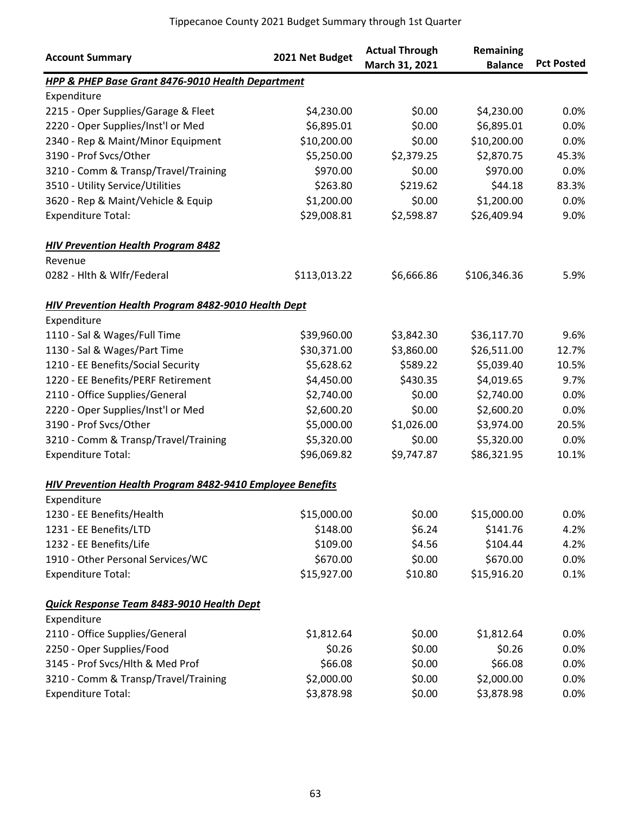| <b>Account Summary</b>                                           | 2021 Net Budget | <b>Actual Through</b><br>March 31, 2021 | Remaining<br><b>Balance</b> | <b>Pct Posted</b> |
|------------------------------------------------------------------|-----------------|-----------------------------------------|-----------------------------|-------------------|
| <b>HPP &amp; PHEP Base Grant 8476-9010 Health Department</b>     |                 |                                         |                             |                   |
| Expenditure                                                      |                 |                                         |                             |                   |
| 2215 - Oper Supplies/Garage & Fleet                              | \$4,230.00      | \$0.00                                  | \$4,230.00                  | 0.0%              |
| 2220 - Oper Supplies/Inst'l or Med                               | \$6,895.01      | \$0.00                                  | \$6,895.01                  | 0.0%              |
| 2340 - Rep & Maint/Minor Equipment                               | \$10,200.00     | \$0.00                                  | \$10,200.00                 | 0.0%              |
| 3190 - Prof Svcs/Other                                           | \$5,250.00      | \$2,379.25                              | \$2,870.75                  | 45.3%             |
| 3210 - Comm & Transp/Travel/Training                             | \$970.00        | \$0.00                                  | \$970.00                    | 0.0%              |
| 3510 - Utility Service/Utilities                                 | \$263.80        | \$219.62                                | \$44.18                     | 83.3%             |
| 3620 - Rep & Maint/Vehicle & Equip                               | \$1,200.00      | \$0.00                                  | \$1,200.00                  | 0.0%              |
| <b>Expenditure Total:</b>                                        | \$29,008.81     | \$2,598.87                              | \$26,409.94                 | 9.0%              |
| <b>HIV Prevention Health Program 8482</b>                        |                 |                                         |                             |                   |
| Revenue                                                          |                 |                                         |                             |                   |
| 0282 - Hlth & Wlfr/Federal                                       | \$113,013.22    | \$6,666.86                              | \$106,346.36                | 5.9%              |
| <b>HIV Prevention Health Program 8482-9010 Health Dept</b>       |                 |                                         |                             |                   |
| Expenditure                                                      |                 |                                         |                             |                   |
| 1110 - Sal & Wages/Full Time                                     | \$39,960.00     | \$3,842.30                              | \$36,117.70                 | 9.6%              |
| 1130 - Sal & Wages/Part Time                                     | \$30,371.00     | \$3,860.00                              | \$26,511.00                 | 12.7%             |
| 1210 - EE Benefits/Social Security                               | \$5,628.62      | \$589.22                                | \$5,039.40                  | 10.5%             |
| 1220 - EE Benefits/PERF Retirement                               | \$4,450.00      | \$430.35                                | \$4,019.65                  | 9.7%              |
| 2110 - Office Supplies/General                                   | \$2,740.00      | \$0.00                                  | \$2,740.00                  | 0.0%              |
| 2220 - Oper Supplies/Inst'l or Med                               | \$2,600.20      | \$0.00                                  | \$2,600.20                  | 0.0%              |
| 3190 - Prof Svcs/Other                                           | \$5,000.00      | \$1,026.00                              | \$3,974.00                  | 20.5%             |
| 3210 - Comm & Transp/Travel/Training                             | \$5,320.00      | \$0.00                                  | \$5,320.00                  | 0.0%              |
| <b>Expenditure Total:</b>                                        | \$96,069.82     | \$9,747.87                              | \$86,321.95                 | 10.1%             |
| <b>HIV Prevention Health Program 8482-9410 Employee Benefits</b> |                 |                                         |                             |                   |
| Expenditure                                                      |                 |                                         |                             |                   |
| 1230 - EE Benefits/Health                                        | \$15,000.00     | \$0.00                                  | \$15,000.00                 | 0.0%              |
| 1231 - EE Benefits/LTD                                           | \$148.00        | \$6.24                                  | \$141.76                    | 4.2%              |
| 1232 - EE Benefits/Life                                          | \$109.00        | \$4.56                                  | \$104.44                    | 4.2%              |
| 1910 - Other Personal Services/WC                                | \$670.00        | \$0.00                                  | \$670.00                    | 0.0%              |
| <b>Expenditure Total:</b>                                        | \$15,927.00     | \$10.80                                 | \$15,916.20                 | 0.1%              |
| Quick Response Team 8483-9010 Health Dept                        |                 |                                         |                             |                   |
| Expenditure                                                      |                 |                                         |                             |                   |
| 2110 - Office Supplies/General                                   | \$1,812.64      | \$0.00                                  | \$1,812.64                  | 0.0%              |
| 2250 - Oper Supplies/Food                                        | \$0.26          | \$0.00                                  | \$0.26                      | 0.0%              |
| 3145 - Prof Svcs/Hlth & Med Prof                                 | \$66.08         | \$0.00                                  | \$66.08                     | 0.0%              |
| 3210 - Comm & Transp/Travel/Training                             | \$2,000.00      | \$0.00                                  | \$2,000.00                  | 0.0%              |
| <b>Expenditure Total:</b>                                        | \$3,878.98      | \$0.00                                  | \$3,878.98                  | 0.0%              |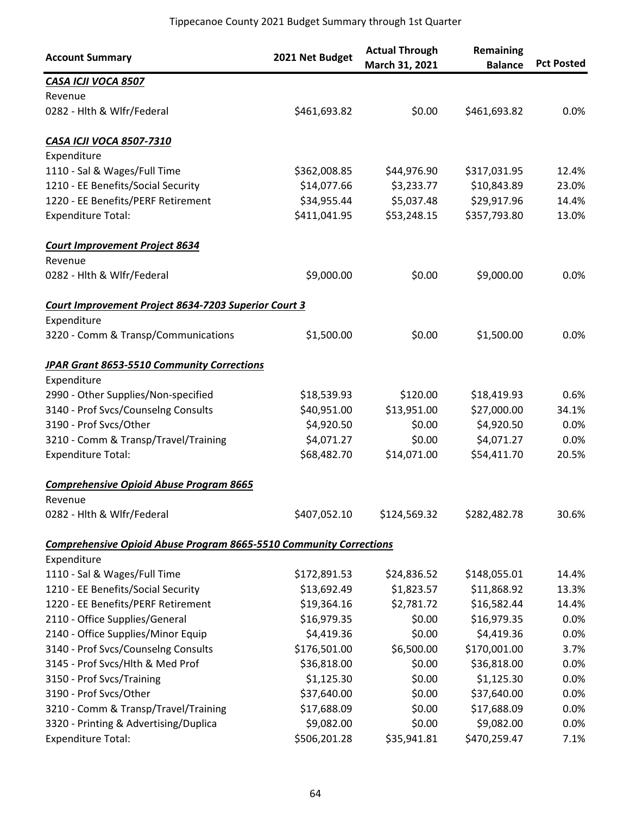| <b>Account Summary</b>                                                    | 2021 Net Budget | <b>Actual Through</b><br>March 31, 2021 | Remaining<br><b>Balance</b> | <b>Pct Posted</b> |
|---------------------------------------------------------------------------|-----------------|-----------------------------------------|-----------------------------|-------------------|
| CASA ICJI VOCA 8507                                                       |                 |                                         |                             |                   |
| Revenue                                                                   |                 |                                         |                             |                   |
| 0282 - Hlth & Wlfr/Federal                                                | \$461,693.82    | \$0.00                                  | \$461,693.82                | 0.0%              |
| <b>CASA ICJI VOCA 8507-7310</b>                                           |                 |                                         |                             |                   |
| Expenditure                                                               |                 |                                         |                             |                   |
| 1110 - Sal & Wages/Full Time                                              | \$362,008.85    | \$44,976.90                             | \$317,031.95                | 12.4%             |
| 1210 - EE Benefits/Social Security                                        | \$14,077.66     | \$3,233.77                              | \$10,843.89                 | 23.0%             |
| 1220 - EE Benefits/PERF Retirement                                        | \$34,955.44     | \$5,037.48                              | \$29,917.96                 | 14.4%             |
| <b>Expenditure Total:</b>                                                 | \$411,041.95    | \$53,248.15                             | \$357,793.80                | 13.0%             |
| <b>Court Improvement Project 8634</b>                                     |                 |                                         |                             |                   |
| Revenue                                                                   |                 |                                         |                             |                   |
| 0282 - Hlth & Wlfr/Federal                                                | \$9,000.00      | \$0.00                                  | \$9,000.00                  | 0.0%              |
| Court Improvement Project 8634-7203 Superior Court 3                      |                 |                                         |                             |                   |
| Expenditure                                                               |                 |                                         |                             |                   |
| 3220 - Comm & Transp/Communications                                       | \$1,500.00      | \$0.00                                  | \$1,500.00                  | 0.0%              |
| <b>JPAR Grant 8653-5510 Community Corrections</b>                         |                 |                                         |                             |                   |
| Expenditure                                                               |                 |                                         |                             |                   |
| 2990 - Other Supplies/Non-specified                                       | \$18,539.93     | \$120.00                                | \$18,419.93                 | 0.6%              |
| 3140 - Prof Svcs/Counselng Consults                                       | \$40,951.00     | \$13,951.00                             | \$27,000.00                 | 34.1%             |
| 3190 - Prof Svcs/Other                                                    | \$4,920.50      | \$0.00                                  | \$4,920.50                  | 0.0%              |
| 3210 - Comm & Transp/Travel/Training                                      | \$4,071.27      | \$0.00                                  | \$4,071.27                  | 0.0%              |
| <b>Expenditure Total:</b>                                                 | \$68,482.70     | \$14,071.00                             | \$54,411.70                 | 20.5%             |
| <b>Comprehensive Opioid Abuse Program 8665</b>                            |                 |                                         |                             |                   |
| Revenue                                                                   |                 |                                         |                             |                   |
| 0282 - Hith & Wifr/Federal                                                | \$407,052.10    | \$124,569.32                            | \$282,482.78                | 30.6%             |
| <b>Comprehensive Opioid Abuse Program 8665-5510 Community Corrections</b> |                 |                                         |                             |                   |
| Expenditure                                                               |                 |                                         |                             |                   |
| 1110 - Sal & Wages/Full Time                                              | \$172,891.53    | \$24,836.52                             | \$148,055.01                | 14.4%             |
| 1210 - EE Benefits/Social Security                                        | \$13,692.49     | \$1,823.57                              | \$11,868.92                 | 13.3%             |
| 1220 - EE Benefits/PERF Retirement                                        | \$19,364.16     | \$2,781.72                              | \$16,582.44                 | 14.4%             |
| 2110 - Office Supplies/General                                            | \$16,979.35     | \$0.00                                  | \$16,979.35                 | 0.0%              |
| 2140 - Office Supplies/Minor Equip                                        | \$4,419.36      | \$0.00                                  | \$4,419.36                  | 0.0%              |
| 3140 - Prof Svcs/Counselng Consults                                       | \$176,501.00    | \$6,500.00                              | \$170,001.00                | 3.7%              |
| 3145 - Prof Svcs/Hlth & Med Prof                                          | \$36,818.00     | \$0.00                                  | \$36,818.00                 | 0.0%              |
| 3150 - Prof Svcs/Training                                                 | \$1,125.30      | \$0.00                                  | \$1,125.30                  | 0.0%              |
| 3190 - Prof Svcs/Other                                                    | \$37,640.00     | \$0.00                                  | \$37,640.00                 | 0.0%              |
| 3210 - Comm & Transp/Travel/Training                                      | \$17,688.09     | \$0.00                                  | \$17,688.09                 | 0.0%              |
| 3320 - Printing & Advertising/Duplica                                     | \$9,082.00      | \$0.00                                  | \$9,082.00                  | 0.0%              |
| <b>Expenditure Total:</b>                                                 | \$506,201.28    | \$35,941.81                             | \$470,259.47                | 7.1%              |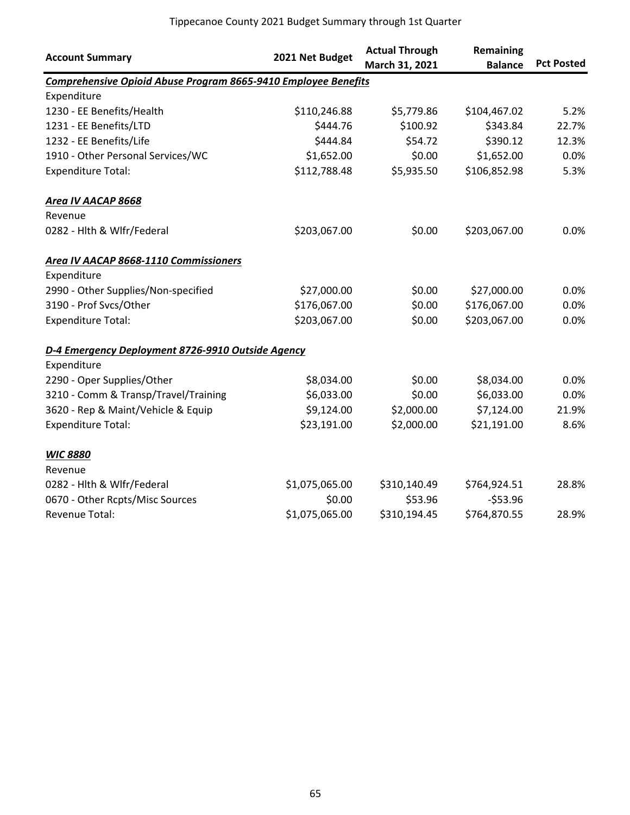| <b>Account Summary</b>                                                | 2021 Net Budget | <b>Actual Through</b><br>March 31, 2021 | Remaining<br><b>Balance</b> | <b>Pct Posted</b> |
|-----------------------------------------------------------------------|-----------------|-----------------------------------------|-----------------------------|-------------------|
| <b>Comprehensive Opioid Abuse Program 8665-9410 Employee Benefits</b> |                 |                                         |                             |                   |
| Expenditure                                                           |                 |                                         |                             |                   |
| 1230 - EE Benefits/Health                                             | \$110,246.88    | \$5,779.86                              | \$104,467.02                | 5.2%              |
| 1231 - EE Benefits/LTD                                                | \$444.76        | \$100.92                                | \$343.84                    | 22.7%             |
| 1232 - EE Benefits/Life                                               | \$444.84        | \$54.72                                 | \$390.12                    | 12.3%             |
| 1910 - Other Personal Services/WC                                     | \$1,652.00      | \$0.00                                  | \$1,652.00                  | 0.0%              |
| <b>Expenditure Total:</b>                                             | \$112,788.48    | \$5,935.50                              | \$106,852.98                | 5.3%              |
| <b>Area IV AACAP 8668</b>                                             |                 |                                         |                             |                   |
| Revenue                                                               |                 |                                         |                             |                   |
| 0282 - Hlth & Wlfr/Federal                                            | \$203,067.00    | \$0.00                                  | \$203,067.00                | 0.0%              |
| Area IV AACAP 8668-1110 Commissioners                                 |                 |                                         |                             |                   |
| Expenditure                                                           |                 |                                         |                             |                   |
| 2990 - Other Supplies/Non-specified                                   | \$27,000.00     | \$0.00                                  | \$27,000.00                 | 0.0%              |
| 3190 - Prof Svcs/Other                                                | \$176,067.00    | \$0.00                                  | \$176,067.00                | 0.0%              |
| <b>Expenditure Total:</b>                                             | \$203,067.00    | \$0.00                                  | \$203,067.00                | 0.0%              |
| D-4 Emergency Deployment 8726-9910 Outside Agency                     |                 |                                         |                             |                   |
| Expenditure                                                           |                 |                                         |                             |                   |
| 2290 - Oper Supplies/Other                                            | \$8,034.00      | \$0.00                                  | \$8,034.00                  | 0.0%              |
| 3210 - Comm & Transp/Travel/Training                                  | \$6,033.00      | \$0.00                                  | \$6,033.00                  | 0.0%              |
| 3620 - Rep & Maint/Vehicle & Equip                                    | \$9,124.00      | \$2,000.00                              | \$7,124.00                  | 21.9%             |
| <b>Expenditure Total:</b>                                             | \$23,191.00     | \$2,000.00                              | \$21,191.00                 | 8.6%              |
| <b>WIC 8880</b>                                                       |                 |                                         |                             |                   |
| Revenue                                                               |                 |                                         |                             |                   |
| 0282 - Hlth & Wlfr/Federal                                            | \$1,075,065.00  | \$310,140.49                            | \$764,924.51                | 28.8%             |
| 0670 - Other Rcpts/Misc Sources                                       | \$0.00          | \$53.96                                 | $-553.96$                   |                   |
| Revenue Total:                                                        | \$1,075,065.00  | \$310,194.45                            | \$764,870.55                | 28.9%             |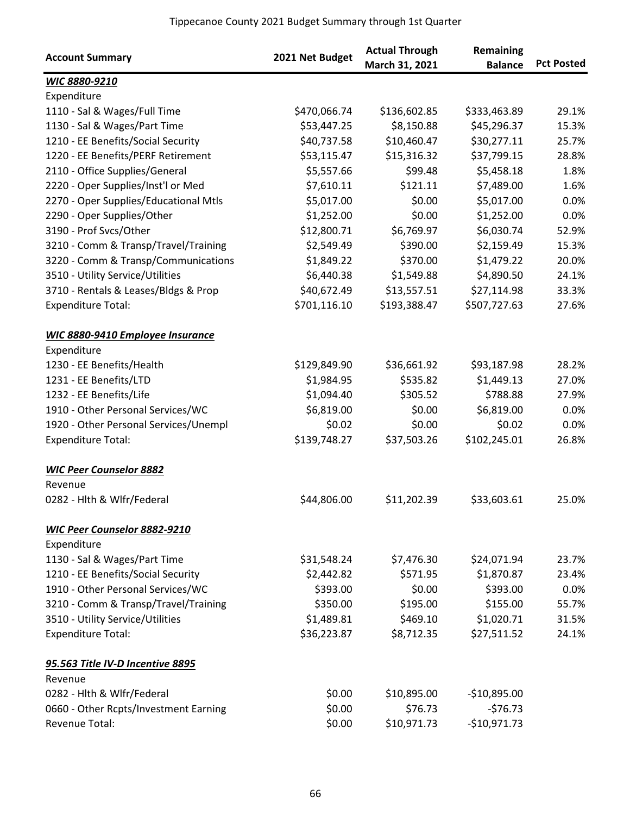| <b>Account Summary</b>                  | 2021 Net Budget | <b>Actual Through</b><br>March 31, 2021 | Remaining<br><b>Balance</b> | <b>Pct Posted</b> |
|-----------------------------------------|-----------------|-----------------------------------------|-----------------------------|-------------------|
| WIC 8880-9210                           |                 |                                         |                             |                   |
| Expenditure                             |                 |                                         |                             |                   |
| 1110 - Sal & Wages/Full Time            | \$470,066.74    | \$136,602.85                            | \$333,463.89                | 29.1%             |
| 1130 - Sal & Wages/Part Time            | \$53,447.25     | \$8,150.88                              | \$45,296.37                 | 15.3%             |
| 1210 - EE Benefits/Social Security      | \$40,737.58     | \$10,460.47                             | \$30,277.11                 | 25.7%             |
| 1220 - EE Benefits/PERF Retirement      | \$53,115.47     | \$15,316.32                             | \$37,799.15                 | 28.8%             |
| 2110 - Office Supplies/General          | \$5,557.66      | \$99.48                                 | \$5,458.18                  | 1.8%              |
| 2220 - Oper Supplies/Inst'l or Med      | \$7,610.11      | \$121.11                                | \$7,489.00                  | 1.6%              |
| 2270 - Oper Supplies/Educational Mtls   | \$5,017.00      | \$0.00                                  | \$5,017.00                  | 0.0%              |
| 2290 - Oper Supplies/Other              | \$1,252.00      | \$0.00                                  | \$1,252.00                  | 0.0%              |
| 3190 - Prof Svcs/Other                  | \$12,800.71     | \$6,769.97                              | \$6,030.74                  | 52.9%             |
| 3210 - Comm & Transp/Travel/Training    | \$2,549.49      | \$390.00                                | \$2,159.49                  | 15.3%             |
| 3220 - Comm & Transp/Communications     | \$1,849.22      | \$370.00                                | \$1,479.22                  | 20.0%             |
| 3510 - Utility Service/Utilities        | \$6,440.38      | \$1,549.88                              | \$4,890.50                  | 24.1%             |
| 3710 - Rentals & Leases/Bldgs & Prop    | \$40,672.49     | \$13,557.51                             | \$27,114.98                 | 33.3%             |
| <b>Expenditure Total:</b>               | \$701,116.10    | \$193,388.47                            | \$507,727.63                | 27.6%             |
| <b>WIC 8880-9410 Employee Insurance</b> |                 |                                         |                             |                   |
| Expenditure                             |                 |                                         |                             |                   |
| 1230 - EE Benefits/Health               | \$129,849.90    | \$36,661.92                             | \$93,187.98                 | 28.2%             |
| 1231 - EE Benefits/LTD                  | \$1,984.95      | \$535.82                                | \$1,449.13                  | 27.0%             |
| 1232 - EE Benefits/Life                 | \$1,094.40      | \$305.52                                | \$788.88                    | 27.9%             |
| 1910 - Other Personal Services/WC       | \$6,819.00      | \$0.00                                  | \$6,819.00                  | 0.0%              |
| 1920 - Other Personal Services/Unempl   | \$0.02          | \$0.00                                  | \$0.02                      | 0.0%              |
| <b>Expenditure Total:</b>               | \$139,748.27    | \$37,503.26                             | \$102,245.01                | 26.8%             |
| <b>WIC Peer Counselor 8882</b>          |                 |                                         |                             |                   |
| Revenue                                 |                 |                                         |                             |                   |
| 0282 - Hlth & Wlfr/Federal              | \$44,806.00     | \$11,202.39                             | \$33,603.61                 | 25.0%             |
| WIC Peer Counselor 8882-9210            |                 |                                         |                             |                   |
| Expenditure                             |                 |                                         |                             |                   |
| 1130 - Sal & Wages/Part Time            | \$31,548.24     | \$7,476.30                              | \$24,071.94                 | 23.7%             |
| 1210 - EE Benefits/Social Security      | \$2,442.82      | \$571.95                                | \$1,870.87                  | 23.4%             |
| 1910 - Other Personal Services/WC       | \$393.00        | \$0.00                                  | \$393.00                    | 0.0%              |
| 3210 - Comm & Transp/Travel/Training    | \$350.00        | \$195.00                                | \$155.00                    | 55.7%             |
| 3510 - Utility Service/Utilities        | \$1,489.81      | \$469.10                                | \$1,020.71                  | 31.5%             |
| <b>Expenditure Total:</b>               | \$36,223.87     | \$8,712.35                              | \$27,511.52                 | 24.1%             |
| 95.563 Title IV-D Incentive 8895        |                 |                                         |                             |                   |
| Revenue                                 |                 |                                         |                             |                   |
| 0282 - Hlth & Wlfr/Federal              | \$0.00          | \$10,895.00                             | $-$10,895.00$               |                   |
| 0660 - Other Rcpts/Investment Earning   | \$0.00          | \$76.73                                 | $-576.73$                   |                   |
| Revenue Total:                          | \$0.00          | \$10,971.73                             | $-$10,971.73$               |                   |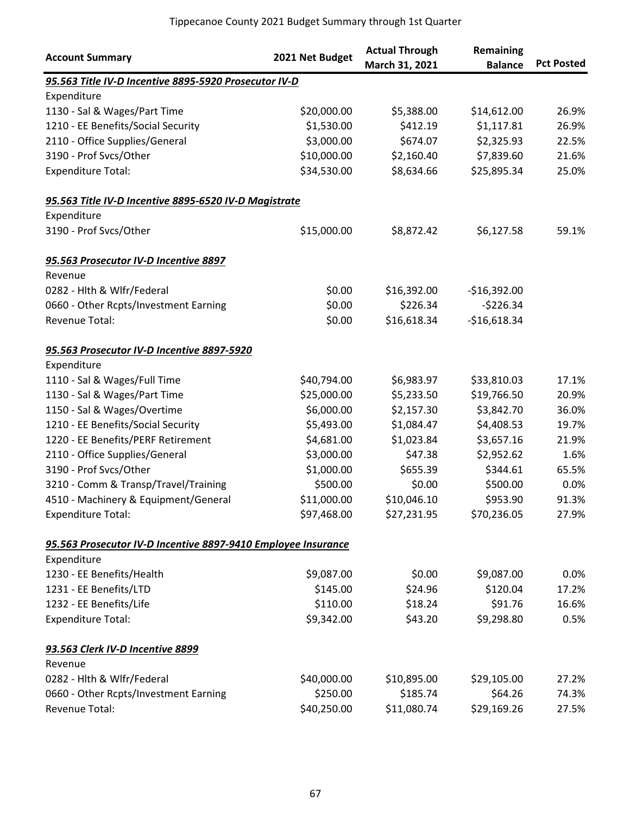| <b>Account Summary</b>                                        | 2021 Net Budget | <b>Actual Through</b><br>March 31, 2021 | Remaining<br><b>Balance</b> | <b>Pct Posted</b> |
|---------------------------------------------------------------|-----------------|-----------------------------------------|-----------------------------|-------------------|
| 95.563 Title IV-D Incentive 8895-5920 Prosecutor IV-D         |                 |                                         |                             |                   |
| Expenditure                                                   |                 |                                         |                             |                   |
| 1130 - Sal & Wages/Part Time                                  | \$20,000.00     | \$5,388.00                              | \$14,612.00                 | 26.9%             |
| 1210 - EE Benefits/Social Security                            | \$1,530.00      | \$412.19                                | \$1,117.81                  | 26.9%             |
| 2110 - Office Supplies/General                                | \$3,000.00      | \$674.07                                | \$2,325.93                  | 22.5%             |
| 3190 - Prof Svcs/Other                                        | \$10,000.00     | \$2,160.40                              | \$7,839.60                  | 21.6%             |
| <b>Expenditure Total:</b>                                     | \$34,530.00     | \$8,634.66                              | \$25,895.34                 | 25.0%             |
| 95.563 Title IV-D Incentive 8895-6520 IV-D Magistrate         |                 |                                         |                             |                   |
| Expenditure                                                   |                 |                                         |                             |                   |
| 3190 - Prof Svcs/Other                                        | \$15,000.00     | \$8,872.42                              | \$6,127.58                  | 59.1%             |
| 95.563 Prosecutor IV-D Incentive 8897                         |                 |                                         |                             |                   |
| Revenue                                                       |                 |                                         |                             |                   |
| 0282 - Hlth & Wlfr/Federal                                    | \$0.00          | \$16,392.00                             | $-$16,392.00$               |                   |
| 0660 - Other Rcpts/Investment Earning                         | \$0.00          | \$226.34                                | $-5226.34$                  |                   |
| Revenue Total:                                                | \$0.00          | \$16,618.34                             | $-$16,618.34$               |                   |
| 95.563 Prosecutor IV-D Incentive 8897-5920                    |                 |                                         |                             |                   |
| Expenditure                                                   |                 |                                         |                             |                   |
| 1110 - Sal & Wages/Full Time                                  | \$40,794.00     | \$6,983.97                              | \$33,810.03                 | 17.1%             |
| 1130 - Sal & Wages/Part Time                                  | \$25,000.00     | \$5,233.50                              | \$19,766.50                 | 20.9%             |
| 1150 - Sal & Wages/Overtime                                   | \$6,000.00      | \$2,157.30                              | \$3,842.70                  | 36.0%             |
| 1210 - EE Benefits/Social Security                            | \$5,493.00      | \$1,084.47                              | \$4,408.53                  | 19.7%             |
| 1220 - EE Benefits/PERF Retirement                            | \$4,681.00      | \$1,023.84                              | \$3,657.16                  | 21.9%             |
| 2110 - Office Supplies/General                                | \$3,000.00      | \$47.38                                 | \$2,952.62                  | 1.6%              |
| 3190 - Prof Svcs/Other                                        | \$1,000.00      | \$655.39                                | \$344.61                    | 65.5%             |
| 3210 - Comm & Transp/Travel/Training                          | \$500.00        | \$0.00                                  | \$500.00                    | 0.0%              |
| 4510 - Machinery & Equipment/General                          | \$11,000.00     | \$10,046.10                             | \$953.90                    | 91.3%             |
| <b>Expenditure Total:</b>                                     | \$97,468.00     | \$27,231.95                             | \$70,236.05                 | 27.9%             |
| 95.563 Prosecutor IV-D Incentive 8897-9410 Employee Insurance |                 |                                         |                             |                   |
| Expenditure                                                   |                 |                                         |                             |                   |
| 1230 - EE Benefits/Health                                     | \$9,087.00      | \$0.00                                  | \$9,087.00                  | $0.0\%$           |
| 1231 - EE Benefits/LTD                                        | \$145.00        | \$24.96                                 | \$120.04                    | 17.2%             |
| 1232 - EE Benefits/Life                                       | \$110.00        | \$18.24                                 | \$91.76                     | 16.6%             |
| <b>Expenditure Total:</b>                                     | \$9,342.00      | \$43.20                                 | \$9,298.80                  | 0.5%              |
| 93.563 Clerk IV-D Incentive 8899                              |                 |                                         |                             |                   |
| Revenue                                                       |                 |                                         |                             |                   |
| 0282 - Hith & Wifr/Federal                                    | \$40,000.00     | \$10,895.00                             | \$29,105.00                 | 27.2%             |
| 0660 - Other Rcpts/Investment Earning                         | \$250.00        | \$185.74                                | \$64.26                     | 74.3%             |
| Revenue Total:                                                | \$40,250.00     | \$11,080.74                             | \$29,169.26                 | 27.5%             |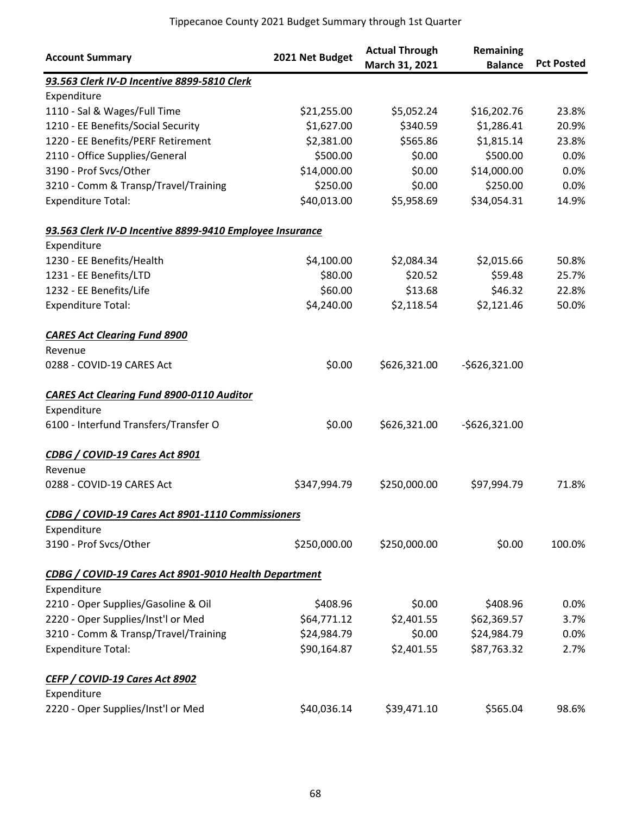| <b>Account Summary</b>                                   | 2021 Net Budget | <b>Actual Through</b><br>March 31, 2021 | Remaining<br><b>Balance</b> | <b>Pct Posted</b> |
|----------------------------------------------------------|-----------------|-----------------------------------------|-----------------------------|-------------------|
| 93.563 Clerk IV-D Incentive 8899-5810 Clerk              |                 |                                         |                             |                   |
| Expenditure                                              |                 |                                         |                             |                   |
| 1110 - Sal & Wages/Full Time                             | \$21,255.00     | \$5,052.24                              | \$16,202.76                 | 23.8%             |
| 1210 - EE Benefits/Social Security                       | \$1,627.00      | \$340.59                                | \$1,286.41                  | 20.9%             |
| 1220 - EE Benefits/PERF Retirement                       | \$2,381.00      | \$565.86                                | \$1,815.14                  | 23.8%             |
| 2110 - Office Supplies/General                           | \$500.00        | \$0.00                                  | \$500.00                    | 0.0%              |
| 3190 - Prof Svcs/Other                                   | \$14,000.00     | \$0.00                                  | \$14,000.00                 | 0.0%              |
| 3210 - Comm & Transp/Travel/Training                     | \$250.00        | \$0.00                                  | \$250.00                    | 0.0%              |
| <b>Expenditure Total:</b>                                | \$40,013.00     | \$5,958.69                              | \$34,054.31                 | 14.9%             |
| 93.563 Clerk IV-D Incentive 8899-9410 Employee Insurance |                 |                                         |                             |                   |
| Expenditure                                              |                 |                                         |                             |                   |
| 1230 - EE Benefits/Health                                | \$4,100.00      | \$2,084.34                              | \$2,015.66                  | 50.8%             |
| 1231 - EE Benefits/LTD                                   | \$80.00         | \$20.52                                 | \$59.48                     | 25.7%             |
| 1232 - EE Benefits/Life                                  | \$60.00         | \$13.68                                 | \$46.32                     | 22.8%             |
| <b>Expenditure Total:</b>                                | \$4,240.00      | \$2,118.54                              | \$2,121.46                  | 50.0%             |
| <b>CARES Act Clearing Fund 8900</b>                      |                 |                                         |                             |                   |
| Revenue                                                  |                 |                                         |                             |                   |
| 0288 - COVID-19 CARES Act                                | \$0.00          | \$626,321.00                            | $-5626,321.00$              |                   |
| <b>CARES Act Clearing Fund 8900-0110 Auditor</b>         |                 |                                         |                             |                   |
| Expenditure                                              |                 |                                         |                             |                   |
| 6100 - Interfund Transfers/Transfer O                    | \$0.00          | \$626,321.00                            | $-5626,321.00$              |                   |
| CDBG / COVID-19 Cares Act 8901                           |                 |                                         |                             |                   |
| Revenue                                                  |                 |                                         |                             |                   |
| 0288 - COVID-19 CARES Act                                | \$347,994.79    | \$250,000.00                            | \$97,994.79                 | 71.8%             |
| CDBG / COVID-19 Cares Act 8901-1110 Commissioners        |                 |                                         |                             |                   |
| Expenditure                                              |                 |                                         |                             |                   |
| 3190 - Prof Svcs/Other                                   | \$250,000.00    | \$250,000.00                            | \$0.00                      | 100.0%            |
| CDBG / COVID-19 Cares Act 8901-9010 Health Department    |                 |                                         |                             |                   |
| Expenditure                                              |                 |                                         |                             |                   |
| 2210 - Oper Supplies/Gasoline & Oil                      | \$408.96        | \$0.00                                  | \$408.96                    | 0.0%              |
| 2220 - Oper Supplies/Inst'l or Med                       | \$64,771.12     | \$2,401.55                              | \$62,369.57                 | 3.7%              |
| 3210 - Comm & Transp/Travel/Training                     | \$24,984.79     | \$0.00                                  | \$24,984.79                 | 0.0%              |
| <b>Expenditure Total:</b>                                | \$90,164.87     | \$2,401.55                              | \$87,763.32                 | 2.7%              |
| CEFP / COVID-19 Cares Act 8902                           |                 |                                         |                             |                   |
| Expenditure                                              |                 |                                         |                             |                   |
| 2220 - Oper Supplies/Inst'l or Med                       | \$40,036.14     | \$39,471.10                             | \$565.04                    | 98.6%             |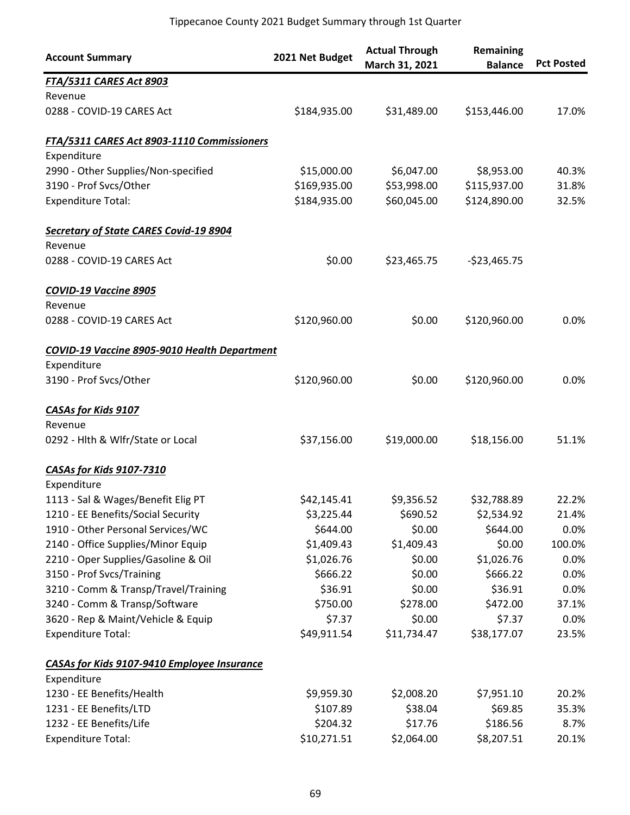| <b>Account Summary</b>                              | 2021 Net Budget | <b>Actual Through</b><br>March 31, 2021 | Remaining<br><b>Balance</b> | <b>Pct Posted</b> |
|-----------------------------------------------------|-----------------|-----------------------------------------|-----------------------------|-------------------|
| <b>FTA/5311 CARES Act 8903</b>                      |                 |                                         |                             |                   |
| Revenue                                             |                 |                                         |                             |                   |
| 0288 - COVID-19 CARES Act                           | \$184,935.00    | \$31,489.00                             | \$153,446.00                | 17.0%             |
| FTA/5311 CARES Act 8903-1110 Commissioners          |                 |                                         |                             |                   |
| Expenditure                                         |                 |                                         |                             |                   |
| 2990 - Other Supplies/Non-specified                 | \$15,000.00     | \$6,047.00                              | \$8,953.00                  | 40.3%             |
| 3190 - Prof Svcs/Other                              | \$169,935.00    | \$53,998.00                             | \$115,937.00                | 31.8%             |
| <b>Expenditure Total:</b>                           | \$184,935.00    | \$60,045.00                             | \$124,890.00                | 32.5%             |
| <b>Secretary of State CARES Covid-19 8904</b>       |                 |                                         |                             |                   |
| Revenue                                             |                 |                                         |                             |                   |
| 0288 - COVID-19 CARES Act                           | \$0.00          | \$23,465.75                             | $-$23,465.75$               |                   |
| COVID-19 Vaccine 8905                               |                 |                                         |                             |                   |
| Revenue                                             |                 |                                         |                             |                   |
| 0288 - COVID-19 CARES Act                           | \$120,960.00    | \$0.00                                  | \$120,960.00                | 0.0%              |
| <b>COVID-19 Vaccine 8905-9010 Health Department</b> |                 |                                         |                             |                   |
| Expenditure                                         |                 |                                         |                             |                   |
| 3190 - Prof Svcs/Other                              | \$120,960.00    | \$0.00                                  | \$120,960.00                | 0.0%              |
| <b>CASAs for Kids 9107</b>                          |                 |                                         |                             |                   |
| Revenue                                             |                 |                                         |                             |                   |
| 0292 - Hlth & Wlfr/State or Local                   | \$37,156.00     | \$19,000.00                             | \$18,156.00                 | 51.1%             |
| <b>CASAs for Kids 9107-7310</b>                     |                 |                                         |                             |                   |
| Expenditure                                         |                 |                                         |                             |                   |
| 1113 - Sal & Wages/Benefit Elig PT                  | \$42,145.41     | \$9,356.52                              | \$32,788.89                 | 22.2%             |
| 1210 - EE Benefits/Social Security                  | \$3,225.44      | \$690.52                                | \$2,534.92                  | 21.4%             |
| 1910 - Other Personal Services/WC                   | \$644.00        | \$0.00                                  | \$644.00                    | 0.0%              |
| 2140 - Office Supplies/Minor Equip                  | \$1,409.43      | \$1,409.43                              | \$0.00                      | 100.0%            |
| 2210 - Oper Supplies/Gasoline & Oil                 | \$1,026.76      | \$0.00                                  | \$1,026.76                  | 0.0%              |
| 3150 - Prof Svcs/Training                           | \$666.22        | \$0.00                                  | \$666.22                    | 0.0%              |
| 3210 - Comm & Transp/Travel/Training                | \$36.91         | \$0.00                                  | \$36.91                     | 0.0%              |
| 3240 - Comm & Transp/Software                       | \$750.00        | \$278.00                                | \$472.00                    | 37.1%             |
| 3620 - Rep & Maint/Vehicle & Equip                  | \$7.37          | \$0.00                                  | \$7.37                      | 0.0%              |
| <b>Expenditure Total:</b>                           | \$49,911.54     | \$11,734.47                             | \$38,177.07                 | 23.5%             |
| <b>CASAs for Kids 9107-9410 Employee Insurance</b>  |                 |                                         |                             |                   |
| Expenditure                                         |                 |                                         |                             |                   |
| 1230 - EE Benefits/Health                           | \$9,959.30      | \$2,008.20                              | \$7,951.10                  | 20.2%             |
| 1231 - EE Benefits/LTD                              | \$107.89        | \$38.04                                 | \$69.85                     | 35.3%             |
| 1232 - EE Benefits/Life                             | \$204.32        | \$17.76                                 | \$186.56                    | 8.7%              |
| <b>Expenditure Total:</b>                           | \$10,271.51     | \$2,064.00                              | \$8,207.51                  | 20.1%             |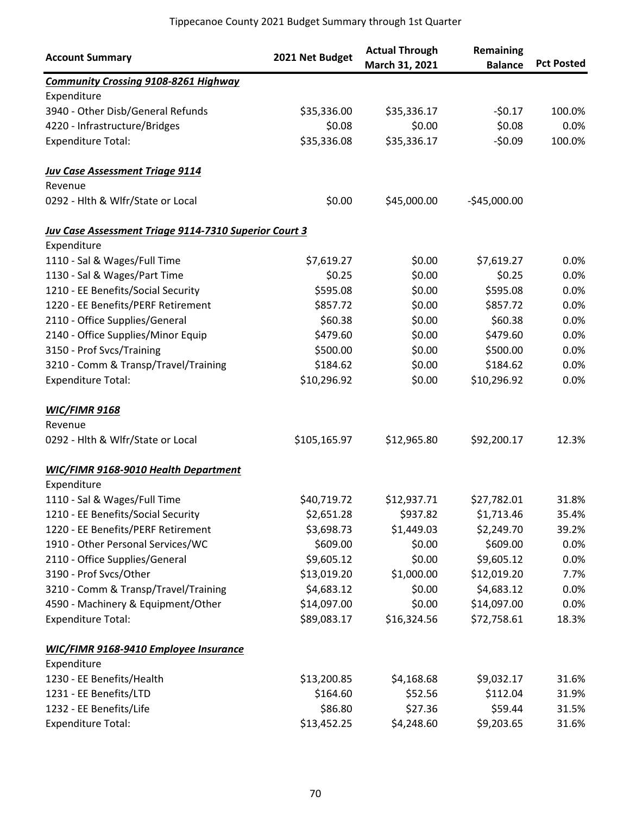| <b>Account Summary</b>                                | 2021 Net Budget | <b>Actual Through</b><br>March 31, 2021 | Remaining<br><b>Balance</b> | <b>Pct Posted</b> |
|-------------------------------------------------------|-----------------|-----------------------------------------|-----------------------------|-------------------|
| <b>Community Crossing 9108-8261 Highway</b>           |                 |                                         |                             |                   |
| Expenditure                                           |                 |                                         |                             |                   |
| 3940 - Other Disb/General Refunds                     | \$35,336.00     | \$35,336.17                             | $-50.17$                    | 100.0%            |
| 4220 - Infrastructure/Bridges                         | \$0.08          | \$0.00                                  | \$0.08                      | 0.0%              |
| <b>Expenditure Total:</b>                             | \$35,336.08     | \$35,336.17                             | $-50.09$                    | 100.0%            |
| <b>Juv Case Assessment Triage 9114</b>                |                 |                                         |                             |                   |
| Revenue                                               |                 |                                         |                             |                   |
| 0292 - Hlth & Wlfr/State or Local                     | \$0.00          | \$45,000.00                             | $-$45,000.00$               |                   |
| Juv Case Assessment Triage 9114-7310 Superior Court 3 |                 |                                         |                             |                   |
| Expenditure                                           |                 |                                         |                             |                   |
| 1110 - Sal & Wages/Full Time                          | \$7,619.27      | \$0.00                                  | \$7,619.27                  | 0.0%              |
| 1130 - Sal & Wages/Part Time                          | \$0.25          | \$0.00                                  | \$0.25                      | 0.0%              |
| 1210 - EE Benefits/Social Security                    | \$595.08        | \$0.00                                  | \$595.08                    | 0.0%              |
| 1220 - EE Benefits/PERF Retirement                    | \$857.72        | \$0.00                                  | \$857.72                    | 0.0%              |
| 2110 - Office Supplies/General                        | \$60.38         | \$0.00                                  | \$60.38                     | 0.0%              |
| 2140 - Office Supplies/Minor Equip                    | \$479.60        | \$0.00                                  | \$479.60                    | 0.0%              |
| 3150 - Prof Svcs/Training                             | \$500.00        | \$0.00                                  | \$500.00                    | 0.0%              |
| 3210 - Comm & Transp/Travel/Training                  | \$184.62        | \$0.00                                  | \$184.62                    | 0.0%              |
| <b>Expenditure Total:</b>                             | \$10,296.92     | \$0.00                                  | \$10,296.92                 | 0.0%              |
| <b>WIC/FIMR 9168</b>                                  |                 |                                         |                             |                   |
| Revenue                                               |                 |                                         |                             |                   |
| 0292 - Hlth & Wlfr/State or Local                     | \$105,165.97    | \$12,965.80                             | \$92,200.17                 | 12.3%             |
| <b>WIC/FIMR 9168-9010 Health Department</b>           |                 |                                         |                             |                   |
| Expenditure                                           |                 |                                         |                             |                   |
| 1110 - Sal & Wages/Full Time                          | \$40,719.72     | \$12,937.71                             | \$27,782.01                 | 31.8%             |
| 1210 - EE Benefits/Social Security                    | \$2,651.28      | \$937.82                                | \$1,713.46                  | 35.4%             |
| 1220 - EE Benefits/PERF Retirement                    | \$3,698.73      | \$1,449.03                              | \$2,249.70                  | 39.2%             |
| 1910 - Other Personal Services/WC                     | \$609.00        | \$0.00                                  | \$609.00                    | 0.0%              |
| 2110 - Office Supplies/General                        | \$9,605.12      | \$0.00                                  | \$9,605.12                  | 0.0%              |
| 3190 - Prof Svcs/Other                                | \$13,019.20     | \$1,000.00                              | \$12,019.20                 | 7.7%              |
| 3210 - Comm & Transp/Travel/Training                  | \$4,683.12      | \$0.00                                  | \$4,683.12                  | 0.0%              |
| 4590 - Machinery & Equipment/Other                    | \$14,097.00     | \$0.00                                  | \$14,097.00                 | 0.0%              |
| <b>Expenditure Total:</b>                             | \$89,083.17     | \$16,324.56                             | \$72,758.61                 | 18.3%             |
| <b>WIC/FIMR 9168-9410 Employee Insurance</b>          |                 |                                         |                             |                   |
| Expenditure                                           |                 |                                         |                             |                   |
| 1230 - EE Benefits/Health                             | \$13,200.85     | \$4,168.68                              | \$9,032.17                  | 31.6%             |
| 1231 - EE Benefits/LTD                                | \$164.60        | \$52.56                                 | \$112.04                    | 31.9%             |
| 1232 - EE Benefits/Life                               | \$86.80         | \$27.36                                 | \$59.44                     | 31.5%             |
| <b>Expenditure Total:</b>                             | \$13,452.25     | \$4,248.60                              | \$9,203.65                  | 31.6%             |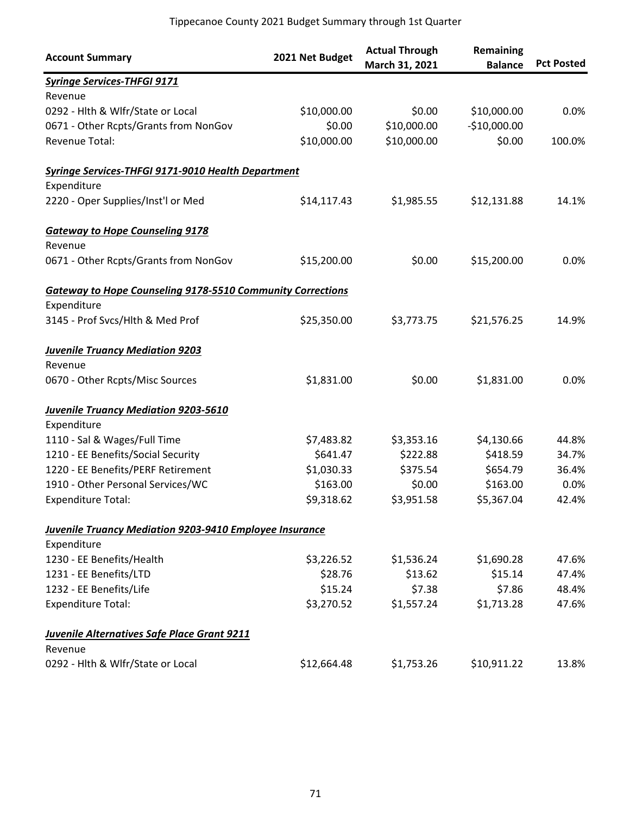| <b>Account Summary</b>                                            | 2021 Net Budget | <b>Actual Through</b><br>March 31, 2021 | Remaining<br><b>Balance</b> | <b>Pct Posted</b> |
|-------------------------------------------------------------------|-----------------|-----------------------------------------|-----------------------------|-------------------|
| <b>Syringe Services-THFGI 9171</b>                                |                 |                                         |                             |                   |
| Revenue                                                           |                 |                                         |                             |                   |
| 0292 - Hlth & Wlfr/State or Local                                 | \$10,000.00     | \$0.00                                  | \$10,000.00                 | 0.0%              |
| 0671 - Other Rcpts/Grants from NonGov                             | \$0.00          | \$10,000.00                             | $-$10,000.00$               |                   |
| Revenue Total:                                                    | \$10,000.00     | \$10,000.00                             | \$0.00                      | 100.0%            |
| Syringe Services-THFGI 9171-9010 Health Department                |                 |                                         |                             |                   |
| Expenditure                                                       |                 |                                         |                             |                   |
| 2220 - Oper Supplies/Inst'l or Med                                | \$14,117.43     | \$1,985.55                              | \$12,131.88                 | 14.1%             |
| <b>Gateway to Hope Counseling 9178</b>                            |                 |                                         |                             |                   |
| Revenue                                                           |                 |                                         |                             |                   |
| 0671 - Other Rcpts/Grants from NonGov                             | \$15,200.00     | \$0.00                                  | \$15,200.00                 | 0.0%              |
| <b>Gateway to Hope Counseling 9178-5510 Community Corrections</b> |                 |                                         |                             |                   |
| Expenditure                                                       |                 |                                         |                             |                   |
| 3145 - Prof Svcs/Hlth & Med Prof                                  | \$25,350.00     | \$3,773.75                              | \$21,576.25                 | 14.9%             |
| <b>Juvenile Truancy Mediation 9203</b>                            |                 |                                         |                             |                   |
| Revenue                                                           |                 |                                         |                             |                   |
| 0670 - Other Rcpts/Misc Sources                                   | \$1,831.00      | \$0.00                                  | \$1,831.00                  | 0.0%              |
| <b>Juvenile Truancy Mediation 9203-5610</b>                       |                 |                                         |                             |                   |
| Expenditure                                                       |                 |                                         |                             |                   |
| 1110 - Sal & Wages/Full Time                                      | \$7,483.82      | \$3,353.16                              | \$4,130.66                  | 44.8%             |
| 1210 - EE Benefits/Social Security                                | \$641.47        | \$222.88                                | \$418.59                    | 34.7%             |
| 1220 - EE Benefits/PERF Retirement                                | \$1,030.33      | \$375.54                                | \$654.79                    | 36.4%             |
| 1910 - Other Personal Services/WC                                 | \$163.00        | \$0.00                                  | \$163.00                    | 0.0%              |
| <b>Expenditure Total:</b>                                         | \$9,318.62      | \$3,951.58                              | \$5,367.04                  | 42.4%             |
| Juvenile Truancy Mediation 9203-9410 Employee Insurance           |                 |                                         |                             |                   |
| Expenditure                                                       |                 |                                         |                             |                   |
| 1230 - EE Benefits/Health                                         | \$3,226.52      | \$1,536.24                              | \$1,690.28                  | 47.6%             |
| 1231 - EE Benefits/LTD                                            | \$28.76         | \$13.62                                 | \$15.14                     | 47.4%             |
| 1232 - EE Benefits/Life                                           | \$15.24         | \$7.38                                  | \$7.86                      | 48.4%             |
| <b>Expenditure Total:</b>                                         | \$3,270.52      | \$1,557.24                              | \$1,713.28                  | 47.6%             |
| <b>Juvenile Alternatives Safe Place Grant 9211</b>                |                 |                                         |                             |                   |
| Revenue                                                           |                 |                                         |                             |                   |
| 0292 - Hlth & Wlfr/State or Local                                 | \$12,664.48     | \$1,753.26                              | \$10,911.22                 | 13.8%             |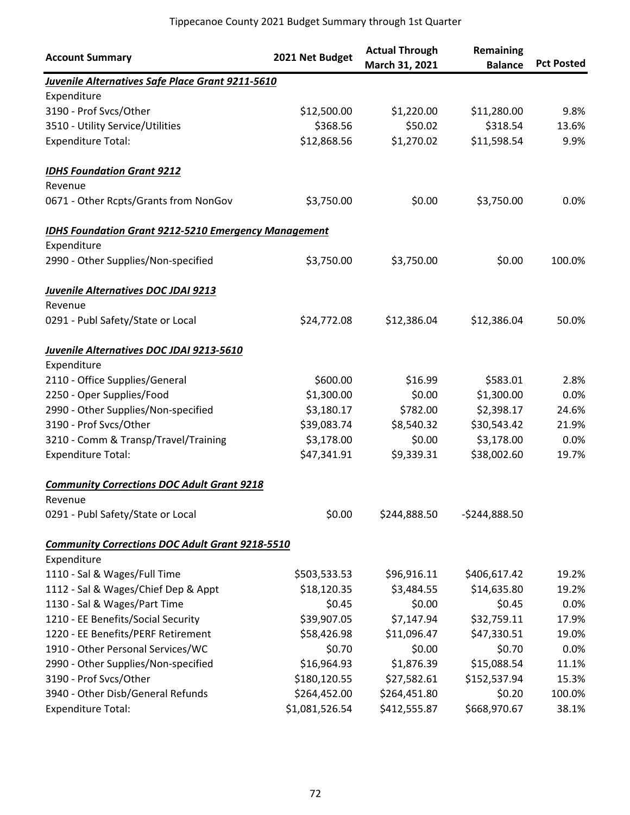| <b>Account Summary</b>                                      | 2021 Net Budget | <b>Actual Through</b><br>March 31, 2021 | Remaining<br><b>Balance</b> | <b>Pct Posted</b> |
|-------------------------------------------------------------|-----------------|-----------------------------------------|-----------------------------|-------------------|
| Juvenile Alternatives Safe Place Grant 9211-5610            |                 |                                         |                             |                   |
| Expenditure                                                 |                 |                                         |                             |                   |
| 3190 - Prof Svcs/Other                                      | \$12,500.00     | \$1,220.00                              | \$11,280.00                 | 9.8%              |
| 3510 - Utility Service/Utilities                            | \$368.56        | \$50.02                                 | \$318.54                    | 13.6%             |
| <b>Expenditure Total:</b>                                   | \$12,868.56     | \$1,270.02                              | \$11,598.54                 | 9.9%              |
| <b>IDHS Foundation Grant 9212</b>                           |                 |                                         |                             |                   |
| Revenue                                                     |                 |                                         |                             |                   |
| 0671 - Other Rcpts/Grants from NonGov                       | \$3,750.00      | \$0.00                                  | \$3,750.00                  | 0.0%              |
| <b>IDHS Foundation Grant 9212-5210 Emergency Management</b> |                 |                                         |                             |                   |
| Expenditure                                                 |                 |                                         |                             |                   |
| 2990 - Other Supplies/Non-specified                         | \$3,750.00      | \$3,750.00                              | \$0.00                      | 100.0%            |
| Juvenile Alternatives DOC JDAI 9213                         |                 |                                         |                             |                   |
| Revenue                                                     |                 |                                         |                             |                   |
| 0291 - Publ Safety/State or Local                           | \$24,772.08     | \$12,386.04                             | \$12,386.04                 | 50.0%             |
| Juvenile Alternatives DOC JDAI 9213-5610                    |                 |                                         |                             |                   |
| Expenditure                                                 |                 |                                         |                             |                   |
| 2110 - Office Supplies/General                              | \$600.00        | \$16.99                                 | \$583.01                    | 2.8%              |
| 2250 - Oper Supplies/Food                                   | \$1,300.00      | \$0.00                                  | \$1,300.00                  | 0.0%              |
| 2990 - Other Supplies/Non-specified                         | \$3,180.17      | \$782.00                                | \$2,398.17                  | 24.6%             |
| 3190 - Prof Svcs/Other                                      | \$39,083.74     | \$8,540.32                              | \$30,543.42                 | 21.9%             |
| 3210 - Comm & Transp/Travel/Training                        | \$3,178.00      | \$0.00                                  | \$3,178.00                  | 0.0%              |
| <b>Expenditure Total:</b>                                   | \$47,341.91     | \$9,339.31                              | \$38,002.60                 | 19.7%             |
| <b>Community Corrections DOC Adult Grant 9218</b>           |                 |                                         |                             |                   |
| Revenue                                                     |                 |                                         |                             |                   |
| 0291 - Publ Safety/State or Local                           | \$0.00          | \$244,888.50                            | $-5244,888.50$              |                   |
| <b>Community Corrections DOC Adult Grant 9218-5510</b>      |                 |                                         |                             |                   |
| Expenditure                                                 |                 |                                         |                             |                   |
| 1110 - Sal & Wages/Full Time                                | \$503,533.53    | \$96,916.11                             | \$406,617.42                | 19.2%             |
| 1112 - Sal & Wages/Chief Dep & Appt                         | \$18,120.35     | \$3,484.55                              | \$14,635.80                 | 19.2%             |
| 1130 - Sal & Wages/Part Time                                | \$0.45          | \$0.00                                  | \$0.45                      | 0.0%              |
| 1210 - EE Benefits/Social Security                          | \$39,907.05     | \$7,147.94                              | \$32,759.11                 | 17.9%             |
| 1220 - EE Benefits/PERF Retirement                          | \$58,426.98     | \$11,096.47                             | \$47,330.51                 | 19.0%             |
| 1910 - Other Personal Services/WC                           | \$0.70          | \$0.00                                  | \$0.70                      | 0.0%              |
| 2990 - Other Supplies/Non-specified                         | \$16,964.93     | \$1,876.39                              | \$15,088.54                 | 11.1%             |
| 3190 - Prof Svcs/Other                                      | \$180,120.55    | \$27,582.61                             | \$152,537.94                | 15.3%             |
| 3940 - Other Disb/General Refunds                           | \$264,452.00    | \$264,451.80                            | \$0.20                      | 100.0%            |
| <b>Expenditure Total:</b>                                   | \$1,081,526.54  | \$412,555.87                            | \$668,970.67                | 38.1%             |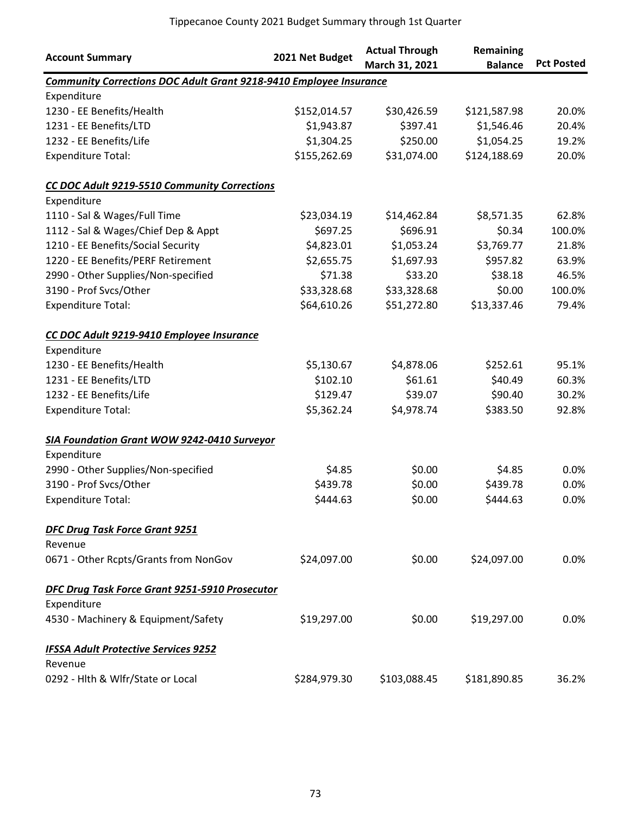| <b>Account Summary</b>                                                    | 2021 Net Budget | <b>Actual Through</b> | <b>Remaining</b> |                   |
|---------------------------------------------------------------------------|-----------------|-----------------------|------------------|-------------------|
|                                                                           |                 | March 31, 2021        | <b>Balance</b>   | <b>Pct Posted</b> |
| <b>Community Corrections DOC Adult Grant 9218-9410 Employee Insurance</b> |                 |                       |                  |                   |
| Expenditure                                                               |                 |                       |                  |                   |
| 1230 - EE Benefits/Health                                                 | \$152,014.57    | \$30,426.59           | \$121,587.98     | 20.0%             |
| 1231 - EE Benefits/LTD                                                    | \$1,943.87      | \$397.41              | \$1,546.46       | 20.4%             |
| 1232 - EE Benefits/Life                                                   | \$1,304.25      | \$250.00              | \$1,054.25       | 19.2%             |
| <b>Expenditure Total:</b>                                                 | \$155,262.69    | \$31,074.00           | \$124,188.69     | 20.0%             |
| CC DOC Adult 9219-5510 Community Corrections                              |                 |                       |                  |                   |
| Expenditure                                                               |                 |                       |                  |                   |
| 1110 - Sal & Wages/Full Time                                              | \$23,034.19     | \$14,462.84           | \$8,571.35       | 62.8%             |
| 1112 - Sal & Wages/Chief Dep & Appt                                       | \$697.25        | \$696.91              | \$0.34           | 100.0%            |
| 1210 - EE Benefits/Social Security                                        | \$4,823.01      | \$1,053.24            | \$3,769.77       | 21.8%             |
| 1220 - EE Benefits/PERF Retirement                                        | \$2,655.75      | \$1,697.93            | \$957.82         | 63.9%             |
| 2990 - Other Supplies/Non-specified                                       | \$71.38         | \$33.20               | \$38.18          | 46.5%             |
| 3190 - Prof Svcs/Other                                                    | \$33,328.68     | \$33,328.68           | \$0.00           | 100.0%            |
| <b>Expenditure Total:</b>                                                 | \$64,610.26     | \$51,272.80           | \$13,337.46      | 79.4%             |
| CC DOC Adult 9219-9410 Employee Insurance                                 |                 |                       |                  |                   |
| Expenditure                                                               |                 |                       |                  |                   |
| 1230 - EE Benefits/Health                                                 | \$5,130.67      | \$4,878.06            | \$252.61         | 95.1%             |
| 1231 - EE Benefits/LTD                                                    | \$102.10        | \$61.61               | \$40.49          | 60.3%             |
| 1232 - EE Benefits/Life                                                   | \$129.47        | \$39.07               | \$90.40          | 30.2%             |
| <b>Expenditure Total:</b>                                                 | \$5,362.24      | \$4,978.74            | \$383.50         | 92.8%             |
| <b>SIA Foundation Grant WOW 9242-0410 Surveyor</b>                        |                 |                       |                  |                   |
| Expenditure                                                               |                 |                       |                  |                   |
| 2990 - Other Supplies/Non-specified                                       | \$4.85          | \$0.00                | \$4.85           | 0.0%              |
| 3190 - Prof Svcs/Other                                                    | \$439.78        | \$0.00                | \$439.78         | 0.0%              |
| <b>Expenditure Total:</b>                                                 | \$444.63        | \$0.00                | \$444.63         | 0.0%              |
| <b>DFC Drug Task Force Grant 9251</b>                                     |                 |                       |                  |                   |
| Revenue                                                                   |                 |                       |                  |                   |
| 0671 - Other Rcpts/Grants from NonGov                                     | \$24,097.00     | \$0.00                | \$24,097.00      | 0.0%              |
| DFC Drug Task Force Grant 9251-5910 Prosecutor                            |                 |                       |                  |                   |
| Expenditure                                                               |                 |                       |                  |                   |
| 4530 - Machinery & Equipment/Safety                                       | \$19,297.00     | \$0.00                | \$19,297.00      | 0.0%              |
| <b>IFSSA Adult Protective Services 9252</b>                               |                 |                       |                  |                   |
| Revenue                                                                   |                 |                       |                  |                   |
| 0292 - Hlth & Wlfr/State or Local                                         | \$284,979.30    | \$103,088.45          | \$181,890.85     | 36.2%             |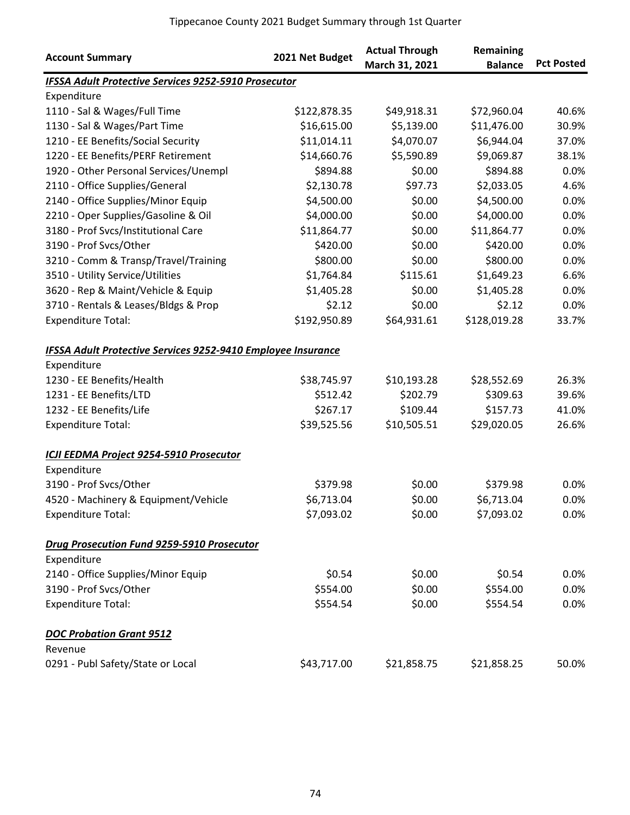| <b>Account Summary</b>                                              | 2021 Net Budget | <b>Actual Through</b><br>March 31, 2021 | <b>Remaining</b><br><b>Balance</b> | <b>Pct Posted</b> |
|---------------------------------------------------------------------|-----------------|-----------------------------------------|------------------------------------|-------------------|
| IFSSA Adult Protective Services 9252-5910 Prosecutor                |                 |                                         |                                    |                   |
| Expenditure                                                         |                 |                                         |                                    |                   |
| 1110 - Sal & Wages/Full Time                                        | \$122,878.35    | \$49,918.31                             | \$72,960.04                        | 40.6%             |
| 1130 - Sal & Wages/Part Time                                        | \$16,615.00     | \$5,139.00                              | \$11,476.00                        | 30.9%             |
| 1210 - EE Benefits/Social Security                                  | \$11,014.11     | \$4,070.07                              | \$6,944.04                         | 37.0%             |
| 1220 - EE Benefits/PERF Retirement                                  | \$14,660.76     | \$5,590.89                              | \$9,069.87                         | 38.1%             |
| 1920 - Other Personal Services/Unempl                               | \$894.88        | \$0.00                                  | \$894.88                           | 0.0%              |
| 2110 - Office Supplies/General                                      | \$2,130.78      | \$97.73                                 | \$2,033.05                         | 4.6%              |
| 2140 - Office Supplies/Minor Equip                                  | \$4,500.00      | \$0.00                                  | \$4,500.00                         | 0.0%              |
| 2210 - Oper Supplies/Gasoline & Oil                                 | \$4,000.00      | \$0.00                                  | \$4,000.00                         | 0.0%              |
| 3180 - Prof Svcs/Institutional Care                                 | \$11,864.77     | \$0.00                                  | \$11,864.77                        | 0.0%              |
| 3190 - Prof Svcs/Other                                              | \$420.00        | \$0.00                                  | \$420.00                           | 0.0%              |
| 3210 - Comm & Transp/Travel/Training                                | \$800.00        | \$0.00                                  | \$800.00                           | 0.0%              |
| 3510 - Utility Service/Utilities                                    | \$1,764.84      | \$115.61                                | \$1,649.23                         | 6.6%              |
| 3620 - Rep & Maint/Vehicle & Equip                                  | \$1,405.28      | \$0.00                                  | \$1,405.28                         | 0.0%              |
| 3710 - Rentals & Leases/Bldgs & Prop                                | \$2.12          | \$0.00                                  | \$2.12                             | 0.0%              |
| <b>Expenditure Total:</b>                                           | \$192,950.89    | \$64,931.61                             | \$128,019.28                       | 33.7%             |
| <b>IFSSA Adult Protective Services 9252-9410 Employee Insurance</b> |                 |                                         |                                    |                   |
| Expenditure                                                         |                 |                                         |                                    |                   |
| 1230 - EE Benefits/Health                                           | \$38,745.97     | \$10,193.28                             | \$28,552.69                        | 26.3%             |
| 1231 - EE Benefits/LTD                                              | \$512.42        | \$202.79                                | \$309.63                           | 39.6%             |
| 1232 - EE Benefits/Life                                             | \$267.17        | \$109.44                                | \$157.73                           | 41.0%             |
| <b>Expenditure Total:</b>                                           | \$39,525.56     | \$10,505.51                             | \$29,020.05                        | 26.6%             |
| ICJI EEDMA Project 9254-5910 Prosecutor                             |                 |                                         |                                    |                   |
| Expenditure                                                         |                 |                                         |                                    |                   |
| 3190 - Prof Svcs/Other                                              | \$379.98        | \$0.00                                  | \$379.98                           | 0.0%              |
| 4520 - Machinery & Equipment/Vehicle                                | \$6,713.04      | \$0.00                                  | \$6,713.04                         | 0.0%              |
| <b>Expenditure Total:</b>                                           | \$7,093.02      | \$0.00                                  | \$7,093.02                         | 0.0%              |
| Drug Prosecution Fund 9259-5910 Prosecutor                          |                 |                                         |                                    |                   |
| Expenditure                                                         |                 |                                         |                                    |                   |
| 2140 - Office Supplies/Minor Equip                                  | \$0.54          | \$0.00                                  | \$0.54                             | $0.0\%$           |
| 3190 - Prof Svcs/Other                                              | \$554.00        | \$0.00                                  | \$554.00                           | 0.0%              |
| <b>Expenditure Total:</b>                                           | \$554.54        | \$0.00                                  | \$554.54                           | 0.0%              |
| <b>DOC Probation Grant 9512</b>                                     |                 |                                         |                                    |                   |
| Revenue                                                             |                 |                                         |                                    |                   |
| 0291 - Publ Safety/State or Local                                   | \$43,717.00     | \$21,858.75                             | \$21,858.25                        | 50.0%             |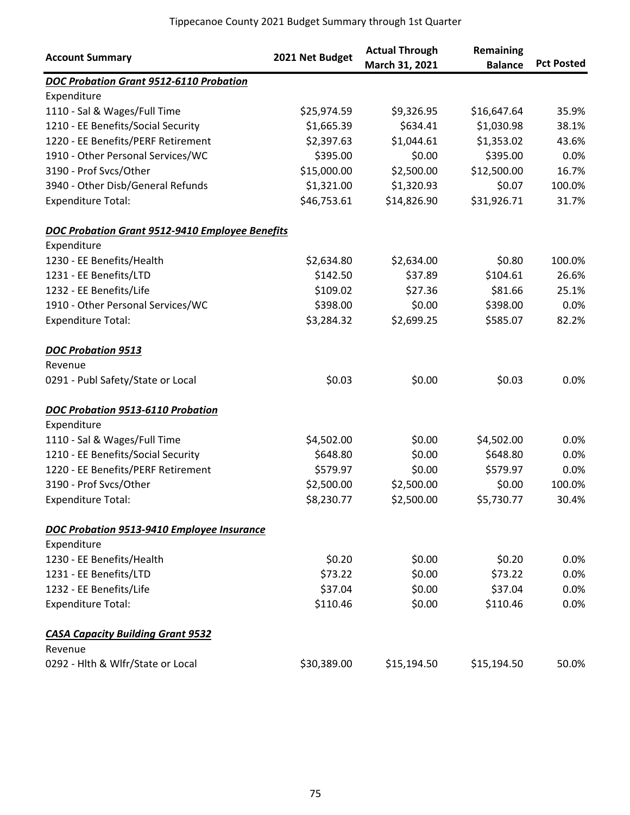| <b>Account Summary</b>                          | 2021 Net Budget | <b>Actual Through</b><br>March 31, 2021 | Remaining<br><b>Balance</b> | <b>Pct Posted</b> |
|-------------------------------------------------|-----------------|-----------------------------------------|-----------------------------|-------------------|
| DOC Probation Grant 9512-6110 Probation         |                 |                                         |                             |                   |
| Expenditure                                     |                 |                                         |                             |                   |
| 1110 - Sal & Wages/Full Time                    | \$25,974.59     | \$9,326.95                              | \$16,647.64                 | 35.9%             |
| 1210 - EE Benefits/Social Security              | \$1,665.39      | \$634.41                                | \$1,030.98                  | 38.1%             |
| 1220 - EE Benefits/PERF Retirement              | \$2,397.63      | \$1,044.61                              | \$1,353.02                  | 43.6%             |
| 1910 - Other Personal Services/WC               | \$395.00        | \$0.00                                  | \$395.00                    | 0.0%              |
| 3190 - Prof Svcs/Other                          | \$15,000.00     | \$2,500.00                              | \$12,500.00                 | 16.7%             |
| 3940 - Other Disb/General Refunds               | \$1,321.00      | \$1,320.93                              | \$0.07                      | 100.0%            |
| <b>Expenditure Total:</b>                       | \$46,753.61     | \$14,826.90                             | \$31,926.71                 | 31.7%             |
| DOC Probation Grant 9512-9410 Employee Benefits |                 |                                         |                             |                   |
| Expenditure                                     |                 |                                         |                             |                   |
| 1230 - EE Benefits/Health                       | \$2,634.80      | \$2,634.00                              | \$0.80                      | 100.0%            |
| 1231 - EE Benefits/LTD                          | \$142.50        | \$37.89                                 | \$104.61                    | 26.6%             |
| 1232 - EE Benefits/Life                         | \$109.02        | \$27.36                                 | \$81.66                     | 25.1%             |
| 1910 - Other Personal Services/WC               | \$398.00        | \$0.00                                  | \$398.00                    | 0.0%              |
| <b>Expenditure Total:</b>                       | \$3,284.32      | \$2,699.25                              | \$585.07                    | 82.2%             |
| <b>DOC Probation 9513</b>                       |                 |                                         |                             |                   |
| Revenue                                         |                 |                                         |                             |                   |
| 0291 - Publ Safety/State or Local               | \$0.03          | \$0.00                                  | \$0.03                      | 0.0%              |
| DOC Probation 9513-6110 Probation               |                 |                                         |                             |                   |
| Expenditure                                     |                 |                                         |                             |                   |
| 1110 - Sal & Wages/Full Time                    | \$4,502.00      | \$0.00                                  | \$4,502.00                  | 0.0%              |
| 1210 - EE Benefits/Social Security              | \$648.80        | \$0.00                                  | \$648.80                    | 0.0%              |
| 1220 - EE Benefits/PERF Retirement              | \$579.97        | \$0.00                                  | \$579.97                    | 0.0%              |
| 3190 - Prof Svcs/Other                          | \$2,500.00      | \$2,500.00                              | \$0.00                      | 100.0%            |
| <b>Expenditure Total:</b>                       | \$8,230.77      | \$2,500.00                              | \$5,730.77                  | 30.4%             |
| DOC Probation 9513-9410 Employee Insurance      |                 |                                         |                             |                   |
| Expenditure                                     |                 |                                         |                             |                   |
| 1230 - EE Benefits/Health                       | \$0.20          | \$0.00                                  | \$0.20                      | 0.0%              |
| 1231 - EE Benefits/LTD                          | \$73.22         | \$0.00                                  | \$73.22                     | 0.0%              |
| 1232 - EE Benefits/Life                         | \$37.04         | \$0.00                                  | \$37.04                     | 0.0%              |
| <b>Expenditure Total:</b>                       | \$110.46        | \$0.00                                  | \$110.46                    | 0.0%              |
| <b>CASA Capacity Building Grant 9532</b>        |                 |                                         |                             |                   |
| Revenue                                         |                 |                                         |                             |                   |
| 0292 - Hlth & Wlfr/State or Local               | \$30,389.00     | \$15,194.50                             | \$15,194.50                 | 50.0%             |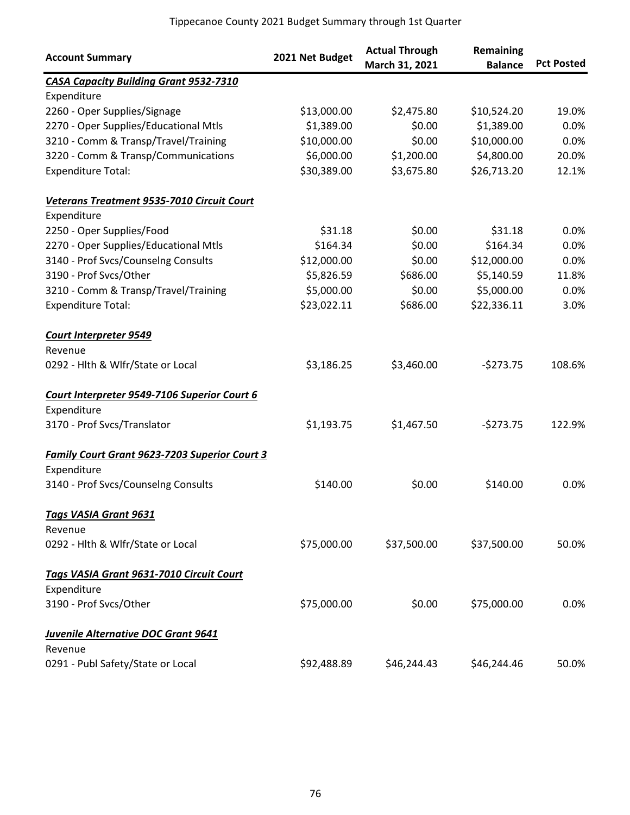| <b>Account Summary</b>                               | 2021 Net Budget | <b>Actual Through</b><br>March 31, 2021 | Remaining<br><b>Balance</b> | <b>Pct Posted</b> |
|------------------------------------------------------|-----------------|-----------------------------------------|-----------------------------|-------------------|
| <b>CASA Capacity Building Grant 9532-7310</b>        |                 |                                         |                             |                   |
| Expenditure                                          |                 |                                         |                             |                   |
| 2260 - Oper Supplies/Signage                         | \$13,000.00     | \$2,475.80                              | \$10,524.20                 | 19.0%             |
| 2270 - Oper Supplies/Educational Mtls                | \$1,389.00      | \$0.00                                  | \$1,389.00                  | 0.0%              |
| 3210 - Comm & Transp/Travel/Training                 | \$10,000.00     | \$0.00                                  | \$10,000.00                 | 0.0%              |
| 3220 - Comm & Transp/Communications                  | \$6,000.00      | \$1,200.00                              | \$4,800.00                  | 20.0%             |
| <b>Expenditure Total:</b>                            | \$30,389.00     | \$3,675.80                              | \$26,713.20                 | 12.1%             |
| Veterans Treatment 9535-7010 Circuit Court           |                 |                                         |                             |                   |
| Expenditure                                          |                 |                                         |                             |                   |
| 2250 - Oper Supplies/Food                            | \$31.18         | \$0.00                                  | \$31.18                     | 0.0%              |
| 2270 - Oper Supplies/Educational Mtls                | \$164.34        | \$0.00                                  | \$164.34                    | 0.0%              |
| 3140 - Prof Svcs/Counselng Consults                  | \$12,000.00     | \$0.00                                  | \$12,000.00                 | 0.0%              |
| 3190 - Prof Svcs/Other                               | \$5,826.59      | \$686.00                                | \$5,140.59                  | 11.8%             |
| 3210 - Comm & Transp/Travel/Training                 | \$5,000.00      | \$0.00                                  | \$5,000.00                  | 0.0%              |
| <b>Expenditure Total:</b>                            | \$23,022.11     | \$686.00                                | \$22,336.11                 | 3.0%              |
| <b>Court Interpreter 9549</b>                        |                 |                                         |                             |                   |
| Revenue                                              |                 |                                         |                             |                   |
| 0292 - Hlth & Wlfr/State or Local                    | \$3,186.25      | \$3,460.00                              | $-5273.75$                  | 108.6%            |
| Court Interpreter 9549-7106 Superior Court 6         |                 |                                         |                             |                   |
| Expenditure                                          |                 |                                         |                             |                   |
| 3170 - Prof Svcs/Translator                          | \$1,193.75      | \$1,467.50                              | $-5273.75$                  | 122.9%            |
| <b>Family Court Grant 9623-7203 Superior Court 3</b> |                 |                                         |                             |                   |
| Expenditure                                          |                 |                                         |                             |                   |
| 3140 - Prof Svcs/Counselng Consults                  | \$140.00        | \$0.00                                  | \$140.00                    | 0.0%              |
| <b>Tags VASIA Grant 9631</b>                         |                 |                                         |                             |                   |
| Revenue                                              |                 |                                         |                             |                   |
| 0292 - Hlth & Wlfr/State or Local                    | \$75,000.00     | \$37,500.00                             | \$37,500.00                 | 50.0%             |
| Tags VASIA Grant 9631-7010 Circuit Court             |                 |                                         |                             |                   |
| Expenditure                                          |                 |                                         |                             |                   |
| 3190 - Prof Svcs/Other                               | \$75,000.00     | \$0.00                                  | \$75,000.00                 | 0.0%              |
| <b>Juvenile Alternative DOC Grant 9641</b>           |                 |                                         |                             |                   |
| Revenue                                              |                 |                                         |                             |                   |
| 0291 - Publ Safety/State or Local                    | \$92,488.89     | \$46,244.43                             | \$46,244.46                 | 50.0%             |